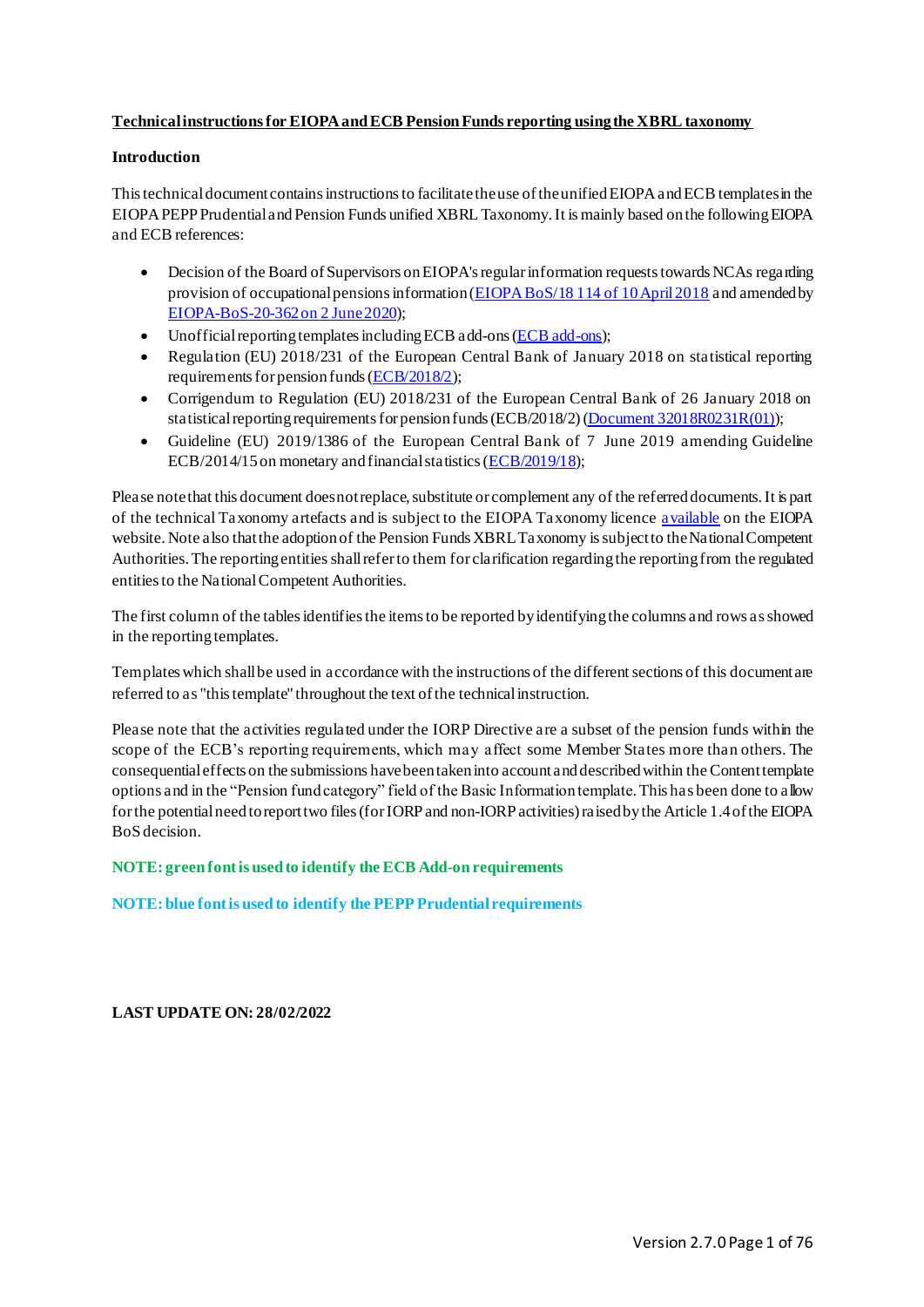# **Technical instructions for EIOPA and ECB Pension Funds reporting using the XBRL taxonomy**

# **Introduction**

This technical document contains instructions to facilitate the use of the unified EIOPA and ECB templates in the EIOPA PEPP Prudential and Pension Funds unified XBRL Taxonomy.It is mainly based on the following EIOPA and ECB references:

- Decision of the Board of Supervisors on EIOPA's regular information requests towards NCAs regarding provision of occupational pensions information [\(EIOPA BoS/18 114 of 10 April 2018](https://www.eiopa.europa.eu/sites/default/files/publications/pdfs/ddddecision_on_consultation_paper_eiopa-cp-17-005.pdf) and amended by [EIOPA-BoS-20-362 on 2](https://www.eiopa.europa.eu/sites/default/files/publications/protocols_decisions_memoranda/annex_eiopa-bos-20-362-initiative-on-pensions-data-bos-decision.pdf) June 2020);
- Unofficial reporting templates including ECB add-ons [\(ECB add-ons](https://www.ecb.europa.eu/stats/money/icpf/shared/pdf/Pension_Funds-Unofficial_reporting_templates_including_ECB_add-ons.xlsx));
- Regulation (EU) 2018/231 of the European Central Bank of January 2018 on statistical reporting requirements for pension funds [\(ECB/2018/2](https://eur-lex.europa.eu/legal-content/EN/TXT/PDF/?uri=CELEX:02018R0231-20180217&from=EN));
- Corrigendum to Regulation (EU) 2018/231 of the European Central Bank of 26 January 2018 on statistical reporting requirements for pension funds (ECB/2018/2) [\(Document 32018R0231R\(01\)](https://eur-lex.europa.eu/legal-content/EN/TXT/PDF/?uri=CELEX:32018R0231R(01)&from=IT));
- Guideline (EU) 2019/1386 of the European Central Bank of 7 June 2019 amending Guideline ECB/2014/15 on monetary and financial statistics [\(ECB/2019/18](https://eur-lex.europa.eu/legal-content/EN/TXT/PDF/?uri=CELEX:32019O0018&from=EN));

Please note that this document does not replace, substitute or complement any of the referred documents. It is part of the technical Taxonomy artefacts and is subject to the EIOPA Taxonomy licenc[e available](https://dev.eiopa.europa.eu/Taxonomy/Full/2.3.0/common/EIOPA_DPM_and_Taxonomy_License.pdf) on the EIOPA website.Note also that the adoption of the Pension Funds XBRL Taxonomy is subject to the National Competent Authorities. The reporting entities shallrefer to them for clarification regarding the reporting from the regulated entities to the National Competent Authorities.

The first column of the tables identifies the items to be reported by identifying the columns and rows as showed in the reporting templates.

Templates which shall be used in accordance with the instructions of the different sections of this document are referred to as "this template" throughout the text of the technical instruction.

Please note that the activities regulated under the IORP Directive are a subset of the pension funds within the scope of the ECB's reporting requirements, which may affect some Member States more than others. The consequential effects on the submissions have been taken into account anddescribedwithin the Content template options and in the "Pension fund category" field of the Basic Information template. This has been done to allow for the potential need to reporttwo files (for IORP and non-IORP activities) raised by the Article 1.4 of the EIOPA BoS decision.

**NOTE: green font is used to identify the ECB Add-on requirements**

**NOTE: blue font is used to identify the PEPP Prudential requirements**

**LAST UPDATE ON: 28/02/2022**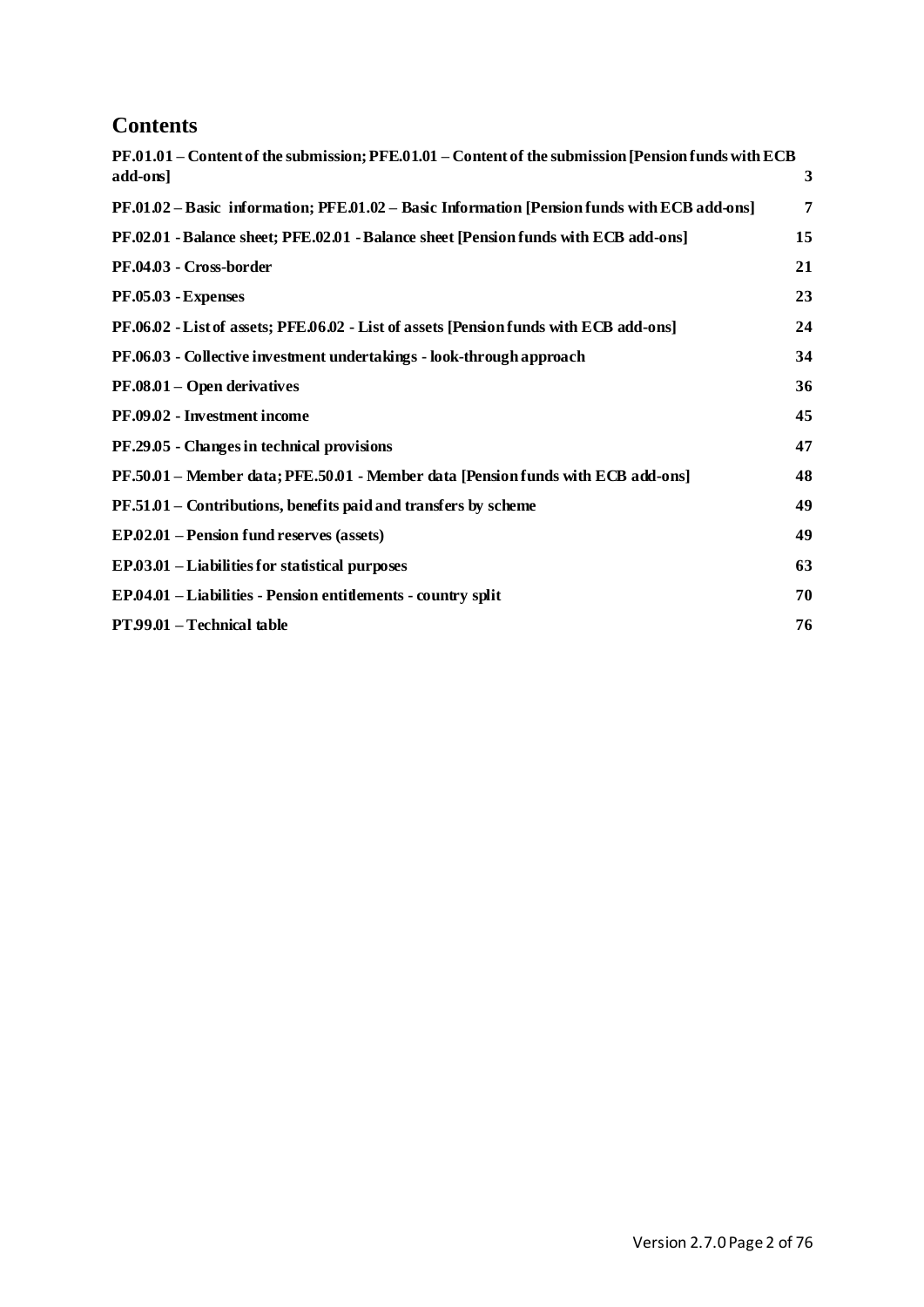# **Contents**

| PF.01.01 – Content of the submission; PFE.01.01 – Content of the submission [Pension funds with ECB |    |
|-----------------------------------------------------------------------------------------------------|----|
| add-ons]                                                                                            | 3  |
| PF.01.02 – Basic information; PFE.01.02 – Basic Information [Pension funds with ECB add-ons]        | 7  |
| PF.02.01 - Balance sheet; PFE.02.01 - Balance sheet [Pension funds with ECB add-ons]                | 15 |
| PF.04.03 - Cross-border                                                                             | 21 |
| PF.05.03 - Expenses                                                                                 | 23 |
| PF.06.02 - List of assets; PFE.06.02 - List of assets [Pension funds with ECB add-ons]              | 24 |
| PF.06.03 - Collective investment undertakings - look-through approach                               | 34 |
| PF.08.01 – Open derivatives                                                                         | 36 |
| PF.09.02 - Investment income                                                                        | 45 |
| PF.29.05 - Changes in technical provisions                                                          | 47 |
| PF.50.01 – Member data; PFE.50.01 - Member data [Pension funds with ECB add-ons]                    | 48 |
| PF.51.01 - Contributions, benefits paid and transfers by scheme                                     | 49 |
| EP.02.01 – Pension fund reserves (assets)                                                           | 49 |
| EP.03.01 – Liabilities for statistical purposes                                                     | 63 |
| EP.04.01 - Liabilities - Pension entitlements - country split                                       | 70 |
| PT 99.01 - Technical table                                                                          | 76 |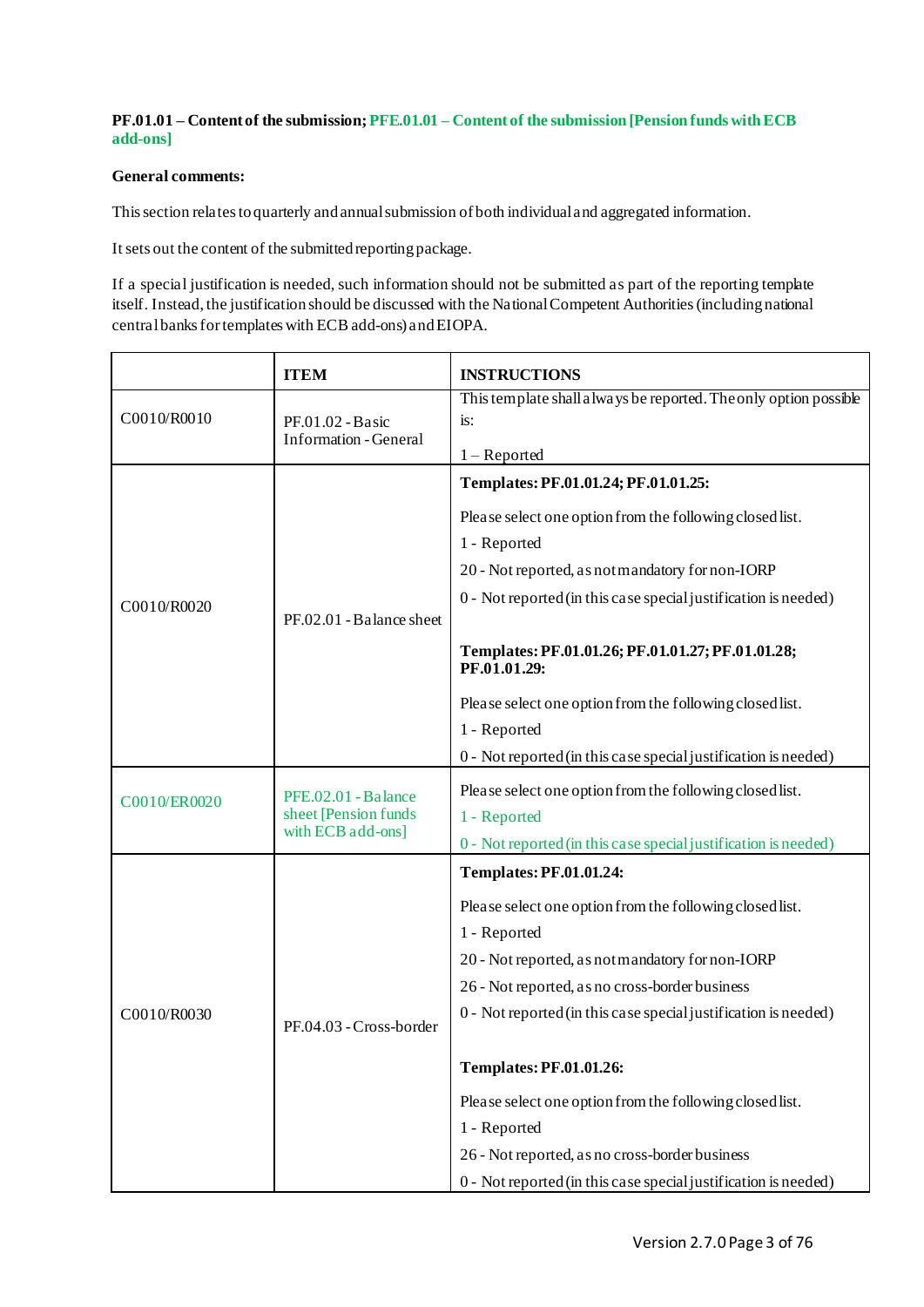# <span id="page-2-0"></span>**PF.01.01 – Content of the submission; PFE.01.01 – Content of the submission [Pension funds with ECB add-ons]**

## **General comments:**

This section relates to quarterly and annual submission of both individual and aggregated information.

It sets out the content of the submitted reporting package.

If a special justification is needed, such information should not be submitted as part of the reporting template itself. Instead, the justification should be discussed with the National Competent Authorities(including national central banks for templates with ECB add-ons) and EIOPA.

|              | <b>ITEM</b>                                    | <b>INSTRUCTIONS</b>                                               |
|--------------|------------------------------------------------|-------------------------------------------------------------------|
| C0010/R0010  | $PF.01.02 - Basic$                             | This template shall always be reported. The only option possible  |
|              |                                                | is:                                                               |
|              | <b>Information - General</b>                   | $1 -$ Reported                                                    |
|              |                                                | Templates: PF.01.01.24; PF.01.01.25:                              |
|              |                                                | Please select one option from the following closed list.          |
|              |                                                | 1 - Reported                                                      |
|              |                                                | 20 - Not reported, as not mandatory for non-IORP                  |
| C0010/R0020  |                                                | 0 - Not reported (in this case special justification is needed)   |
|              | PF.02.01 - Balance sheet                       |                                                                   |
|              |                                                | Templates: PF.01.01.26; PF.01.01.27; PF.01.01.28;<br>PF.01.01.29: |
|              |                                                | Please select one option from the following closed list.          |
|              |                                                | 1 - Reported                                                      |
|              |                                                | 0 - Not reported (in this case special justification is needed)   |
|              | $PFE.02.01 - B$ alance<br>sheet [Pension funds | Please select one option from the following closed list.          |
| C0010/ER0020 |                                                | 1 - Reported                                                      |
|              | with ECB add-ons]                              | 0 - Not reported (in this case special justification is needed)   |
| C0010/R0030  | PF.04.03 - Cross-border                        | <b>Templates: PF.01.01.24:</b>                                    |
|              |                                                | Please select one option from the following closed list.          |
|              |                                                | 1 - Reported                                                      |
|              |                                                | 20 - Not reported, as not mandatory for non-IORP                  |
|              |                                                | 26 - Not reported, as no cross-border business                    |
|              |                                                | 0 - Not reported (in this case special justification is needed)   |
|              |                                                |                                                                   |
|              |                                                | <b>Templates: PF.01.01.26:</b>                                    |
|              |                                                | Please select one option from the following closed list.          |
|              |                                                | 1 - Reported                                                      |
|              |                                                | 26 - Not reported, as no cross-border business                    |
|              |                                                | 0 - Not reported (in this case special justification is needed)   |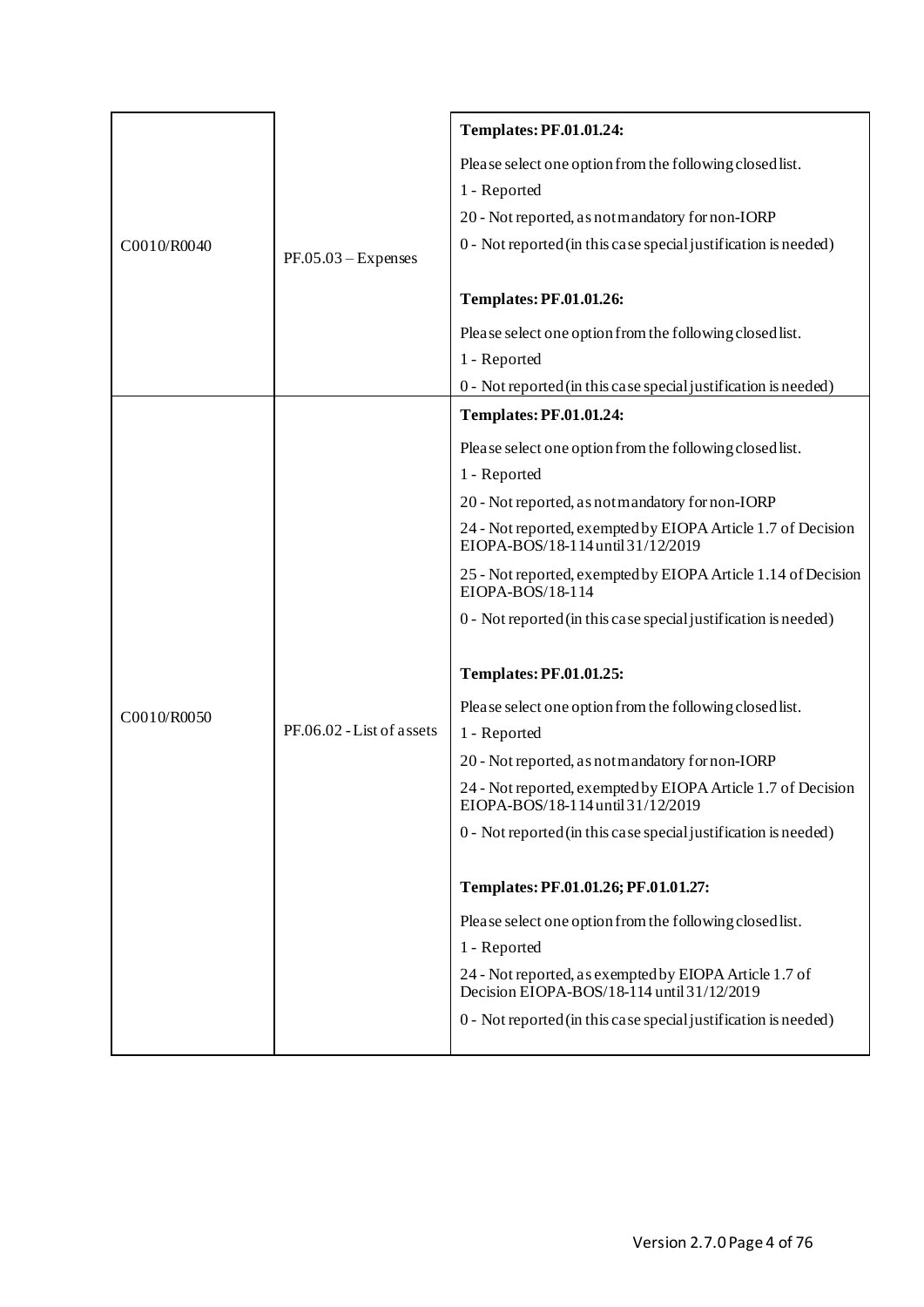|             |                           | <b>Templates: PF.01.01.24:</b>                                                                       |
|-------------|---------------------------|------------------------------------------------------------------------------------------------------|
|             |                           | Please select one option from the following closed list.                                             |
|             |                           | 1 - Reported                                                                                         |
|             |                           | 20 - Not reported, as not mandatory for non-IORP                                                     |
| C0010/R0040 | $PF.05.03 - Expenses$     | 0 - Not reported (in this case special justification is needed)                                      |
|             |                           |                                                                                                      |
|             |                           | <b>Templates: PF.01.01.26:</b>                                                                       |
|             |                           | Please select one option from the following closed list.                                             |
|             |                           | 1 - Reported                                                                                         |
|             |                           | 0 - Not reported (in this case special justification is needed)                                      |
|             |                           | <b>Templates: PF.01.01.24:</b>                                                                       |
|             |                           | Please select one option from the following closed list.                                             |
|             |                           | 1 - Reported                                                                                         |
|             | PF.06.02 - List of assets | 20 - Not reported, as not mandatory for non-IORP                                                     |
|             |                           | 24 - Not reported, exempted by EIOPA Article 1.7 of Decision<br>EIOPA-BOS/18-114 until 31/12/2019    |
|             |                           | 25 - Not reported, exempted by EIOPA Article 1.14 of Decision<br>EIOPA-BOS/18-114                    |
|             |                           | 0 - Not reported (in this case special justification is needed)                                      |
|             |                           | <b>Templates: PF.01.01.25:</b>                                                                       |
| C0010/R0050 |                           | Please select one option from the following closed list.                                             |
|             |                           | 1 - Reported                                                                                         |
|             |                           | 20 - Not reported, as not mandatory for non-IORP                                                     |
|             |                           | 24 - Not reported, exempted by EIOPA Article 1.7 of Decision<br>EIOPA-BOS/18-114 until 31/12/2019    |
|             |                           | 0 - Not reported (in this case special justification is needed)                                      |
|             |                           | Templates: PF.01.01.26; PF.01.01.27:                                                                 |
|             |                           | Please select one option from the following closed list.                                             |
|             |                           | 1 - Reported                                                                                         |
|             |                           | 24 - Not reported, as exempted by EIOPA Article 1.7 of<br>Decision EIOPA-BOS/18-114 until 31/12/2019 |
|             |                           | 0 - Not reported (in this case special justification is needed)                                      |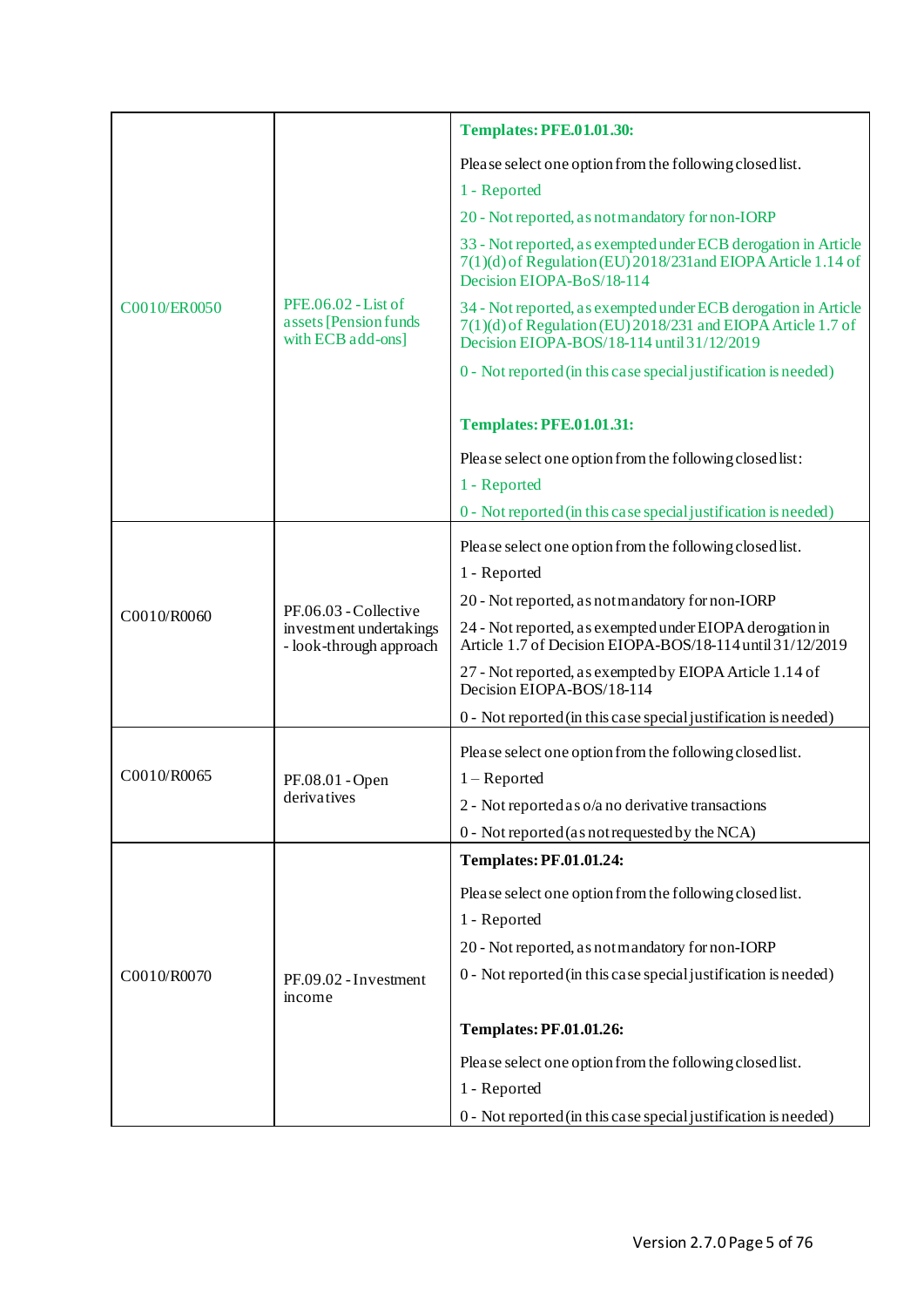|              |                                                                             | <b>Templates: PFE.01.01.30:</b>                                                                                                                                              |
|--------------|-----------------------------------------------------------------------------|------------------------------------------------------------------------------------------------------------------------------------------------------------------------------|
|              |                                                                             | Please select one option from the following closed list.                                                                                                                     |
|              |                                                                             | 1 - Reported                                                                                                                                                                 |
|              |                                                                             | 20 - Not reported, as not mandatory for non-IORP                                                                                                                             |
|              | PFE.06.02 - List of<br>assets [Pension funds]<br>with ECB add-ons]          | 33 - Not reported, as exempted under ECB derogation in Article<br>7(1)(d) of Regulation (EU) 2018/231and EIOPA Article 1.14 of<br>Decision EIOPA-BoS/18-114                  |
| C0010/ER0050 |                                                                             | 34 - Not reported, as exempted under ECB derogation in Article<br>7(1)(d) of Regulation (EU) 2018/231 and EIOPA Article 1.7 of<br>Decision EIOPA-BOS/18-114 until 31/12/2019 |
|              |                                                                             | 0 - Not reported (in this case special justification is needed)                                                                                                              |
|              |                                                                             | <b>Templates: PFE.01.01.31:</b>                                                                                                                                              |
|              |                                                                             | Please select one option from the following closed list:                                                                                                                     |
|              |                                                                             | 1 - Reported                                                                                                                                                                 |
|              |                                                                             | 0 - Not reported (in this case special justification is needed)                                                                                                              |
|              |                                                                             | Please select one option from the following closed list.                                                                                                                     |
|              | PF.06.03 - Collective<br>investment undertakings<br>- look-through approach | 1 - Reported                                                                                                                                                                 |
| C0010/R0060  |                                                                             | 20 - Not reported, as not mandatory for non-IORP                                                                                                                             |
|              |                                                                             | 24 - Not reported, as exempted under EIOPA derogation in<br>Article 1.7 of Decision EIOPA-BOS/18-114 until 31/12/2019                                                        |
|              |                                                                             | 27 - Not reported, as exempted by EIOPA Article 1.14 of<br>Decision EIOPA-BOS/18-114                                                                                         |
|              |                                                                             | 0 - Not reported (in this case special justification is needed)                                                                                                              |
| C0010/R0065  | PF.08.01 - Open<br>derivatives                                              | Please select one option from the following closed list.                                                                                                                     |
|              |                                                                             | $1 -$ Reported                                                                                                                                                               |
|              |                                                                             | 2 - Not reported as o/a no derivative transactions<br>0 - Not reported (as not requested by the NCA)                                                                         |
|              |                                                                             | <b>Templates: PF.01.01.24:</b>                                                                                                                                               |
|              | PF.09.02 - Investment<br>income                                             |                                                                                                                                                                              |
|              |                                                                             | Please select one option from the following closed list.                                                                                                                     |
| C0010/R0070  |                                                                             | 1 - Reported<br>20 - Not reported, as not mandatory for non-IORP                                                                                                             |
|              |                                                                             | 0 - Not reported (in this case special justification is needed)                                                                                                              |
|              |                                                                             |                                                                                                                                                                              |
|              |                                                                             | <b>Templates: PF.01.01.26:</b>                                                                                                                                               |
|              |                                                                             | Please select one option from the following closed list.                                                                                                                     |
|              |                                                                             | 1 - Reported                                                                                                                                                                 |
|              |                                                                             | 0 - Not reported (in this case special justification is needed)                                                                                                              |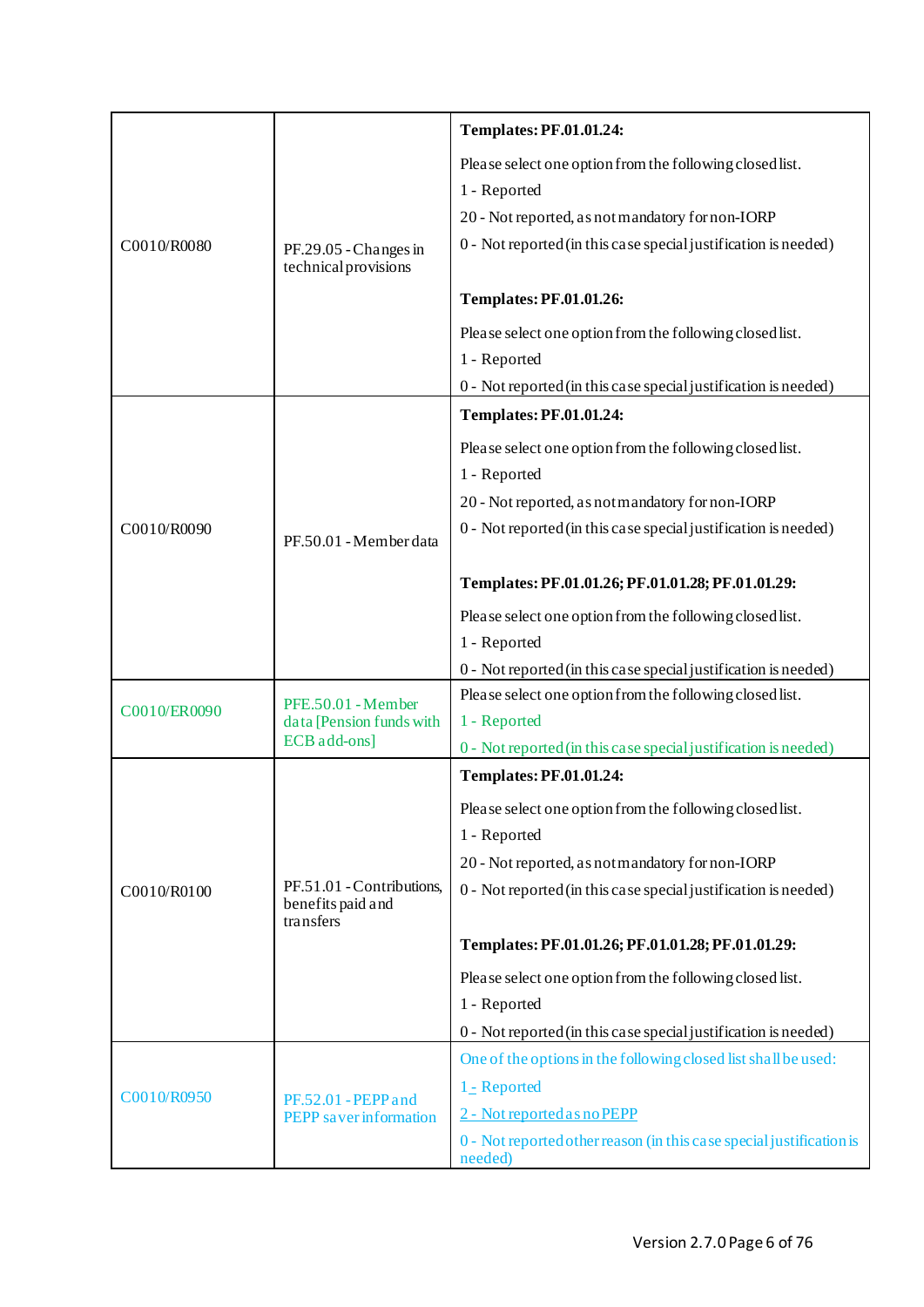|              |                                                                | <b>Templates: PF.01.01.24:</b>                                                  |
|--------------|----------------------------------------------------------------|---------------------------------------------------------------------------------|
|              |                                                                | Please select one option from the following closed list.                        |
|              |                                                                | 1 - Reported                                                                    |
|              |                                                                | 20 - Not reported, as not mandatory for non-IORP                                |
| C0010/R0080  | PF.29.05 - Changes in<br>technical provisions                  | 0 - Not reported (in this case special justification is needed)                 |
|              |                                                                | <b>Templates: PF.01.01.26:</b>                                                  |
|              |                                                                | Please select one option from the following closed list.                        |
|              |                                                                | 1 - Reported                                                                    |
|              |                                                                | 0 - Not reported (in this case special justification is needed)                 |
|              |                                                                | <b>Templates: PF.01.01.24:</b>                                                  |
|              |                                                                | Please select one option from the following closed list.                        |
|              |                                                                | 1 - Reported                                                                    |
|              |                                                                | 20 - Not reported, as not mandatory for non-IORP                                |
| C0010/R0090  | PF.50.01 - Member data                                         | 0 - Not reported (in this case special justification is needed)                 |
|              |                                                                |                                                                                 |
|              |                                                                | Templates: PF.01.01.26; PF.01.01.28; PF.01.01.29:                               |
|              |                                                                | Please select one option from the following closed list.                        |
|              |                                                                | 1 - Reported                                                                    |
|              |                                                                | 0 - Not reported (in this case special justification is needed)                 |
| C0010/ER0090 | PFE.50.01 - Member<br>data [Pension funds with<br>ECB add-ons] | Please select one option from the following closed list.                        |
|              |                                                                | 1 - Reported                                                                    |
|              |                                                                | 0 - Not reported (in this case special justification is needed)                 |
|              |                                                                | <b>Templates: PF.01.01.24:</b>                                                  |
|              |                                                                | Please select one option from the following closed list.                        |
|              |                                                                | 1 - Reported                                                                    |
|              | PF.51.01 - Contributions,                                      | 20 - Not reported, as not mandatory for non-IORP                                |
| C0010/R0100  | benefits paid and<br>transfers                                 | 0 - Not reported (in this case special justification is needed)                 |
|              |                                                                | Templates: PF.01.01.26; PF.01.01.28; PF.01.01.29:                               |
|              |                                                                | Please select one option from the following closed list.                        |
|              |                                                                | 1 - Reported                                                                    |
|              |                                                                | 0 - Not reported (in this case special justification is needed)                 |
|              |                                                                | One of the options in the following closed list shall be used:                  |
| C0010/R0950  | PF.52.01 - PEPP and                                            | 1 <sub>-</sub> Reported                                                         |
|              | <b>PEPP</b> saver information                                  | 2 - Not reported as no PEPP                                                     |
|              |                                                                | 0 - Not reported other reason (in this case special justification is<br>needed) |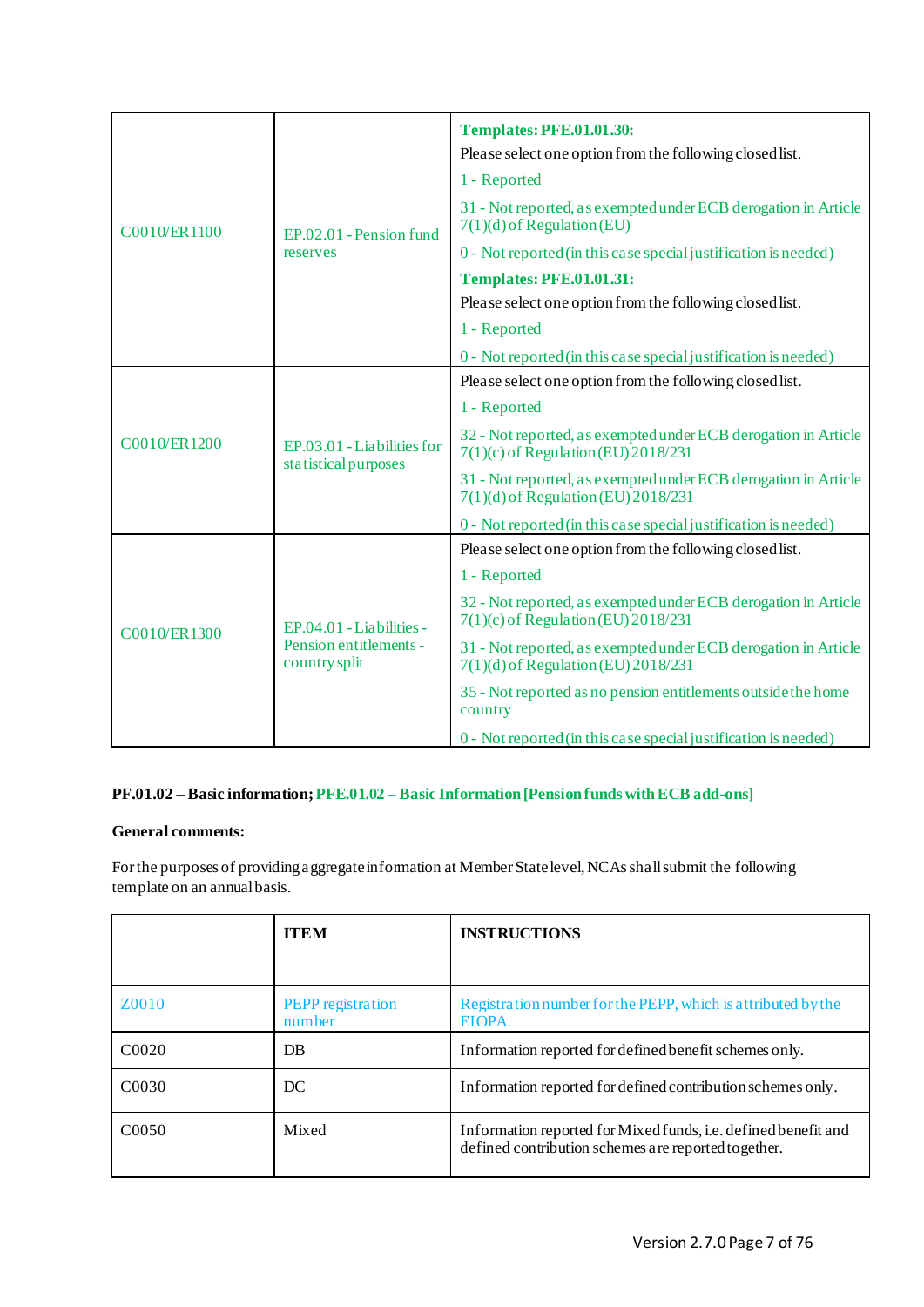|              |                                                                     | <b>Templates: PFE.01.01.30:</b>                                                                         |
|--------------|---------------------------------------------------------------------|---------------------------------------------------------------------------------------------------------|
|              | EP.02.01 - Pension fund                                             | Please select one option from the following closed list.                                                |
|              |                                                                     | 1 - Reported                                                                                            |
| C0010/ER1100 |                                                                     | 31 - Not reported, as exempted under ECB derogation in Article<br>$7(1)(d)$ of Regulation (EU)          |
|              | reserves                                                            | 0 - Not reported (in this case special justification is needed)                                         |
|              |                                                                     | <b>Templates: PFE.01.01.31:</b>                                                                         |
|              |                                                                     | Please select one option from the following closed list.                                                |
|              |                                                                     | 1 - Reported                                                                                            |
|              |                                                                     | 0 - Not reported (in this case special justification is needed)                                         |
|              |                                                                     | Please select one option from the following closed list.                                                |
|              | EP.03.01 - Liabilities for<br>statistical purposes                  | 1 - Reported                                                                                            |
| C0010/ER1200 |                                                                     | 32 - Not reported, as exempted under ECB derogation in Article<br>7(1)(c) of Regulation (EU) 2018/231   |
|              |                                                                     | 31 - Not reported, as exempted under ECB derogation in Article<br>7(1)(d) of Regulation (EU) 2018/231   |
|              |                                                                     | 0 - Not reported (in this case special justification is needed)                                         |
|              |                                                                     | Please select one option from the following closed list.                                                |
|              | EP.04.01 - Liabilities -<br>Pension entitlements -<br>country split | 1 - Reported                                                                                            |
| C0010/ER1300 |                                                                     | 32 - Not reported, as exempted under ECB derogation in Article<br>$7(1)(c)$ of Regulation (EU) 2018/231 |
|              |                                                                     | 31 - Not reported, as exempted under ECB derogation in Article<br>7(1)(d) of Regulation (EU) 2018/231   |
|              |                                                                     | 35 - Not reported as no pension entitlements outside the home<br>country                                |
|              |                                                                     | 0 - Not reported (in this case special justification is needed)                                         |

# <span id="page-6-0"></span>**PF.01.02 – Basic information; PFE.01.02 – Basic Information [Pension funds with ECB add-ons]**

# **General comments:**

For the purposes of providing aggregate information at Member State level, NCAs shall submit the following template on an annual basis.

|                   | <b>ITEM</b>                 | <b>INSTRUCTIONS</b>                                                                                                   |
|-------------------|-----------------------------|-----------------------------------------------------------------------------------------------------------------------|
|                   |                             |                                                                                                                       |
| Z0010             | PEPP registration<br>number | Registration number for the PEPP, which is a tributed by the<br>EIOPA.                                                |
| C <sub>0020</sub> | DB                          | Information reported for defined benefit schemes only.                                                                |
| C <sub>0030</sub> | DC                          | Information reported for defined contribution schemes only.                                                           |
| C <sub>0050</sub> | Mixed                       | Information reported for Mixed funds, i.e. defined benefit and<br>defined contribution schemes are reported together. |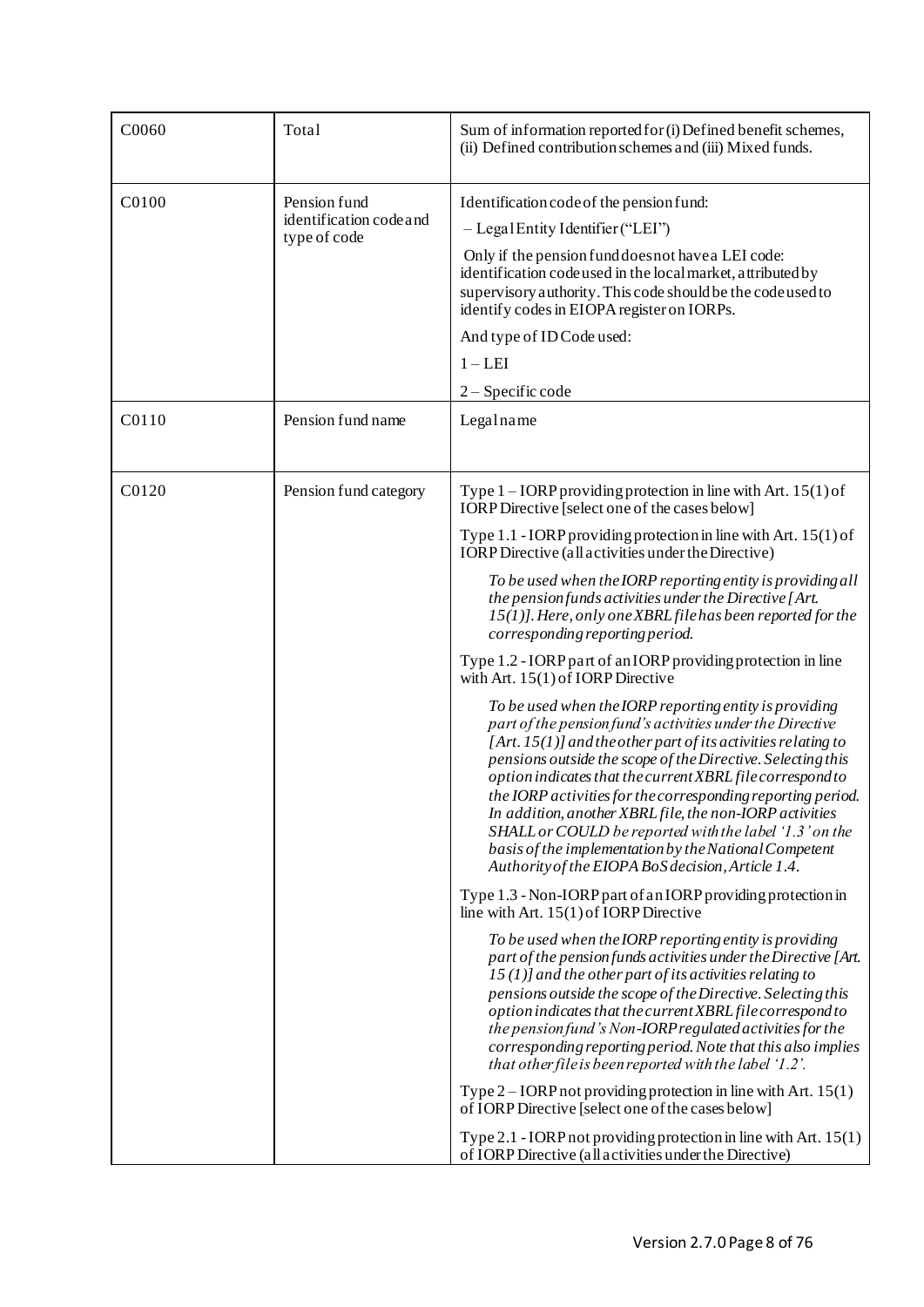| C0060 | Total                                                   | Sum of information reported for (i) Defined benefit schemes,<br>(ii) Defined contribution schemes and (iii) Mixed funds.                                                                                                                                                                                                                                                                                                                                                                                                                                                                                                                                                                                                                                                                                                                                                                                                                                                                                                                                                                                                                                                                                          |
|-------|---------------------------------------------------------|-------------------------------------------------------------------------------------------------------------------------------------------------------------------------------------------------------------------------------------------------------------------------------------------------------------------------------------------------------------------------------------------------------------------------------------------------------------------------------------------------------------------------------------------------------------------------------------------------------------------------------------------------------------------------------------------------------------------------------------------------------------------------------------------------------------------------------------------------------------------------------------------------------------------------------------------------------------------------------------------------------------------------------------------------------------------------------------------------------------------------------------------------------------------------------------------------------------------|
| C0100 | Pension fund<br>identification code and<br>type of code | Identification code of the pension fund:<br>$-$ Legal Entity Identifier ("LEI")<br>Only if the pension fund does not have a LEI code:<br>identification codeused in the local market, attributed by<br>supervisory authority. This code should be the code used to<br>identify codes in EIOPA register on IORPs.<br>And type of ID Code used:<br>$1 - LEI$<br>$2 -$ Specific code                                                                                                                                                                                                                                                                                                                                                                                                                                                                                                                                                                                                                                                                                                                                                                                                                                 |
| C0110 | Pension fund name                                       | Legalname                                                                                                                                                                                                                                                                                                                                                                                                                                                                                                                                                                                                                                                                                                                                                                                                                                                                                                                                                                                                                                                                                                                                                                                                         |
| C0120 | Pension fund category                                   | Type $1 - IORP$ providing protection in line with Art. $15(1)$ of<br>IORP Directive [select one of the cases below]<br>Type $1.1$ - IORP providing protection in line with Art. $15(1)$ of<br><b>IORP</b> Directive (all activities under the Directive)<br>To be used when the IORP reporting entity is providing all<br>the pension funds activities under the Directive [Art.<br>15(1)]. Here, only one XBRL file has been reported for the<br>corresponding reporting period.<br>Type 1.2 - IORP part of an IORP providing protection in line<br>with Art. $15(1)$ of IORP Directive<br>To be used when the IORP reporting entity is providing<br>part of the pension fund's activities under the Directive<br>[Art. $15(1)$ ] and the other part of its activities relating to<br>pensions outside the scope of the Directive. Selecting this<br>option indicates that the current XBRL file correspond to<br>the IORP activities for the corresponding reporting period.<br>In addition, another XBRL file, the non-IORP activities<br>SHALL or COULD be reported with the label '1.3' on the<br>basis of the implementation by the National Competent<br>Authority of the EIOPA BoS decision, Article 1.4. |
|       |                                                         | Type 1.3 - Non-IORP part of an IORP providing protection in<br>line with Art. $15(1)$ of IORP Directive<br>To be used when the IORP reporting entity is providing<br>part of the pension funds activities under the Directive [Art.<br>$15(1)$ ] and the other part of its activities relating to<br>pensions outside the scope of the Directive. Selecting this<br>option indicates that the current XBRL file correspond to<br>the pension fund's Non-IORP regulated activities for the<br>corresponding reporting period. Note that this also implies<br>that other file is been reported with the label '1.2'.<br>Type $2$ – IORP not providing protection in line with Art. 15(1)<br>of IORP Directive [select one of the cases below]<br>Type 2.1 - IORP not providing protection in line with Art. $15(1)$<br>of IORP Directive (all activities under the Directive)                                                                                                                                                                                                                                                                                                                                       |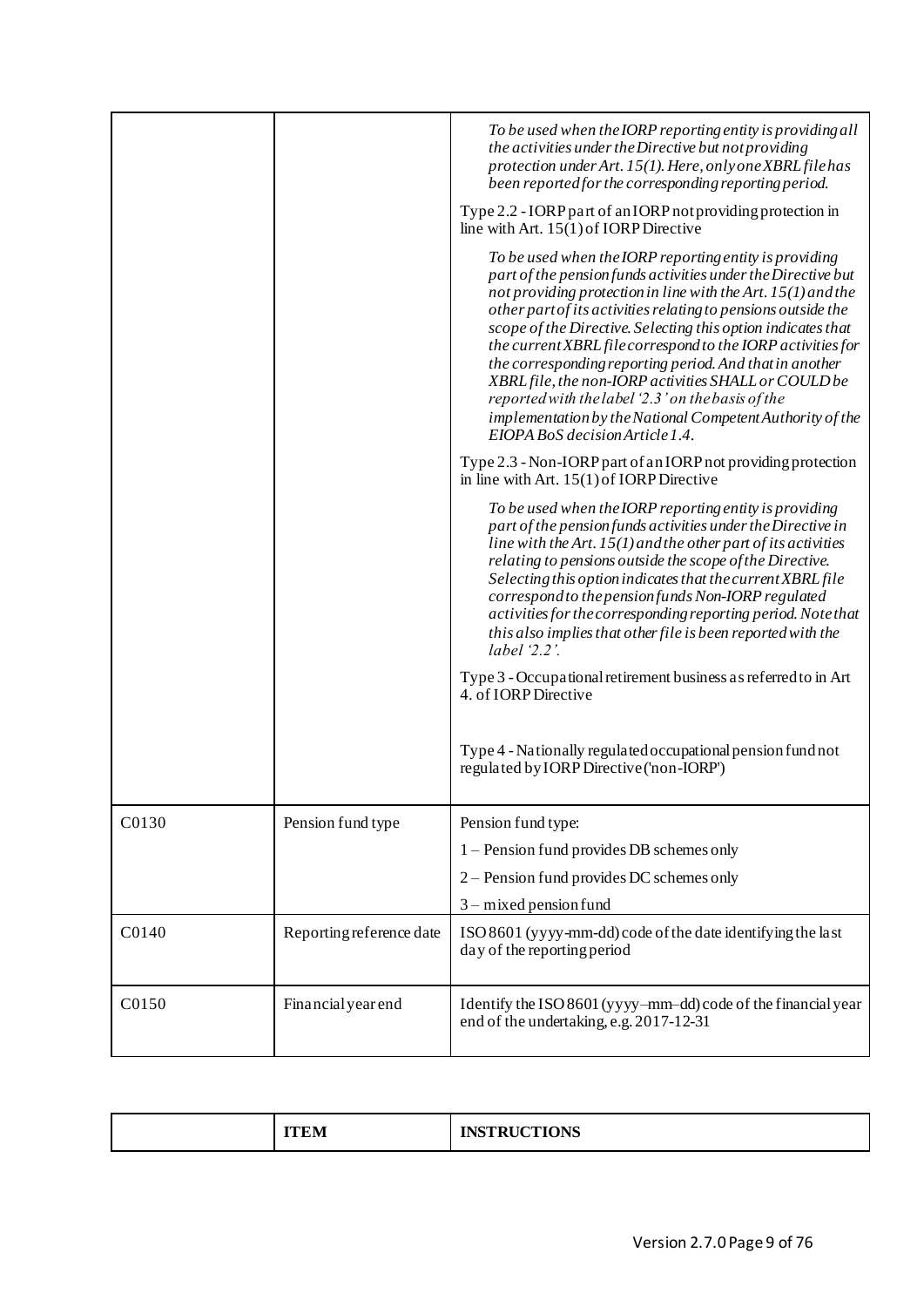|       |                          | To be used when the IORP reporting entity is providing all<br>the activities under the Directive but not providing<br>protection under Art. 15(1). Here, only one XBRL file has<br>been reported for the corresponding reporting period.<br>Type 2.2 - IORP part of an IORP not providing protection in<br>line with Art. $15(1)$ of IORP Directive                                                                                                                                                                                                                                                                                                              |
|-------|--------------------------|------------------------------------------------------------------------------------------------------------------------------------------------------------------------------------------------------------------------------------------------------------------------------------------------------------------------------------------------------------------------------------------------------------------------------------------------------------------------------------------------------------------------------------------------------------------------------------------------------------------------------------------------------------------|
|       |                          | To be used when the IORP reporting entity is providing<br>part of the pension funds activities under the Directive but<br>not providing protection in line with the Art. $15(1)$ and the<br>other part of its activities relating to pensions outside the<br>scope of the Directive. Selecting this option indicates that<br>the current XBRL file correspond to the IORP activities for<br>the corresponding reporting period. And that in another<br>XBRL file, the non-IORP activities SHALL or COULD be<br>reported with the label '2.3' on the basis of the<br>implementation by the National Competent Authority of the<br>EIOPA BoS decision Article 1.4. |
|       |                          | Type 2.3 - Non-IORP part of an IORP not providing protection<br>in line with Art. $15(1)$ of IORP Directive                                                                                                                                                                                                                                                                                                                                                                                                                                                                                                                                                      |
|       |                          | To be used when the IORP reporting entity is providing<br>part of the pension funds activities under the Directive in<br>line with the Art. $15(1)$ and the other part of its activities<br>relating to pensions outside the scope of the Directive.<br>Selecting this option indicates that the current XBRL file<br>correspond to the pension funds Non-IORP regulated<br>activities for the corresponding reporting period. Note that<br>this also implies that other file is been reported with the<br>label $2.2$ '.                                                                                                                                        |
|       |                          | Type 3 - Occupational retirement business as referred to in Art<br>4. of <b>IORP</b> Directive                                                                                                                                                                                                                                                                                                                                                                                                                                                                                                                                                                   |
|       |                          | Type 4 - Nationally regulated occupational pension fund not<br>regulated by IORP Directive ('non-IORP')                                                                                                                                                                                                                                                                                                                                                                                                                                                                                                                                                          |
| C0130 | Pension fund type        | Pension fund type:                                                                                                                                                                                                                                                                                                                                                                                                                                                                                                                                                                                                                                               |
|       |                          | 1 – Pension fund provides DB schemes only                                                                                                                                                                                                                                                                                                                                                                                                                                                                                                                                                                                                                        |
|       |                          | 2 – Pension fund provides DC schemes only                                                                                                                                                                                                                                                                                                                                                                                                                                                                                                                                                                                                                        |
|       |                          | $3$ – mixed pension fund                                                                                                                                                                                                                                                                                                                                                                                                                                                                                                                                                                                                                                         |
| C0140 | Reporting reference date | ISO 8601 (yyyy-mm-dd) code of the date identifying the last<br>day of the reporting period                                                                                                                                                                                                                                                                                                                                                                                                                                                                                                                                                                       |
| C0150 | Financial year end       | Identify the ISO 8601 (yyyy-mm-dd) code of the financial year<br>end of the undertaking, e.g. 2017-12-31                                                                                                                                                                                                                                                                                                                                                                                                                                                                                                                                                         |
|       |                          |                                                                                                                                                                                                                                                                                                                                                                                                                                                                                                                                                                                                                                                                  |

| <b>INETDITATIONE</b><br>------<br><b>IILM</b><br><b>CLIONS</b><br><b>WIND</b><br>-- |
|-------------------------------------------------------------------------------------|
|-------------------------------------------------------------------------------------|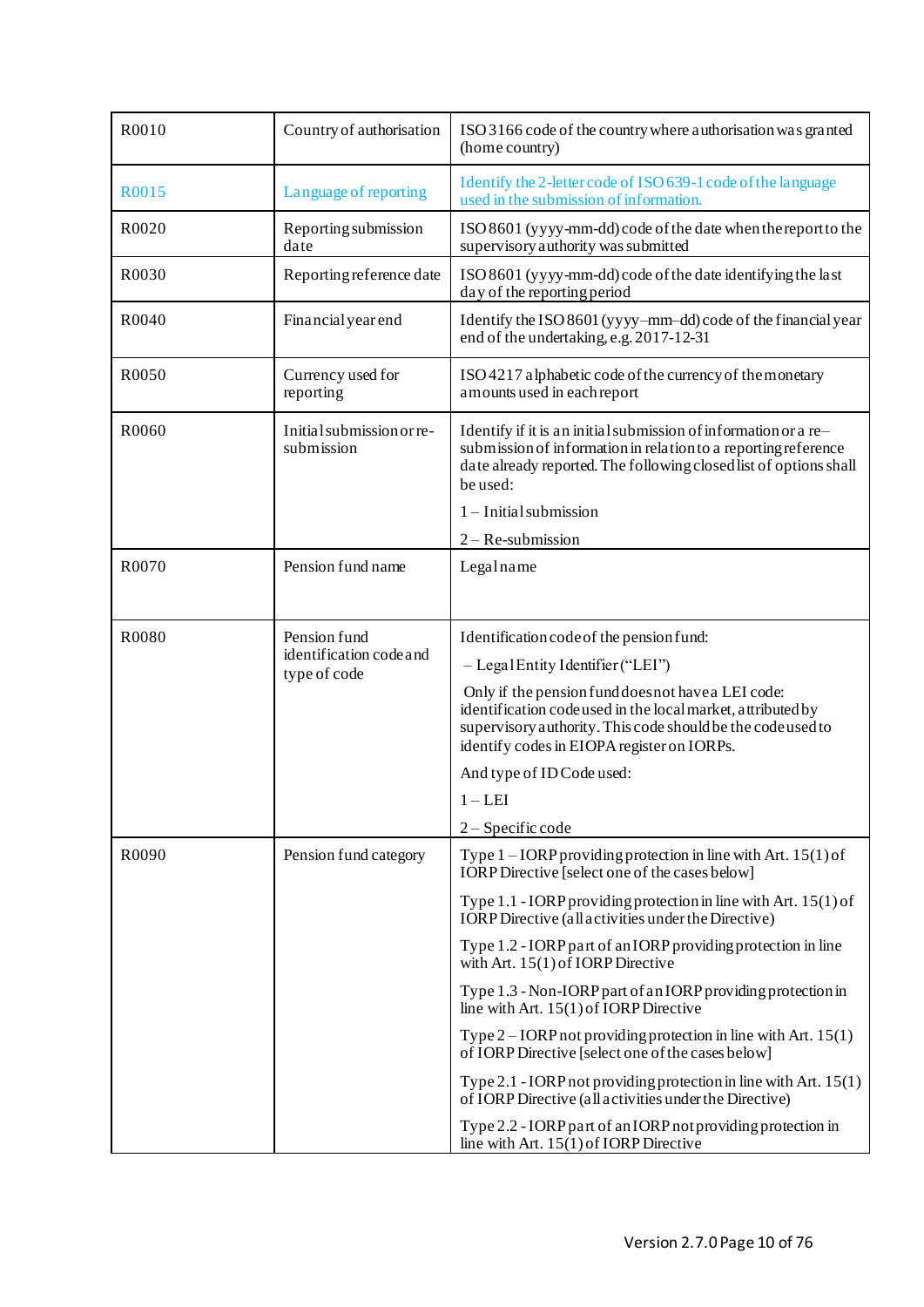| R0010             | Country of authorisation                | ISO 3166 code of the country where authorisation was granted<br>(home country)                                                                                                                                                 |
|-------------------|-----------------------------------------|--------------------------------------------------------------------------------------------------------------------------------------------------------------------------------------------------------------------------------|
| R0015             | Language of reporting                   | Identify the 2-letter code of ISO 639-1 code of the language<br>used in the submission of information.                                                                                                                         |
| R0020             | Reporting submission<br>date            | ISO 8601 (yyyy-mm-dd) code of the date when the report to the<br>supervisory authority was submitted                                                                                                                           |
| R0030             | Reporting reference date                | ISO 8601 (yyyy-mm-dd) code of the date identifying the last<br>day of the reporting period                                                                                                                                     |
| R0040             | <b>Financial</b> year end               | Identify the ISO 8601 (yyyy-mm-dd) code of the financial year<br>end of the undertaking, e.g. 2017-12-31                                                                                                                       |
| R <sub>0050</sub> | Currency used for<br>reporting          | ISO 4217 alphabetic code of the currency of the monetary<br>amounts used in each report                                                                                                                                        |
| R0060             | Initial submission or re-<br>submission | Identify if it is an initial submission of information or a re-<br>submission of information in relation to a reporting reference<br>date already reported. The following closed list of options shall<br>be used:             |
|                   |                                         | $1$ – Initial submission                                                                                                                                                                                                       |
|                   |                                         | $2 - Re-submission$                                                                                                                                                                                                            |
| R0070             | Pension fund name                       | Legalname                                                                                                                                                                                                                      |
|                   |                                         |                                                                                                                                                                                                                                |
| R0080             | Pension fund                            | Identification code of the pension fund:                                                                                                                                                                                       |
|                   | identification code and<br>type of code | $-$ Legal Entity Identifier ("LEI")                                                                                                                                                                                            |
|                   |                                         | Only if the pension fund does not have a LEI code:<br>identification code used in the local market, attributed by<br>supervisory authority. This code should be the code used to<br>identify codes in EIOPA register on IORPs. |
|                   |                                         | And type of ID Code used:                                                                                                                                                                                                      |
|                   |                                         | $1 - LEI$                                                                                                                                                                                                                      |
|                   |                                         | 2 - Specific code                                                                                                                                                                                                              |
| R0090             | Pension fund category                   | Type $1 - IORP$ providing protection in line with Art. $15(1)$ of<br><b>IORP</b> Directive [select one of the cases below]                                                                                                     |
|                   |                                         | Type $1.1$ - IORP providing protection in line with Art. $15(1)$ of<br><b>IORP</b> Directive (all activities under the Directive)                                                                                              |
|                   |                                         | Type 1.2 - IORP part of an IORP providing protection in line<br>with Art. $15(1)$ of IORP Directive                                                                                                                            |
|                   |                                         | Type 1.3 - Non-IORP part of an IORP providing protection in<br>line with Art. 15(1) of IORP Directive                                                                                                                          |
|                   |                                         | Type $2$ – IORP not providing protection in line with Art. 15(1)<br>of IORP Directive [select one of the cases below]                                                                                                          |
|                   |                                         | Type 2.1 - IORP not providing protection in line with Art. $15(1)$<br>of IORP Directive (all activities under the Directive)                                                                                                   |
|                   |                                         | Type 2.2 - IORP part of an IORP not providing protection in<br>line with Art. 15(1) of IORP Directive                                                                                                                          |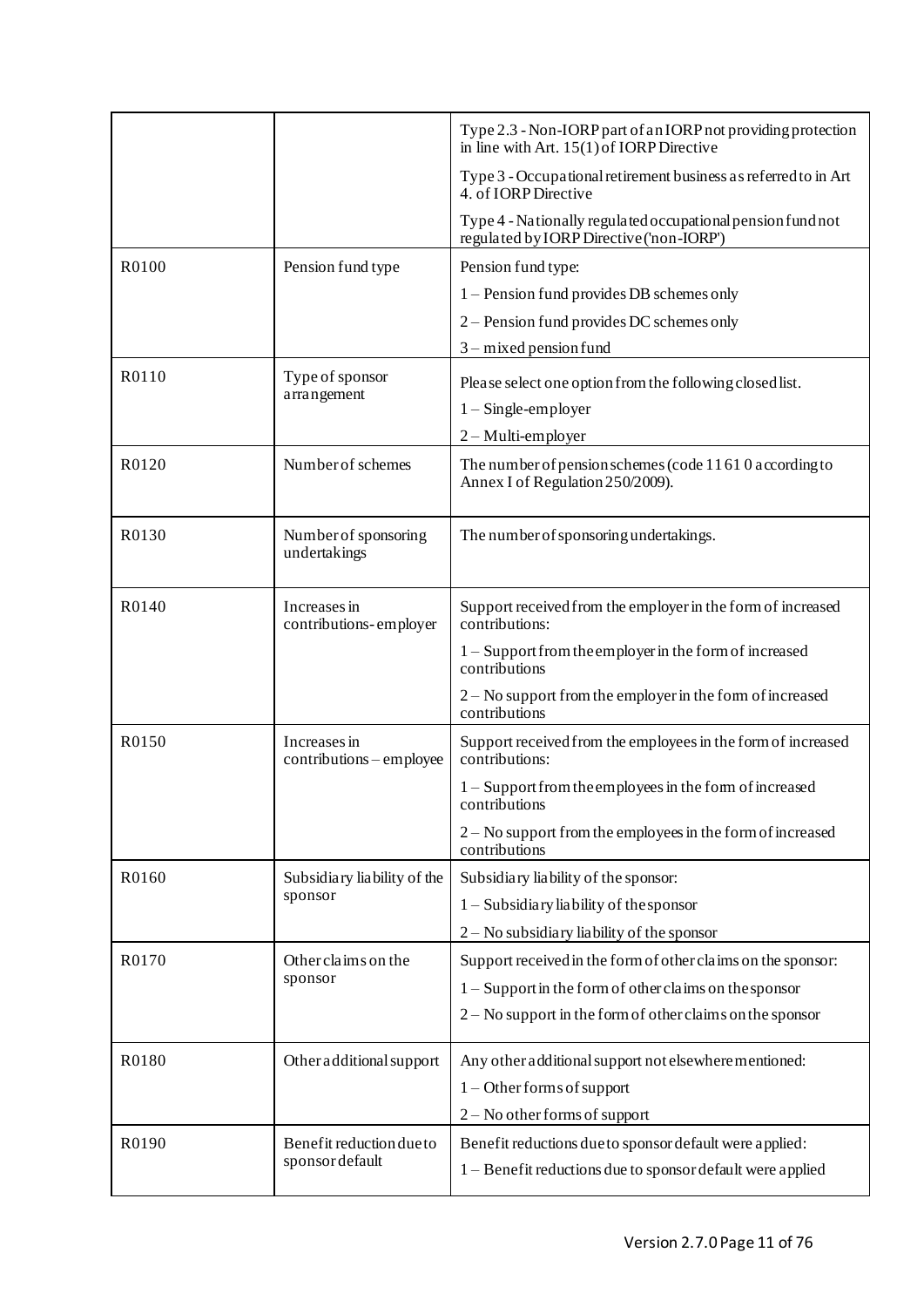|       |                                          | Type 2.3 - Non-IORP part of an IORP not providing protection<br>in line with Art. $15(1)$ of IORP Directive |
|-------|------------------------------------------|-------------------------------------------------------------------------------------------------------------|
|       |                                          | Type 3 - Occupational retirement business as referred to in Art<br>4. of <b>IORP</b> Directive              |
|       |                                          | Type 4 - Nationally regulated occupational pension fund not<br>regulated by IORP Directive ('non-IORP')     |
| R0100 | Pension fund type                        | Pension fund type:                                                                                          |
|       |                                          | 1 – Pension fund provides DB schemes only                                                                   |
|       |                                          | $2$ – Pension fund provides DC schemes only                                                                 |
|       |                                          | $3$ – mixed pension fund                                                                                    |
| R0110 | Type of sponsor<br>arrangement           | Please select one option from the following closed list.                                                    |
|       |                                          | $1 -$ Single-employer                                                                                       |
|       |                                          | $2 - Multi$ -employer                                                                                       |
| R0120 | Number of schemes                        | The number of pension schemes (code $11610$ according to<br>Annex I of Regulation 250/2009).                |
| R0130 | Number of sponsoring<br>undertakings     | The number of sponsoring undertakings.                                                                      |
| R0140 | Increases in<br>contributions-employer   | Support received from the employer in the form of increased<br>contributions:                               |
|       |                                          | 1 – Support from the employer in the form of increased<br>contributions                                     |
|       |                                          | 2 – No support from the employer in the form of increased<br>contributions                                  |
| R0150 | Increases in<br>contributions - employee | Support received from the employees in the form of increased<br>contributions:                              |
|       |                                          | 1 – Support from the employees in the form of increased<br>contributions                                    |
|       |                                          | 2 – No support from the employees in the form of increased<br>contributions                                 |
| R0160 | Subsidiary liability of the              | Subsidiary liability of the sponsor:                                                                        |
|       | sponsor                                  | $1 -$ Subsidiary liability of the sponsor                                                                   |
|       |                                          | $2 -$ No subsidiary liability of the sponsor                                                                |
| R0170 | Other claims on the                      | Support received in the form of other claims on the sponsor:                                                |
|       | sponsor                                  | 1 – Support in the form of other claims on the sponsor                                                      |
|       |                                          | 2 – No support in the form of other claims on the sponsor                                                   |
| R0180 | Other additional support                 | Any other additional support not elsewhere mentioned:                                                       |
|       |                                          | $1 -$ Other forms of support                                                                                |
|       |                                          | $2 - No$ other forms of support                                                                             |
| R0190 | Benefit reduction due to                 | Benefit reductions due to sponsor default were applied:                                                     |
|       | sponsor default                          | 1 - Benefit reductions due to sponsor default were applied                                                  |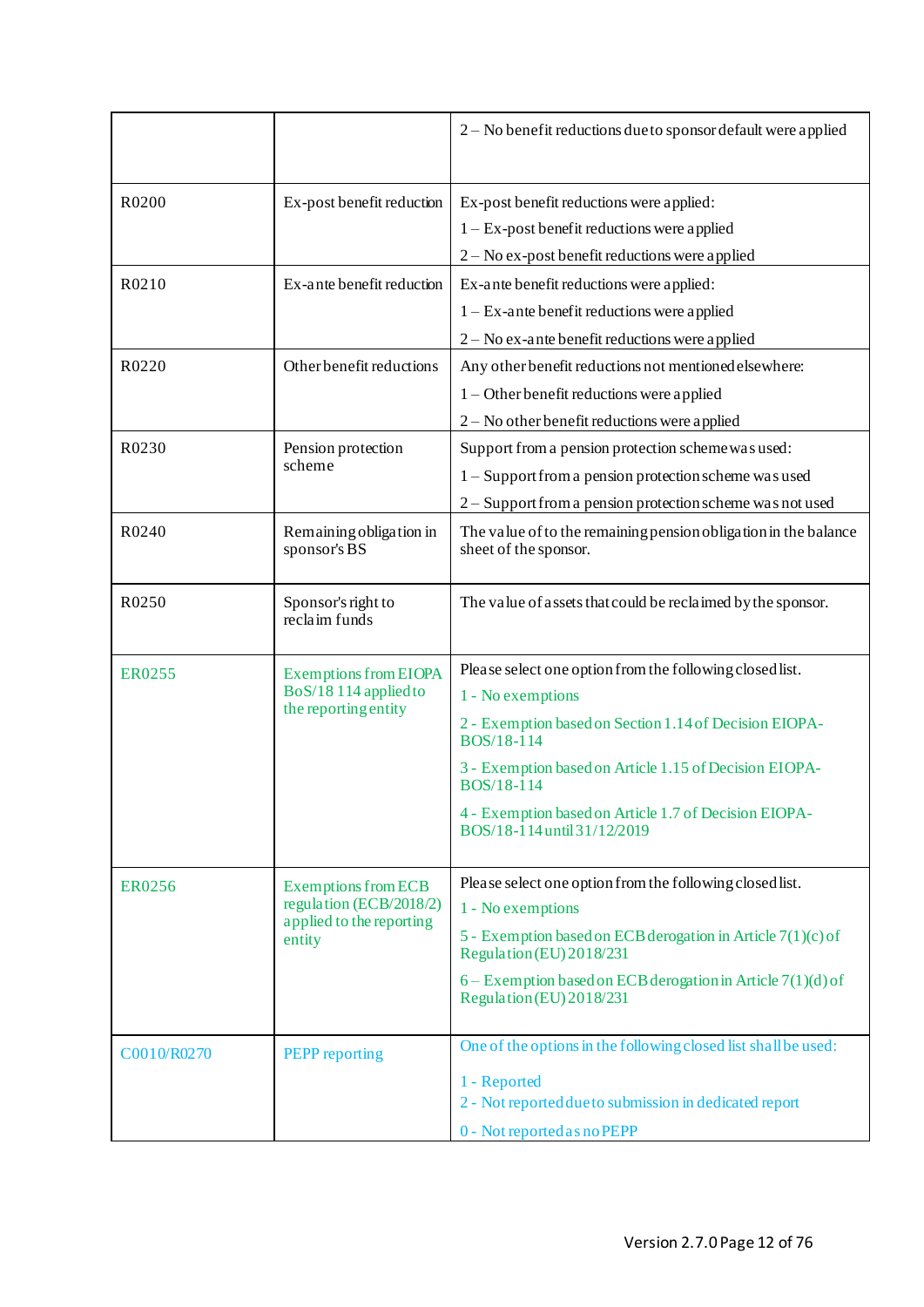|               |                                                                              | 2 – No benefit reductions due to sponsor default were applied                             |
|---------------|------------------------------------------------------------------------------|-------------------------------------------------------------------------------------------|
| R0200         | Ex-post benefit reduction                                                    | Ex-post benefit reductions were applied:                                                  |
|               |                                                                              | $1 - Ex$ -post benefit reductions were applied                                            |
|               |                                                                              | 2 – No ex-post benefit reductions were applied                                            |
| R0210         | Ex-ante benefit reduction                                                    | Ex-ante benefit reductions were applied:                                                  |
|               |                                                                              | $1 - Ex$ -ante benefit reductions were applied                                            |
|               |                                                                              | $2 - No$ ex-ante benefit reductions were applied                                          |
| R0220         | Other benefit reductions                                                     | Any other benefit reductions not mentioned elsewhere:                                     |
|               |                                                                              | $1 -$ Other benefit reductions were applied                                               |
|               |                                                                              | $2 - No$ other benefit reductions were applied                                            |
| R0230         | Pension protection<br>scheme                                                 | Support from a pension protection scheme was used:                                        |
|               |                                                                              | 1 – Support from a pension protection scheme was used                                     |
|               |                                                                              | 2 – Support from a pension protection scheme was not used                                 |
| R0240         | Remaining obligation in<br>sponsor's BS                                      | The value of to the remaining pension obligation in the balance<br>sheet of the sponsor.  |
| R0250         | Sponsor's right to<br>reclaim funds                                          | The value of assets that could be reclaimed by the sponsor.                               |
| <b>ER0255</b> | <b>Exemptions from EIOPA</b><br>BoS/18114 applied to<br>the reporting entity | Please select one option from the following closed list.                                  |
|               |                                                                              | 1 - No exemptions                                                                         |
|               |                                                                              | 2 - Exemption based on Section 1.14 of Decision EIOPA-<br>BOS/18-114                      |
|               |                                                                              | 3 - Exemption based on Article 1.15 of Decision EIOPA-<br><b>BOS/18-114</b>               |
|               |                                                                              | 4 - Exemption based on Article 1.7 of Decision EIOPA-<br>BOS/18-114 until 31/12/2019      |
|               | <b>Exemptions from ECB</b>                                                   | Please select one option from the following closed list.                                  |
| <b>ER0256</b> | regulation (ECB/2018/2)<br>applied to the reporting<br>entity                | 1 - No exemptions                                                                         |
|               |                                                                              | 5 - Exemption based on ECB derogation in Article $7(1)(c)$ of<br>Regulation (EU) 2018/231 |
|               |                                                                              | 6 – Exemption based on ECB derogation in Article $7(1)(d)$ of<br>Regulation (EU) 2018/231 |
| C0010/R0270   | <b>PEPP</b> reporting                                                        | One of the options in the following closed list shall be used:                            |
|               |                                                                              | 1 - Reported                                                                              |
|               |                                                                              | 2 - Not reported due to submission in dedicated report                                    |
|               |                                                                              | 0 - Not reported as no PEPP                                                               |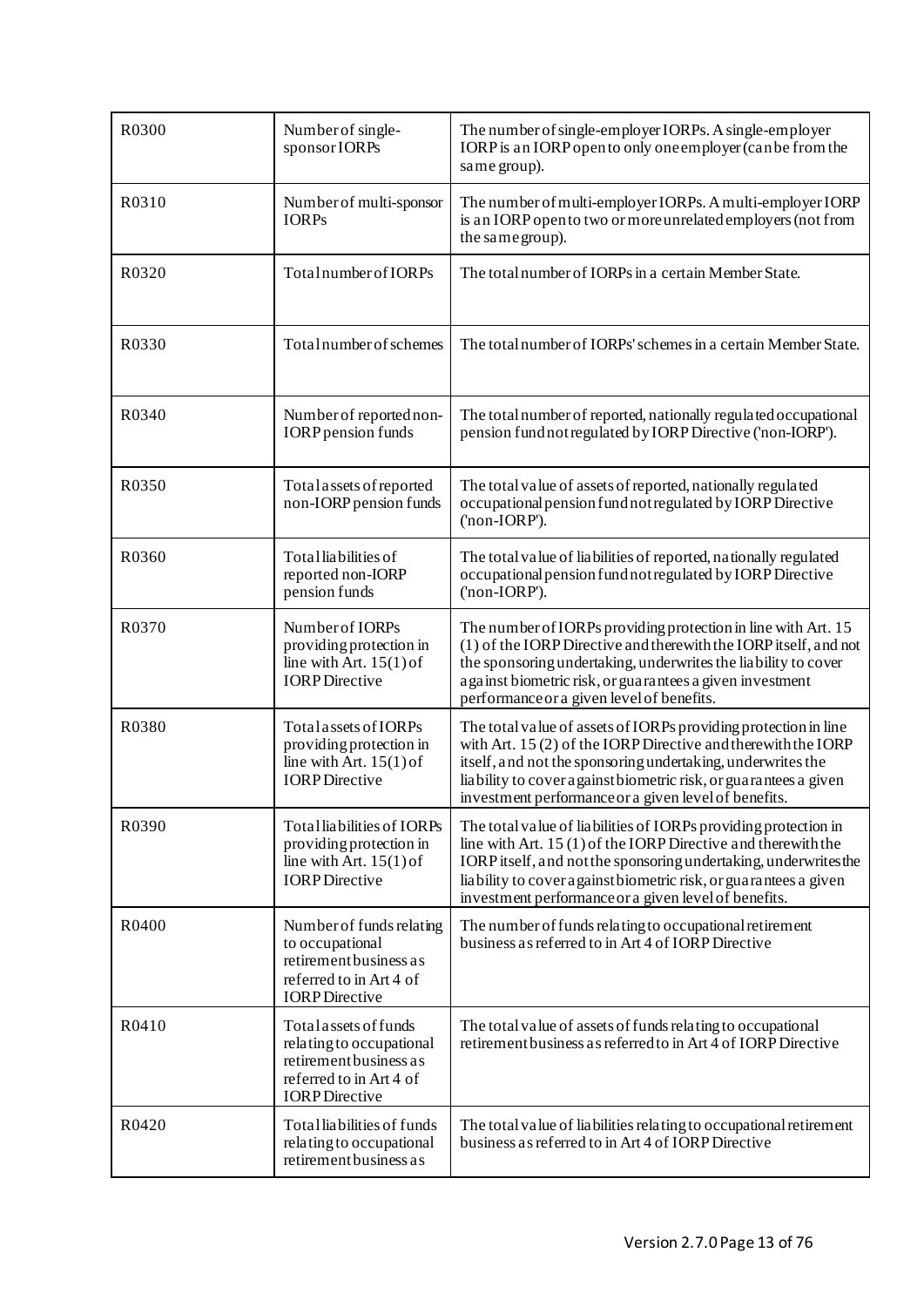| R0300 | Number of single-<br>sponsor IORPs                                                                                              | The number of single-employer IORPs. A single-employer<br>IORP is an IORP open to only one employer (can be from the<br>same group).                                                                                                                                                                                                |
|-------|---------------------------------------------------------------------------------------------------------------------------------|-------------------------------------------------------------------------------------------------------------------------------------------------------------------------------------------------------------------------------------------------------------------------------------------------------------------------------------|
| R0310 | Number of multi-sponsor<br><b>IORPs</b>                                                                                         | The number of multi-employer IORPs. A multi-employer IORP<br>is an IORP open to two or more unrelated employers (not from<br>the same group).                                                                                                                                                                                       |
| R0320 | Total number of IORPs                                                                                                           | The total number of IORPs in a certain Member State.                                                                                                                                                                                                                                                                                |
| R0330 | Total number of schemes                                                                                                         | The total number of IORPs' schemes in a certain Member State.                                                                                                                                                                                                                                                                       |
| R0340 | Number of reported non-<br><b>IORP</b> pension funds                                                                            | The total number of reported, nationally regulated occupational<br>pension fund not regulated by IORP Directive ('non-IORP').                                                                                                                                                                                                       |
| R0350 | Total assets of reported<br>non-IORP pension funds                                                                              | The total value of assets of reported, nationally regulated<br>occupational pension fund not regulated by IORP Directive<br>('non-IORP').                                                                                                                                                                                           |
| R0360 | Total liabilities of<br>reported non-IORP<br>pension funds                                                                      | The total value of liabilities of reported, nationally regulated<br>occupational pension fund not regulated by IORP Directive<br>('non-IORP').                                                                                                                                                                                      |
| R0370 | Number of IORPs<br>providing protection in<br>line with Art. $15(1)$ of<br><b>IORP</b> Directive                                | The number of IORPs providing protection in line with Art. 15<br>(1) of the IORP Directive and therewith the IORP itself, and not<br>the sponsoring undertaking, underwrites the liability to cover<br>against biometric risk, or guarantees a given investment<br>performance or a given level of benefits.                        |
| R0380 | Total assets of <b>IORPs</b><br>providing protection in<br>line with Art. $15(1)$ of<br><b>IORP</b> Directive                   | The total value of assets of IORPs providing protection in line<br>with Art. $15(2)$ of the IORP Directive and therewith the IORP<br>itself, and not the sponsoring undertaking, underwrites the<br>liability to cover a gainst biometric risk, or guarantees a given<br>investment performance or a given level of benefits.       |
| R0390 | Total liabilities of IORPs<br>providing protection in<br>line with Art. $15(1)$ of<br><b>IORP</b> Directive                     | The total value of liabilities of IORPs providing protection in<br>line with Art. $15(1)$ of the IORP Directive and there with the<br>IORP itself, and not the sponsoring undertaking, underwrites the<br>liability to cover a gainst biometric risk, or guarantees a given<br>investment performance or a given level of benefits. |
| R0400 | Number of funds relating<br>to occupational<br>retirement business as<br>referred to in Art 4 of<br><b>IORP</b> Directive       | The number of funds relating to occupational retirement<br>business as referred to in Art 4 of IORP Directive                                                                                                                                                                                                                       |
| R0410 | Total assets of funds<br>relating to occupational<br>retirement business as<br>referred to in Art 4 of<br><b>IORP</b> Directive | The total value of assets of funds relating to occupational<br>retirement business as referred to in Art 4 of IORP Directive                                                                                                                                                                                                        |
| R0420 | Total liabilities of funds<br>relating to occupational<br>retirement business as                                                | The total value of liabilities relating to occupational retirement<br>business as referred to in Art 4 of IORP Directive                                                                                                                                                                                                            |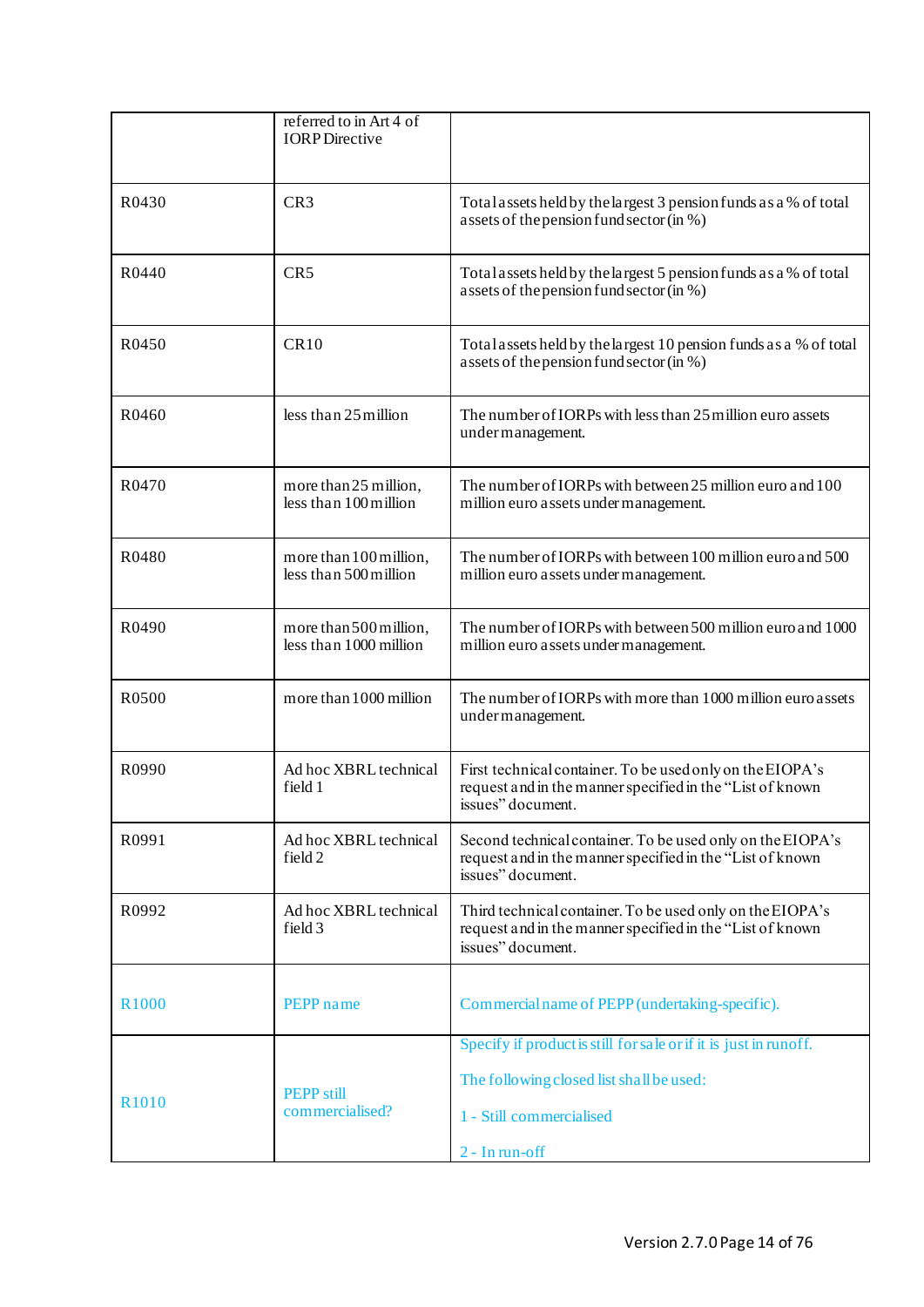|                   | referred to in Art 4 of<br><b>IORP</b> Directive |                                                                                                                                               |
|-------------------|--------------------------------------------------|-----------------------------------------------------------------------------------------------------------------------------------------------|
| R0430             | CR <sub>3</sub>                                  | Total assets held by the largest 3 pension funds as a % of total<br>assets of the pension fund sector (in %)                                  |
| R0440             | CR5                                              | Total assets held by the largest 5 pension funds as a % of total<br>assets of the pension fund sector (in %)                                  |
| R0450             | CR10                                             | Total assets held by the largest 10 pension funds as a % of total<br>assets of the pension fund sector (in %)                                 |
| R0460             | less than 25 million                             | The number of IORPs with less than 25 million euro assets<br>under management.                                                                |
| R0470             | more than 25 million,<br>less than 100 million   | The number of IORPs with between 25 million euro and 100<br>million euro assets under management.                                             |
| R0480             | more than 100 million,<br>less than 500 million  | The number of IORPs with between 100 million euro and 500<br>million euro assets under management.                                            |
| R0490             | more than 500 million,<br>less than 1000 million | The number of IORPs with between 500 million euro and 1000<br>million euro assets under management.                                           |
| R0500             | more than 1000 million                           | The number of IORPs with more than 1000 million euro assets<br>under management.                                                              |
| R0990             | Ad hoc XBRL technical<br>field 1                 | First technical container. To be used only on the EIOPA's<br>request and in the manner specified in the "List of known<br>issues" document.   |
| R0991             | Ad hoc XBRL technical<br>field 2                 | Second technical container. To be used only on the EIOPA's<br>request and in the manner specified in the "List of known"<br>issues" document. |
| R0992             | Ad hoc XBRL technical<br>field 3                 | Third technical container. To be used only on the EIOPA's<br>request and in the manner specified in the "List of known"<br>issues" document.  |
| R <sub>1000</sub> | PEPP name                                        | Commercial name of PEPP (undertaking-specific).                                                                                               |
|                   |                                                  | Specify if product is still for sale or if it is just in runoff.                                                                              |
|                   | <b>PEPP</b> still                                | The following closed list shall be used:                                                                                                      |
| R <sub>1010</sub> | commercialised?                                  | 1 - Still commercialised                                                                                                                      |
|                   |                                                  | 2 - In run-off                                                                                                                                |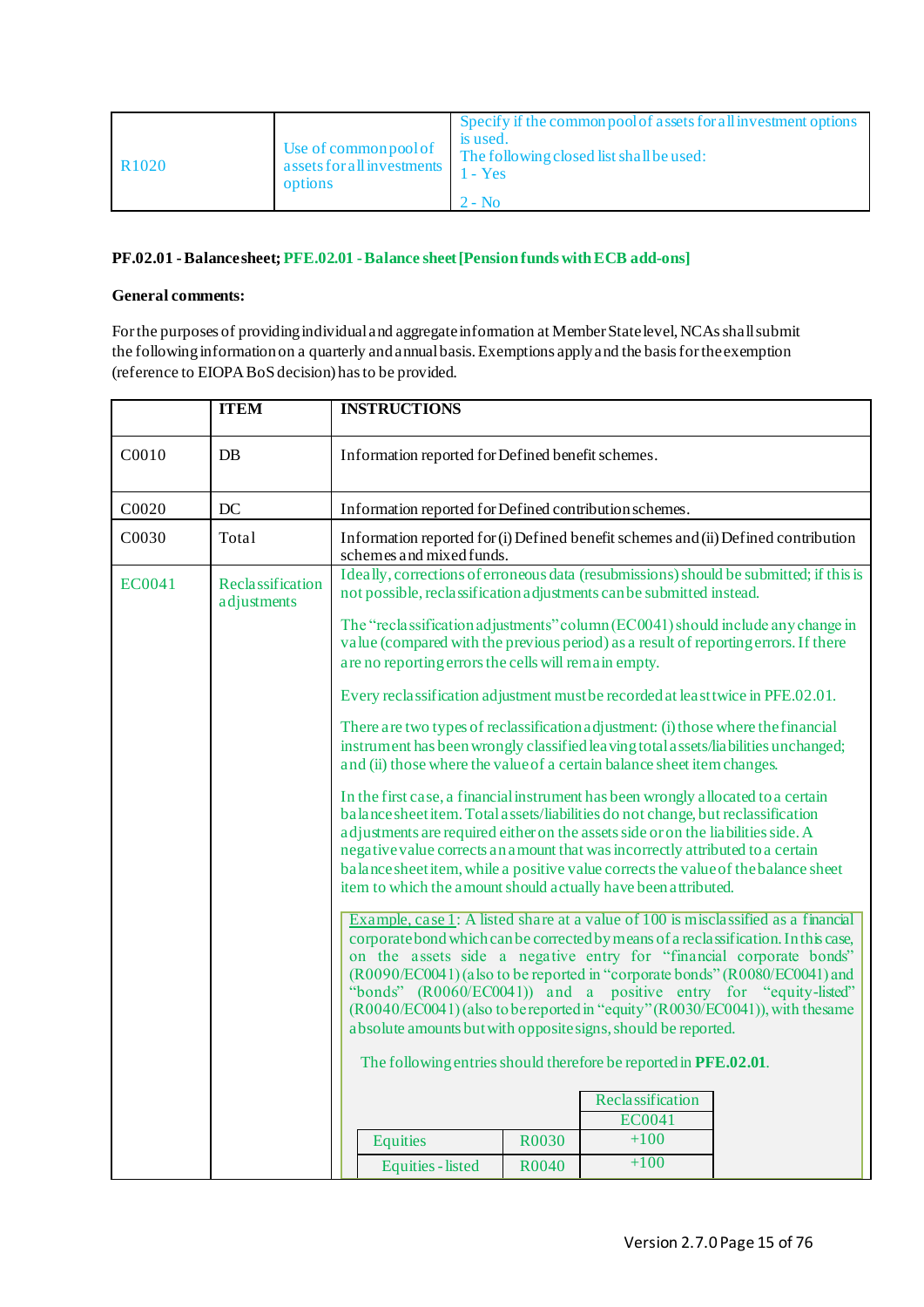| Use of common pool of<br>R <sub>1020</sub><br>assets for all investments<br>options | Specify if the common pool of assets for all investment options<br>is used.<br>The following closed list shall be used:<br>$1 - Yes$<br>$2 - No$ |
|-------------------------------------------------------------------------------------|--------------------------------------------------------------------------------------------------------------------------------------------------|
|-------------------------------------------------------------------------------------|--------------------------------------------------------------------------------------------------------------------------------------------------|

## <span id="page-14-0"></span>**PF.02.01 -Balance sheet; PFE.02.01 -Balance sheet [Pension funds with ECB add-ons]**

# **General comments:**

For the purposes of providing individual and aggregate information at Member State level, NCAs shall submit the following information on a quarterly and annual basis. Exemptions apply and the basis for the exemption (reference to EIOPA BoS decision) has to be provided.

|        | <b>ITEM</b>                     | <b>INSTRUCTIONS</b>                                                                                                                                                                                                                                                                                                                                                                                                                                                                                                                                                                                                               |       |                            |  |
|--------|---------------------------------|-----------------------------------------------------------------------------------------------------------------------------------------------------------------------------------------------------------------------------------------------------------------------------------------------------------------------------------------------------------------------------------------------------------------------------------------------------------------------------------------------------------------------------------------------------------------------------------------------------------------------------------|-------|----------------------------|--|
| C0010  | <b>DB</b>                       | Information reported for Defined benefit schemes.                                                                                                                                                                                                                                                                                                                                                                                                                                                                                                                                                                                 |       |                            |  |
| C0020  | DC                              | Information reported for Defined contribution schemes.                                                                                                                                                                                                                                                                                                                                                                                                                                                                                                                                                                            |       |                            |  |
| C0030  | Total                           | Information reported for (i) Defined benefit schemes and (ii) Defined contribution<br>schemes and mixed funds.                                                                                                                                                                                                                                                                                                                                                                                                                                                                                                                    |       |                            |  |
| EC0041 | Reclassification<br>adjustments | Ideally, corrections of erroneous data (resubmissions) should be submitted; if this is<br>not possible, reclassification adjustments can be submitted instead.                                                                                                                                                                                                                                                                                                                                                                                                                                                                    |       |                            |  |
|        |                                 | The "reclassification adjustments" column (EC0041) should include any change in<br>value (compared with the previous period) as a result of reporting errors. If there<br>are no reporting errors the cells will remain empty.                                                                                                                                                                                                                                                                                                                                                                                                    |       |                            |  |
|        |                                 | Every reclassification adjustment must be recorded at least twice in PFE.02.01.                                                                                                                                                                                                                                                                                                                                                                                                                                                                                                                                                   |       |                            |  |
|        |                                 | There are two types of reclassification adjustment: (i) those where the financial<br>instrument has been wrongly classified leaving total a ssets/liabilities unchanged;<br>and (ii) those where the value of a certain balance sheet item changes.                                                                                                                                                                                                                                                                                                                                                                               |       |                            |  |
|        |                                 | In the first case, a financial instrument has been wrongly allocated to a certain<br>balance sheet item. Total assets/liabilities do not change, but reclassification<br>adjustments are required either on the assets side or on the liabilities side. A<br>negative value corrects an amount that was incorrectly attributed to a certain<br>balance sheet item, while a positive value corrects the value of the balance sheet<br>item to which the amount should actually have been attributed.                                                                                                                               |       |                            |  |
|        |                                 | Example, case 1: A listed share at a value of 100 is misclassified as a financial<br>corporate bond which can be corrected by means of a reclassification. In this case,<br>on the assets side a negative entry for "financial corporate bonds"<br>(R0090/EC0041) (also to be reported in "corporate bonds" (R0080/EC0041) and<br>"bonds" (R0060/EC0041)) and a positive entry for "equity-listed"<br>(R0040/EC0041) (also to be reported in "equity" (R0030/EC0041)), with the same<br>absolute amounts but with opposite signs, should be reported.<br>The following entries should therefore be reported in <b>PFE.02.01</b> . |       |                            |  |
|        |                                 |                                                                                                                                                                                                                                                                                                                                                                                                                                                                                                                                                                                                                                   |       |                            |  |
|        |                                 |                                                                                                                                                                                                                                                                                                                                                                                                                                                                                                                                                                                                                                   |       | Reclassification<br>EC0041 |  |
|        |                                 | <b>Equities</b>                                                                                                                                                                                                                                                                                                                                                                                                                                                                                                                                                                                                                   | R0030 | $+100$                     |  |
|        |                                 | <b>Equities</b> - listed                                                                                                                                                                                                                                                                                                                                                                                                                                                                                                                                                                                                          | R0040 | $+100$                     |  |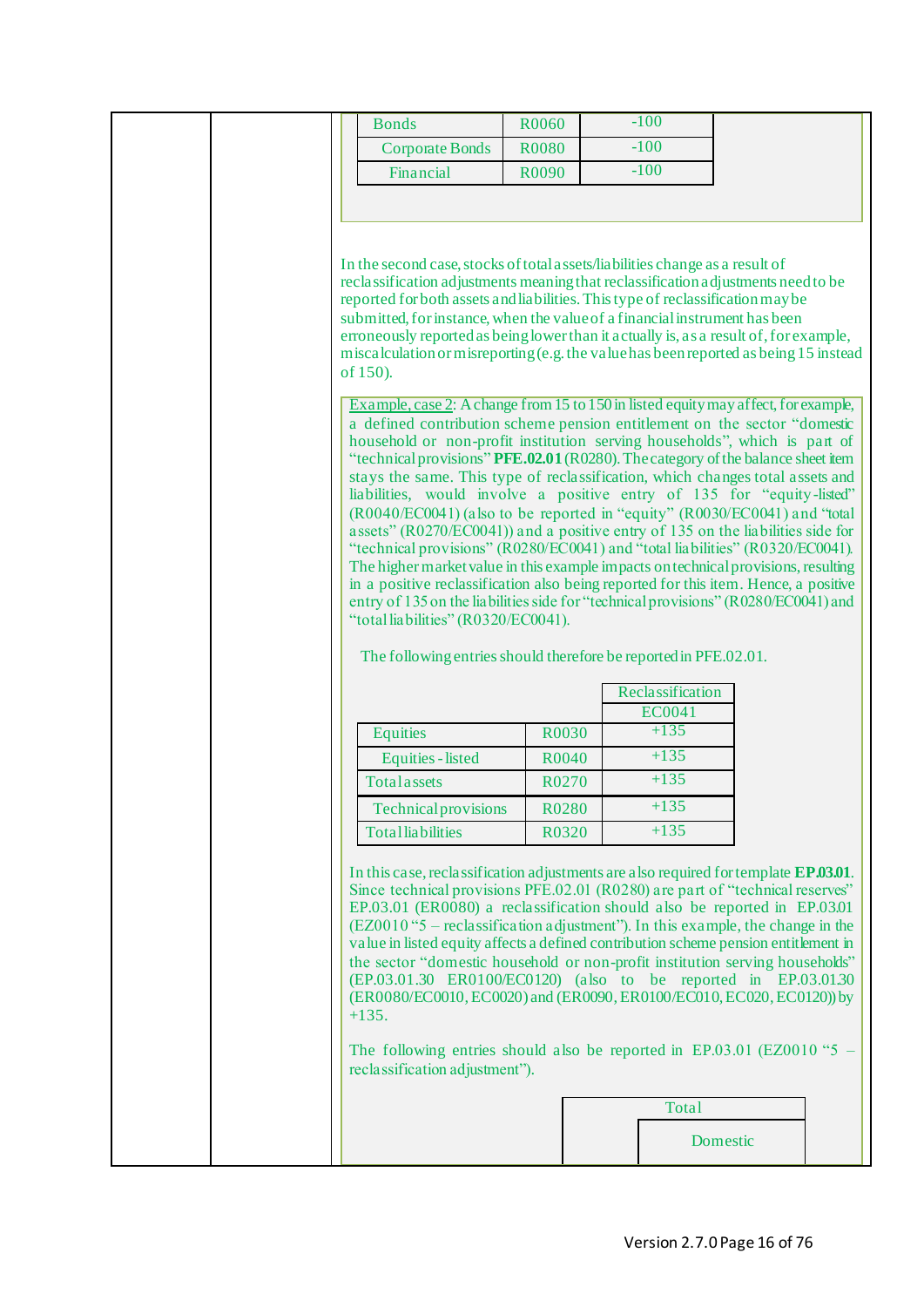| $-100$<br><b>R0080</b><br><b>Corporate Bonds</b><br>$-100$<br>Financial<br>R0090<br>In the second case, stocks of total assets/liabilities change as a result of<br>reclassification adjustments meaning that reclassification adjustments need to be<br>reported for both assets and liabilities. This type of reclassification may be<br>submitted, for instance, when the value of a financial instrument has been<br>erroneously reported as being lower than it actually is, as a result of, for example,<br>miscalculation or misreporting (e.g. the value has been reported as being 15 instead<br>of 150).<br>Example, case 2: A change from 15 to 150 in listed equity may affect, for example,<br>a defined contribution scheme pension entitlement on the sector "domestic<br>household or non-profit institution serving households", which is part of<br>"technical provisions" PFE.02.01 (R0280). The category of the balance sheet item<br>stays the same. This type of reclassification, which changes total assets and<br>liabilities, would involve a positive entry of 135 for "equity-listed"<br>(R0040/EC0041) (also to be reported in "equity" (R0030/EC0041) and "total<br>assets" (R0270/EC0041)) and a positive entry of 135 on the liabilities side for<br>"technical provisions" (R0280/EC0041) and "total liabilities" (R0320/EC0041).<br>The higher market value in this example impacts on technical provisions, resulting<br>in a positive reclassification also being reported for this item. Hence, a positive<br>entry of 135 on the liabilities side for "technical provisions" (R0280/EC0041) and<br>"total liabilities" (R0320/EC0041).<br>The following entries should therefore be reported in PFE.02.01.<br>Reclassification<br><b>EC0041</b><br>$+135$<br><b>Equities</b><br>R0030 |  |
|-----------------------------------------------------------------------------------------------------------------------------------------------------------------------------------------------------------------------------------------------------------------------------------------------------------------------------------------------------------------------------------------------------------------------------------------------------------------------------------------------------------------------------------------------------------------------------------------------------------------------------------------------------------------------------------------------------------------------------------------------------------------------------------------------------------------------------------------------------------------------------------------------------------------------------------------------------------------------------------------------------------------------------------------------------------------------------------------------------------------------------------------------------------------------------------------------------------------------------------------------------------------------------------------------------------------------------------------------------------------------------------------------------------------------------------------------------------------------------------------------------------------------------------------------------------------------------------------------------------------------------------------------------------------------------------------------------------------------------------------------------------------------------------------------------------------------------|--|
|                                                                                                                                                                                                                                                                                                                                                                                                                                                                                                                                                                                                                                                                                                                                                                                                                                                                                                                                                                                                                                                                                                                                                                                                                                                                                                                                                                                                                                                                                                                                                                                                                                                                                                                                                                                                                             |  |
|                                                                                                                                                                                                                                                                                                                                                                                                                                                                                                                                                                                                                                                                                                                                                                                                                                                                                                                                                                                                                                                                                                                                                                                                                                                                                                                                                                                                                                                                                                                                                                                                                                                                                                                                                                                                                             |  |
|                                                                                                                                                                                                                                                                                                                                                                                                                                                                                                                                                                                                                                                                                                                                                                                                                                                                                                                                                                                                                                                                                                                                                                                                                                                                                                                                                                                                                                                                                                                                                                                                                                                                                                                                                                                                                             |  |
|                                                                                                                                                                                                                                                                                                                                                                                                                                                                                                                                                                                                                                                                                                                                                                                                                                                                                                                                                                                                                                                                                                                                                                                                                                                                                                                                                                                                                                                                                                                                                                                                                                                                                                                                                                                                                             |  |
|                                                                                                                                                                                                                                                                                                                                                                                                                                                                                                                                                                                                                                                                                                                                                                                                                                                                                                                                                                                                                                                                                                                                                                                                                                                                                                                                                                                                                                                                                                                                                                                                                                                                                                                                                                                                                             |  |
|                                                                                                                                                                                                                                                                                                                                                                                                                                                                                                                                                                                                                                                                                                                                                                                                                                                                                                                                                                                                                                                                                                                                                                                                                                                                                                                                                                                                                                                                                                                                                                                                                                                                                                                                                                                                                             |  |
|                                                                                                                                                                                                                                                                                                                                                                                                                                                                                                                                                                                                                                                                                                                                                                                                                                                                                                                                                                                                                                                                                                                                                                                                                                                                                                                                                                                                                                                                                                                                                                                                                                                                                                                                                                                                                             |  |
|                                                                                                                                                                                                                                                                                                                                                                                                                                                                                                                                                                                                                                                                                                                                                                                                                                                                                                                                                                                                                                                                                                                                                                                                                                                                                                                                                                                                                                                                                                                                                                                                                                                                                                                                                                                                                             |  |
|                                                                                                                                                                                                                                                                                                                                                                                                                                                                                                                                                                                                                                                                                                                                                                                                                                                                                                                                                                                                                                                                                                                                                                                                                                                                                                                                                                                                                                                                                                                                                                                                                                                                                                                                                                                                                             |  |
|                                                                                                                                                                                                                                                                                                                                                                                                                                                                                                                                                                                                                                                                                                                                                                                                                                                                                                                                                                                                                                                                                                                                                                                                                                                                                                                                                                                                                                                                                                                                                                                                                                                                                                                                                                                                                             |  |
|                                                                                                                                                                                                                                                                                                                                                                                                                                                                                                                                                                                                                                                                                                                                                                                                                                                                                                                                                                                                                                                                                                                                                                                                                                                                                                                                                                                                                                                                                                                                                                                                                                                                                                                                                                                                                             |  |
|                                                                                                                                                                                                                                                                                                                                                                                                                                                                                                                                                                                                                                                                                                                                                                                                                                                                                                                                                                                                                                                                                                                                                                                                                                                                                                                                                                                                                                                                                                                                                                                                                                                                                                                                                                                                                             |  |
|                                                                                                                                                                                                                                                                                                                                                                                                                                                                                                                                                                                                                                                                                                                                                                                                                                                                                                                                                                                                                                                                                                                                                                                                                                                                                                                                                                                                                                                                                                                                                                                                                                                                                                                                                                                                                             |  |
|                                                                                                                                                                                                                                                                                                                                                                                                                                                                                                                                                                                                                                                                                                                                                                                                                                                                                                                                                                                                                                                                                                                                                                                                                                                                                                                                                                                                                                                                                                                                                                                                                                                                                                                                                                                                                             |  |
|                                                                                                                                                                                                                                                                                                                                                                                                                                                                                                                                                                                                                                                                                                                                                                                                                                                                                                                                                                                                                                                                                                                                                                                                                                                                                                                                                                                                                                                                                                                                                                                                                                                                                                                                                                                                                             |  |
|                                                                                                                                                                                                                                                                                                                                                                                                                                                                                                                                                                                                                                                                                                                                                                                                                                                                                                                                                                                                                                                                                                                                                                                                                                                                                                                                                                                                                                                                                                                                                                                                                                                                                                                                                                                                                             |  |
|                                                                                                                                                                                                                                                                                                                                                                                                                                                                                                                                                                                                                                                                                                                                                                                                                                                                                                                                                                                                                                                                                                                                                                                                                                                                                                                                                                                                                                                                                                                                                                                                                                                                                                                                                                                                                             |  |
|                                                                                                                                                                                                                                                                                                                                                                                                                                                                                                                                                                                                                                                                                                                                                                                                                                                                                                                                                                                                                                                                                                                                                                                                                                                                                                                                                                                                                                                                                                                                                                                                                                                                                                                                                                                                                             |  |
|                                                                                                                                                                                                                                                                                                                                                                                                                                                                                                                                                                                                                                                                                                                                                                                                                                                                                                                                                                                                                                                                                                                                                                                                                                                                                                                                                                                                                                                                                                                                                                                                                                                                                                                                                                                                                             |  |
|                                                                                                                                                                                                                                                                                                                                                                                                                                                                                                                                                                                                                                                                                                                                                                                                                                                                                                                                                                                                                                                                                                                                                                                                                                                                                                                                                                                                                                                                                                                                                                                                                                                                                                                                                                                                                             |  |
|                                                                                                                                                                                                                                                                                                                                                                                                                                                                                                                                                                                                                                                                                                                                                                                                                                                                                                                                                                                                                                                                                                                                                                                                                                                                                                                                                                                                                                                                                                                                                                                                                                                                                                                                                                                                                             |  |
|                                                                                                                                                                                                                                                                                                                                                                                                                                                                                                                                                                                                                                                                                                                                                                                                                                                                                                                                                                                                                                                                                                                                                                                                                                                                                                                                                                                                                                                                                                                                                                                                                                                                                                                                                                                                                             |  |
|                                                                                                                                                                                                                                                                                                                                                                                                                                                                                                                                                                                                                                                                                                                                                                                                                                                                                                                                                                                                                                                                                                                                                                                                                                                                                                                                                                                                                                                                                                                                                                                                                                                                                                                                                                                                                             |  |
|                                                                                                                                                                                                                                                                                                                                                                                                                                                                                                                                                                                                                                                                                                                                                                                                                                                                                                                                                                                                                                                                                                                                                                                                                                                                                                                                                                                                                                                                                                                                                                                                                                                                                                                                                                                                                             |  |
|                                                                                                                                                                                                                                                                                                                                                                                                                                                                                                                                                                                                                                                                                                                                                                                                                                                                                                                                                                                                                                                                                                                                                                                                                                                                                                                                                                                                                                                                                                                                                                                                                                                                                                                                                                                                                             |  |
| $+135$<br><b>Equities</b> - listed<br>R0040                                                                                                                                                                                                                                                                                                                                                                                                                                                                                                                                                                                                                                                                                                                                                                                                                                                                                                                                                                                                                                                                                                                                                                                                                                                                                                                                                                                                                                                                                                                                                                                                                                                                                                                                                                                 |  |
| $+135$<br>Totalassets<br>R0270                                                                                                                                                                                                                                                                                                                                                                                                                                                                                                                                                                                                                                                                                                                                                                                                                                                                                                                                                                                                                                                                                                                                                                                                                                                                                                                                                                                                                                                                                                                                                                                                                                                                                                                                                                                              |  |
| R0280<br>$+135$<br><b>Technical provisions</b>                                                                                                                                                                                                                                                                                                                                                                                                                                                                                                                                                                                                                                                                                                                                                                                                                                                                                                                                                                                                                                                                                                                                                                                                                                                                                                                                                                                                                                                                                                                                                                                                                                                                                                                                                                              |  |
| $+135$<br><b>Totalliabilities</b><br>R0320                                                                                                                                                                                                                                                                                                                                                                                                                                                                                                                                                                                                                                                                                                                                                                                                                                                                                                                                                                                                                                                                                                                                                                                                                                                                                                                                                                                                                                                                                                                                                                                                                                                                                                                                                                                  |  |
| In this case, reclassification adjustments are also required for template EP.03.01.<br>Since technical provisions PFE.02.01 (R0280) are part of "technical reserves"<br>EP.03.01 (ER0080) a reclassification should also be reported in EP.03.01<br>$(EZ0010$ "5 – reclassification adjustment"). In this example, the change in the<br>value in listed equity affects a defined contribution scheme pension entitlement in<br>the sector "domestic household or non-profit institution serving households"<br>(EP.03.01.30 ER0100/EC0120) (also to be reported in EP.03.01.30<br>(ER0080/EC0010, EC0020) and (ER0090, ER0100/EC010, EC020, EC0120)) by<br>$+135.$<br>The following entries should also be reported in EP.03.01 (EZ0010 "5<br>reclassification adjustment").<br><b>Total</b><br>Domestic                                                                                                                                                                                                                                                                                                                                                                                                                                                                                                                                                                                                                                                                                                                                                                                                                                                                                                                                                                                                                    |  |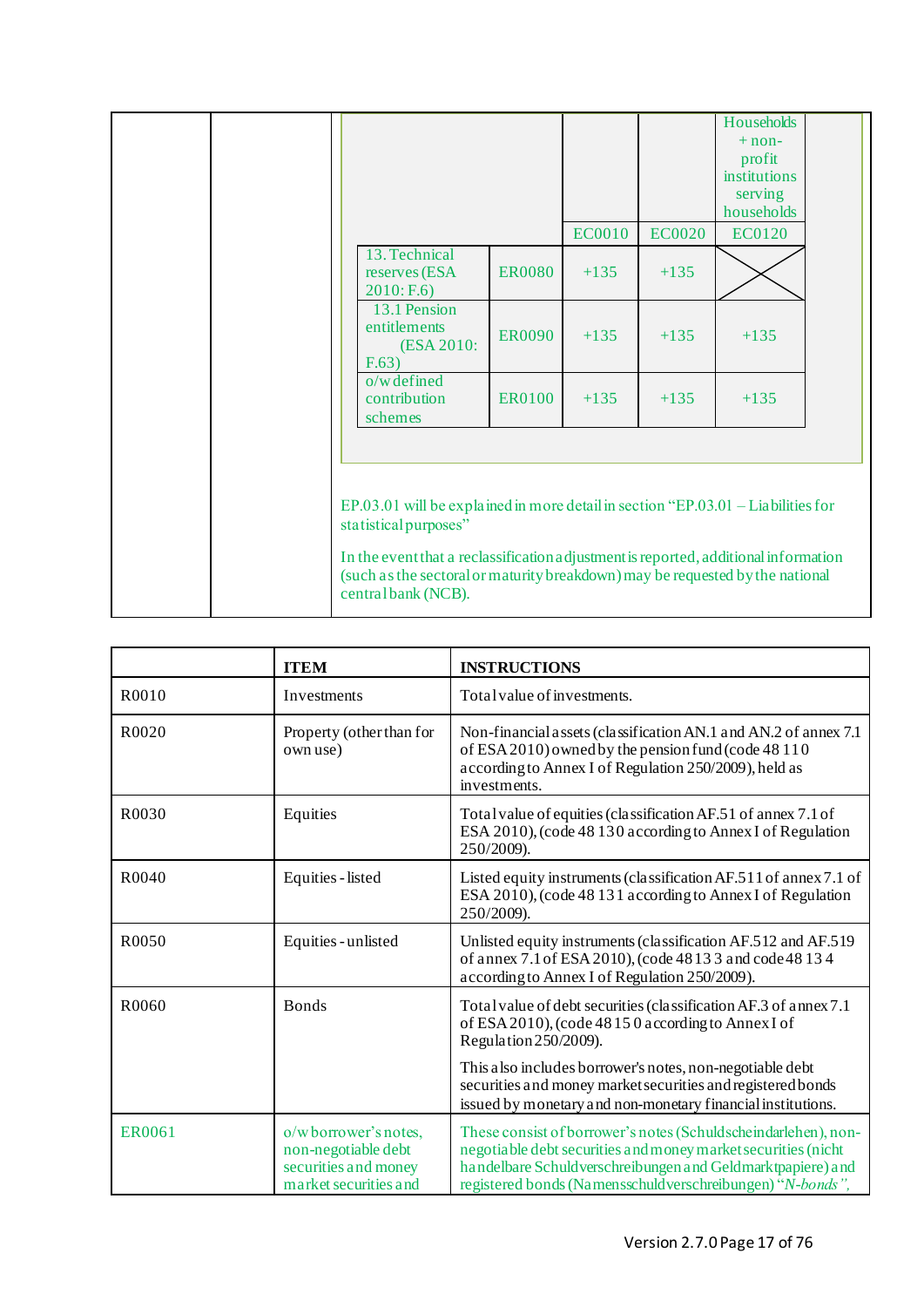|  |                                                                                                                                                                                                                                                                                                         |               | <b>EC0010</b> | <b>EC0020</b> | Households<br>$+$ non-<br>profit<br>institutions<br>serving<br>households<br><b>EC0120</b> |  |
|--|---------------------------------------------------------------------------------------------------------------------------------------------------------------------------------------------------------------------------------------------------------------------------------------------------------|---------------|---------------|---------------|--------------------------------------------------------------------------------------------|--|
|  | 13. Technical<br>reserves (ESA<br>2010: F.6                                                                                                                                                                                                                                                             | <b>ER0080</b> | $+135$        | $+135$        |                                                                                            |  |
|  | 13.1 Pension<br>entitlements<br>(ESA 2010:<br>F.63)                                                                                                                                                                                                                                                     | <b>ER0090</b> | $+135$        | $+135$        | $+135$                                                                                     |  |
|  | $o/w$ defined<br>contribution<br>schemes                                                                                                                                                                                                                                                                | ER0100        | $+135$        | $+135$        | $+135$                                                                                     |  |
|  | EP.03.01 will be explained in more detail in section "EP.03.01 - Liabilities for<br>statistical purposes"<br>In the event that a reclassification adjustment is reported, additional information<br>(such as the sectoral or maturity breakdown) may be requested by the national<br>centralbank (NCB). |               |               |               |                                                                                            |  |

|                    | <b>ITEM</b>                                                                                  | <b>INSTRUCTIONS</b>                                                                                                                                                                                                                                        |  |
|--------------------|----------------------------------------------------------------------------------------------|------------------------------------------------------------------------------------------------------------------------------------------------------------------------------------------------------------------------------------------------------------|--|
| R0010              | Investments                                                                                  | Total value of investments.                                                                                                                                                                                                                                |  |
| R <sub>0</sub> 020 | Property (other than for<br>own use)                                                         | Non-financial assets (classification AN.1 and AN.2 of annex 7.1)<br>of ESA 2010) owned by the pension fund (code 48 110<br>according to Annex I of Regulation 250/2009), held as<br>investments.                                                           |  |
| R0030              | Equities                                                                                     | Total value of equities (classification AF.51 of annex 7.1 of<br>ESA 2010), (code 48 130 according to Annex I of Regulation<br>250/2009).                                                                                                                  |  |
| R <sub>0040</sub>  | Equities - listed                                                                            | Listed equity instruments (classification AF.511 of annex 7.1 of<br>ESA 2010), (code 48 131 according to Annex I of Regulation<br>250/2009).                                                                                                               |  |
| R0050              | Equities - unlisted                                                                          | Unlisted equity instruments (classification AF.512 and AF.519<br>of annex 7.1 of ESA 2010), (code 48133 and code 48134<br>according to Annex I of Regulation 250/2009).                                                                                    |  |
| R0060              | <b>Bonds</b>                                                                                 | Total value of debt securities (classification AF.3 of annex 7.1<br>of ESA 2010), (code 48150 according to Annex I of<br>Regulation 250/2009).                                                                                                             |  |
|                    |                                                                                              | This also includes borrower's notes, non-negotiable debt<br>securities and money market securities and registered bonds<br>issued by monetary and non-monetary financial institutions.                                                                     |  |
| ER0061             | o/wborrower's notes,<br>non-negotiable debt<br>securities and money<br>market securities and | These consist of borrower's notes (Schuldscheindarlehen), non-<br>negotiable debt securities and money market securities (nicht<br>handelbare Schuldverschreibungen and Geldmarktpapiere) and<br>registered bonds (Namensschuldverschreibungen) "N-bonds", |  |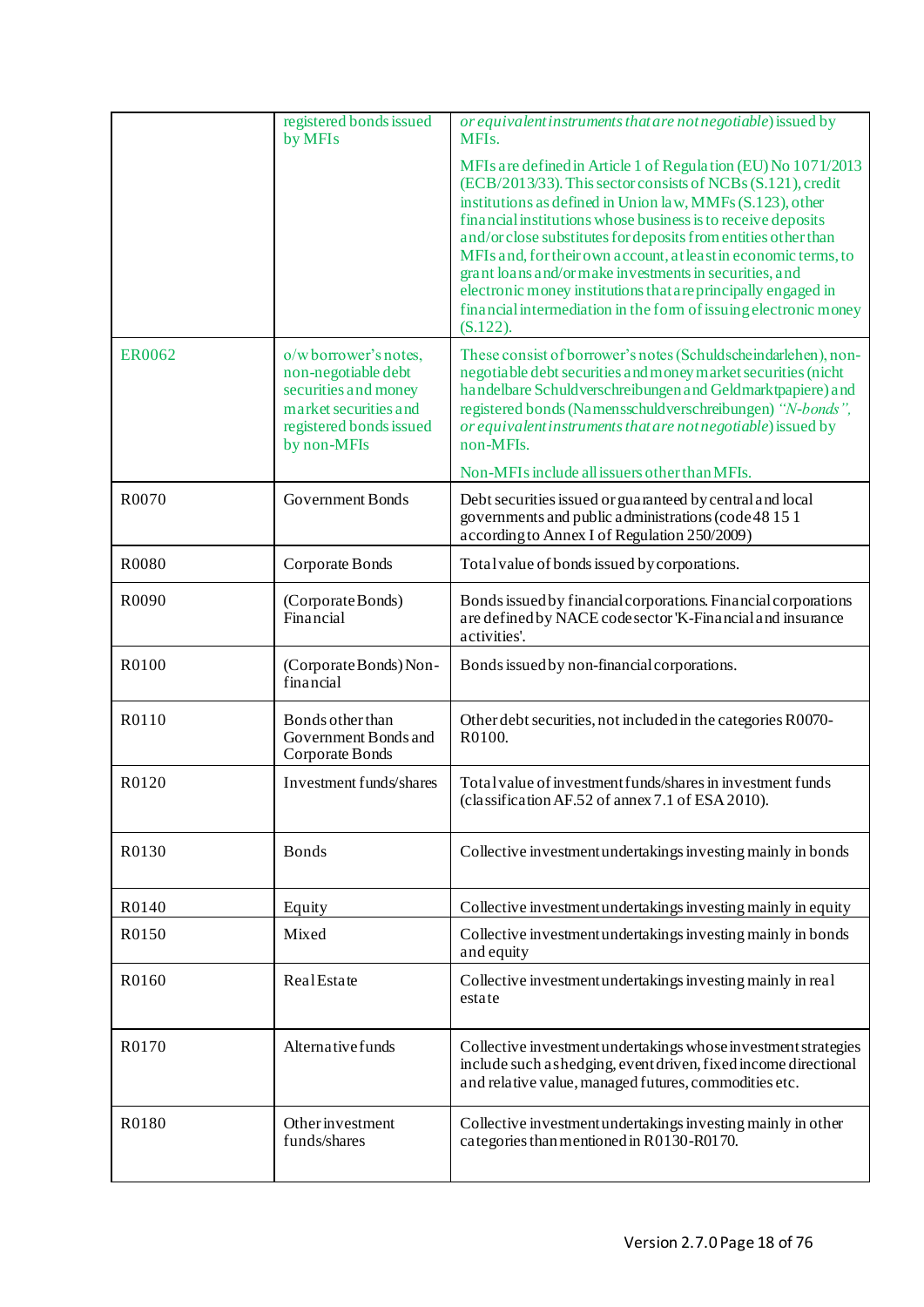|               | registered bonds issued<br>by MFIs                                                                                                     | or equivalent instruments that are not negotiable) issued by<br>MFI <sub>s</sub> .                                                                                                                                                                                                                                                                                                                                                                                                                                                                                                                           |
|---------------|----------------------------------------------------------------------------------------------------------------------------------------|--------------------------------------------------------------------------------------------------------------------------------------------------------------------------------------------------------------------------------------------------------------------------------------------------------------------------------------------------------------------------------------------------------------------------------------------------------------------------------------------------------------------------------------------------------------------------------------------------------------|
|               |                                                                                                                                        | MFIs are defined in Article 1 of Regulation (EU) No 1071/2013<br>(ECB/2013/33). This sector consists of NCBs (S.121), credit<br>institutions as defined in Union law, MMFs (S.123), other<br>financial institutions whose business is to receive deposits<br>and/or close substitutes for deposits from entities other than<br>MFIs and, for their own account, at least in economic terms, to<br>grant loans and/or make investments in securities, and<br>electronic money institutions that are principally engaged in<br>financial intermediation in the form of issuing electronic money<br>$(S.122)$ . |
| <b>ER0062</b> | o/wborrower's notes,<br>non-negotiable debt<br>securities and money<br>market securities and<br>registered bonds issued<br>by non-MFIs | These consist of borrower's notes (Schuldscheindarlehen), non-<br>negotiable debt securities and money market securities (nicht<br>handelbare Schuldverschreibungen and Geldmarktpapiere) and<br>registered bonds (Namensschuldverschreibungen) "N-bonds",<br>or equivalent instruments that are not negotiable) issued by<br>non-MFIs.                                                                                                                                                                                                                                                                      |
|               |                                                                                                                                        | Non-MFIs include all issuers other than MFIs.                                                                                                                                                                                                                                                                                                                                                                                                                                                                                                                                                                |
| R0070         | <b>Government Bonds</b>                                                                                                                | Debt securities issued or guaranteed by central and local<br>governments and public administrations (code 48 15 1<br>according to Annex I of Regulation 250/2009)                                                                                                                                                                                                                                                                                                                                                                                                                                            |
| R0080         | Corporate Bonds                                                                                                                        | Total value of bonds issued by corporations.                                                                                                                                                                                                                                                                                                                                                                                                                                                                                                                                                                 |
| R0090         | (Corporate Bonds)<br>Financial                                                                                                         | Bonds issued by financial corporations. Financial corporations<br>are defined by NACE code sector 'K-Financial and insurance<br>activities'.                                                                                                                                                                                                                                                                                                                                                                                                                                                                 |
| R0100         | (Corporate Bonds) Non-<br>financial                                                                                                    | Bonds issued by non-financial corporations.                                                                                                                                                                                                                                                                                                                                                                                                                                                                                                                                                                  |
| R0110         | Bonds other than<br>Government Bonds and<br>Corporate Bonds                                                                            | Other debt securities, not included in the categories R0070-<br>R0100.                                                                                                                                                                                                                                                                                                                                                                                                                                                                                                                                       |
| R0120         | Investment funds/shares                                                                                                                | Total value of investment funds/shares in investment funds<br>(classification AF.52 of annex 7.1 of ESA 2010).                                                                                                                                                                                                                                                                                                                                                                                                                                                                                               |
| R0130         | <b>Bonds</b>                                                                                                                           | Collective investment undertakings investing mainly in bonds                                                                                                                                                                                                                                                                                                                                                                                                                                                                                                                                                 |
| R0140         | Equity                                                                                                                                 | Collective investment undertakings investing mainly in equity                                                                                                                                                                                                                                                                                                                                                                                                                                                                                                                                                |
| R0150         | Mixed                                                                                                                                  | Collective investment undertakings investing mainly in bonds<br>and equity                                                                                                                                                                                                                                                                                                                                                                                                                                                                                                                                   |
| R0160         | RealEstate                                                                                                                             | Collective investment undertakings investing mainly in real<br>estate                                                                                                                                                                                                                                                                                                                                                                                                                                                                                                                                        |
| R0170         | Alternative funds                                                                                                                      | Collective investment undertakings whose investment strategies<br>include such a shedging, event driven, fixed income directional<br>and relative value, managed futures, commodities etc.                                                                                                                                                                                                                                                                                                                                                                                                                   |
| R0180         | Other investment<br>funds/shares                                                                                                       | Collective investment undertakings investing mainly in other<br>categories than mentioned in R0130-R0170.                                                                                                                                                                                                                                                                                                                                                                                                                                                                                                    |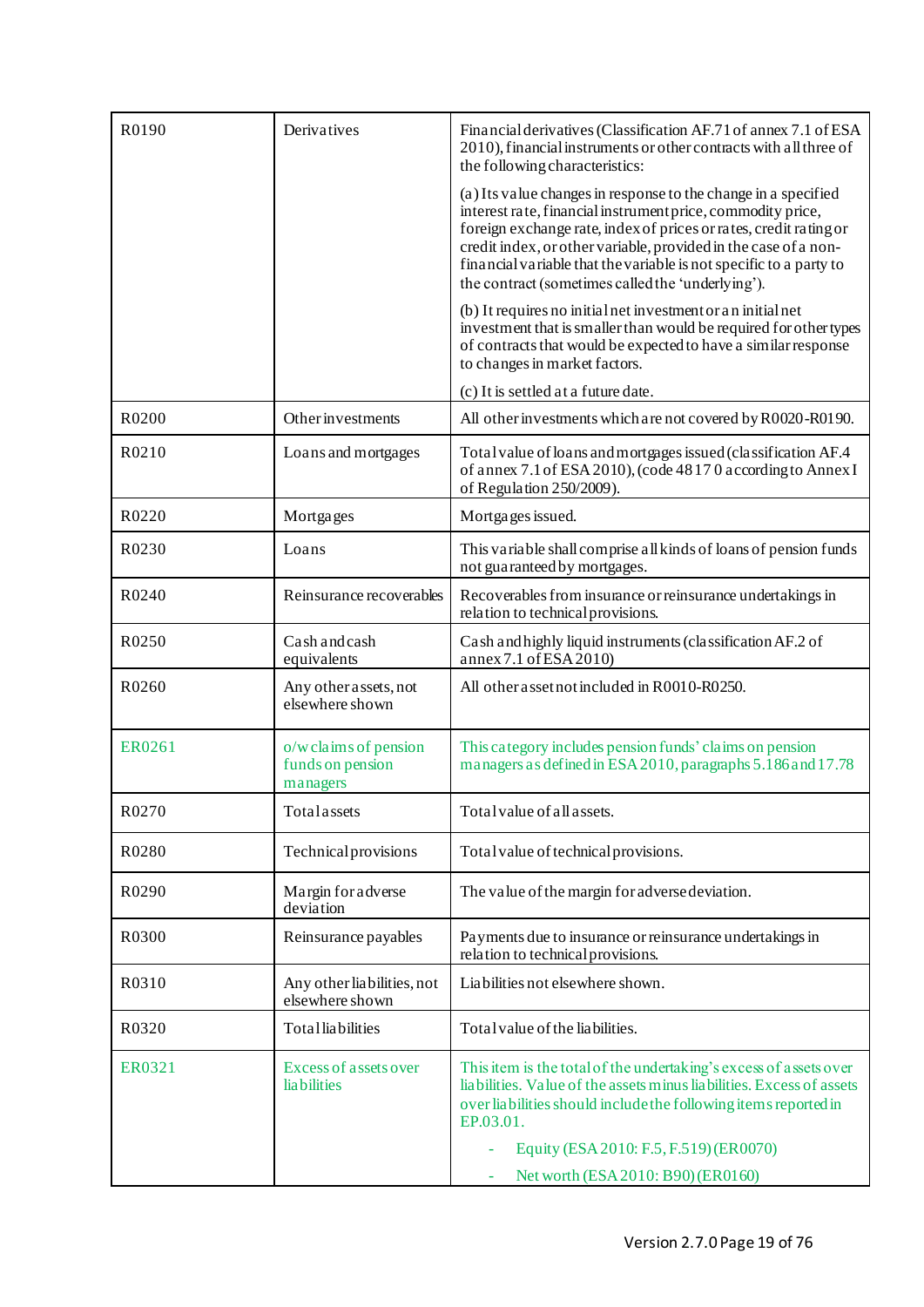| R0190             | Derivatives                                           | Financial derivatives (Classification AF.71 of annex 7.1 of ESA<br>2010), financial instruments or other contracts with all three of<br>the following characteristics:                                                                                                                                                                                                                           |
|-------------------|-------------------------------------------------------|--------------------------------------------------------------------------------------------------------------------------------------------------------------------------------------------------------------------------------------------------------------------------------------------------------------------------------------------------------------------------------------------------|
|                   |                                                       | (a) Its value changes in response to the change in a specified<br>interest rate, financial instrument price, commodity price,<br>foreign exchange rate, index of prices or rates, credit rating or<br>credit index, or other variable, provided in the case of a non-<br>financial variable that the variable is not specific to a party to<br>the contract (sometimes called the 'underlying'). |
|                   |                                                       | (b) It requires no initial net investment or an initial net<br>investment that is smaller than would be required for other types<br>of contracts that would be expected to have a similar response<br>to changes in market factors.                                                                                                                                                              |
|                   |                                                       | (c) It is settled at a future date.                                                                                                                                                                                                                                                                                                                                                              |
| R0200             | Other investments                                     | All other investments which are not covered by R0020-R0190.                                                                                                                                                                                                                                                                                                                                      |
| R0210             | Loans and mortgages                                   | Total value of loans and mortgages issued (classification AF.4)<br>of annex 7.1 of ESA 2010), (code 48170 according to Annex I<br>of Regulation 250/2009).                                                                                                                                                                                                                                       |
| R0220             | Mortgages                                             | Mortgages issued.                                                                                                                                                                                                                                                                                                                                                                                |
| R <sub>0230</sub> | Loans                                                 | This variable shall comprise all kinds of loans of pension funds<br>not guaranteed by mortgages.                                                                                                                                                                                                                                                                                                 |
| R0240             | Reinsurance recoverables                              | Recoverables from insurance or reinsurance undertakings in<br>relation to technical provisions.                                                                                                                                                                                                                                                                                                  |
| R0250             | Cash and cash<br>equivalents                          | Cash and highly liquid instruments (classification AF.2 of<br>annex 7.1 of ESA 2010)                                                                                                                                                                                                                                                                                                             |
| R0260             | Any other assets, not<br>elsewhere shown              | All other asset not included in R0010-R0250.                                                                                                                                                                                                                                                                                                                                                     |
| <b>ER0261</b>     | o/w claims of pension<br>funds on pension<br>managers | This category includes pension funds' claims on pension<br>managers as defined in ESA 2010, paragraphs 5.186 and 17.78                                                                                                                                                                                                                                                                           |
| R0270             | Totalassets                                           | Total value of all assets.                                                                                                                                                                                                                                                                                                                                                                       |
| R0280             | <b>Technical provisions</b>                           | Total value of technical provisions.                                                                                                                                                                                                                                                                                                                                                             |
| R0290             | Margin for adverse<br>deviation                       | The value of the margin for adverse deviation.                                                                                                                                                                                                                                                                                                                                                   |
| R0300             | Reinsurance payables                                  | Payments due to insurance or reinsurance undertakings in<br>relation to technical provisions.                                                                                                                                                                                                                                                                                                    |
| R0310             | Any other liabilities, not<br>elsewhere shown         | Liabilities not elsewhere shown.                                                                                                                                                                                                                                                                                                                                                                 |
| R0320             | Totalliabilities                                      | Total value of the liabilities.                                                                                                                                                                                                                                                                                                                                                                  |
| ER0321            | Excess of assets over<br>lia bilities                 | This item is the total of the undertaking's excess of assets over<br>liabilities. Value of the assets minus liabilities. Excess of assets<br>over liabilities should include the following items reported in<br>EP.03.01.                                                                                                                                                                        |
|                   |                                                       | Equity (ESA 2010: F.5, F.519) (ER0070)                                                                                                                                                                                                                                                                                                                                                           |
|                   |                                                       | Net worth (ESA 2010: B90) (ER0160)                                                                                                                                                                                                                                                                                                                                                               |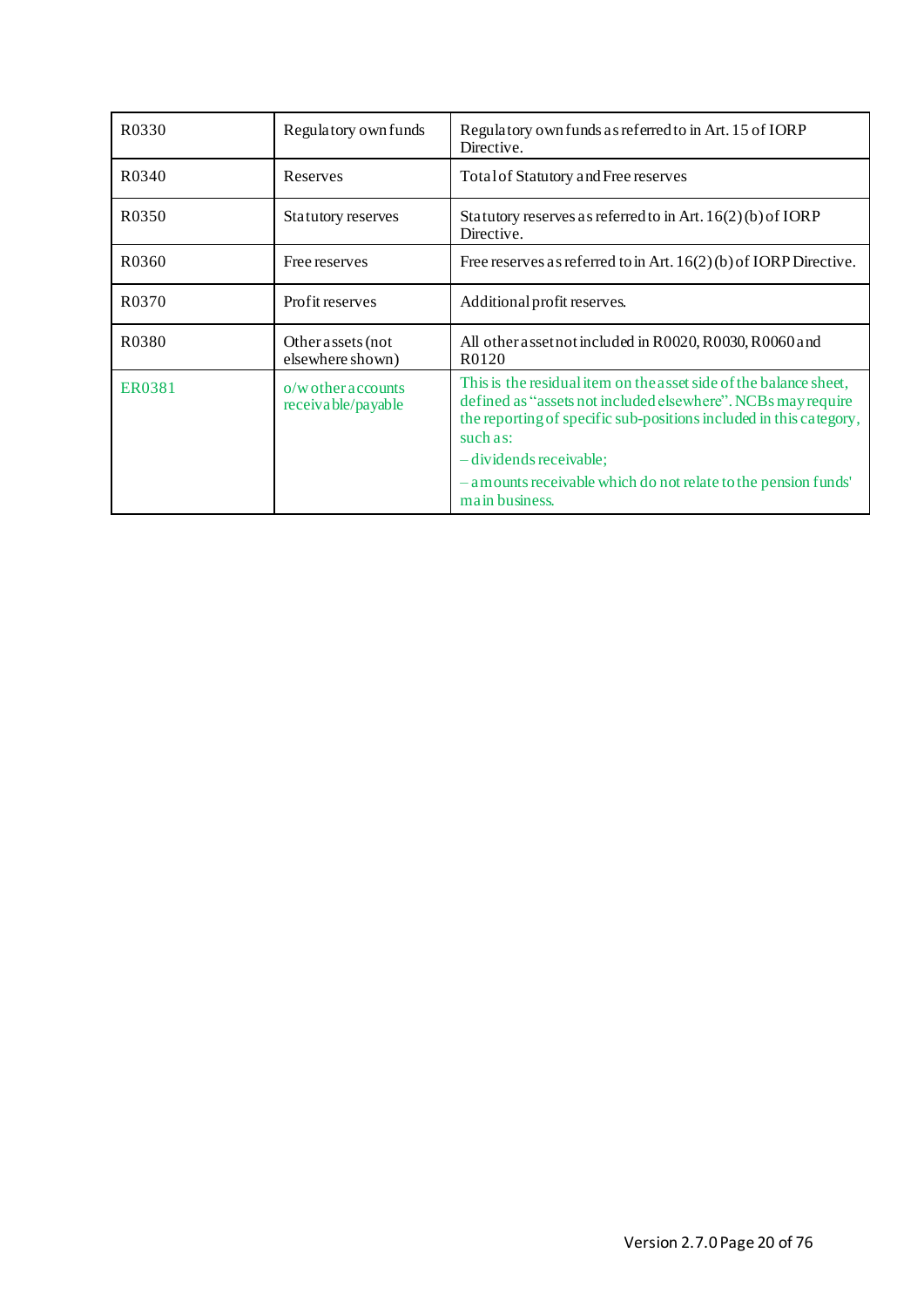<span id="page-19-0"></span>

| R0330              | Regulatory own funds                       | Regulatory own funds as referred to in Art. 15 of IORP<br>Directive.                                                                                                                                                                             |
|--------------------|--------------------------------------------|--------------------------------------------------------------------------------------------------------------------------------------------------------------------------------------------------------------------------------------------------|
| R <sub>0</sub> 340 | Reserves                                   | Total of Statutory and Free reserves                                                                                                                                                                                                             |
| R0350              | Statutory reserves                         | Statutory reserves as referred to in Art. $16(2)(b)$ of IORP<br>Directive.                                                                                                                                                                       |
| R0360              | Free reserves                              | Free reserves as referred to in Art. $16(2)(b)$ of IORP Directive.                                                                                                                                                                               |
| R <sub>0</sub> 370 | Profit reserves                            | Additional profit reserves.                                                                                                                                                                                                                      |
| R0380              | Other assets (not<br>elsewhere shown)      | All other asset not included in R0020, R0030, R0060 and<br>R <sub>0</sub> 12 <sub>0</sub>                                                                                                                                                        |
| <b>ER0381</b>      | $o/w$ other accounts<br>receivable/payable | This is the residual item on the asset side of the balance sheet,<br>defined as "assets not included elsewhere". NCBs may require<br>the reporting of specific sub-positions included in this category,<br>such as:<br>$-$ dividends receivable; |
|                    |                                            | - amounts receivable which do not relate to the pension funds'<br>main business.                                                                                                                                                                 |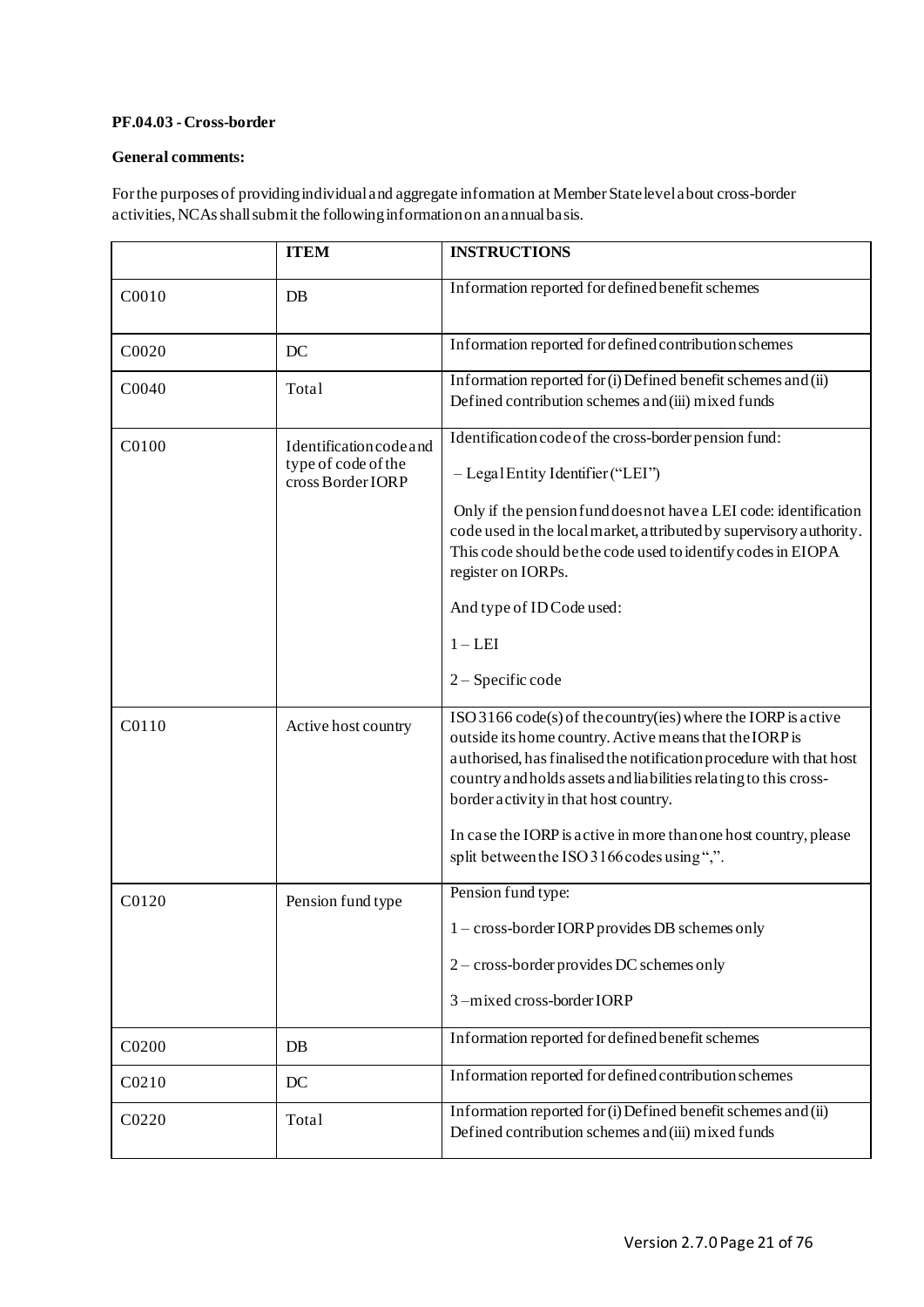# **PF.04.03 -Cross-border**

#### **General comments:**

For the purposes of providing individual and aggregate information at Member State level about cross-border activities, NCAs shall submit the following information on an annual basis.

|       | <b>ITEM</b>                                                                | <b>INSTRUCTIONS</b>                                                                                                                                                                                                                                                                                                                                                                                                            |
|-------|----------------------------------------------------------------------------|--------------------------------------------------------------------------------------------------------------------------------------------------------------------------------------------------------------------------------------------------------------------------------------------------------------------------------------------------------------------------------------------------------------------------------|
| C0010 | DB                                                                         | Information reported for defined benefit schemes                                                                                                                                                                                                                                                                                                                                                                               |
| C0020 | DC                                                                         | Information reported for defined contribution schemes                                                                                                                                                                                                                                                                                                                                                                          |
| C0040 | Total                                                                      | Information reported for (i) Defined benefit schemes and (ii)<br>Defined contribution schemes and (iii) mixed funds                                                                                                                                                                                                                                                                                                            |
| C0100 | <b>Identification</b> code and<br>type of code of the<br>cross Border IORP | Identification code of the cross-border pension fund:<br>- Legal Entity Identifier ("LEI")<br>Only if the pension fund does not have a LEI code: identification<br>code used in the local market, attributed by supervisory authority.<br>This code should be the code used to identify codes in EIOPA<br>register on IORPs.<br>And type of IDCode used:<br>$1 - LEI$<br>2 – Specific code                                     |
| C0110 | Active host country                                                        | ISO 3166 code(s) of the country(ies) where the IORP is active<br>outside its home country. Active means that the IORP is<br>authorised, has finalised the notification procedure with that host<br>country and holds assets and liabilities relating to this cross-<br>border activity in that host country.<br>In case the IORP is active in more than one host country, please<br>split between the ISO 3166 codes using",". |
| C0120 | Pension fund type                                                          | Pension fund type:<br>1 - cross-border IORP provides DB schemes only<br>2 - cross-border provides DC schemes only<br>3-mixed cross-border IORP                                                                                                                                                                                                                                                                                 |
| C0200 | $DB$                                                                       | Information reported for defined benefit schemes                                                                                                                                                                                                                                                                                                                                                                               |
| C0210 | DC                                                                         | Information reported for defined contribution schemes                                                                                                                                                                                                                                                                                                                                                                          |
| C0220 | Total                                                                      | Information reported for (i) Defined benefit schemes and (ii)<br>Defined contribution schemes and (iii) mixed funds                                                                                                                                                                                                                                                                                                            |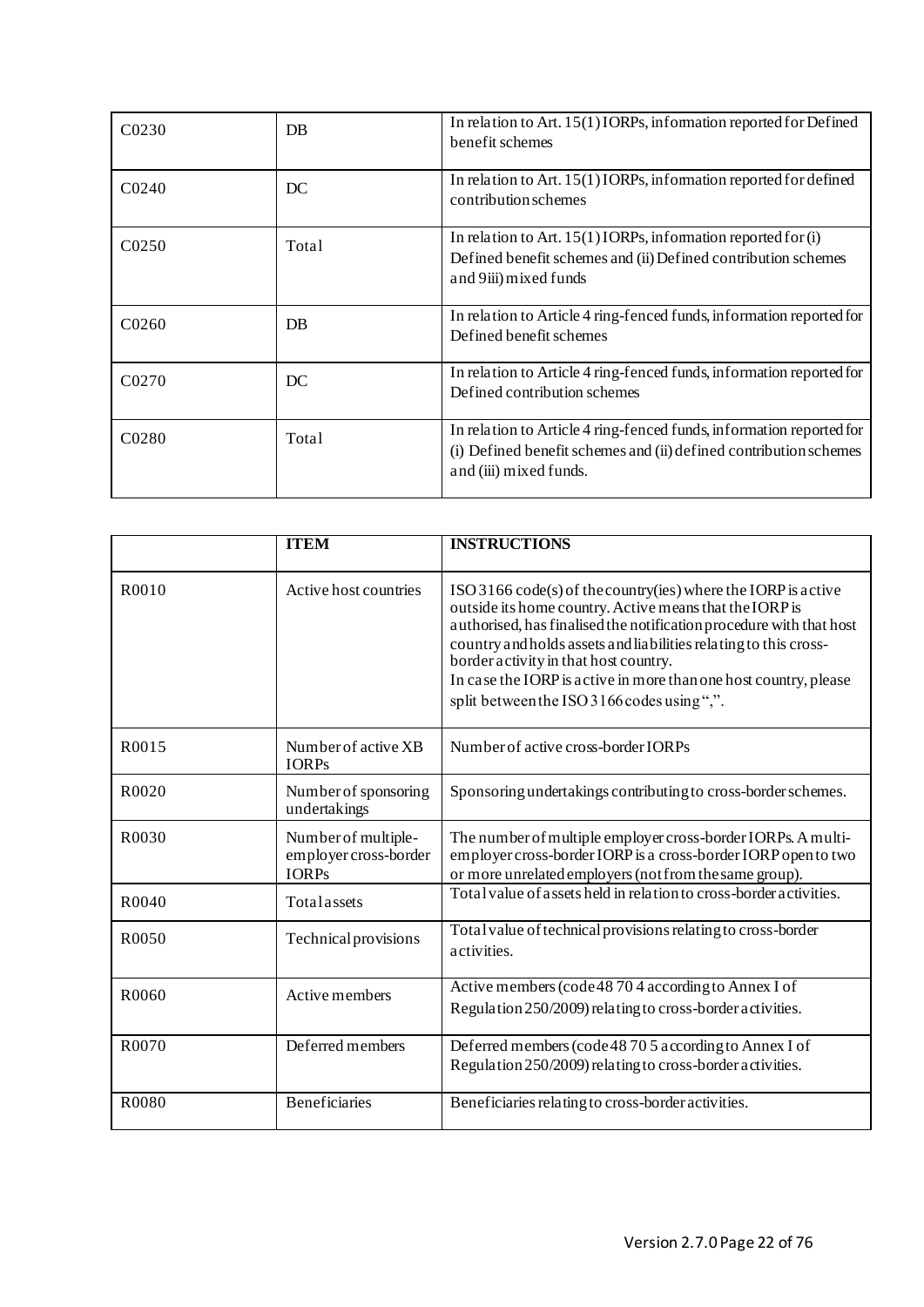| C0230              | DB    | In relation to Art. 15(1) IORPs, information reported for Defined<br>benefit schemes                                                                                |
|--------------------|-------|---------------------------------------------------------------------------------------------------------------------------------------------------------------------|
| C <sub>0240</sub>  | DC    | In relation to Art. $15(1)$ IORPs, information reported for defined<br>contribution schemes                                                                         |
| C <sub>0</sub> 250 | Total | In relation to Art. $15(1)$ IORPs, information reported for (i)<br>Defined benefit schemes and (ii) Defined contribution schemes<br>and 9iii) mixed funds           |
| C <sub>0260</sub>  | DB    | In relation to Article 4 ring-fenced funds, information reported for<br>Defined benefit schemes                                                                     |
| C <sub>0270</sub>  | DC    | In relation to Article 4 ring-fenced funds, information reported for<br>Defined contribution schemes                                                                |
| C <sub>0280</sub>  | Total | In relation to Article 4 ring-fenced funds, information reported for<br>(i) Defined benefit schemes and (ii) defined contribution schemes<br>and (iii) mixed funds. |

|                   | <b>ITEM</b>                                                  | <b>INSTRUCTIONS</b>                                                                                                                                                                                                                                                                                                                                                                                                                      |
|-------------------|--------------------------------------------------------------|------------------------------------------------------------------------------------------------------------------------------------------------------------------------------------------------------------------------------------------------------------------------------------------------------------------------------------------------------------------------------------------------------------------------------------------|
| R0010             | Active host countries                                        | $ISO3166 \text{ code}(s)$ of the country (ies) where the IORP is active<br>outside its home country. Active means that the IORP is<br>authorised, has finalised the notification procedure with that host<br>country and holds assets and liabilities relating to this cross-<br>border activity in that host country.<br>In case the IORP is active in more than one host country, please<br>split between the ISO 3166 codes using",". |
| R0015             | Number of active XB<br><b>IORPs</b>                          | Number of active cross-border IORPs                                                                                                                                                                                                                                                                                                                                                                                                      |
| R0020             | Number of sponsoring<br>undertakings                         | Sponsoring undertakings contributing to cross-border schemes.                                                                                                                                                                                                                                                                                                                                                                            |
| R0030             | Number of multiple-<br>employer cross-border<br><b>IORPs</b> | The number of multiple employer cross-border IORPs. A multi-<br>employer cross-border IORP is a cross-border IORP open to two<br>or more unrelated employers (not from the same group).                                                                                                                                                                                                                                                  |
| R0040             | Totalassets                                                  | Total value of assets held in relation to cross-border activities.                                                                                                                                                                                                                                                                                                                                                                       |
| R <sub>0050</sub> | Technical provisions                                         | Total value of technical provisions relating to cross-border<br>activities.                                                                                                                                                                                                                                                                                                                                                              |
| R0060             | Active members                                               | Active members (code 48 70 4 according to Annex I of<br>Regulation 250/2009) relating to cross-border activities.                                                                                                                                                                                                                                                                                                                        |
| R0070             | Deferred members                                             | Deferred members (code 48 70 5 according to Annex I of<br>Regulation 250/2009) relating to cross-border activities.                                                                                                                                                                                                                                                                                                                      |
| R0080             | <b>Beneficiaries</b>                                         | Beneficiaries relating to cross-border activities.                                                                                                                                                                                                                                                                                                                                                                                       |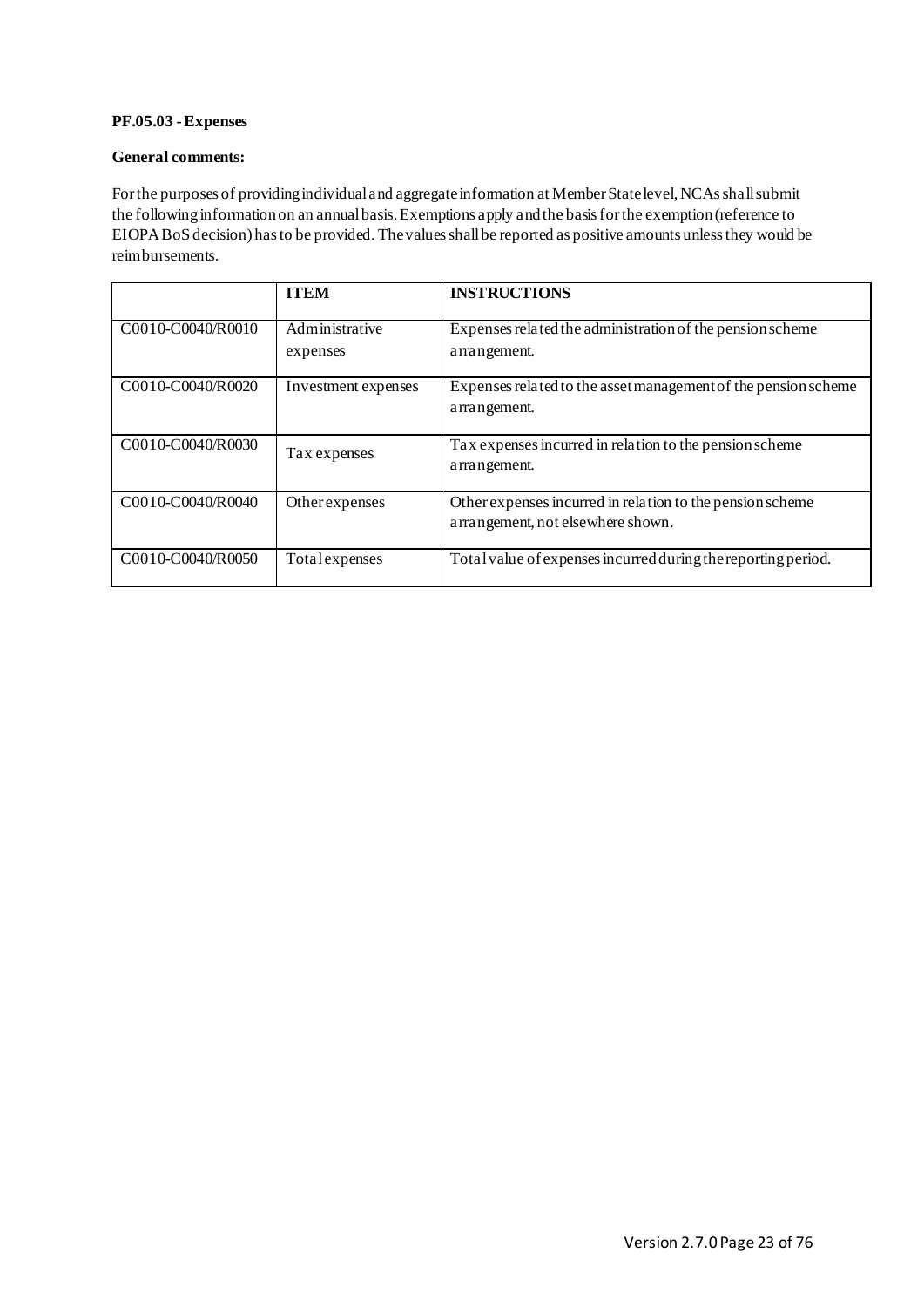# <span id="page-22-0"></span>**PF.05.03 -Expenses**

# **General comments:**

For the purposes of providing individual and aggregate information at Member State level, NCAs shall submit the following information on an annual basis. Exemptions apply and the basis for the exemption (reference to EIOPA BoS decision) has to be provided. The values shall be reported as positive amounts unless they would be reimbursements.

|                   | <b>ITEM</b>                | <b>INSTRUCTIONS</b>                                                                            |
|-------------------|----------------------------|------------------------------------------------------------------------------------------------|
| C0010-C0040/R0010 | Administrative<br>expenses | Expenses related the administration of the pension scheme<br>arrangement.                      |
| C0010-C0040/R0020 | Investment expenses        | Expenses related to the asset management of the pension scheme<br>arrangement.                 |
| C0010-C0040/R0030 | Tax expenses               | Tax expenses incurred in relation to the pension scheme<br>arrangement.                        |
| C0010-C0040/R0040 | Other expenses             | Other expenses incurred in relation to the pension scheme<br>arrangement, not elsewhere shown. |
| C0010-C0040/R0050 | Total expenses             | Total value of expenses incurred during the reporting period.                                  |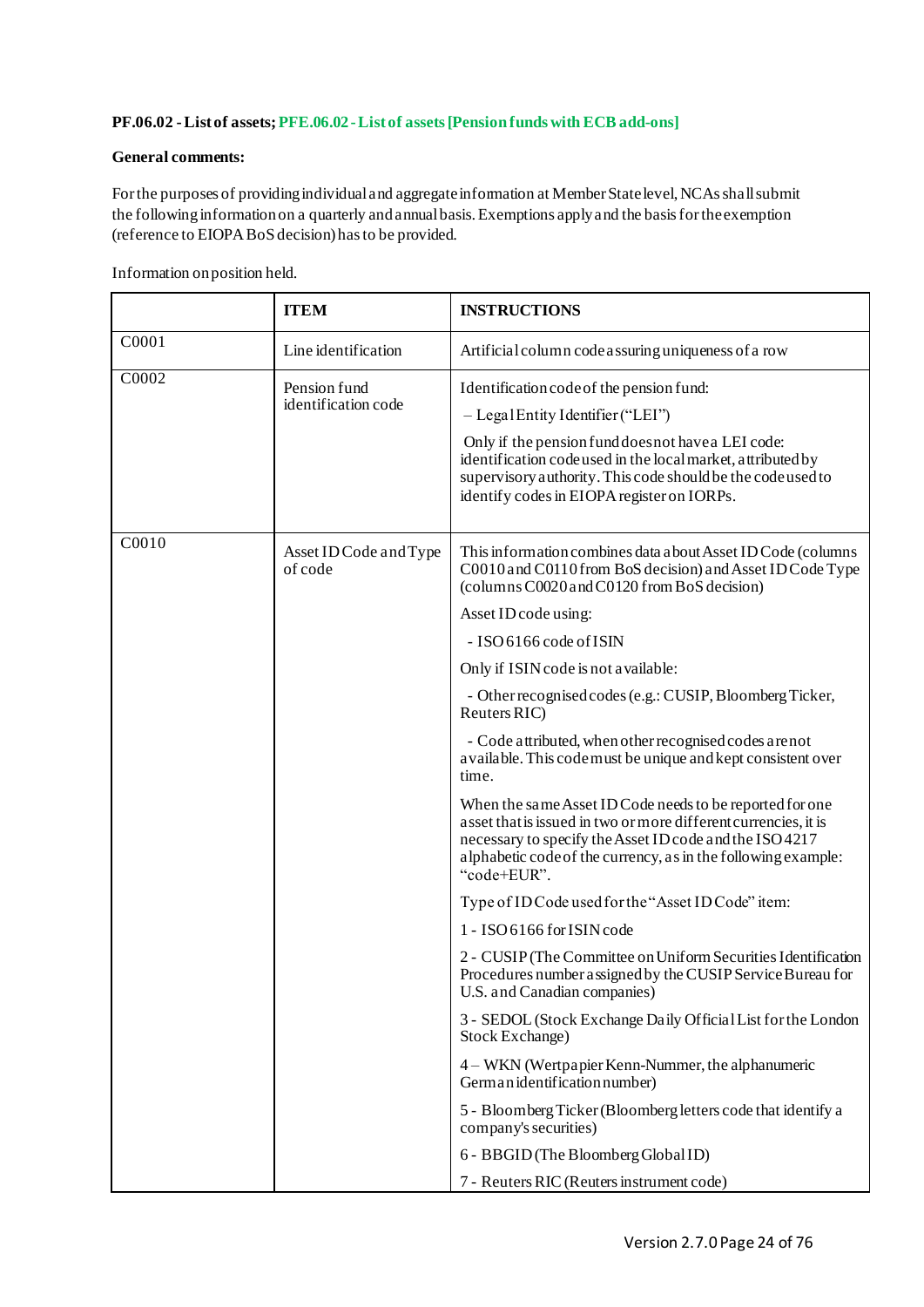# <span id="page-23-0"></span>**PF.06.02 -List of assets; PFE.06.02 -List of assets [Pension funds with ECB add-ons]**

# **General comments:**

For the purposes of providing individual and aggregate information at Member State level, NCAs shall submit the following information on a quarterly and annual basis. Exemptions apply and the basis for the exemption (reference to EIOPA BoS decision) has to be provided.

|       | <b>ITEM</b>                         | <b>INSTRUCTIONS</b>                                                                                                                                                                                                                                                                                              |
|-------|-------------------------------------|------------------------------------------------------------------------------------------------------------------------------------------------------------------------------------------------------------------------------------------------------------------------------------------------------------------|
| C0001 | Line identification                 | Artificial column code assuring uniqueness of a row                                                                                                                                                                                                                                                              |
| C0002 | Pension fund<br>identification code | Identification code of the pension fund:<br>$-$ Legal Entity Identifier ("LEI")<br>Only if the pension fund does not have a LEI code:<br>identification codeused in the local market, attributed by<br>supervisory authority. This code should be the code used to<br>identify codes in EIOPA register on IORPs. |
| C0010 | Asset ID Code and Type<br>of code   | This information combines data a bout Asset ID Code (columns)<br>C0010 and C0110 from BoS decision) and Asset ID Code Type<br>(columns C0020 and C0120 from BoS decision)                                                                                                                                        |
|       |                                     | Asset ID code using:                                                                                                                                                                                                                                                                                             |
|       |                                     | - ISO 6166 code of ISIN                                                                                                                                                                                                                                                                                          |
|       |                                     | Only if ISIN code is not available:                                                                                                                                                                                                                                                                              |
|       |                                     | - Other recognised codes (e.g.: CUSIP, Bloomberg Ticker,<br>Reuters RIC)                                                                                                                                                                                                                                         |
|       |                                     | - Code attributed, when other recognised codes are not<br>available. This codemust be unique and kept consistent over<br>time.                                                                                                                                                                                   |
|       |                                     | When the same Asset ID Code needs to be reported for one<br>asset that is issued in two or more different currencies, it is<br>necessary to specify the Asset ID code and the ISO 4217<br>alphabetic code of the currency, as in the following example:<br>"code+EUR".                                           |
|       |                                     | Type of ID Code used for the "Asset ID Code" item:                                                                                                                                                                                                                                                               |
|       |                                     | 1 - ISO 6166 for ISIN code                                                                                                                                                                                                                                                                                       |
|       |                                     | 2 - CUSIP (The Committee on Uniform Securities Identification<br>Procedures number assigned by the CUSIP Service Bureau for<br>U.S. and Canadian companies)                                                                                                                                                      |
|       |                                     | 3 - SEDOL (Stock Exchange Daily Official List for the London<br>Stock Exchange)                                                                                                                                                                                                                                  |
|       |                                     | 4 - WKN (Wertpapier Kenn-Nummer, the alphanumeric<br>German identification number)                                                                                                                                                                                                                               |
|       |                                     | 5 - Bloomberg Ticker (Bloomberg letters code that identify a<br>company's securities)                                                                                                                                                                                                                            |
|       |                                     | 6 - BBGID (The Bloomberg Global ID)                                                                                                                                                                                                                                                                              |
|       |                                     | 7 - Reuters RIC (Reuters instrument code)                                                                                                                                                                                                                                                                        |

Information on position held.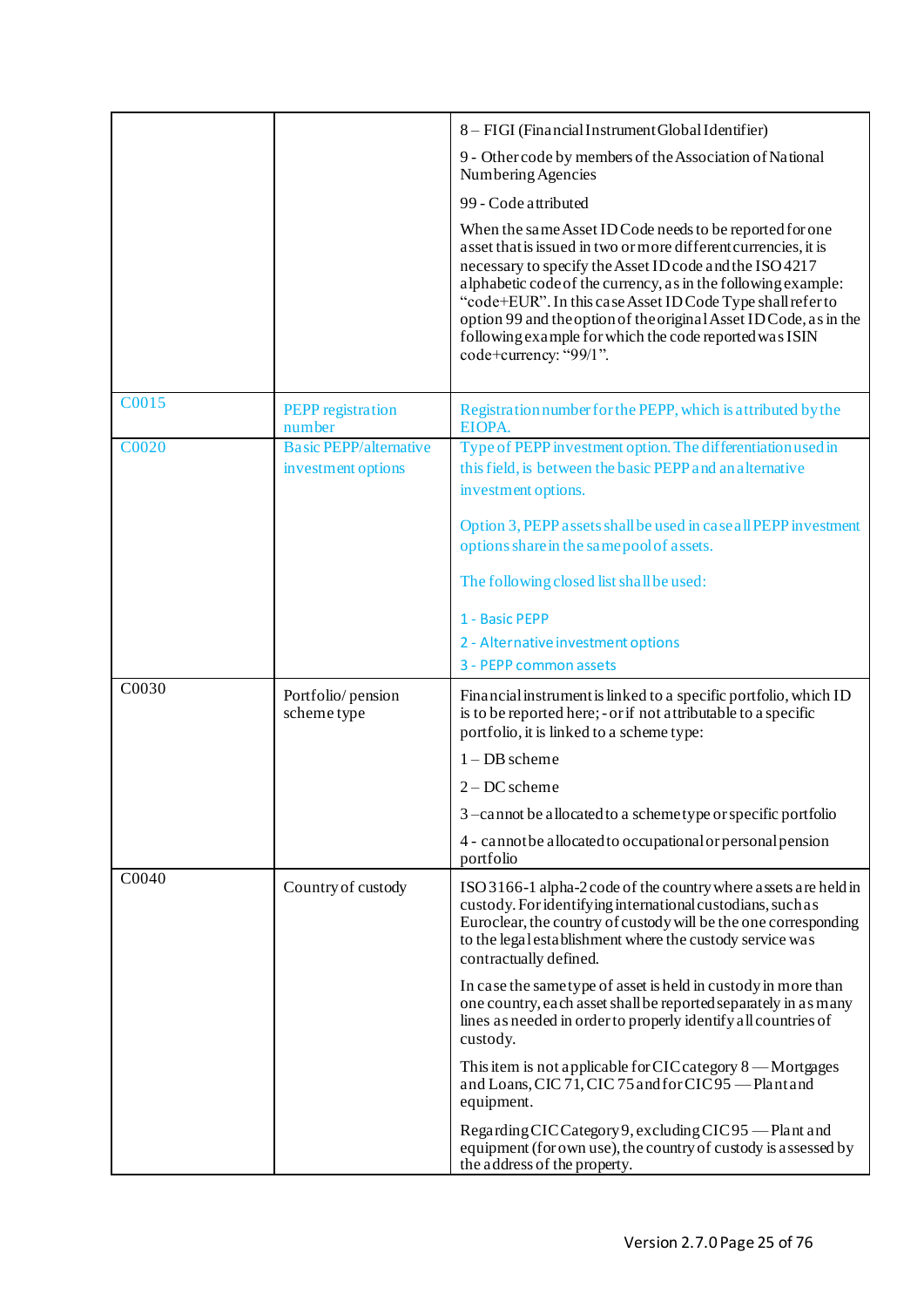|              |                                                     | 8 - FIGI (Financial Instrument Global Identifier)                                                                                                                                                                                                                                                                                                                                                                                                                              |
|--------------|-----------------------------------------------------|--------------------------------------------------------------------------------------------------------------------------------------------------------------------------------------------------------------------------------------------------------------------------------------------------------------------------------------------------------------------------------------------------------------------------------------------------------------------------------|
|              |                                                     | 9 - Other code by members of the Association of National<br>Numbering Agencies                                                                                                                                                                                                                                                                                                                                                                                                 |
|              |                                                     | 99 - Code attributed                                                                                                                                                                                                                                                                                                                                                                                                                                                           |
|              |                                                     | When the same Asset ID Code needs to be reported for one<br>asset that is issued in two or more different currencies, it is<br>necessary to specify the Asset ID code and the ISO 4217<br>alphabetic code of the currency, as in the following example:<br>"code+EUR". In this case Asset ID Code Type shall refer to<br>option 99 and the option of the original Asset ID Code, as in the<br>following example for which the code reported was ISIN<br>code+currency: "99/1". |
| C0015        | <b>PEPP</b> registration<br>number                  | Registration number for the PEPP, which is attributed by the<br>EIOPA.                                                                                                                                                                                                                                                                                                                                                                                                         |
| <b>C0020</b> | <b>Basic PEPP/alternative</b><br>investment options | Type of PEPP investment option. The differentiation used in<br>this field, is between the basic PEPP and an alternative<br>investment options.                                                                                                                                                                                                                                                                                                                                 |
|              |                                                     | Option 3, PEPP assets shall be used in case all PEPP investment<br>options share in the same pool of assets.                                                                                                                                                                                                                                                                                                                                                                   |
|              |                                                     | The following closed list shall be used:                                                                                                                                                                                                                                                                                                                                                                                                                                       |
|              |                                                     | 1 - Basic PEPP                                                                                                                                                                                                                                                                                                                                                                                                                                                                 |
|              |                                                     | 2 - Alternative investment options                                                                                                                                                                                                                                                                                                                                                                                                                                             |
|              |                                                     | 3 - PEPP common assets                                                                                                                                                                                                                                                                                                                                                                                                                                                         |
| C0030        | Portfolio/pension<br>scheme type                    | Financial instrument is linked to a specific portfolio, which ID<br>is to be reported here; - or if not attributable to a specific<br>portfolio, it is linked to a scheme type:                                                                                                                                                                                                                                                                                                |
|              |                                                     | $1 - DB$ scheme                                                                                                                                                                                                                                                                                                                                                                                                                                                                |
|              |                                                     | $2 - DC$ scheme                                                                                                                                                                                                                                                                                                                                                                                                                                                                |
|              |                                                     | 3-cannot be allocated to a schemetype or specific portfolio                                                                                                                                                                                                                                                                                                                                                                                                                    |
|              |                                                     | 4 - cannot be a llocated to occupational or personal pension<br>portfolio                                                                                                                                                                                                                                                                                                                                                                                                      |
| C0040        | Country of custody                                  | ISO 3166-1 alpha-2 code of the country where a ssets are held in<br>custody. For identifying international custodians, such as<br>Euroclear, the country of custody will be the one corresponding<br>to the legal establishment where the custody service was<br>contractually defined.                                                                                                                                                                                        |
|              |                                                     | In case the same type of asset is held in custody in more than<br>one country, each asset shall be reported separately in as many<br>lines as needed in order to properly identify all countries of<br>custody.                                                                                                                                                                                                                                                                |
|              |                                                     | This item is not applicable for CIC category $8$ —Mortgages<br>and Loans, CIC 71, CIC 75 and for CIC 95 - Plant and<br>equipment.                                                                                                                                                                                                                                                                                                                                              |
|              |                                                     | Regarding CIC Category 9, excluding CIC 95 - Plant and<br>equipment (for own use), the country of custody is assessed by<br>the address of the property.                                                                                                                                                                                                                                                                                                                       |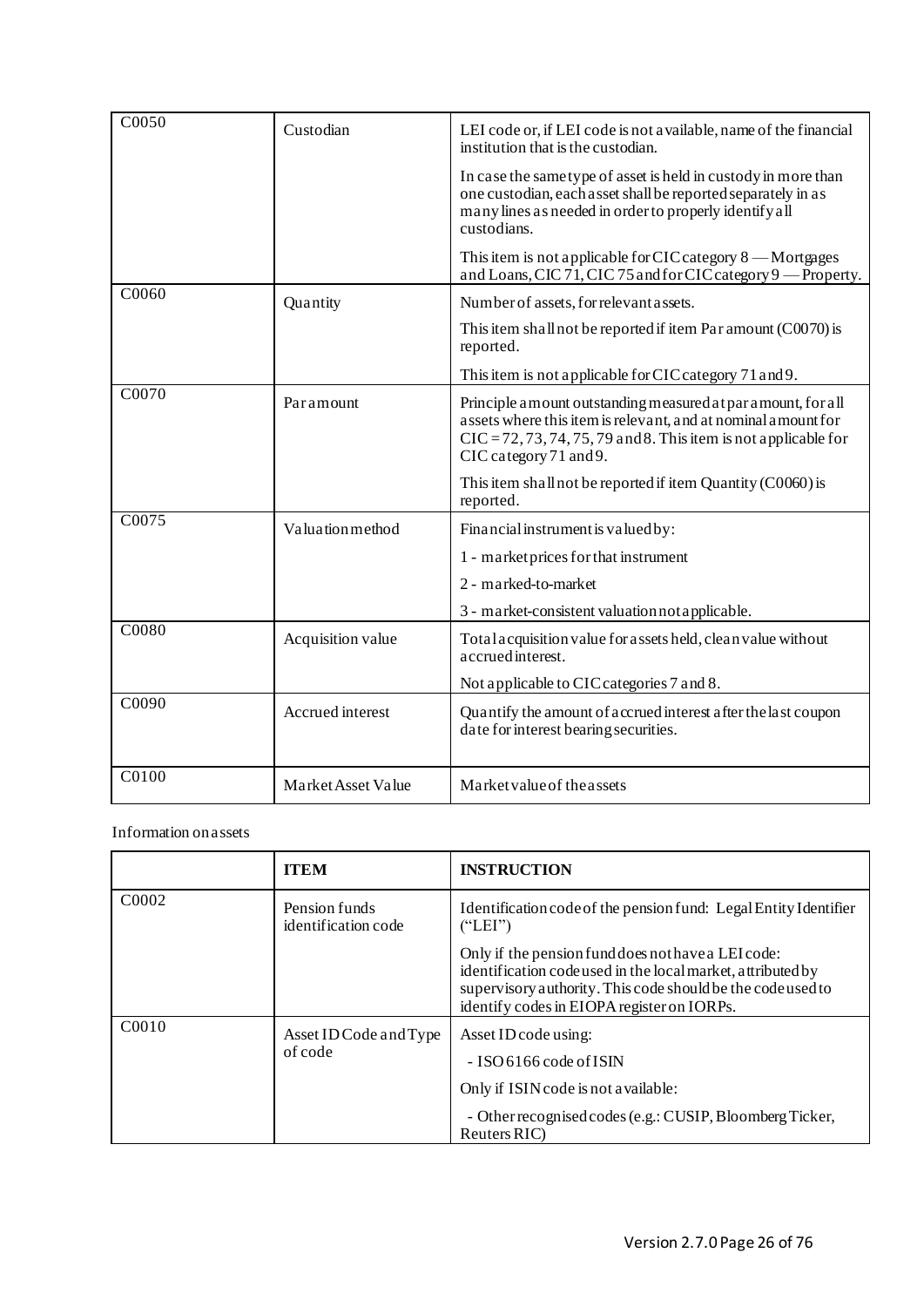| C0050              | Custodian          | LEI code or, if LEI code is not a vailable, name of the financial<br>institution that is the custodian.                                                                                                                        |
|--------------------|--------------------|--------------------------------------------------------------------------------------------------------------------------------------------------------------------------------------------------------------------------------|
|                    |                    | In case the same type of asset is held in custody in more than<br>one custodian, each asset shall be reported separately in as<br>many lines as needed in order to properly identify all<br>custodians.                        |
|                    |                    | This item is not applicable for CIC category $8$ — Mortgages<br>and Loans, CIC 71, CIC 75 and for CIC category 9 - Property.                                                                                                   |
| C0060              | Quantity           | Number of assets, for relevant assets.                                                                                                                                                                                         |
|                    |                    | This item shall not be reported if item Par amount (C0070) is<br>reported.                                                                                                                                                     |
|                    |                    | This item is not applicable for CIC category 71 and 9.                                                                                                                                                                         |
| $\overline{C0070}$ | Paramount          | Principle a mount outstanding measured at par a mount, for all<br>assets where this item is relevant, and at nominal amount for<br>$CIC = 72, 73, 74, 75, 79$ and 8. This item is not applicable for<br>CIC category 71 and 9. |
|                    |                    | This item shall not be reported if item Quantity (C0060) is<br>reported.                                                                                                                                                       |
| C0075              | Valuation method   | Financial instrument is valued by:                                                                                                                                                                                             |
|                    |                    | 1 - market prices for that instrument                                                                                                                                                                                          |
|                    |                    | 2 - marked-to-market                                                                                                                                                                                                           |
|                    |                    | 3 - market-consistent valuation not applicable.                                                                                                                                                                                |
| C0080              | Acquisition value  | Total acquisition value for assets held, clean value without<br>accrued interest.                                                                                                                                              |
|                    |                    | Not applicable to CIC categories 7 and 8.                                                                                                                                                                                      |
| C0090              | Accrued interest   | Quantify the amount of accrued interest after the last coupon<br>date for interest bearing securities.                                                                                                                         |
| C0100              | Market Asset Value | Market value of the assets                                                                                                                                                                                                     |

Information on assets

|                   | <b>ITEM</b>                          | <b>INSTRUCTION</b>                                                                                                                                                                                                            |
|-------------------|--------------------------------------|-------------------------------------------------------------------------------------------------------------------------------------------------------------------------------------------------------------------------------|
| C <sub>0002</sub> | Pension funds<br>identification code | Identification code of the pension fund: Legal Entity Identifier<br>("LEI")                                                                                                                                                   |
|                   |                                      | Only if the pension fund does not have a LEI code:<br>identification code used in the local market, attributed by<br>supervisory authority. This code should be the codeused to<br>identify codes in EIOPA register on IORPs. |
| C <sub>0010</sub> | Asset ID Code and Type<br>of code    | Asset ID code using:<br>$-$ ISO 6166 code of ISIN<br>Only if ISIN code is not a vailable:<br>- Other recognised codes (e.g.: CUSIP, Bloomberg Ticker,<br>Reuters RIC)                                                         |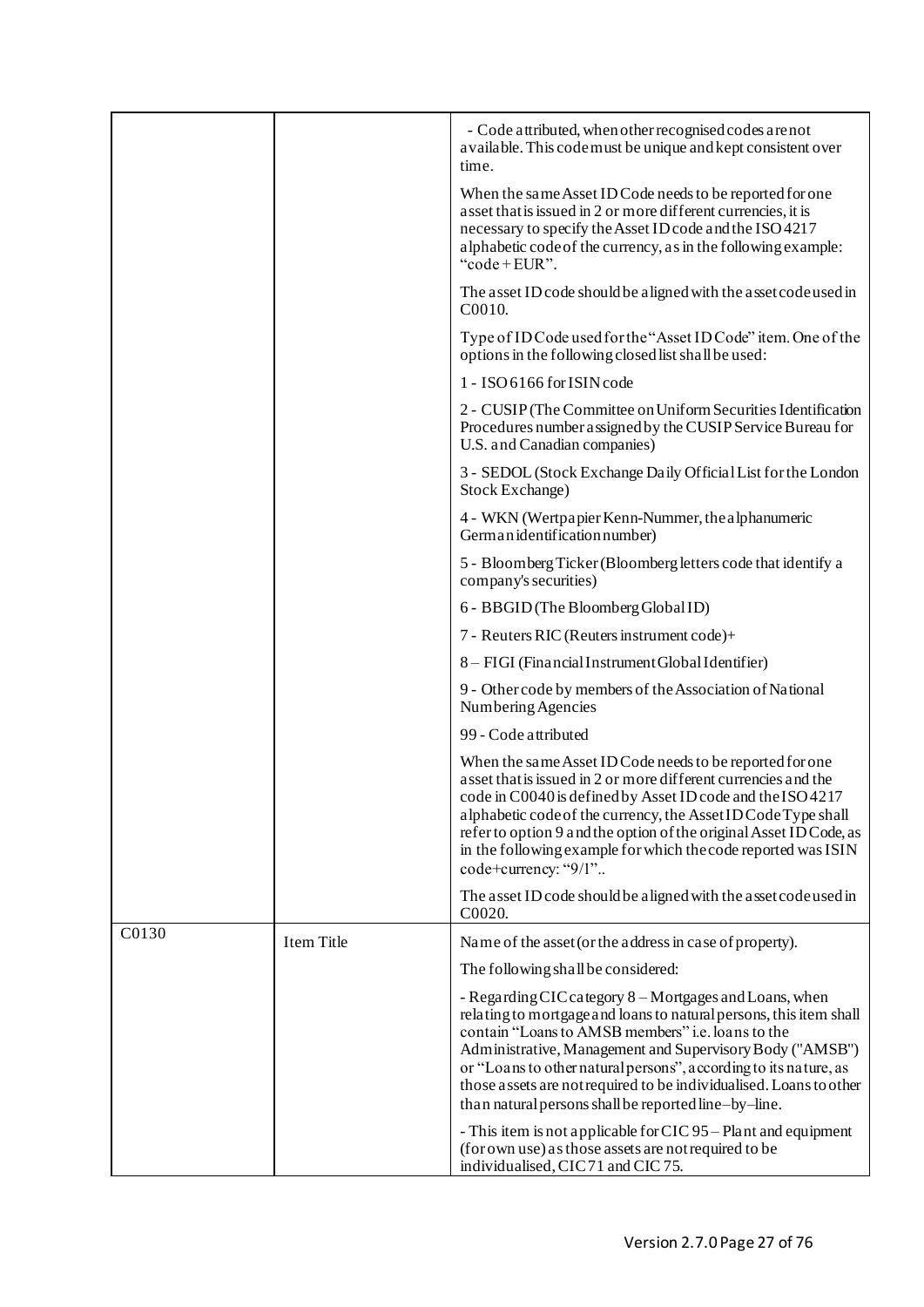|       |            | - Code attributed, when other recognised codes are not<br>a vailable. This codemust be unique and kept consistent over<br>time.                                                                                                                                                                                                                                                                                                                 |
|-------|------------|-------------------------------------------------------------------------------------------------------------------------------------------------------------------------------------------------------------------------------------------------------------------------------------------------------------------------------------------------------------------------------------------------------------------------------------------------|
|       |            | When the same Asset ID Code needs to be reported for one<br>asset that is issued in 2 or more different currencies, it is<br>necessary to specify the Asset ID code and the ISO 4217<br>alphabetic code of the currency, as in the following example:<br>"code+EUR".                                                                                                                                                                            |
|       |            | The asset ID code should be a ligned with the asset code used in<br>C <sub>00</sub> 10.                                                                                                                                                                                                                                                                                                                                                         |
|       |            | Type of ID Code used for the "Asset ID Code" item. One of the<br>options in the following closed list shall be used:                                                                                                                                                                                                                                                                                                                            |
|       |            | 1 - ISO 6166 for ISIN code                                                                                                                                                                                                                                                                                                                                                                                                                      |
|       |            | 2 - CUSIP (The Committee on Uniform Securities Identification<br>Procedures number assigned by the CUSIP Service Bureau for<br>U.S. and Canadian companies)                                                                                                                                                                                                                                                                                     |
|       |            | 3 - SEDOL (Stock Exchange Daily Official List for the London<br>Stock Exchange)                                                                                                                                                                                                                                                                                                                                                                 |
|       |            | 4 - WKN (Wertpapier Kenn-Nummer, the alphanumeric<br>German identification number)                                                                                                                                                                                                                                                                                                                                                              |
|       |            | 5 - Bloomberg Ticker (Bloomberg letters code that identify a<br>company's securities)                                                                                                                                                                                                                                                                                                                                                           |
|       |            | 6 - BBGID (The Bloomberg Global ID)                                                                                                                                                                                                                                                                                                                                                                                                             |
|       |            | 7 - Reuters RIC (Reuters instrument code)+                                                                                                                                                                                                                                                                                                                                                                                                      |
|       |            | 8 - FIGI (Financial Instrument Global Identifier)                                                                                                                                                                                                                                                                                                                                                                                               |
|       |            | 9 - Other code by members of the Association of National<br>Numbering Agencies                                                                                                                                                                                                                                                                                                                                                                  |
|       |            | 99 - Code attributed                                                                                                                                                                                                                                                                                                                                                                                                                            |
|       |            | When the same Asset ID Code needs to be reported for one<br>asset that is issued in 2 or more different currencies and the<br>code in C0040 is defined by Asset ID code and the ISO 4217<br>alphabetic code of the currency, the Asset ID Code Type shall<br>refer to option 9 and the option of the original Asset ID Code, as<br>in the following example for which the code reported was ISIN<br>code+currency: "9/1"                        |
|       |            | The asset ID code should be a ligned with the asset code used in<br>C0020.                                                                                                                                                                                                                                                                                                                                                                      |
| C0130 | Item Title | Name of the asset (or the address in case of property).                                                                                                                                                                                                                                                                                                                                                                                         |
|       |            | The following shall be considered:                                                                                                                                                                                                                                                                                                                                                                                                              |
|       |            | - Regarding CIC category 8 – Mortgages and Loans, when<br>relating to mortgage and loans to natural persons, this item shall<br>contain "Loans to AMSB members" i.e. loans to the<br>Administrative, Management and Supervisory Body ("AMSB")<br>or "Loans to other natural persons", according to its nature, as<br>those assets are not required to be individualised. Loans to other<br>than natural persons shall be reported line-by-line. |
|       |            | - This item is not applicable for CIC 95 – Plant and equipment<br>(for own use) as those assets are not required to be<br>individualised, CIC71 and CIC75.                                                                                                                                                                                                                                                                                      |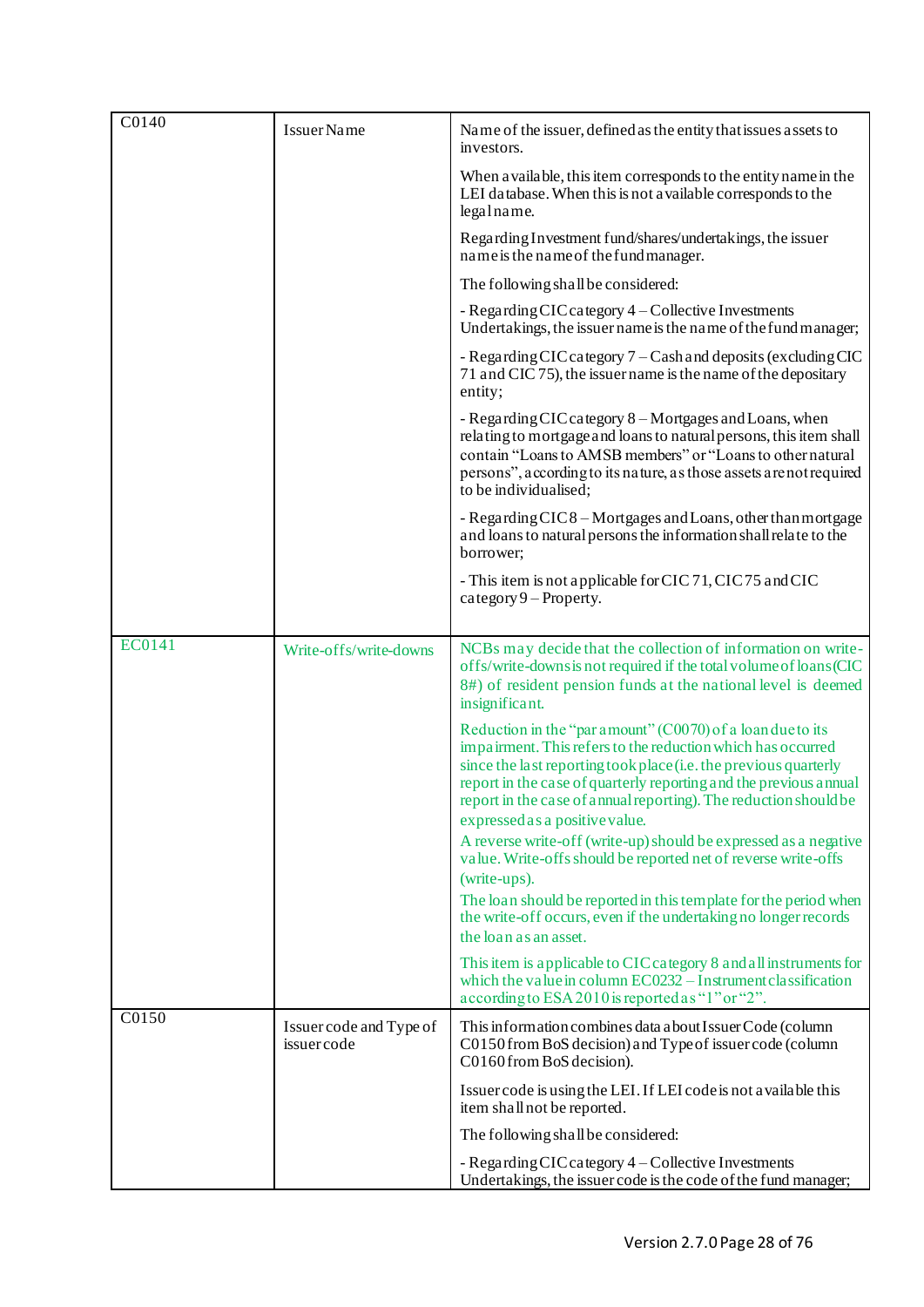| C0140         | Issuer Name                           | Name of the issuer, defined as the entity that issues assets to<br>investors.                                                                                                                                                                                                                                                                                            |
|---------------|---------------------------------------|--------------------------------------------------------------------------------------------------------------------------------------------------------------------------------------------------------------------------------------------------------------------------------------------------------------------------------------------------------------------------|
|               |                                       | When a vailable, this item corresponds to the entity name in the<br>LEI database. When this is not a vailable corresponds to the<br>legalname.                                                                                                                                                                                                                           |
|               |                                       | Regarding Investment fund/shares/undertakings, the issuer<br>name is the name of the fund manager.                                                                                                                                                                                                                                                                       |
|               |                                       | The following shall be considered:                                                                                                                                                                                                                                                                                                                                       |
|               |                                       | - Regarding CIC category 4 - Collective Investments<br>Undertakings, the issuer name is the name of the fund manager;                                                                                                                                                                                                                                                    |
|               |                                       | - Regarding CIC category 7 – Cash and deposits (excluding CIC<br>71 and CIC 75), the issuer name is the name of the depositary<br>entity;                                                                                                                                                                                                                                |
|               |                                       | - Regarding CIC category 8 – Mortgages and Loans, when<br>relating to mortgage and loans to natural persons, this item shall<br>contain "Loans to AMSB members" or "Loans to other natural<br>persons", according to its nature, as those assets are not required<br>to be individualised;                                                                               |
|               |                                       | - Regarding CIC8 - Mortgages and Loans, other than mortgage<br>and loans to natural persons the information shall relate to the<br>borrower;                                                                                                                                                                                                                             |
|               |                                       | - This item is not applicable for CIC 71, CIC 75 and CIC<br>$category 9 - Property.$                                                                                                                                                                                                                                                                                     |
|               |                                       |                                                                                                                                                                                                                                                                                                                                                                          |
| <b>EC0141</b> | Write-offs/write-downs                | NCBs may decide that the collection of information on write-<br>offs/write-downs is not required if the total volume of loans (CIC<br>8#) of resident pension funds at the national level is deemed<br>insignificant.                                                                                                                                                    |
|               |                                       | Reduction in the "par amount" (C0070) of a loan due to its<br>impairment. This refers to the reduction which has occurred<br>since the last reporting took place (i.e. the previous quarterly<br>report in the case of quarterly reporting and the previous annual<br>report in the case of annual reporting). The reduction should be<br>expressed as a positive value. |
|               |                                       | A reverse write-off (write-up) should be expressed as a negative<br>value. Write-offs should be reported net of reverse write-offs<br>(write-ups).                                                                                                                                                                                                                       |
|               |                                       | The loan should be reported in this template for the period when<br>the write-off occurs, even if the undertaking no longer records<br>the loan as an asset.                                                                                                                                                                                                             |
|               |                                       |                                                                                                                                                                                                                                                                                                                                                                          |
|               |                                       | This item is applicable to CIC category 8 and all instruments for<br>which the value in column $EC0232 - Instrument classification$<br>according to ESA 2010 is reported as "1" or "2".                                                                                                                                                                                  |
| C0150         | Issuer code and Type of<br>issuercode | This information combines data a bout Issuer Code (column<br>C0150 from BoS decision) and Type of issuer code (column<br>C0160 from BoS decision).                                                                                                                                                                                                                       |
|               |                                       | Issuer code is using the LEI. If LEI code is not a vailable this<br>item shall not be reported.                                                                                                                                                                                                                                                                          |
|               |                                       | The following shall be considered:                                                                                                                                                                                                                                                                                                                                       |
|               |                                       | - Regarding CIC category 4 – Collective Investments<br>Undertakings, the issuer code is the code of the fund manager;                                                                                                                                                                                                                                                    |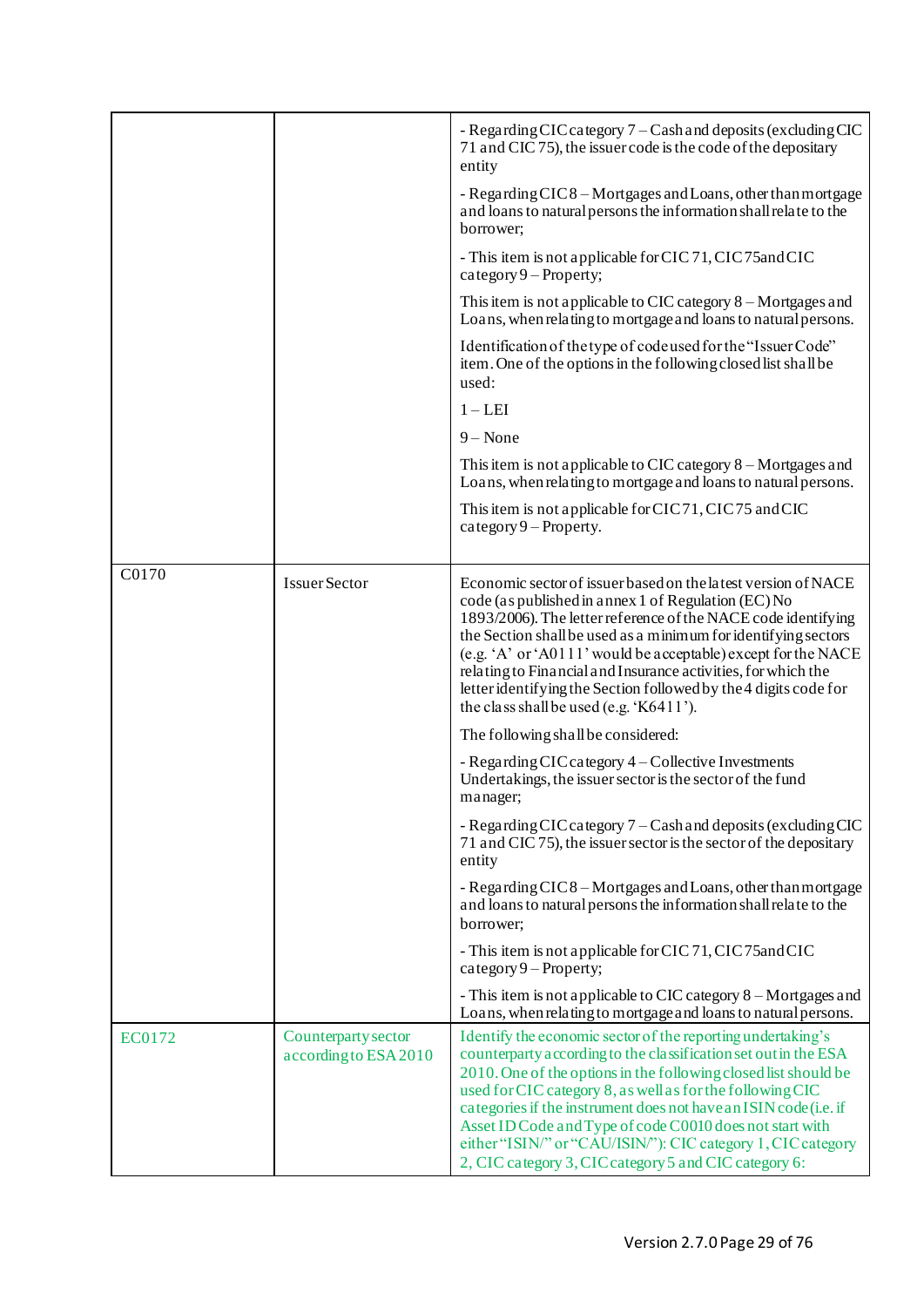|        |                                              | - Regarding CIC category 7 – Cash and deposits (excluding CIC<br>71 and CIC 75), the issuer code is the code of the depositary<br>entity                                                                                                                                                                                                                                                                                                                                                                                |
|--------|----------------------------------------------|-------------------------------------------------------------------------------------------------------------------------------------------------------------------------------------------------------------------------------------------------------------------------------------------------------------------------------------------------------------------------------------------------------------------------------------------------------------------------------------------------------------------------|
|        |                                              | - Regarding CIC8 – Mortgages and Loans, other than mortgage<br>and loans to natural persons the information shall relate to the<br>borrower;                                                                                                                                                                                                                                                                                                                                                                            |
|        |                                              | - This item is not applicable for CIC 71, CIC 75 and CIC<br>$category 9 - Property;$                                                                                                                                                                                                                                                                                                                                                                                                                                    |
|        |                                              | This item is not applicable to CIC category $8 -$ Mortgages and<br>Loans, when relating to mortgage and loans to natural persons.                                                                                                                                                                                                                                                                                                                                                                                       |
|        |                                              | Identification of the type of code used for the "Issuer Code"<br>item. One of the options in the following closed list shall be<br>used:                                                                                                                                                                                                                                                                                                                                                                                |
|        |                                              | $1 - LEI$                                                                                                                                                                                                                                                                                                                                                                                                                                                                                                               |
|        |                                              | $9 - None$                                                                                                                                                                                                                                                                                                                                                                                                                                                                                                              |
|        |                                              | This item is not applicable to CIC category $8 -$ Mortgages and<br>Loans, when relating to mortgage and loans to natural persons.                                                                                                                                                                                                                                                                                                                                                                                       |
|        |                                              | This item is not applicable for CIC71, CIC75 and CIC<br>category $9$ – Property.                                                                                                                                                                                                                                                                                                                                                                                                                                        |
| C0170  |                                              |                                                                                                                                                                                                                                                                                                                                                                                                                                                                                                                         |
|        | Issuer Sector                                | Economic sector of issuer based on the latest version of NACE<br>code (as published in annex 1 of Regulation (EC) No<br>1893/2006). The letter reference of the NACE code identifying<br>the Section shall be used as a minimum for identifying sectors<br>(e.g. 'A' or 'A0111' would be acceptable) except for the NACE<br>relating to Financial and Insurance activities, for which the<br>letter identifying the Section followed by the 4 digits code for<br>the class shall be used (e.g. 'K6411').                |
|        |                                              | The following shall be considered:                                                                                                                                                                                                                                                                                                                                                                                                                                                                                      |
|        |                                              | - Regarding CIC category 4 – Collective Investments<br>Undertakings, the issuer sector is the sector of the fund<br>manager;                                                                                                                                                                                                                                                                                                                                                                                            |
|        |                                              | - Regarding CIC category 7 – Cash and deposits (excluding CIC<br>71 and CIC 75), the issuer sector is the sector of the depositary<br>entity                                                                                                                                                                                                                                                                                                                                                                            |
|        |                                              | - Regarding CIC8 - Mortgages and Loans, other than mortgage<br>and loans to natural persons the information shall relate to the<br>borrower;                                                                                                                                                                                                                                                                                                                                                                            |
|        |                                              | - This item is not applicable for CIC 71, CIC 75 and CIC<br>$category 9 - Property;$                                                                                                                                                                                                                                                                                                                                                                                                                                    |
|        |                                              | - This item is not applicable to CIC category 8 - Mortgages and<br>Loans, when relating to mortgage and loans to natural persons.                                                                                                                                                                                                                                                                                                                                                                                       |
| EC0172 | Counterparty sector<br>according to ESA 2010 | Identify the economic sector of the reporting undertaking's<br>counterparty according to the classification set out in the ESA<br>2010. One of the options in the following closed list should be<br>used for CIC category 8, as well as for the following CIC<br>categories if the instrument does not have an ISIN code (i.e. if<br>Asset ID Code and Type of code C0010 does not start with<br>either "ISIN/" or "CAU/ISIN/"): CIC category 1, CIC category<br>2, CIC category 3, CIC category 5 and CIC category 6: |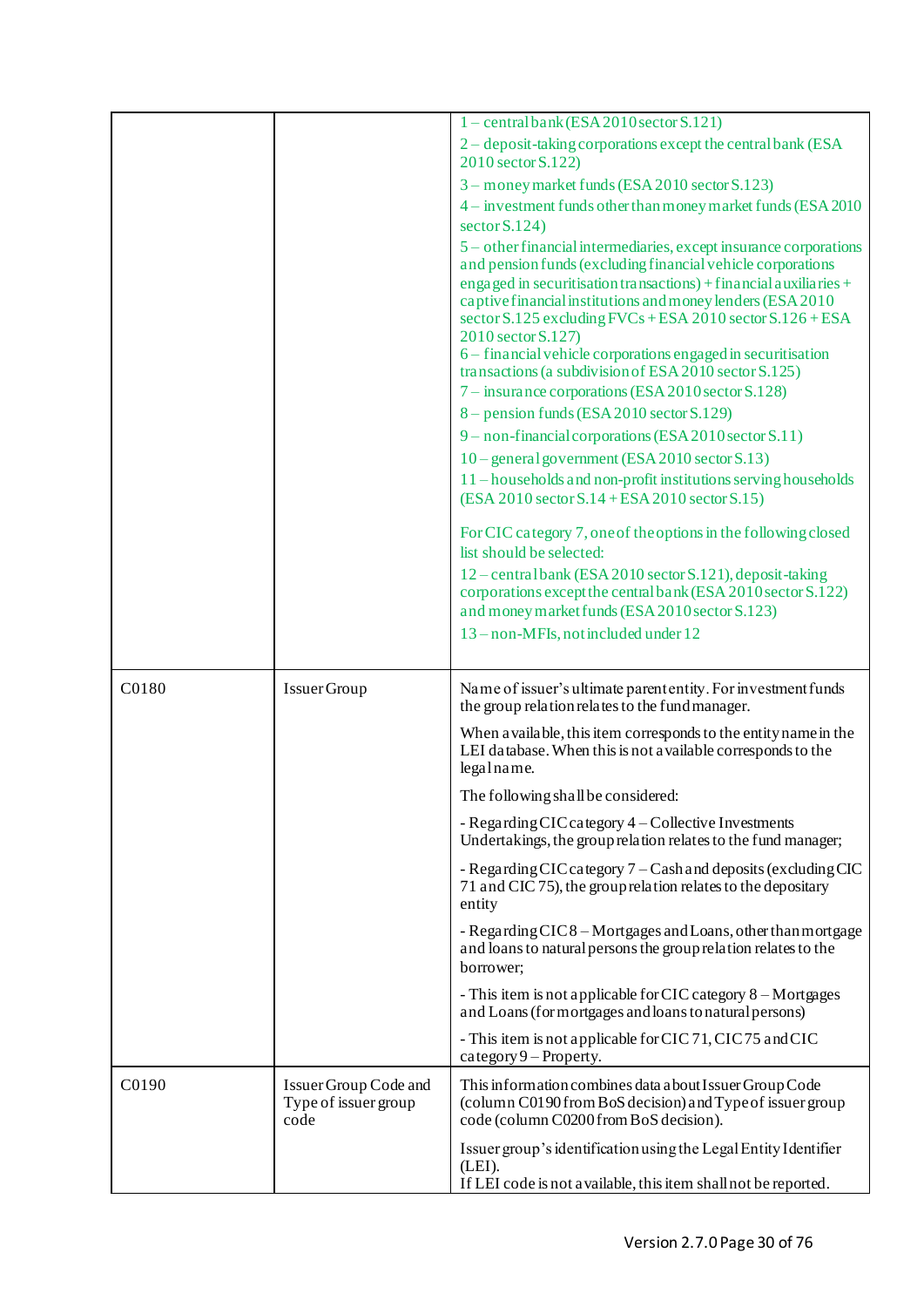|       |                                                       | $1$ – central bank (ESA 2010 sector S.121)                                                                                                                                                                         |
|-------|-------------------------------------------------------|--------------------------------------------------------------------------------------------------------------------------------------------------------------------------------------------------------------------|
|       |                                                       | 2 – deposit-taking corporations except the central bank (ESA<br>2010 sector S.122)                                                                                                                                 |
|       |                                                       | 3 - money market funds (ESA 2010 sector S.123)                                                                                                                                                                     |
|       |                                                       | 4 – investment funds other than money market funds (ESA 2010)                                                                                                                                                      |
|       |                                                       | sector $S.124$ )                                                                                                                                                                                                   |
|       |                                                       | 5 – other financial intermediaries, except insurance corporations<br>and pension funds (excluding financial vehicle corporations                                                                                   |
|       |                                                       | engaged in securitisation transactions) + financial auxiliaries +<br>captive financial institutions and money lenders (ESA 2010<br>sector S.125 excluding FVCs + ESA 2010 sector S.126 + ESA<br>2010 sector S.127) |
|       |                                                       | 6 – financial vehicle corporations engaged in securitisation<br>transactions (a subdivision of ESA 2010 sector S.125)<br>7 – insurance corporations (ESA 2010 sector S.128)                                        |
|       |                                                       | $8$ – pension funds (ESA 2010 sector S.129)                                                                                                                                                                        |
|       |                                                       | 9 - non-financial corporations (ESA 2010 sector S.11)                                                                                                                                                              |
|       |                                                       | $10$ – general government (ESA 2010 sector S.13)                                                                                                                                                                   |
|       |                                                       | 11 – households and non-profit institutions serving households                                                                                                                                                     |
|       |                                                       | $(ESA 2010 sector S.14 + ESA 2010 sector S.15)$                                                                                                                                                                    |
|       |                                                       | For CIC category 7, one of the options in the following closed<br>list should be selected:                                                                                                                         |
|       |                                                       | 12 – central bank (ESA 2010 sector S.121), deposit-taking                                                                                                                                                          |
|       |                                                       | corporations except the central bank (ESA 2010 sector S.122)                                                                                                                                                       |
|       |                                                       | and money market funds (ESA 2010 sector S.123)                                                                                                                                                                     |
|       |                                                       | 13 - non-MFIs, not included under 12                                                                                                                                                                               |
|       |                                                       |                                                                                                                                                                                                                    |
| C0180 | Issuer Group                                          | Name of issuer's ultimate parent entity. For investment funds<br>the group relation relates to the fund manager.                                                                                                   |
|       |                                                       | When a vailable, this item corresponds to the entity name in the<br>LEI database. When this is not a vailable corresponds to the<br>legalname.                                                                     |
|       |                                                       | The following shall be considered:                                                                                                                                                                                 |
|       |                                                       | - Regarding CIC category 4 – Collective Investments<br>Undertakings, the group relation relates to the fund manager;                                                                                               |
|       |                                                       | - Regarding CIC category 7 – Cash and deposits (excluding CIC<br>71 and CIC 75), the group relation relates to the depositary<br>entity                                                                            |
|       |                                                       | - Regarding CIC8 - Mortgages and Loans, other than mortgage<br>and loans to natural persons the group relation relates to the<br>borrower;                                                                         |
|       |                                                       | - This item is not applicable for CIC category 8 – Mortgages<br>and Loans (for mortgages and loans to natural persons)                                                                                             |
|       |                                                       | - This item is not applicable for CIC 71, CIC 75 and CIC<br>$category 9 - Property.$                                                                                                                               |
| C0190 | Issuer Group Code and<br>Type of issuer group<br>code | This information combines data a bout Issuer Group Code<br>(column C0190 from BoS decision) and Type of issuer group<br>code (column C0200 from BoS decision).                                                     |
|       |                                                       | Issuer group's identification using the Legal Entity Identifier<br>(LEI).<br>If LEI code is not a vailable, this item shall not be reported.                                                                       |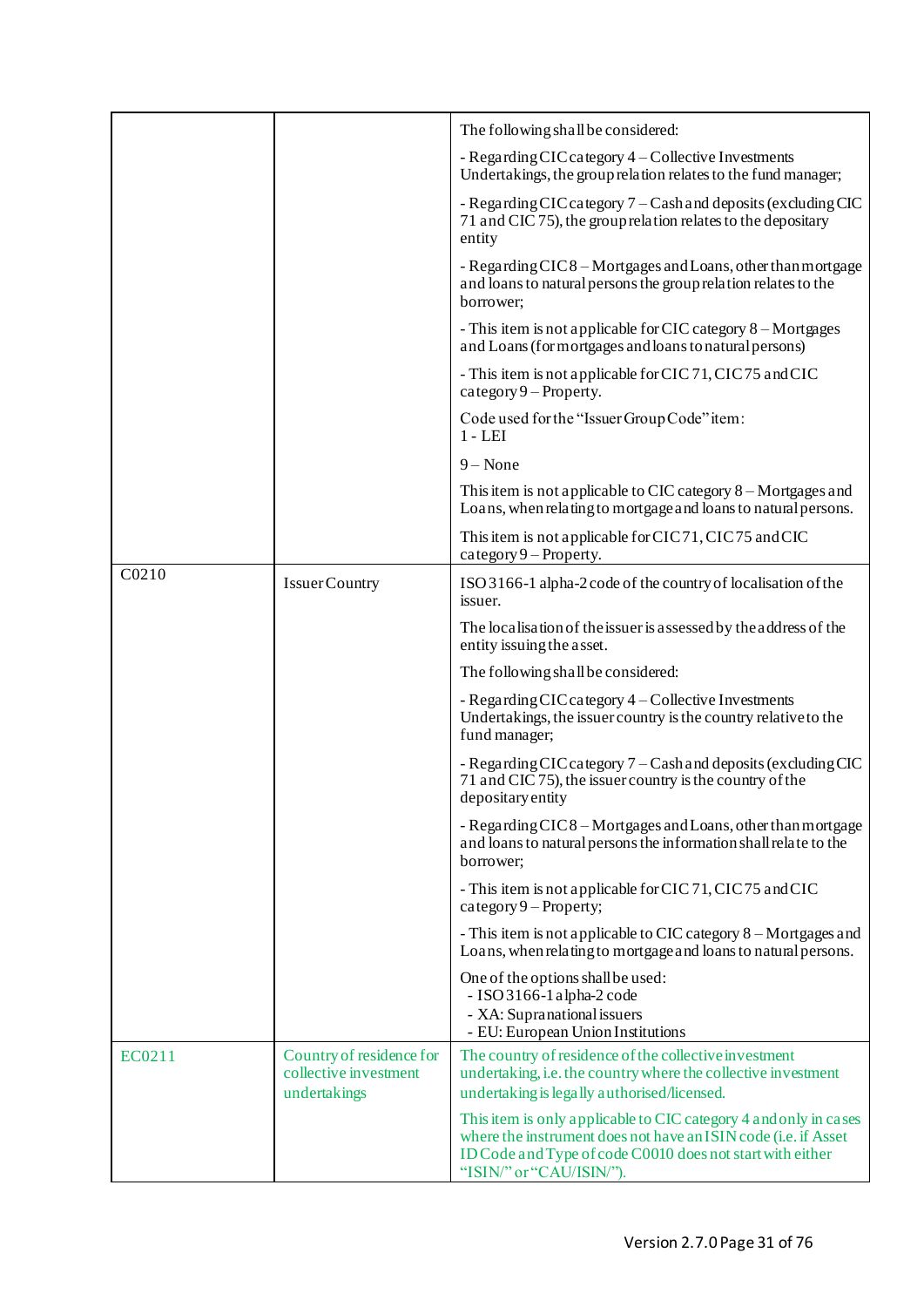|        |                                                   | The following shall be considered:                                                                                                                                                                                          |
|--------|---------------------------------------------------|-----------------------------------------------------------------------------------------------------------------------------------------------------------------------------------------------------------------------------|
|        |                                                   | - Regarding CIC category 4 - Collective Investments<br>Undertakings, the group relation relates to the fund manager;                                                                                                        |
|        |                                                   | - Regarding CIC category 7 – Cash and deposits (excluding CIC<br>71 and CIC 75), the group relation relates to the depositary<br>entity                                                                                     |
|        |                                                   | - Regarding CIC8 – Mortgages and Loans, other than mortgage<br>and loans to natural persons the group relation relates to the<br>borrower;                                                                                  |
|        |                                                   | - This item is not applicable for CIC category 8 - Mortgages<br>and Loans (for mortgages and loans to natural persons)                                                                                                      |
|        |                                                   | - This item is not applicable for CIC 71, CIC 75 and CIC<br>$category 9 - Property.$                                                                                                                                        |
|        |                                                   | Code used for the "Issuer Group Code" item:<br>$1 - LEI$                                                                                                                                                                    |
|        |                                                   | $9 - None$                                                                                                                                                                                                                  |
|        |                                                   | This item is not applicable to CIC category $8 -$ Mortgages and<br>Loans, when relating to mortgage and loans to natural persons.                                                                                           |
|        |                                                   | This item is not applicable for CIC71, CIC75 and CIC<br>$category 9 - Property.$                                                                                                                                            |
| C0210  | <b>IssuerCountry</b>                              | ISO 3166-1 alpha-2 code of the country of localisation of the<br>issuer.                                                                                                                                                    |
|        |                                                   | The localisation of the issuer is assessed by the address of the<br>entity issuing the asset.                                                                                                                               |
|        |                                                   | The following shall be considered:                                                                                                                                                                                          |
|        |                                                   | - Regarding CIC category 4 – Collective Investments<br>Undertakings, the issuer country is the country relative to the<br>fund manager;                                                                                     |
|        |                                                   | - Regarding CIC category 7 – Cash and deposits (excluding CIC<br>71 and CIC 75), the issuer country is the country of the<br>depositary entity                                                                              |
|        |                                                   | - Regarding CIC8 – Mortgages and Loans, other than mortgage<br>and loans to natural persons the information shall relate to the<br>borrower;                                                                                |
|        |                                                   | - This item is not applicable for CIC 71, CIC 75 and CIC<br>category $9$ – Property;                                                                                                                                        |
|        |                                                   | - This item is not applicable to CIC category 8 – Mortgages and<br>Loans, when relating to mortgage and loans to natural persons.                                                                                           |
|        |                                                   | One of the options shall be used:<br>$-$ ISO 3166-1 alpha-2 code<br>- XA: Supranational issuers<br>- EU: European Union Institutions                                                                                        |
| EC0211 | Country of residence for<br>collective investment | The country of residence of the collective investment<br>undertaking, i.e. the country where the collective investment                                                                                                      |
|        | undertakings                                      | undertaking is legally authorised/licensed.                                                                                                                                                                                 |
|        |                                                   | This item is only applicable to CIC category 4 and only in cases<br>where the instrument does not have an ISIN code (i.e. if Asset<br>ID Code and Type of code C0010 does not start with either<br>"ISIN/" or "CAU/ISIN/"). |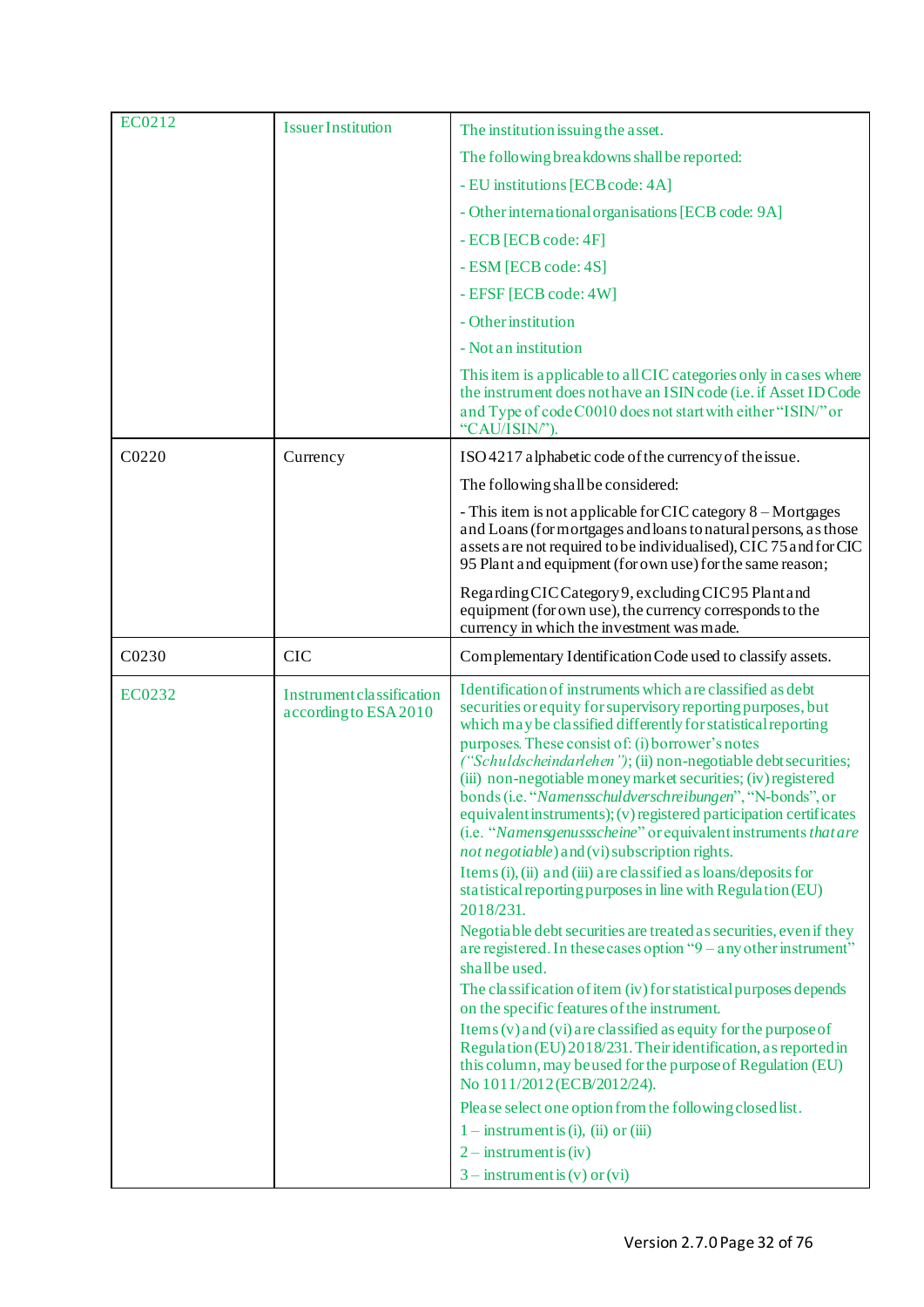| EC0212            | <b>Issuer Institution</b>                          | The institution issuing the asset.                                                                                                                                                                                                                                                                                                                                                                                                                                                                                                                                                                                                                                                                                                                                                                                                                                                                                                                                                                                                                                                                                                                                                                                                                                                                                                                                                                                                       |
|-------------------|----------------------------------------------------|------------------------------------------------------------------------------------------------------------------------------------------------------------------------------------------------------------------------------------------------------------------------------------------------------------------------------------------------------------------------------------------------------------------------------------------------------------------------------------------------------------------------------------------------------------------------------------------------------------------------------------------------------------------------------------------------------------------------------------------------------------------------------------------------------------------------------------------------------------------------------------------------------------------------------------------------------------------------------------------------------------------------------------------------------------------------------------------------------------------------------------------------------------------------------------------------------------------------------------------------------------------------------------------------------------------------------------------------------------------------------------------------------------------------------------------|
|                   |                                                    | The following breakdowns shall be reported:                                                                                                                                                                                                                                                                                                                                                                                                                                                                                                                                                                                                                                                                                                                                                                                                                                                                                                                                                                                                                                                                                                                                                                                                                                                                                                                                                                                              |
|                   |                                                    | - EU institutions [ECB code: 4A]                                                                                                                                                                                                                                                                                                                                                                                                                                                                                                                                                                                                                                                                                                                                                                                                                                                                                                                                                                                                                                                                                                                                                                                                                                                                                                                                                                                                         |
|                   |                                                    | - Other international organisations [ECB code: 9A]                                                                                                                                                                                                                                                                                                                                                                                                                                                                                                                                                                                                                                                                                                                                                                                                                                                                                                                                                                                                                                                                                                                                                                                                                                                                                                                                                                                       |
|                   |                                                    | - ECB [ECB code: 4F]                                                                                                                                                                                                                                                                                                                                                                                                                                                                                                                                                                                                                                                                                                                                                                                                                                                                                                                                                                                                                                                                                                                                                                                                                                                                                                                                                                                                                     |
|                   |                                                    | - ESM [ECB code: 4S]                                                                                                                                                                                                                                                                                                                                                                                                                                                                                                                                                                                                                                                                                                                                                                                                                                                                                                                                                                                                                                                                                                                                                                                                                                                                                                                                                                                                                     |
|                   |                                                    | - EFSF [ECB code: 4W]                                                                                                                                                                                                                                                                                                                                                                                                                                                                                                                                                                                                                                                                                                                                                                                                                                                                                                                                                                                                                                                                                                                                                                                                                                                                                                                                                                                                                    |
|                   |                                                    | - Other institution                                                                                                                                                                                                                                                                                                                                                                                                                                                                                                                                                                                                                                                                                                                                                                                                                                                                                                                                                                                                                                                                                                                                                                                                                                                                                                                                                                                                                      |
|                   |                                                    | - Not an institution                                                                                                                                                                                                                                                                                                                                                                                                                                                                                                                                                                                                                                                                                                                                                                                                                                                                                                                                                                                                                                                                                                                                                                                                                                                                                                                                                                                                                     |
|                   |                                                    | This item is applicable to all CIC categories only in cases where<br>the instrument does not have an ISIN code (i.e. if Asset ID Code<br>and Type of code C0010 does not start with either "ISIN/" or<br>"CAU/ISIN")                                                                                                                                                                                                                                                                                                                                                                                                                                                                                                                                                                                                                                                                                                                                                                                                                                                                                                                                                                                                                                                                                                                                                                                                                     |
| C <sub>0220</sub> | Currency                                           | ISO 4217 alphabetic code of the currency of the issue.                                                                                                                                                                                                                                                                                                                                                                                                                                                                                                                                                                                                                                                                                                                                                                                                                                                                                                                                                                                                                                                                                                                                                                                                                                                                                                                                                                                   |
|                   |                                                    | The following shall be considered:                                                                                                                                                                                                                                                                                                                                                                                                                                                                                                                                                                                                                                                                                                                                                                                                                                                                                                                                                                                                                                                                                                                                                                                                                                                                                                                                                                                                       |
|                   |                                                    | - This item is not applicable for CIC category 8 – Mortgages<br>and Loans (for mortgages and loans to natural persons, as those<br>assets are not required to be individualised), CIC 75 and for CIC<br>95 Plant and equipment (for own use) for the same reason;                                                                                                                                                                                                                                                                                                                                                                                                                                                                                                                                                                                                                                                                                                                                                                                                                                                                                                                                                                                                                                                                                                                                                                        |
|                   |                                                    | Regarding CIC Category 9, excluding CIC 95 Plant and<br>equipment (for own use), the currency corresponds to the<br>currency in which the investment was made.                                                                                                                                                                                                                                                                                                                                                                                                                                                                                                                                                                                                                                                                                                                                                                                                                                                                                                                                                                                                                                                                                                                                                                                                                                                                           |
| C0230             | <b>CIC</b>                                         | Complementary Identification Code used to classify assets.                                                                                                                                                                                                                                                                                                                                                                                                                                                                                                                                                                                                                                                                                                                                                                                                                                                                                                                                                                                                                                                                                                                                                                                                                                                                                                                                                                               |
| EC0232            | Instrument classification<br>according to ESA 2010 | Identification of instruments which are classified as debt<br>securities or equity for supervisory reporting purposes, but<br>which may be classified differently for statistical reporting<br>purposes. These consist of: (i) borrower's notes<br>("Schuldscheindarlehen"); (ii) non-negotiable debt securities;<br>(iii) non-negotiable money market securities; (iv) registered<br>bonds (i.e. "Namensschuldverschreibungen", "N-bonds", or<br>equivalent instruments); (v) registered participation certificates<br>(i.e. "Namensgenussscheine" or equivalent instruments that are<br>not negotiable) and (vi) subscription rights.<br>Items (i), (ii) and (iii) are classified as loans/deposits for<br>statistical reporting purposes in line with Regulation (EU)<br>2018/231.<br>Negotiable debt securities are treated as securities, even if they<br>are registered. In these cases option "9 – any other instrument"<br>shall be used.<br>The classification of item (iv) for statistical purposes depends<br>on the specific features of the instrument.<br>Items (v) and (vi) are classified as equity for the purpose of<br>Regulation (EU) 2018/231. Their identification, as reported in<br>this column, may be used for the purpose of Regulation (EU)<br>No 1011/2012 (ECB/2012/24).<br>Please select one option from the following closed list.<br>$1 -$ instrument is (i), (ii) or (iii)<br>$2 -$ instrument is (iv) |
|                   |                                                    |                                                                                                                                                                                                                                                                                                                                                                                                                                                                                                                                                                                                                                                                                                                                                                                                                                                                                                                                                                                                                                                                                                                                                                                                                                                                                                                                                                                                                                          |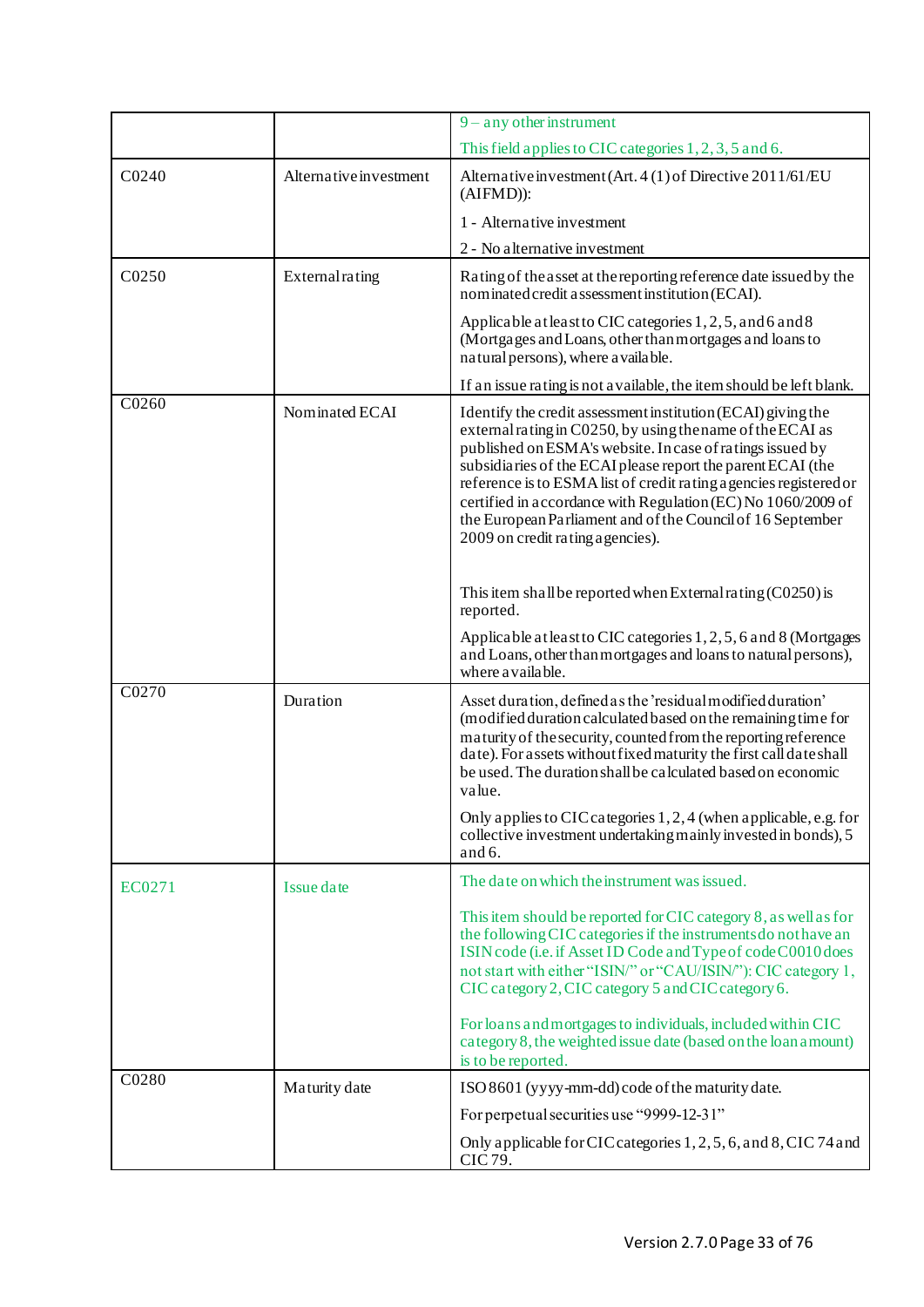|        |                        | $9 - any other instrument$                                                                                                                                                                                                                                                                                                                                                                                                                                                                      |
|--------|------------------------|-------------------------------------------------------------------------------------------------------------------------------------------------------------------------------------------------------------------------------------------------------------------------------------------------------------------------------------------------------------------------------------------------------------------------------------------------------------------------------------------------|
|        |                        | This field applies to CIC categories 1, 2, 3, 5 and 6.                                                                                                                                                                                                                                                                                                                                                                                                                                          |
| C0240  | Alternative investment | Alternative investment (Art. 4 (1) of Directive 2011/61/EU<br>$(AIFMD)$ :                                                                                                                                                                                                                                                                                                                                                                                                                       |
|        |                        | 1 - Alternative investment                                                                                                                                                                                                                                                                                                                                                                                                                                                                      |
|        |                        | 2 - No alternative investment                                                                                                                                                                                                                                                                                                                                                                                                                                                                   |
| C0250  | External rating        | Rating of the asset at the reporting reference date issued by the<br>nominated credit assessment institution (ECAI).                                                                                                                                                                                                                                                                                                                                                                            |
|        |                        | Applicable at least to CIC categories 1, 2, 5, and 6 and 8<br>(Mortgages and Loans, other than mortgages and loans to<br>natural persons), where a vailable.                                                                                                                                                                                                                                                                                                                                    |
|        |                        | If an issue rating is not a vailable, the item should be left blank.                                                                                                                                                                                                                                                                                                                                                                                                                            |
| C0260  | Nominated ECAI         | Identify the credit assessment institution (ECAI) giving the<br>external rating in C0250, by using the name of the ECAI as<br>published on ESMA's website. In case of ratings issued by<br>subsidiaries of the ECAI please report the parent ECAI (the<br>reference is to ESMA list of credit rating a gencies registered or<br>certified in accordance with Regulation (EC) No 1060/2009 of<br>the European Parliament and of the Council of 16 September<br>2009 on credit rating a gencies). |
|        |                        | This item shall be reported when External rating $(C0250)$ is<br>reported.                                                                                                                                                                                                                                                                                                                                                                                                                      |
|        |                        | Applicable at least to CIC categories 1, 2, 5, 6 and 8 (Mortgages<br>and Loans, other than mortgages and loans to natural persons),<br>where a vailable.                                                                                                                                                                                                                                                                                                                                        |
| C0270  | Duration               | Asset duration, defined as the 'residual modified duration'<br>(modified duration calculated based on the remaining time for<br>maturity of the security, counted from the reporting reference<br>date). For assets without fixed maturity the first call date shall<br>be used. The duration shall be calculated based on economic<br>value.                                                                                                                                                   |
|        |                        | Only applies to CIC categories 1, 2, 4 (when applicable, e.g. for<br>collective investment undertaking mainly invested in bonds), 5<br>and 6.                                                                                                                                                                                                                                                                                                                                                   |
| EC0271 | Issue date             | The date on which the instrument was issued.                                                                                                                                                                                                                                                                                                                                                                                                                                                    |
|        |                        | This item should be reported for CIC category 8, as well as for<br>the following CIC categories if the instruments do not have an<br>ISIN code (i.e. if Asset ID Code and Type of code C0010 does<br>not start with either "ISIN/" or "CAU/ISIN/"): CIC category 1,<br>CIC category 2, CIC category 5 and CIC category 6.                                                                                                                                                                       |
|        |                        | For loans and mortgages to individuals, included within CIC<br>category 8, the weighted issue date (based on the loan amount)<br>is to be reported.                                                                                                                                                                                                                                                                                                                                             |
| C0280  | Maturity date          | ISO 8601 (yyyy-mm-dd) code of the maturity date.                                                                                                                                                                                                                                                                                                                                                                                                                                                |
|        |                        | For perpetual securities use "9999-12-31"                                                                                                                                                                                                                                                                                                                                                                                                                                                       |
|        |                        | Only applicable for CIC categories 1, 2, 5, 6, and 8, CIC 74 and<br>CIC 79.                                                                                                                                                                                                                                                                                                                                                                                                                     |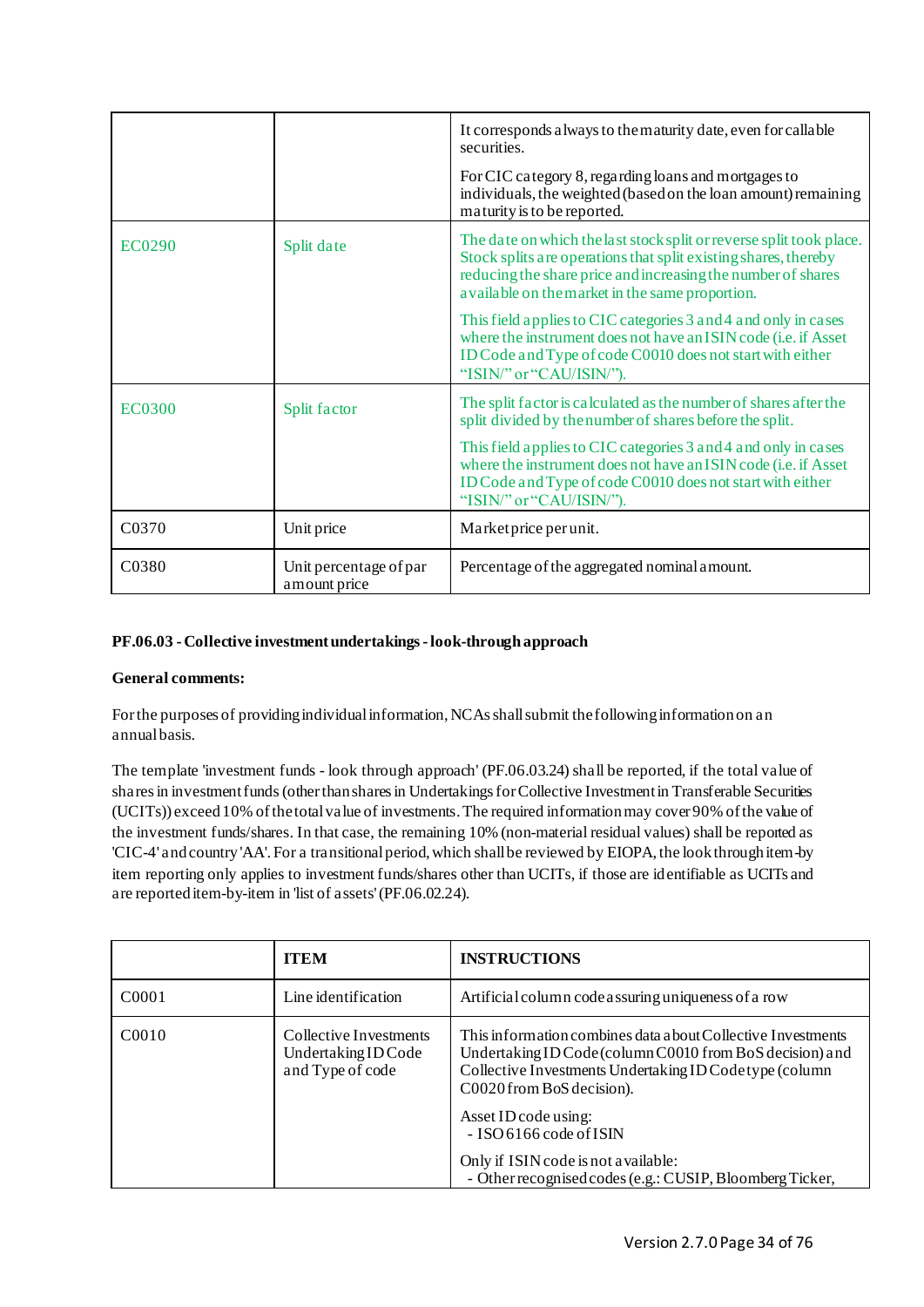|               |                                         | It corresponds a lways to the maturity date, even for callable<br>securities.<br>For CIC category 8, regarding loans and mortgages to<br>individuals, the weighted (based on the loan amount) remaining<br>maturity is to be reported.                     |
|---------------|-----------------------------------------|------------------------------------------------------------------------------------------------------------------------------------------------------------------------------------------------------------------------------------------------------------|
| EC0290        | Split date                              | The date on which the last stock split or reverse split took place.<br>Stock splits are operations that split existing shares, thereby<br>reducing the share price and increasing the number of shares<br>a vailable on the market in the same proportion. |
|               |                                         | This field applies to CIC categories 3 and 4 and only in cases<br>where the instrument does not have an ISIN code (i.e. if Asset<br>ID Code and Type of code C0010 does not start with either<br>"ISIN/" or "CAU/ISIN/").                                  |
| <b>EC0300</b> | Split factor                            | The split factor is calculated as the number of shares after the<br>split divided by the number of shares before the split.                                                                                                                                |
|               |                                         | This field applies to CIC categories 3 and 4 and only in cases<br>where the instrument does not have an ISIN code (i.e. if Asset<br>ID Code and Type of code C0010 does not start with either<br>"ISIN/" or "CAU/ISIN/").                                  |
| C0370         | Unit price                              | Market price per unit.                                                                                                                                                                                                                                     |
| C0380         | Unit percentage of par<br>a mount price | Percentage of the aggregated nominal amount.                                                                                                                                                                                                               |

# <span id="page-33-0"></span>**PF.06.03 -Collective investment undertakings -look-through approach**

# **General comments:**

For the purposes of providing individual information, NCAs shall submit the following information on an annual basis.

The template 'investment funds - look through approach' (PF.06.03.24) shall be reported, if the total value of shares in investment funds(other than shares in Undertakings for Collective Investment in Transferable Securities (UCITs)) exceed 10% of the total value of investments. The required information may cover 90% of the value of the investment funds/shares. In that case, the remaining 10% (non-material residual values) shall be reported as 'CIC-4' and country 'AA'. For a transitional period, which shall be reviewed by EIOPA, the look through item-by item reporting only applies to investment funds/shares other than UCITs, if those are identifiable as UCITs and are reported item-by-item in 'list of assets' (PF.06.02.24).

|                   | <b>ITEM</b>                                                       | <b>INSTRUCTIONS</b>                                                                                                                                                                                                                                                                                                                                                      |
|-------------------|-------------------------------------------------------------------|--------------------------------------------------------------------------------------------------------------------------------------------------------------------------------------------------------------------------------------------------------------------------------------------------------------------------------------------------------------------------|
| C <sub>0001</sub> | Line identification                                               | Artificial column code assuring uniqueness of a row                                                                                                                                                                                                                                                                                                                      |
| C0010             | Collective Investments<br>Undertaking ID Code<br>and Type of code | This information combines data a bout Collective Investments<br>Undertaking ID Code (column C0010 from BoS decision) and<br>Collective Investments Undertaking ID Codetype (column<br>C0020 from BoS decision).<br>Asset ID code using:<br>$-$ ISO 6166 code of ISIN<br>Only if ISIN code is not a vailable:<br>- Other recognised codes (e.g.: CUSIP, Bloomberg Ticker, |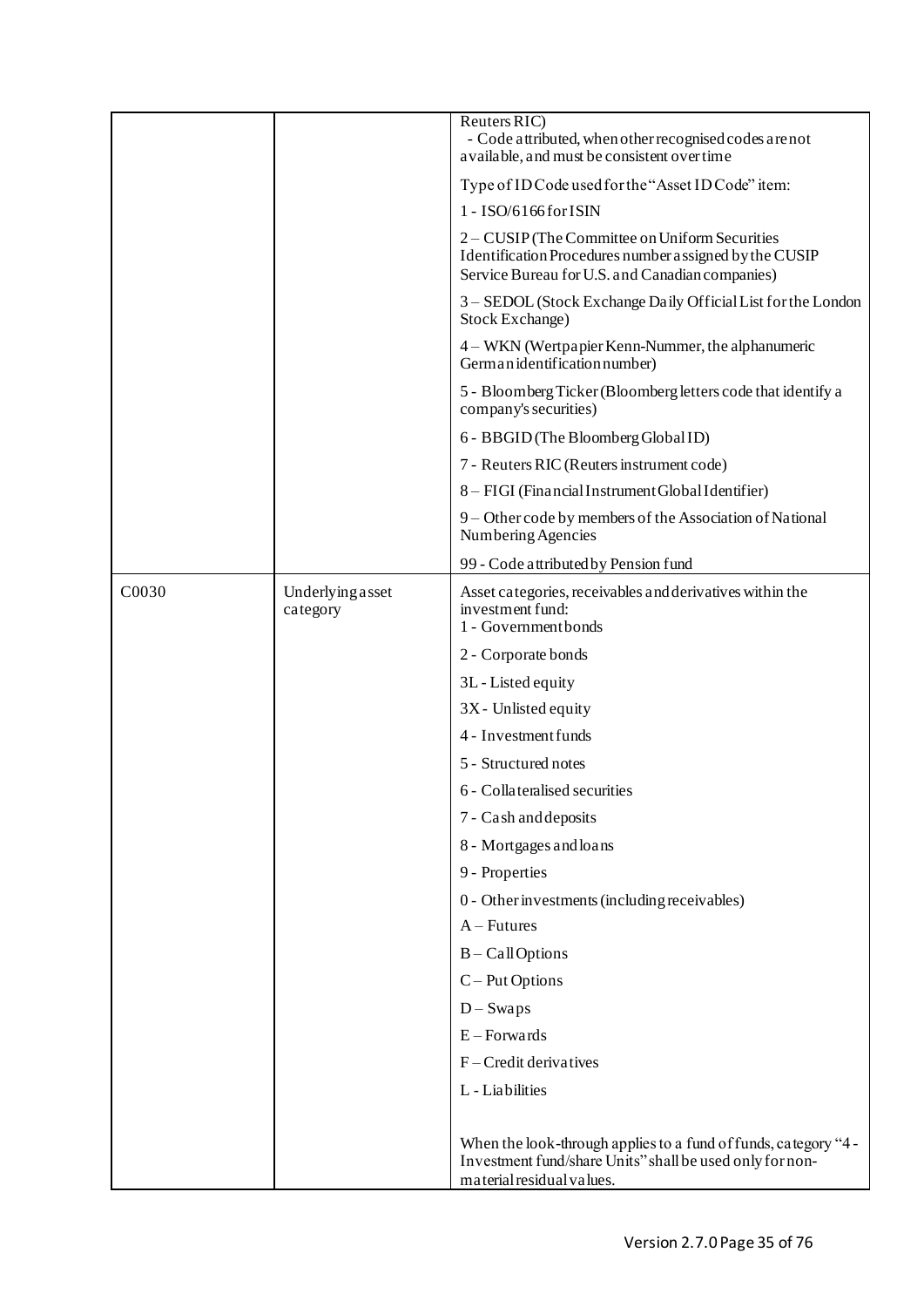|                   |                              | Reuters RIC)<br>- Code attributed, when other recognised codes are not<br>a vailable, and must be consistent over time                                      |
|-------------------|------------------------------|-------------------------------------------------------------------------------------------------------------------------------------------------------------|
|                   |                              | Type of ID Code used for the "Asset ID Code" item:                                                                                                          |
|                   |                              | 1 - ISO/6166for ISIN                                                                                                                                        |
|                   |                              | 2 – CUSIP (The Committee on Uniform Securities<br>Identification Procedures number assigned by the CUSIP<br>Service Bureau for U.S. and Canadian companies) |
|                   |                              | 3 - SEDOL (Stock Exchange Daily Official List for the London<br>Stock Exchange)                                                                             |
|                   |                              | 4 – WKN (Wertpapier Kenn-Nummer, the alphanumeric<br>German identification number)                                                                          |
|                   |                              | 5 - Bloomberg Ticker (Bloomberg letters code that identify a<br>company's securities)                                                                       |
|                   |                              | 6 - BBGID (The Bloomberg Global ID)                                                                                                                         |
|                   |                              | 7 - Reuters RIC (Reuters instrument code)                                                                                                                   |
|                   |                              | 8 - FIGI (Financial Instrument Global Identifier)                                                                                                           |
|                   |                              | 9 - Other code by members of the Association of National<br>Numbering Agencies                                                                              |
|                   |                              | 99 - Code attributed by Pension fund                                                                                                                        |
| C <sub>0030</sub> | Underlying asset<br>category | Asset categories, receivables and derivatives within the<br>investment fund:<br>1 - Government bonds                                                        |
|                   |                              | 2 - Corporate bonds                                                                                                                                         |
|                   |                              | 3L - Listed equity                                                                                                                                          |
|                   |                              | 3X - Unlisted equity                                                                                                                                        |
|                   |                              | 4 - Investment funds                                                                                                                                        |
|                   |                              | 5 - Structured notes                                                                                                                                        |
|                   |                              | 6 - Collateralised securities                                                                                                                               |
|                   |                              | 7 - Cash and deposits                                                                                                                                       |
|                   |                              | 8 - Mortgages and loans                                                                                                                                     |
|                   |                              | 9 - Properties                                                                                                                                              |
|                   |                              | 0 - Other investments (including receivables)                                                                                                               |
|                   |                              | $A - Futures$                                                                                                                                               |
|                   |                              | $B - Cal$ Options                                                                                                                                           |
|                   |                              | $C - Put$ Options                                                                                                                                           |
|                   |                              | $D-Swaps$                                                                                                                                                   |
|                   |                              | $E$ – Forwards                                                                                                                                              |
|                   |                              | $F - C$ redit derivatives                                                                                                                                   |
|                   |                              | L - Liabilities                                                                                                                                             |
|                   |                              | When the look-through applies to a fund of funds, category "4 -<br>Investment fund/share Units" shall be used only for non-<br>material residual values.    |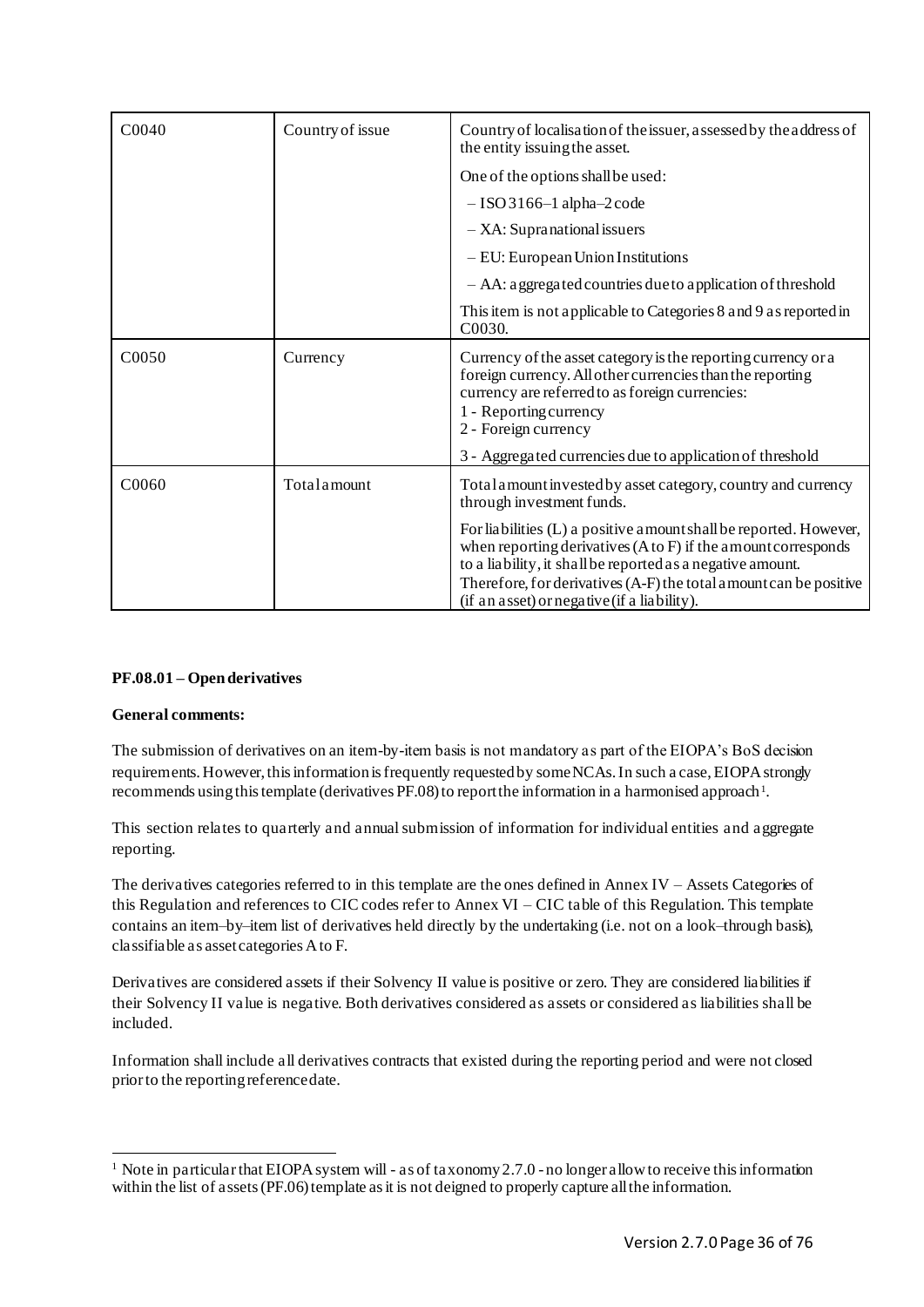| C0040             | Country of issue | Country of localisation of the issuer, assessed by the address of<br>the entity issuing the asset.                                                                                                                                                                                                                              |
|-------------------|------------------|---------------------------------------------------------------------------------------------------------------------------------------------------------------------------------------------------------------------------------------------------------------------------------------------------------------------------------|
|                   |                  | One of the options shall be used:                                                                                                                                                                                                                                                                                               |
|                   |                  | $-$ ISO 3166-1 alpha-2 code                                                                                                                                                                                                                                                                                                     |
|                   |                  | $-$ XA: Supranational issuers                                                                                                                                                                                                                                                                                                   |
|                   |                  | $-$ EU: European Union Institutions                                                                                                                                                                                                                                                                                             |
|                   |                  | - AA: a ggregated countries due to a pplication of threshold                                                                                                                                                                                                                                                                    |
|                   |                  | This item is not applicable to Categories 8 and 9 as reported in<br>C <sub>0030</sub>                                                                                                                                                                                                                                           |
| C <sub>0050</sub> | Currency         | Currency of the asset category is the reporting currency or a<br>foreign currency. All other currencies than the reporting<br>currency are referred to as foreign currencies:<br>1 - Reporting currency<br>2 - Foreign currency                                                                                                 |
|                   |                  | 3 - Aggregated currencies due to application of threshold                                                                                                                                                                                                                                                                       |
| C0060             | Totalamount      | Total amount invested by asset category, country and currency<br>through investment funds.                                                                                                                                                                                                                                      |
|                   |                  | For liabilities (L) a positive amount shall be reported. However,<br>when reporting derivatives $(A \text{ to } F)$ if the amount corresponds<br>to a liability, it shall be reported as a negative amount.<br>Therefore, for derivatives (A-F) the total amount can be positive<br>(if an asset) or negative (if a liability). |

# <span id="page-35-0"></span>**PF.08.01 – Open derivatives**

# **General comments:**

The submission of derivatives on an item-by-item basis is not mandatory as part of the EIOPA's BoS decision requirements. However, this information is frequently requested by some NCAs. In such a case, EIOPA strongly recommends using this template (derivatives PF.08) to report the information in a harmonised approach<sup>1</sup>.

This section relates to quarterly and annual submission of information for individual entities and aggregate reporting.

The derivatives categories referred to in this template are the ones defined in Annex IV – Assets Categories of this Regulation and references to CIC codes refer to Annex VI – CIC table of this Regulation. This template contains an item–by–item list of derivatives held directly by the undertaking (i.e. not on a look–through basis), classifiable as asset categories A to F.

Derivatives are considered assets if their Solvency II value is positive or zero. They are considered liabilities if their Solvency II va lue is negative. Both derivatives considered as assets or considered as liabilities shall be included.

Information shall include all derivatives contracts that existed during the reporting period and were not closed prior to the reporting reference date.

<sup>&</sup>lt;sup>1</sup> Note in particular that EIOPA system will - as of taxonomy 2.7.0 - no longer allow to receive this information within the list of assets (PF.06) template as it is not deigned to properly capture all the information.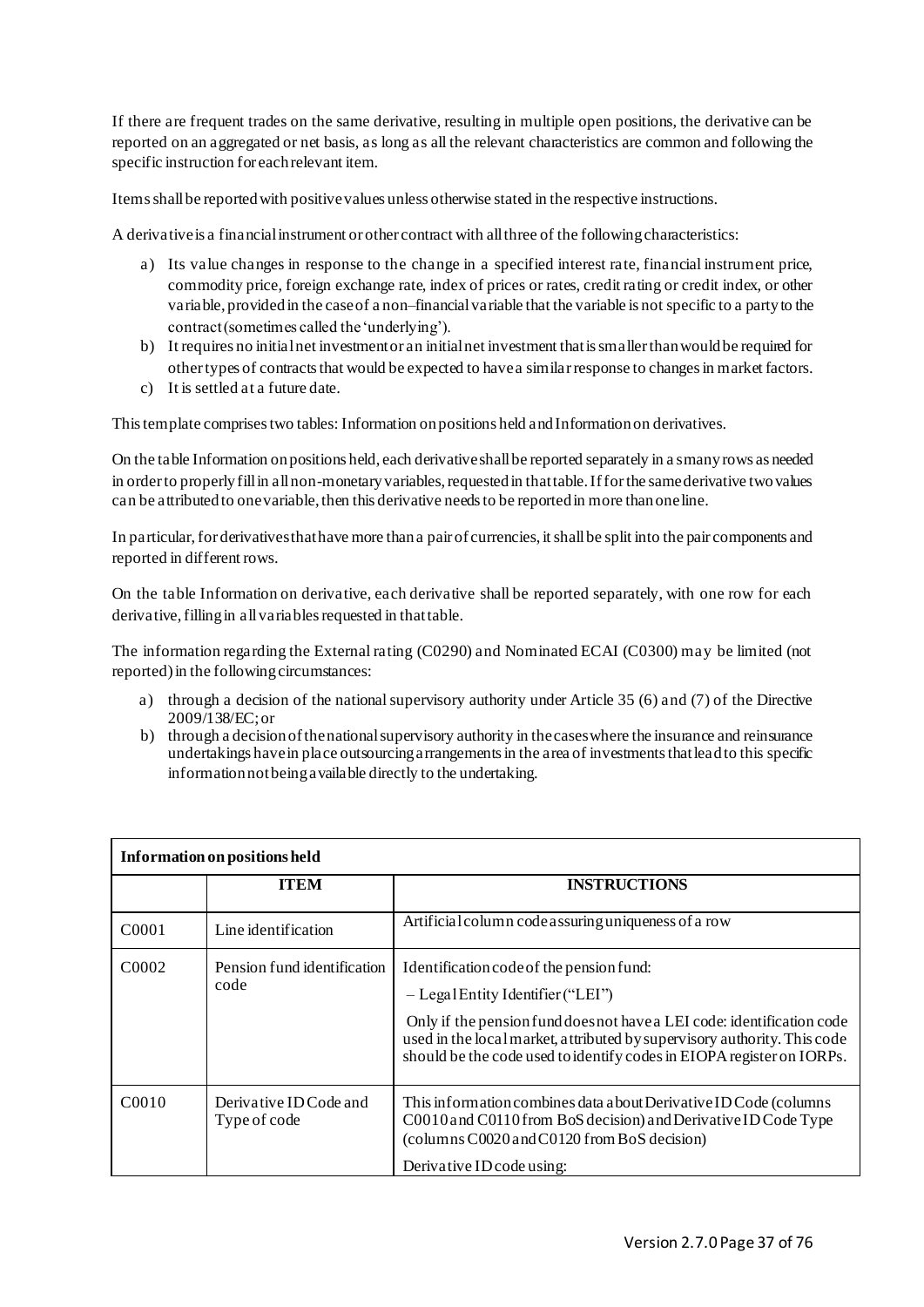If there are frequent trades on the same derivative, resulting in multiple open positions, the derivative can be reported on an aggregated or net basis, as long as all the relevant characteristics are common and following the specific instruction for each relevant item.

Items shall be reported with positive values unless otherwise stated in the respective instructions.

A derivative is a financial instrument or other contract with all three of the following characteristics:

- a) Its value changes in response to the change in a specified interest rate, financial instrument price, commodity price, foreign exchange rate, index of prices or rates, credit rating or credit index, or other variable, provided in the case of a non–financial variable that the variable is not specific to a party to the contract (sometimes called the 'underlying').
- b) It requires no initial net investment or an initial net investment that is smaller than would be required for other types of contracts that would be expected to have a similar response to changes in market factors.
- c) It is settled at a future date.

This template comprises two tables: Information on positions held and Information on derivatives.

On the table Information on positions held, each derivative shall be reported separately in a s many rows as needed in order to properly fill in all non-monetary variables, requested in that table. If for the same derivative two values can be attributed to one variable, then this derivative needs to be reported in more than one line.

In particular, for derivatives that have more than a pair of currencies, it shall be split into the pair components and reported in different rows.

On the table Information on derivative, each derivative shall be reported separately, with one row for each derivative, filling in all variables requested in that table.

The information regarding the External rating (C0290) and Nominated ECAI (C0300) may be limited (not reported) in the following circumstances:

- a) through a decision of the national supervisory authority under Article 35 (6) and (7) of the Directive 2009/138/EC; or
- b) through a decision of the national supervisory authority in the cases where the insurance and reinsurance undertakings have in place outsourcing arrangements in the area of investments that lead to this specific information not being available directly to the undertaking.

| Information on positions held |                                        |                                                                                                                                                                                                                                                                                                                 |
|-------------------------------|----------------------------------------|-----------------------------------------------------------------------------------------------------------------------------------------------------------------------------------------------------------------------------------------------------------------------------------------------------------------|
|                               | <b>ITEM</b>                            | <b>INSTRUCTIONS</b>                                                                                                                                                                                                                                                                                             |
| C <sub>0001</sub>             | Line identification                    | Artificial column code assuring uniqueness of a row                                                                                                                                                                                                                                                             |
| C <sub>0002</sub>             | Pension fund identification<br>code    | Identification code of the pension fund:<br>$-$ Legal Entity I dentifier ("LEI")<br>Only if the pension fund does not have a LEI code: identification code<br>used in the local market, attributed by supervisory authority. This code<br>should be the code used to identify codes in EIOPA register on IORPs. |
| C0010                         | Derivative ID Code and<br>Type of code | This information combines data a bout Derivative ID Code (columns)<br>C0010 and C0110 from BoS decision) and Derivative ID Code Type<br>(columns C0020 and C0120 from BoS decision)<br>Derivative ID code using:                                                                                                |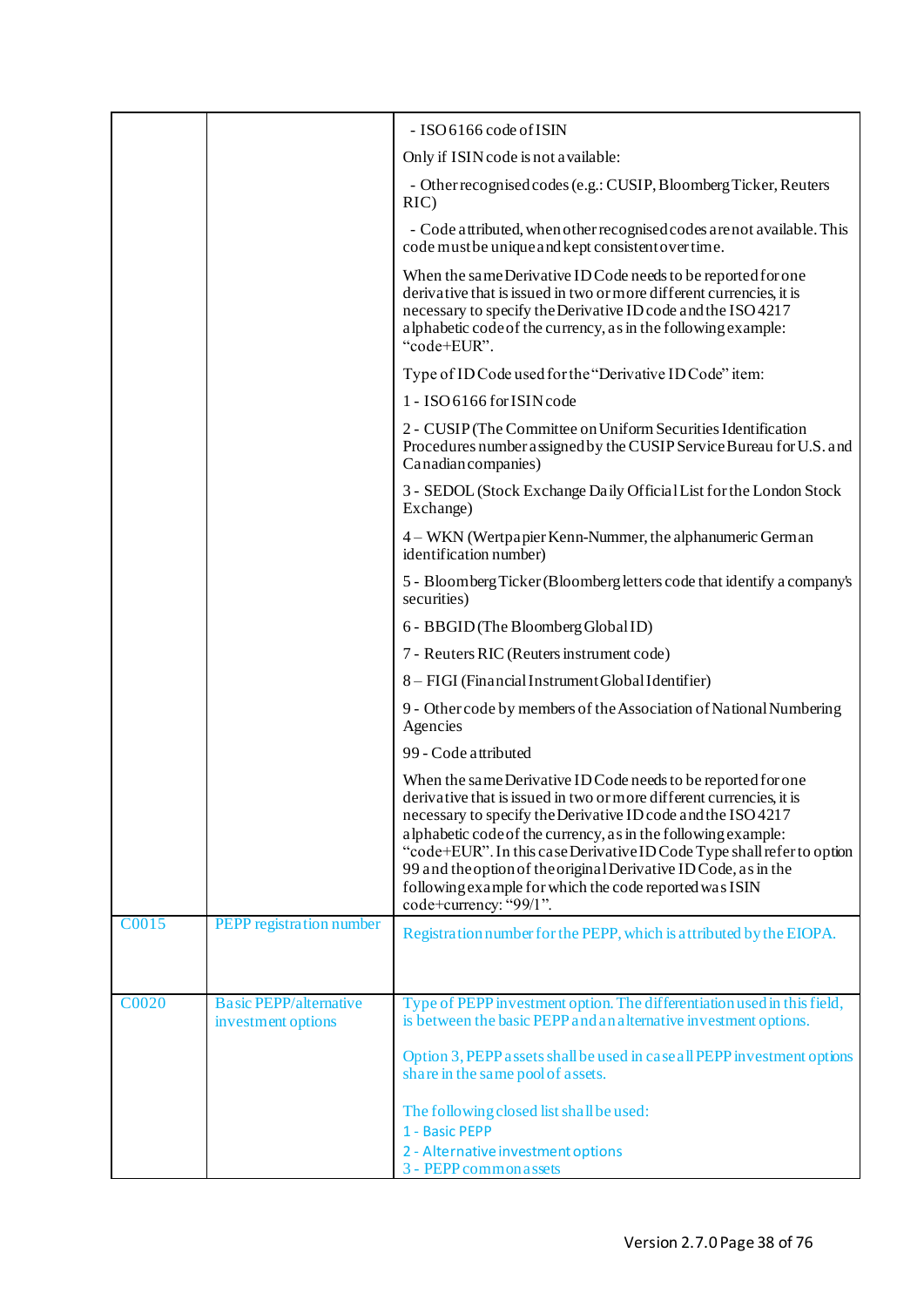|       |                                                     | - ISO 6166 code of ISIN                                                                                                                                                                                                                                                                                                                                                                                                                                                                                 |
|-------|-----------------------------------------------------|---------------------------------------------------------------------------------------------------------------------------------------------------------------------------------------------------------------------------------------------------------------------------------------------------------------------------------------------------------------------------------------------------------------------------------------------------------------------------------------------------------|
|       |                                                     | Only if ISIN code is not a vailable:                                                                                                                                                                                                                                                                                                                                                                                                                                                                    |
|       |                                                     | - Other recognised codes (e.g.: CUSIP, Bloomberg Ticker, Reuters<br>RIC)                                                                                                                                                                                                                                                                                                                                                                                                                                |
|       |                                                     | - Code attributed, when other recognised codes are not available. This<br>code must be unique and kept consistent over time.                                                                                                                                                                                                                                                                                                                                                                            |
|       |                                                     | When the same Derivative ID Code needs to be reported for one<br>derivative that is issued in two or more different currencies, it is<br>necessary to specify the Derivative ID code and the ISO 4217<br>alphabetic code of the currency, as in the following example:<br>"code+EUR".                                                                                                                                                                                                                   |
|       |                                                     | Type of ID Code used for the "Derivative ID Code" item:                                                                                                                                                                                                                                                                                                                                                                                                                                                 |
|       |                                                     | 1 - ISO 6166 for ISIN code                                                                                                                                                                                                                                                                                                                                                                                                                                                                              |
|       |                                                     | 2 - CUSIP (The Committee on Uniform Securities Identification<br>Procedures number assigned by the CUSIP Service Bureau for U.S. and<br>Canadian companies)                                                                                                                                                                                                                                                                                                                                             |
|       |                                                     | 3 - SEDOL (Stock Exchange Daily Official List for the London Stock<br>Exchange)                                                                                                                                                                                                                                                                                                                                                                                                                         |
|       |                                                     | 4 – WKN (Wertpapier Kenn-Nummer, the alphanumeric German<br>identification number)                                                                                                                                                                                                                                                                                                                                                                                                                      |
|       |                                                     | 5 - Bloomberg Ticker (Bloomberg letters code that identify a company's<br>securities)                                                                                                                                                                                                                                                                                                                                                                                                                   |
|       |                                                     | 6 - BBGID (The Bloomberg Global ID)                                                                                                                                                                                                                                                                                                                                                                                                                                                                     |
|       |                                                     | 7 - Reuters RIC (Reuters instrument code)                                                                                                                                                                                                                                                                                                                                                                                                                                                               |
|       |                                                     | 8 - FIGI (Financial Instrument Global Identifier)                                                                                                                                                                                                                                                                                                                                                                                                                                                       |
|       |                                                     | 9 - Other code by members of the Association of National Numbering<br>Agencies                                                                                                                                                                                                                                                                                                                                                                                                                          |
|       |                                                     | 99 - Code attributed                                                                                                                                                                                                                                                                                                                                                                                                                                                                                    |
|       |                                                     | When the same Derivative ID Code needs to be reported for one<br>derivative that is issued in two or more different currencies, it is<br>necessary to specify the Derivative ID code and the ISO 4217<br>alphabetic code of the currency, as in the following example:<br>"code+EUR". In this case Derivative ID Code Type shall refer to option<br>99 and the option of the original Derivative ID Code, as in the<br>following example for which the code reported was ISIN<br>code+currency: "99/1". |
| C0015 | PEPP registration number                            | Registration number for the PEPP, which is attributed by the EIOPA.                                                                                                                                                                                                                                                                                                                                                                                                                                     |
|       |                                                     |                                                                                                                                                                                                                                                                                                                                                                                                                                                                                                         |
| C0020 | <b>Basic PEPP/alternative</b><br>investment options | Type of PEPP investment option. The differentiation used in this field,<br>is between the basic PEPP and an alternative investment options.                                                                                                                                                                                                                                                                                                                                                             |
|       |                                                     | Option 3, PEPP assets shall be used in case all PEPP investment options<br>share in the same pool of assets.                                                                                                                                                                                                                                                                                                                                                                                            |
|       |                                                     | The following closed list shall be used:<br>1 - Basic PEPP                                                                                                                                                                                                                                                                                                                                                                                                                                              |
|       |                                                     | 2 - Alternative investment options                                                                                                                                                                                                                                                                                                                                                                                                                                                                      |
|       |                                                     | 3 - PEPP common a ssets                                                                                                                                                                                                                                                                                                                                                                                                                                                                                 |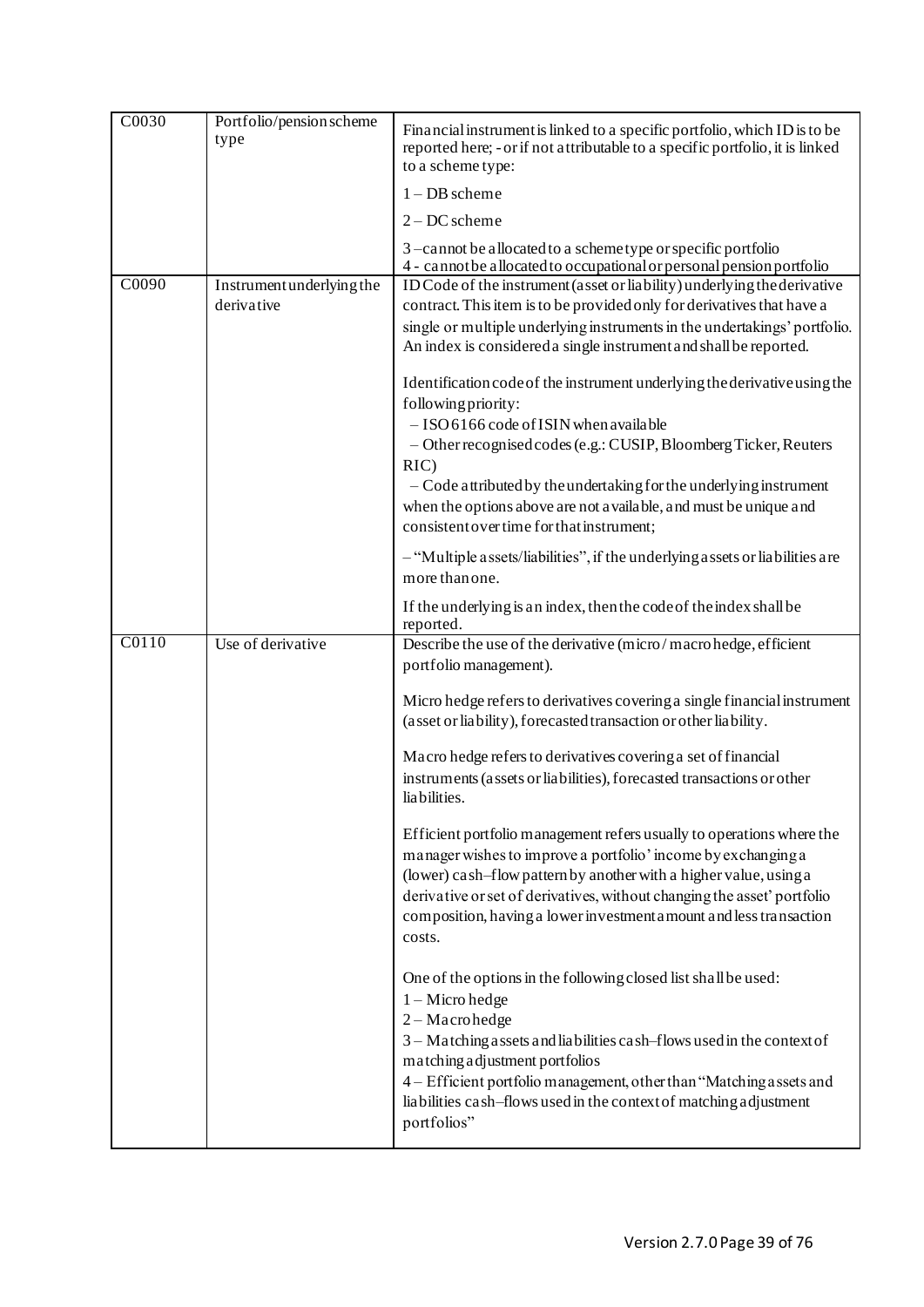| C0030 | Portfolio/pension scheme<br>type        | Financial instrument is linked to a specific portfolio, which ID is to be<br>reported here; - or if not attributable to a specific portfolio, it is linked<br>to a scheme type:                                                                                                                                                                                                                                 |
|-------|-----------------------------------------|-----------------------------------------------------------------------------------------------------------------------------------------------------------------------------------------------------------------------------------------------------------------------------------------------------------------------------------------------------------------------------------------------------------------|
|       |                                         | $1 - DB$ scheme                                                                                                                                                                                                                                                                                                                                                                                                 |
|       |                                         | $2 - DC$ scheme                                                                                                                                                                                                                                                                                                                                                                                                 |
|       |                                         | 3-cannot be allocated to a schemetype or specific portfolio<br>4 - cannot be a llocated to occupational or personal pension portfolio                                                                                                                                                                                                                                                                           |
| C0090 | Instrument underlying the<br>derivative | ID Code of the instrument (asset or liability) underlying the derivative<br>contract. This item is to be provided only for derivatives that have a<br>single or multiple underlying instruments in the undertakings' portfolio.<br>An index is considered a single instrument and shall be reported.                                                                                                            |
|       |                                         | Identification code of the instrument underlying the derivative using the<br>following priority:<br>$-$ ISO 6166 code of ISIN when available<br>- Other recognised codes (e.g.: CUSIP, Bloomberg Ticker, Reuters<br>RIC<br>- Code attributed by the undertaking for the underlying instrument<br>when the options above are not a vailable, and must be unique and<br>consistent over time for that instrument; |
|       |                                         | - "Multiple assets/liabilities", if the underlying assets or liabilities are<br>more than one.                                                                                                                                                                                                                                                                                                                  |
|       |                                         | If the underlying is an index, then the code of the index shall be<br>reported.                                                                                                                                                                                                                                                                                                                                 |
| C0110 | Use of derivative                       | Describe the use of the derivative (micro/macrohedge, efficient<br>portfolio management).                                                                                                                                                                                                                                                                                                                       |
|       |                                         | Micro hedge refers to derivatives covering a single financial instrument<br>(asset or liability), forecasted transaction or other liability.                                                                                                                                                                                                                                                                    |
|       |                                         | Macro hedge refers to derivatives covering a set of financial<br>instruments (assets or liabilities), forecasted transactions or other<br>lia bilities.                                                                                                                                                                                                                                                         |
|       |                                         | Efficient portfolio management refers usually to operations where the<br>manager wishes to improve a portfolio' income by exchanging a<br>(lower) cash-flow pattern by another with a higher value, using a<br>derivative or set of derivatives, without changing the asset' portfolio<br>composition, having a lower investment amount and less transaction<br>costs.                                          |
|       |                                         | One of the options in the following closed list shall be used:<br>$1 -$ Micro hedge<br>$2 - Macro hedge$<br>3 - Matching assets and liabilities cash-flows used in the context of<br>matching adjustment portfolios<br>4 - Efficient portfolio management, other than "Matching assets and<br>liabilities cash-flows used in the context of matching adjustment<br>portfolios"                                  |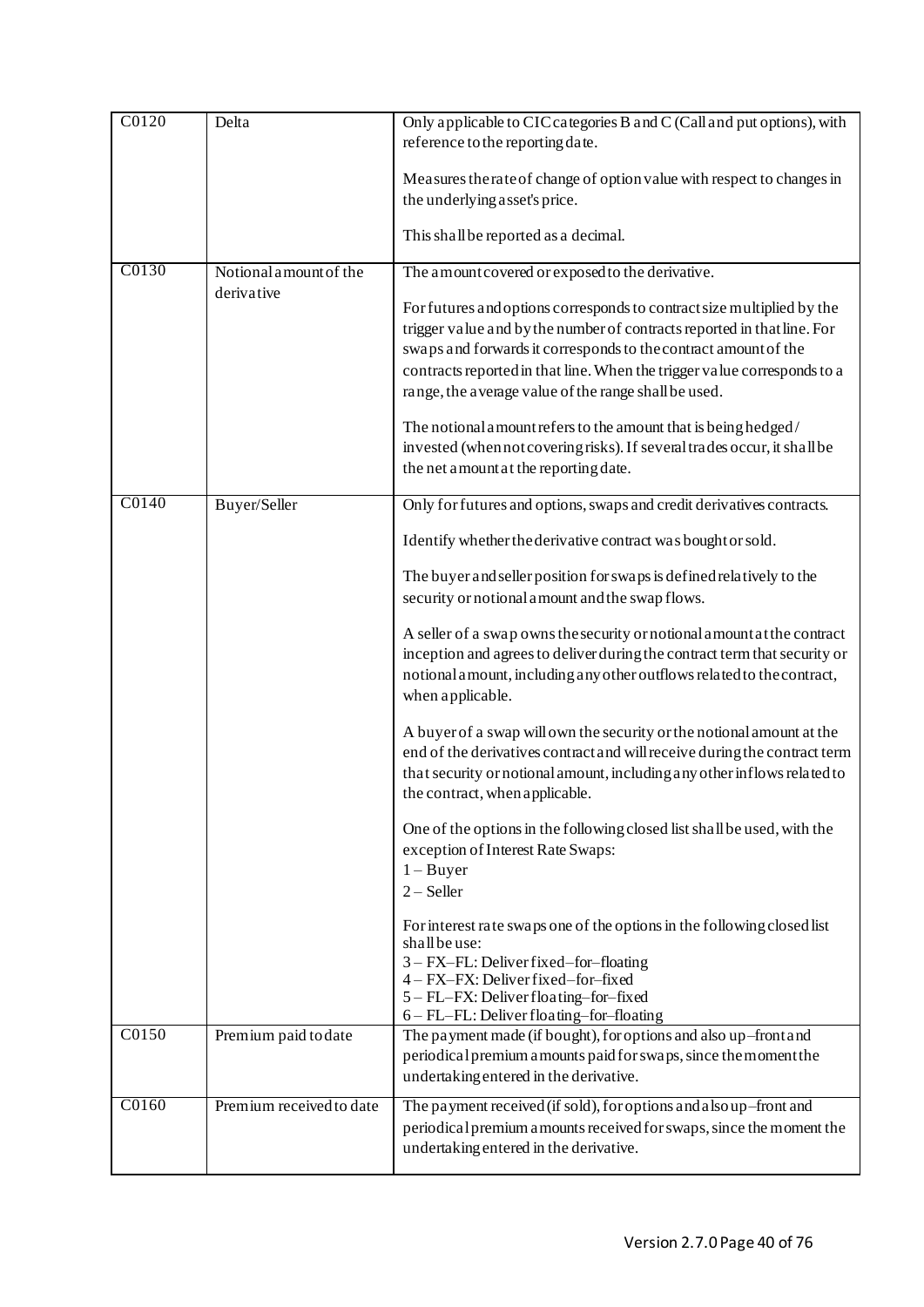| C0120<br>Delta |                          | Only applicable to CIC categories B and C (Call and put options), with<br>reference to the reporting date.                                                                                                                                                                                                                                                                                                                                                                                                                                      |  |
|----------------|--------------------------|-------------------------------------------------------------------------------------------------------------------------------------------------------------------------------------------------------------------------------------------------------------------------------------------------------------------------------------------------------------------------------------------------------------------------------------------------------------------------------------------------------------------------------------------------|--|
|                |                          | Measures therate of change of option value with respect to changes in<br>the underlying asset's price.<br>This shall be reported as a decimal.                                                                                                                                                                                                                                                                                                                                                                                                  |  |
| C0130          | Notional amount of the   | The amount covered or exposed to the derivative.                                                                                                                                                                                                                                                                                                                                                                                                                                                                                                |  |
|                | derivative               | For futures and options corresponds to contract size multiplied by the<br>trigger value and by the number of contracts reported in that line. For<br>swaps and forwards it corresponds to the contract amount of the<br>contracts reported in that line. When the trigger value corresponds to a<br>range, the average value of the range shall be used.<br>The notional amount refers to the amount that is being hedged/<br>invested (when not covering risks). If several trades occur, it shall be<br>the net amount at the reporting date. |  |
| C0140          | Buyer/Seller             | Only for futures and options, swaps and credit derivatives contracts.                                                                                                                                                                                                                                                                                                                                                                                                                                                                           |  |
|                |                          | Identify whether the derivative contract was bought or sold.                                                                                                                                                                                                                                                                                                                                                                                                                                                                                    |  |
|                |                          | The buyer and seller position for swaps is defined relatively to the<br>security or notional a mount and the swap flows.                                                                                                                                                                                                                                                                                                                                                                                                                        |  |
|                |                          | A seller of a swap owns the security or notional amount at the contract<br>inception and agrees to deliver during the contract term that security or<br>notional amount, including any other outflows related to the contract,<br>when applicable.                                                                                                                                                                                                                                                                                              |  |
|                |                          | A buyer of a swap will own the security or the notional amount at the<br>end of the derivatives contract and will receive during the contract term<br>that security or notional amount, including any other inflows related to<br>the contract, when a pplicable.                                                                                                                                                                                                                                                                               |  |
|                |                          | One of the options in the following closed list shall be used, with the<br>exception of Interest Rate Swaps:<br>$1 - Buyer$<br>$2 - Seller$                                                                                                                                                                                                                                                                                                                                                                                                     |  |
|                |                          | For interest rate swaps one of the options in the following closed list<br>shall be use:<br>3 - FX-FL: Deliver fixed-for-floating<br>4 - FX-FX: Deliver fixed-for-fixed<br>5 - FL-FX: Deliver floating-for-fixed<br>6 - FL-FL: Deliver floating-for-floating                                                                                                                                                                                                                                                                                    |  |
| C0150          | Premium paid to date     | The payment made (if bought), for options and also up-front and<br>periodical premium a mounts paid for swaps, since the moment the<br>undertaking entered in the derivative.                                                                                                                                                                                                                                                                                                                                                                   |  |
| C0160          | Premium received to date | The payment received (if sold), for options and also up-front and<br>periodical premium a mounts received for swaps, since the moment the<br>undertaking entered in the derivative.                                                                                                                                                                                                                                                                                                                                                             |  |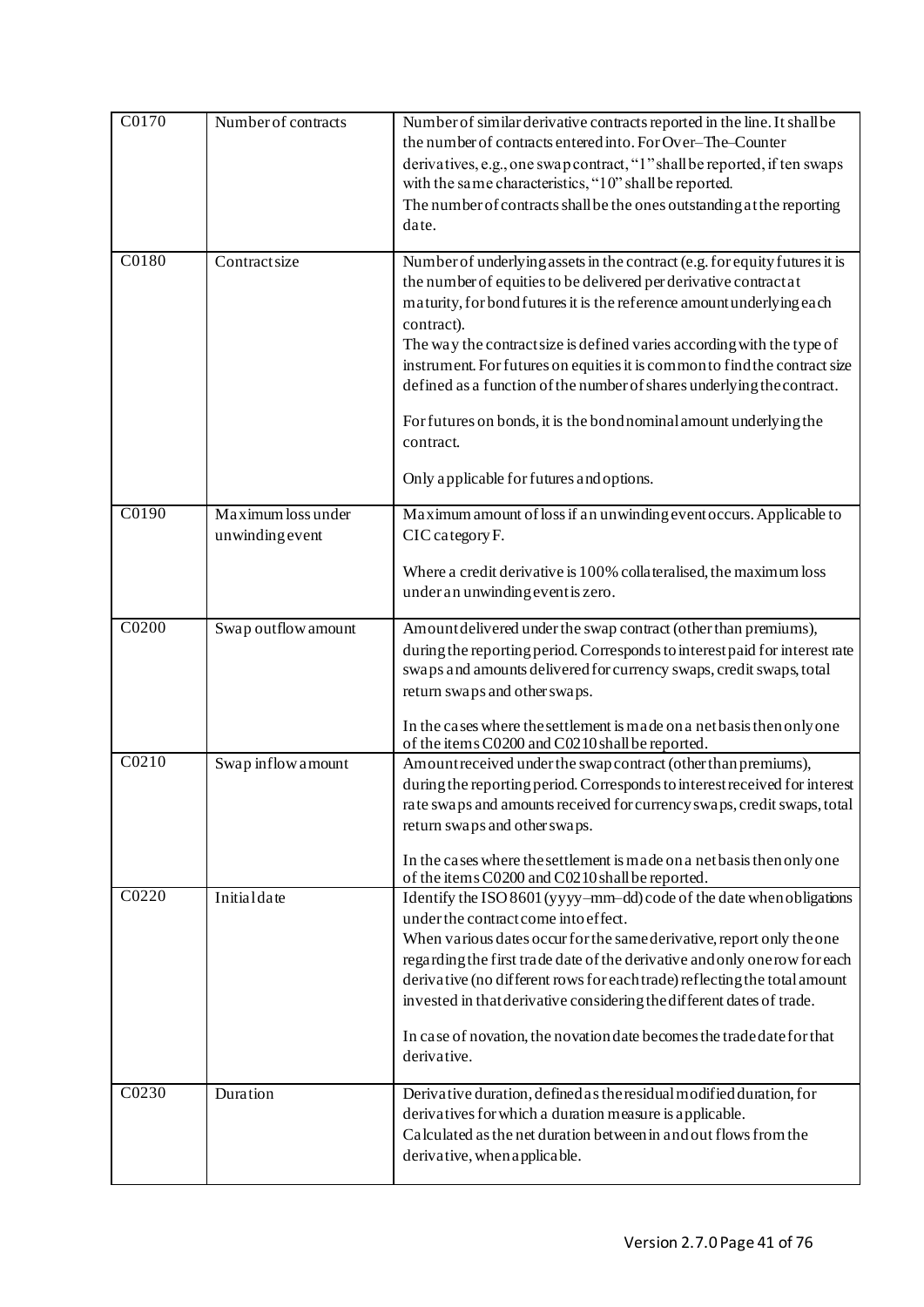| C0170              | Number of contracts                   | Number of similar derivative contracts reported in the line. It shall be<br>the number of contracts entered into. For Over-The-Counter<br>derivatives, e.g., one swap contract, "1" shall be reported, if ten swaps<br>with the same characteristics, "10" shall be reported.<br>The number of contracts shall be the ones outstanding at the reporting<br>date.                                                                                                                                                                                                                                        |
|--------------------|---------------------------------------|---------------------------------------------------------------------------------------------------------------------------------------------------------------------------------------------------------------------------------------------------------------------------------------------------------------------------------------------------------------------------------------------------------------------------------------------------------------------------------------------------------------------------------------------------------------------------------------------------------|
| C0180              | Contractsize                          | Number of underlying assets in the contract (e.g. for equity futures it is<br>the number of equities to be delivered per derivative contract at<br>maturity, for bond futures it is the reference amount underlying each<br>contract).<br>The way the contract size is defined varies according with the type of<br>instrument. For futures on equities it is common to find the contract size<br>defined as a function of the number of shares underlying the contract.<br>For futures on bonds, it is the bond nominal amount underlying the<br>contract.<br>Only applicable for futures and options. |
| C0190              | Maximum loss under<br>unwinding event | Maximum amount of loss if an unwinding event occurs. Applicable to<br>CIC category F.<br>Where a credit derivative is 100% collateralised, the maximum loss<br>under an unwinding event is zero.                                                                                                                                                                                                                                                                                                                                                                                                        |
| $\overline{C0200}$ | Swap outflow amount                   | Amount delivered under the swap contract (other than premiums),<br>during the reporting period. Corresponds to interest paid for interest rate<br>swaps and amounts delivered for currency swaps, credit swaps, total<br>return swaps and other swaps.<br>In the cases where the settlement is made on a net basis then only one<br>of the items C0200 and C0210 shall be reported.                                                                                                                                                                                                                     |
| C <sub>0210</sub>  | Swap inflow amount                    | Amount received under the swap contract (other than premiums),<br>during the reporting period. Corresponds to interest received for interest<br>rate swaps and amounts received for currency swaps, credit swaps, total<br>return swaps and other swaps.<br>In the cases where the settlement is made on a net basis then only one<br>of the items C0200 and C0210 shall be reported.                                                                                                                                                                                                                   |
| C0220              | Initialdate                           | Identify the ISO 8601 (yyyy-mm-dd) code of the date when obligations<br>under the contract come into effect.<br>When various dates occur for the same derivative, report only the one<br>regarding the first trade date of the derivative and only one row for each<br>derivative (no different rows for each trade) reflecting the total amount<br>invested in that derivative considering the different dates of trade.<br>In case of novation, the novation date becomes the tradedate for that<br>derivative.                                                                                       |
| C0230              | Duration                              | Derivative duration, defined as the residual modified duration, for<br>derivatives for which a duration measure is applicable.<br>Calculated as the net duration between in and out flows from the<br>derivative, when applicable.                                                                                                                                                                                                                                                                                                                                                                      |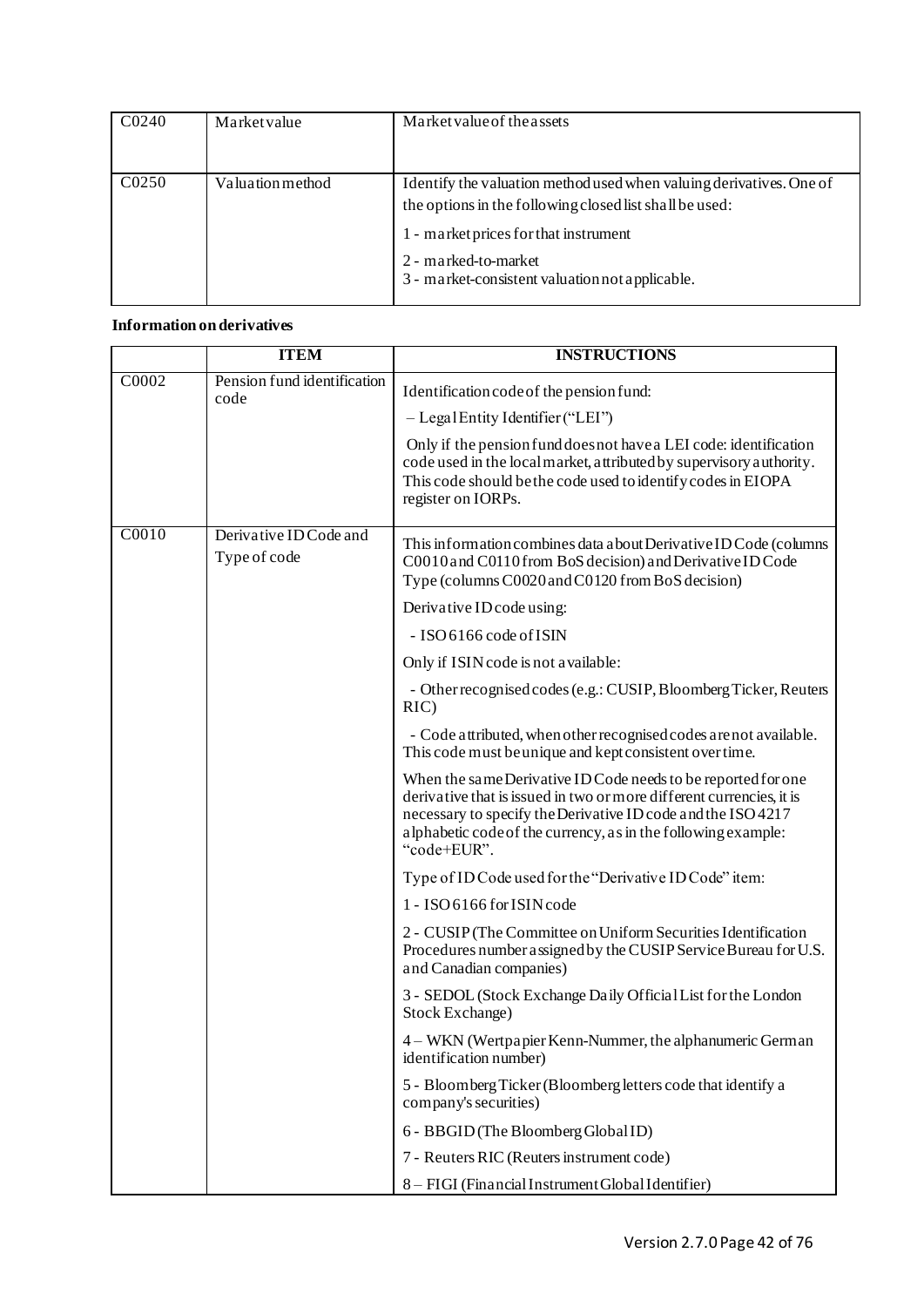| C0240             | Market value     | Market value of the assets                                                                                                                                                                                                                         |
|-------------------|------------------|----------------------------------------------------------------------------------------------------------------------------------------------------------------------------------------------------------------------------------------------------|
| C <sub>0250</sub> | Valuation method | Identify the valuation method used when valuing derivatives. One of<br>the options in the following closed list shall be used:<br>1 - market prices for that instrument<br>2 - marked-to-market<br>3 - market-consistent valuation not applicable. |

# **Information on derivatives**

|       | <b>ITEM</b>                         | <b>INSTRUCTIONS</b>                                                                                                                                                                                                                                                                   |
|-------|-------------------------------------|---------------------------------------------------------------------------------------------------------------------------------------------------------------------------------------------------------------------------------------------------------------------------------------|
| C0002 | Pension fund identification<br>code | Identification code of the pension fund:                                                                                                                                                                                                                                              |
|       |                                     | $-$ Legal Entity I dentifier ("LEI")                                                                                                                                                                                                                                                  |
|       |                                     | Only if the pension fund does not have a LEI code: identification<br>code used in the local market, attributed by supervisory authority.<br>This code should be the code used to identify codes in EIOPA<br>register on IORPs.                                                        |
| C0010 | Derivative ID Code and              |                                                                                                                                                                                                                                                                                       |
|       | Type of code                        | This information combines data about Derivative ID Code (columns<br>C0010 and C0110 from BoS decision) and Derivative ID Code<br>Type (columns C0020 and C0120 from BoS decision)                                                                                                     |
|       |                                     | Derivative ID code using:                                                                                                                                                                                                                                                             |
|       |                                     | - ISO 6166 code of ISIN                                                                                                                                                                                                                                                               |
|       |                                     | Only if ISIN code is not a vailable:                                                                                                                                                                                                                                                  |
|       |                                     | - Other recognised codes (e.g.: CUSIP, Bloomberg Ticker, Reuters<br>RIC                                                                                                                                                                                                               |
|       |                                     | - Code attributed, when other recognised codes are not available.<br>This code must be unique and kept consistent over time.                                                                                                                                                          |
|       |                                     | When the same Derivative ID Code needs to be reported for one<br>derivative that is issued in two or more different currencies, it is<br>necessary to specify the Derivative ID code and the ISO 4217<br>alphabetic code of the currency, as in the following example:<br>"code+EUR". |
|       |                                     | Type of ID Code used for the "Derivative ID Code" item:                                                                                                                                                                                                                               |
|       |                                     | 1 - ISO 6166 for ISIN code                                                                                                                                                                                                                                                            |
|       |                                     | 2 - CUSIP (The Committee on Uniform Securities Identification<br>Procedures number assigned by the CUSIP Service Bureau for U.S.<br>and Canadian companies)                                                                                                                           |
|       |                                     | 3 - SEDOL (Stock Exchange Daily Official List for the London<br><b>Stock Exchange)</b>                                                                                                                                                                                                |
|       |                                     | 4 – WKN (Wertpapier Kenn-Nummer, the alphanumeric German<br>identification number)                                                                                                                                                                                                    |
|       |                                     | 5 - Bloomberg Ticker (Bloomberg letters code that identify a<br>company's securities)                                                                                                                                                                                                 |
|       |                                     | 6 - BBGID (The Bloomberg Global ID)                                                                                                                                                                                                                                                   |
|       |                                     | 7 - Reuters RIC (Reuters instrument code)                                                                                                                                                                                                                                             |
|       |                                     | 8 - FIGI (Financial Instrument Global Identifier)                                                                                                                                                                                                                                     |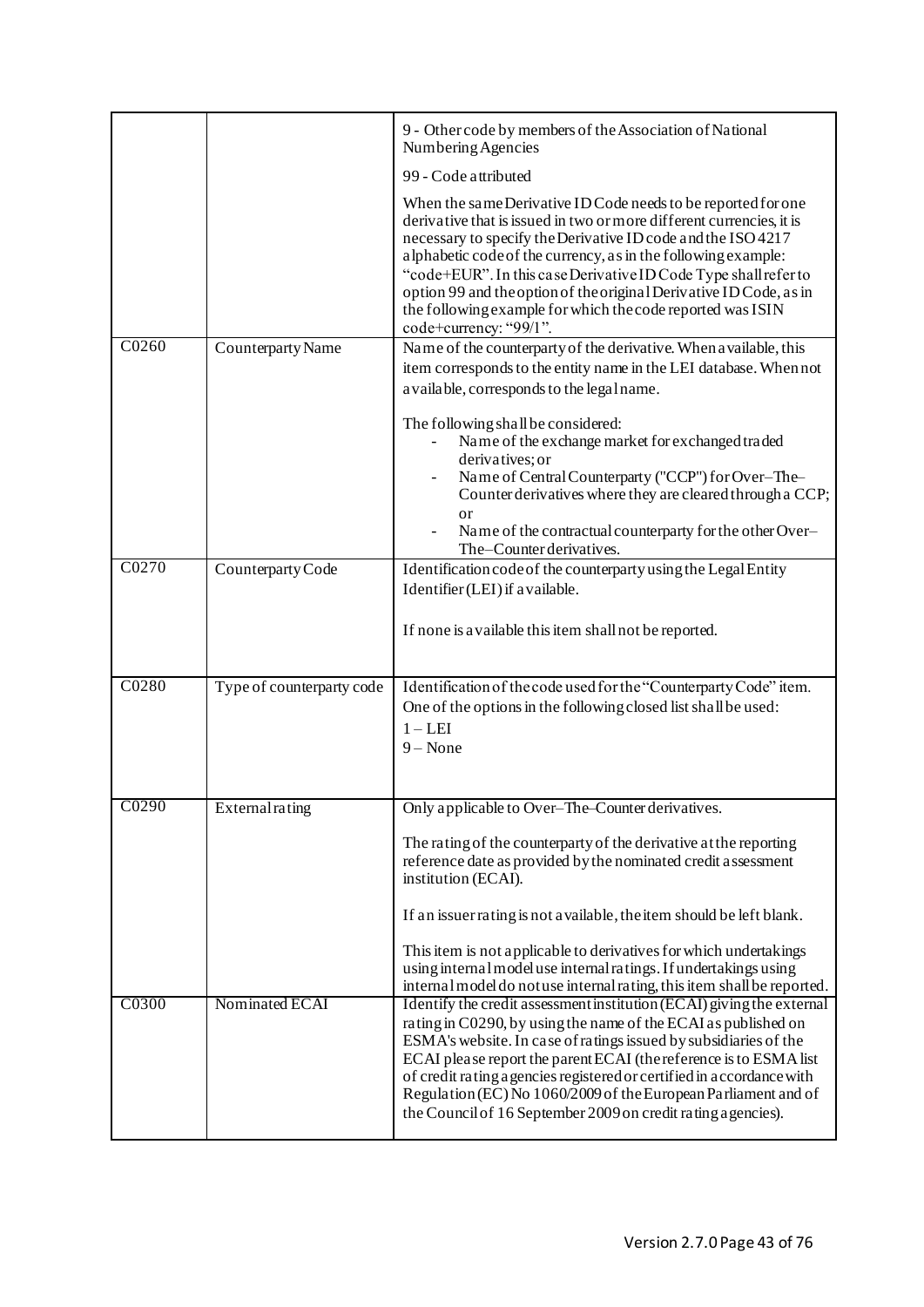|       |                           | 9 - Other code by members of the Association of National<br>Numbering Agencies                                                                                                                                                                                                                                                                                                                                                                                                                          |
|-------|---------------------------|---------------------------------------------------------------------------------------------------------------------------------------------------------------------------------------------------------------------------------------------------------------------------------------------------------------------------------------------------------------------------------------------------------------------------------------------------------------------------------------------------------|
|       |                           | 99 - Code attributed                                                                                                                                                                                                                                                                                                                                                                                                                                                                                    |
|       |                           | When the same Derivative ID Code needs to be reported for one<br>derivative that is issued in two or more different currencies, it is<br>necessary to specify the Derivative ID code and the ISO 4217<br>alphabetic code of the currency, as in the following example:<br>"code+EUR". In this case Derivative ID Code Type shall refer to<br>option 99 and the option of the original Derivative ID Code, as in<br>the following example for which the code reported was ISIN<br>code+currency: "99/1". |
| C0260 | Counterparty Name         | Name of the counterparty of the derivative. When a vailable, this                                                                                                                                                                                                                                                                                                                                                                                                                                       |
|       |                           | item corresponds to the entity name in the LEI database. When not<br>a vailable, corresponds to the legal name.                                                                                                                                                                                                                                                                                                                                                                                         |
|       |                           | The following shall be considered:<br>Name of the exchange market for exchanged traded<br>derivatives; or<br>Name of Central Counterparty ("CCP") for Over-The-<br>Counter derivatives where they are cleared through a CCP;<br><sub>or</sub><br>Name of the contractual counterparty for the other Over-<br>The-Counter derivatives.                                                                                                                                                                   |
| C0270 | Counterparty Code         | Identification code of the counterparty using the Legal Entity                                                                                                                                                                                                                                                                                                                                                                                                                                          |
|       |                           | Identifier (LEI) if a vailable.<br>If none is a vailable this item shall not be reported.                                                                                                                                                                                                                                                                                                                                                                                                               |
| C0280 | Type of counterparty code | Identification of the code used for the "Counterparty Code" item.<br>One of the options in the following closed list shall be used:<br>$1 - LEI$<br>$9 - None$                                                                                                                                                                                                                                                                                                                                          |
| C0290 | External rating           | Only applicable to Over-The-Counter derivatives.                                                                                                                                                                                                                                                                                                                                                                                                                                                        |
|       |                           | The rating of the counterparty of the derivative at the reporting<br>reference date as provided by the nominated credit assessment<br>institution (ECAI).<br>If an issuer rating is not available, the item should be left blank.<br>This item is not applicable to derivatives for which undertakings<br>using internal model use internal ratings. If undertakings using<br>internal model do not use internal rating, this item shall be reported.                                                   |
| C0300 | Nominated ECAI            | Identify the credit assessment institution (ECAI) giving the external<br>rating in C0290, by using the name of the ECAI as published on<br>ESMA's website. In case of ratings issued by subsidiaries of the<br>ECAI please report the parent ECAI (the reference is to ESMA list<br>of credit rating a gencies registered or certified in a ccordance with<br>Regulation (EC) No 1060/2009 of the European Parliament and of<br>the Council of 16 September 2009 on credit rating agencies).            |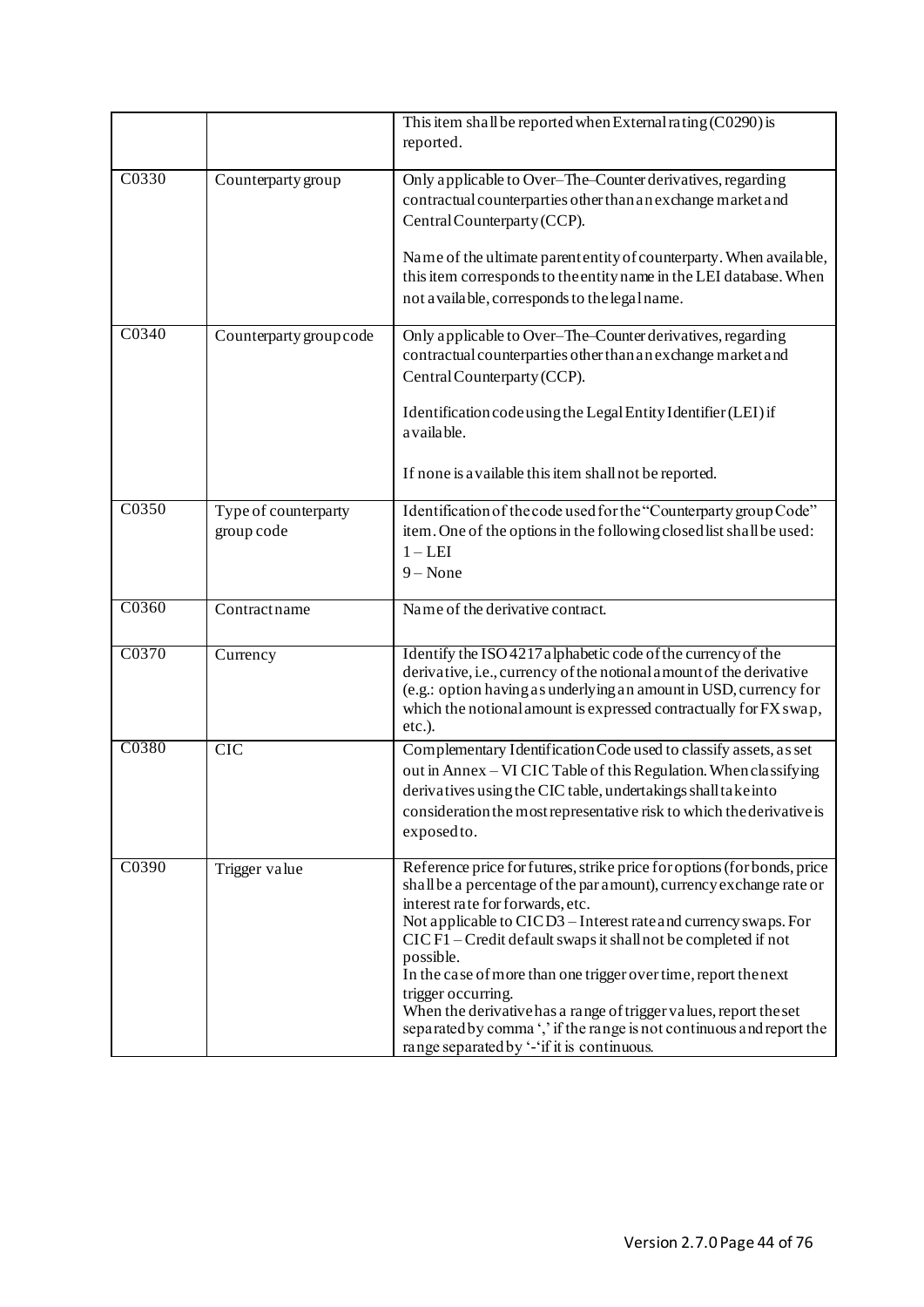|       |                                    | This item shall be reported when External rating $(C0290)$ is<br>reported.                                                                                                                                                                                                                                                                                                                                                                                                                                                                                                                                               |  |
|-------|------------------------------------|--------------------------------------------------------------------------------------------------------------------------------------------------------------------------------------------------------------------------------------------------------------------------------------------------------------------------------------------------------------------------------------------------------------------------------------------------------------------------------------------------------------------------------------------------------------------------------------------------------------------------|--|
| C0330 | Counterparty group                 | Only applicable to Over-The-Counter derivatives, regarding<br>contractual counterparties other than an exchange market and<br>Central Counterparty (CCP).<br>Name of the ultimate parent entity of counterparty. When available,<br>this item corresponds to the entity name in the LEI database. When<br>not available, corresponds to the legal name.                                                                                                                                                                                                                                                                  |  |
| C0340 | Counterparty group code            | Only applicable to Over-The-Counter derivatives, regarding<br>contractual counterparties other than an exchange market and<br>Central Counterparty (CCP).<br>Identification code using the Legal Entity Identifier (LEI) if<br>a vaila ble.<br>If none is a vailable this item shall not be reported.                                                                                                                                                                                                                                                                                                                    |  |
| C0350 | Type of counterparty<br>group code | Identification of the code used for the "Counterparty group Code"<br>item. One of the options in the following closed list shall be used:<br>$1 - LEI$<br>$9 - None$                                                                                                                                                                                                                                                                                                                                                                                                                                                     |  |
| C0360 | Contractname                       | Name of the derivative contract.                                                                                                                                                                                                                                                                                                                                                                                                                                                                                                                                                                                         |  |
| C0370 | Currency                           | Identify the ISO 4217 alphabetic code of the currency of the<br>derivative, i.e., currency of the notional amount of the derivative<br>(e.g.: option having as underlying an amount in USD, currency for<br>which the notional amount is expressed contractually for FX swap,<br>etc.).                                                                                                                                                                                                                                                                                                                                  |  |
| C0380 | CIC                                | Complementary Identification Code used to classify assets, as set<br>out in Annex - VI CIC Table of this Regulation. When classifying<br>derivatives using the CIC table, undertakings shall take into<br>consideration the most representative risk to which the derivative is<br>exposed to.                                                                                                                                                                                                                                                                                                                           |  |
| C0390 | Trigger value                      | Reference price for futures, strike price for options (for bonds, price<br>shall be a percentage of the par amount), currency exchange rate or<br>interest rate for forwards, etc.<br>Not applicable to CICD3 - Interest rate and currency swaps. For<br>CIC F1 - Credit default swaps it shall not be completed if not<br>possible.<br>In the case of more than one trigger over time, report the next<br>trigger occurring.<br>When the derivative has a range of trigger values, report the set<br>separated by comma ',' if the range is not continuous and report the<br>range separated by '-'if it is continuous. |  |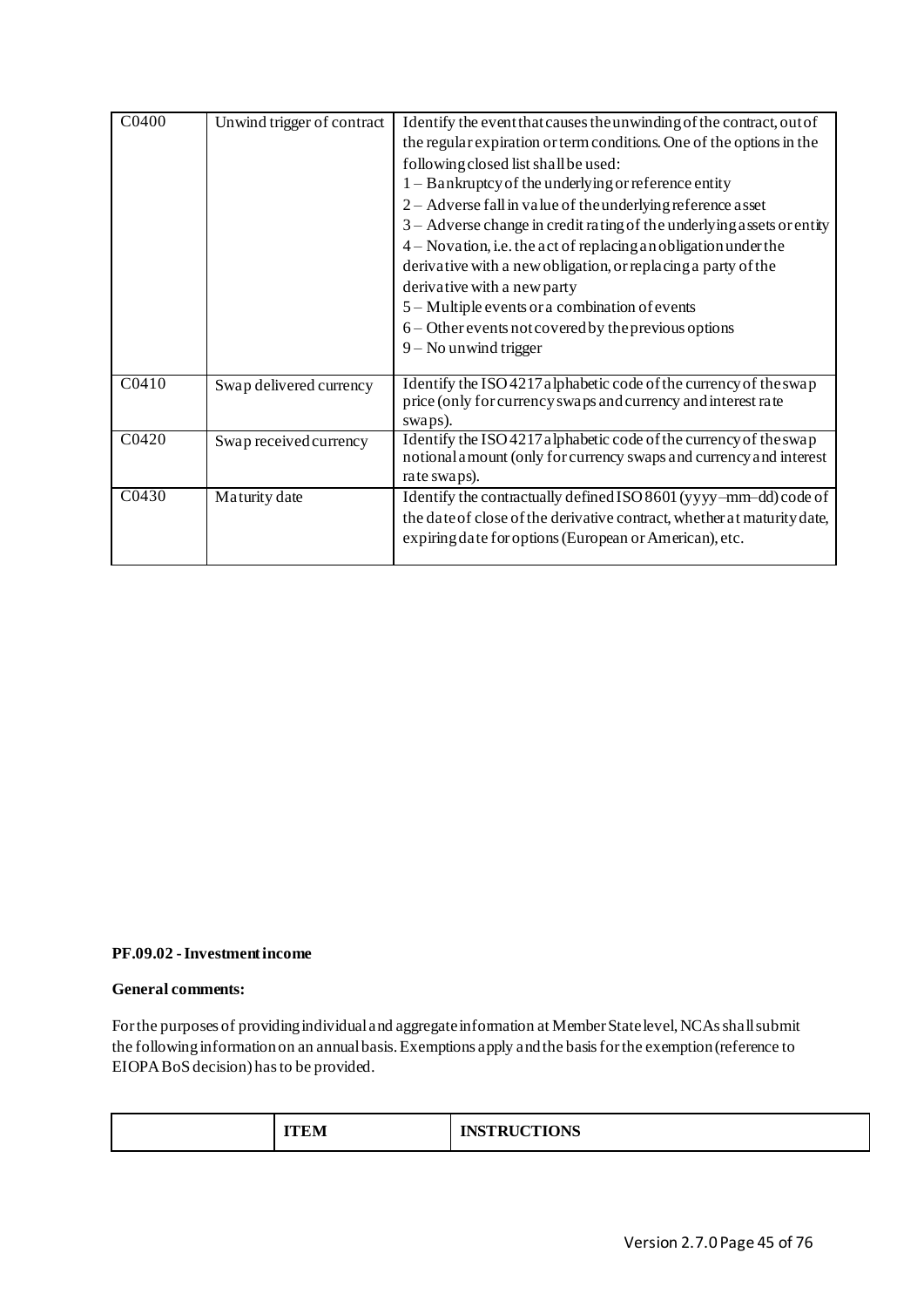| C0400 | Unwind trigger of contract | Identify the event that causes the unwinding of the contract, out of<br>the regular expiration or term conditions. One of the options in the<br>following closed list shall be used:<br>1 – Bankruptcy of the underlying or reference entity<br>$2 -$ Adverse fall in value of the underlying reference asset<br>3 – Adverse change in credit rating of the underlying assets or entity<br>4 – Novation, i.e. the act of replacing an obligation under the<br>derivative with a new obligation, or replacing a party of the<br>derivative with a new party<br>5 – Multiple events or a combination of events<br>6 – Other events not covered by the previous options |
|-------|----------------------------|----------------------------------------------------------------------------------------------------------------------------------------------------------------------------------------------------------------------------------------------------------------------------------------------------------------------------------------------------------------------------------------------------------------------------------------------------------------------------------------------------------------------------------------------------------------------------------------------------------------------------------------------------------------------|
| C0410 | Swap delivered currency    | 9 - No unwind trigger<br>Identify the ISO 4217 alphabetic code of the currency of the swap<br>price (only for currency swaps and currency and interest rate                                                                                                                                                                                                                                                                                                                                                                                                                                                                                                          |
| C0420 | Swap received currency     | swaps).<br>Identify the ISO 4217 alphabetic code of the currency of the swap<br>notional amount (only for currency swaps and currency and interest<br>rate swaps).                                                                                                                                                                                                                                                                                                                                                                                                                                                                                                   |
| C0430 | Maturity date              | Identify the contractually defined ISO 8601 (yyyy-mm-dd) code of<br>the date of close of the derivative contract, whether at maturity date,<br>expiring date for options (European or American), etc.                                                                                                                                                                                                                                                                                                                                                                                                                                                                |

# **PF.09.02 -Investment income**

#### **General comments:**

For the purposes of providing individual and aggregate information at Member State level, NCAs shall submit the following information on an annual basis. Exemptions apply and the basis for the exemption (reference to EIOPA BoS decision) has to be provided.

| MCTDILCTIONIC<br>$\overline{\phantom{a}}$<br>EМ<br><b>CLIONS</b> |  |
|------------------------------------------------------------------|--|
|------------------------------------------------------------------|--|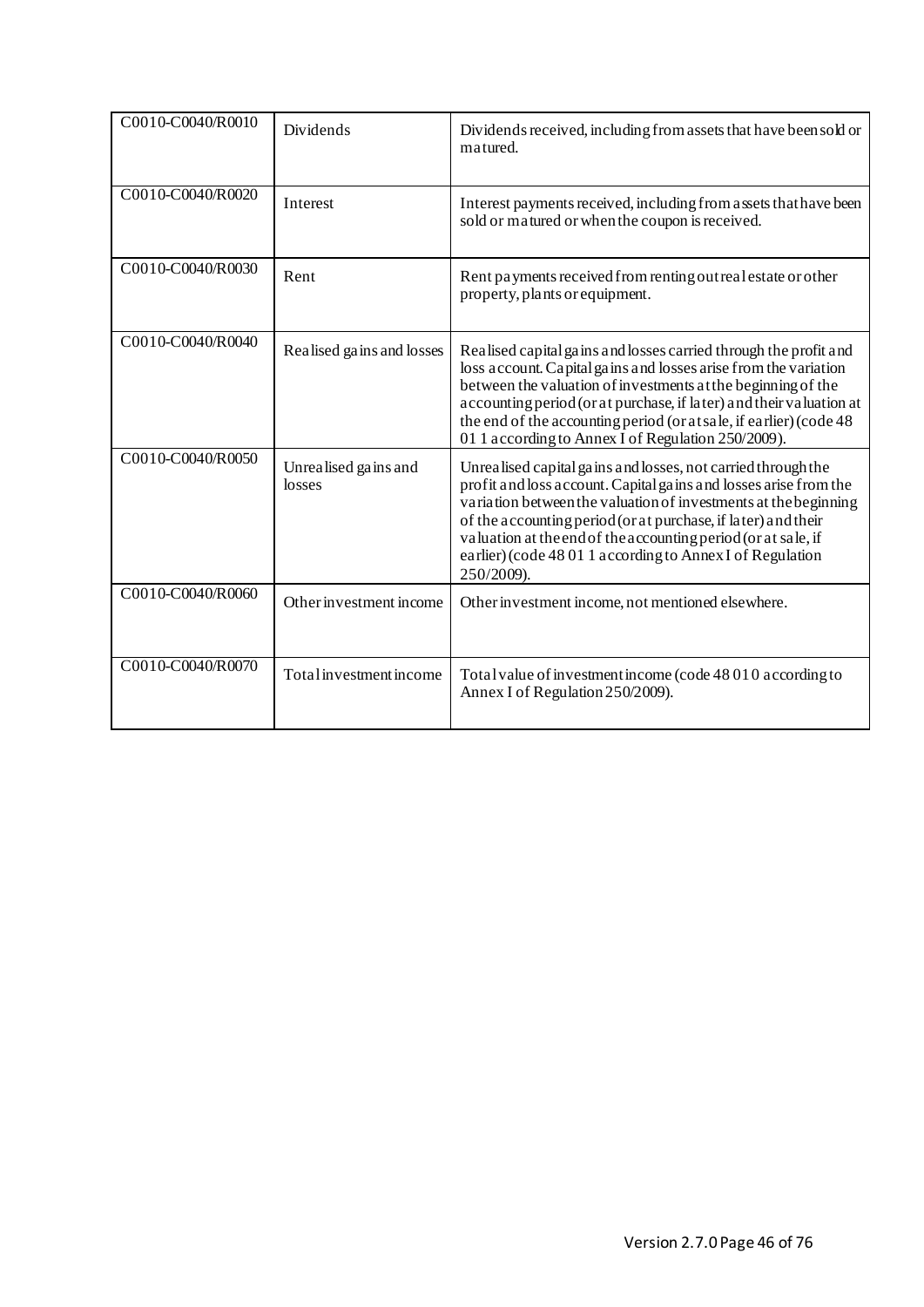| C0010-C0040/R0010 | Dividends                      | Dividends received, including from assets that have been sold or<br>matured.                                                                                                                                                                                                                                                                                                                                     |
|-------------------|--------------------------------|------------------------------------------------------------------------------------------------------------------------------------------------------------------------------------------------------------------------------------------------------------------------------------------------------------------------------------------------------------------------------------------------------------------|
| C0010-C0040/R0020 | Interest                       | Interest payments received, including from a ssets that have been<br>sold or matured or when the coupon is received.                                                                                                                                                                                                                                                                                             |
| C0010-C0040/R0030 | Rent                           | Rent payments received from renting out real estate or other<br>property, plants or equipment.                                                                                                                                                                                                                                                                                                                   |
| C0010-C0040/R0040 | Realised gains and losses      | Realised capital gains and losses carried through the profit and<br>loss account. Capital gains and losses arise from the variation<br>between the valuation of investments at the beginning of the<br>accounting period (or at purchase, if later) and their valuation at<br>the end of the accounting period (or at sale, if earlier) (code 48<br>01 1 according to Annex I of Regulation 250/2009).           |
| C0010-C0040/R0050 | Unrealised gains and<br>losses | Unrealised capital gains and losses, not carried through the<br>profit and loss account. Capital gains and losses arise from the<br>variation between the valuation of investments at the beginning<br>of the accounting period (or at purchase, if later) and their<br>valuation at the end of the accounting period (or at sale, if<br>earlier) (code 48 01 1 according to Annex I of Regulation<br>250/2009). |
| C0010-C0040/R0060 | Other investment income        | Other investment income, not mentioned elsewhere.                                                                                                                                                                                                                                                                                                                                                                |
| C0010-C0040/R0070 | Total investment income        | Total value of investment income (code 48 010 according to<br>Annex I of Regulation 250/2009).                                                                                                                                                                                                                                                                                                                   |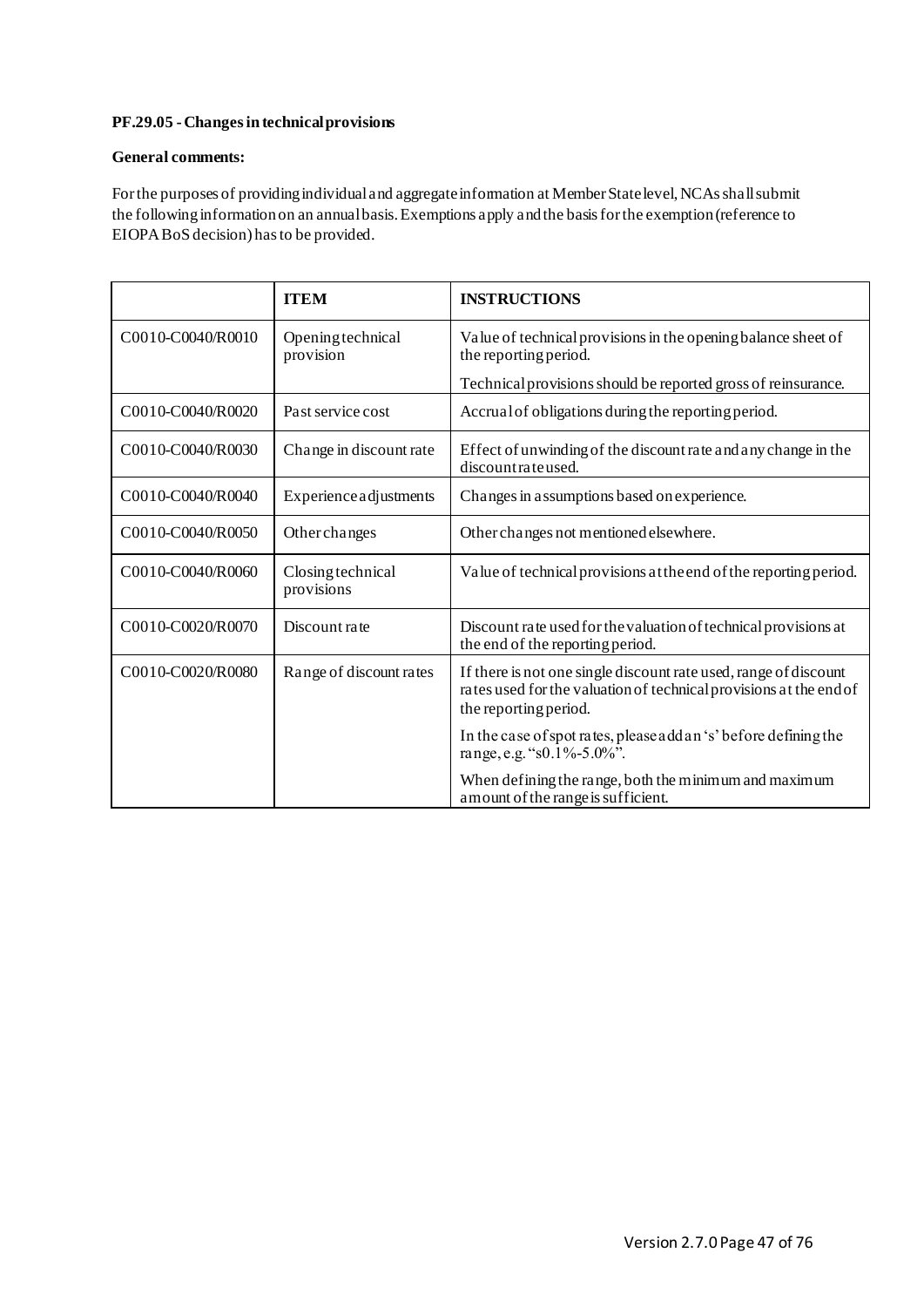# **PF.29.05 -Changes in technical provisions**

# **General comments:**

For the purposes of providing individual and aggregate information at Member State level, NCAs shall submit the following information on an annual basis. Exemptions apply and the basis for the exemption (reference to EIOPA BoS decision) has to be provided.

|                   | <b>ITEM</b>                     | <b>INSTRUCTIONS</b>                                                                                                                                             |
|-------------------|---------------------------------|-----------------------------------------------------------------------------------------------------------------------------------------------------------------|
| C0010-C0040/R0010 | Opening technical<br>provision  | Value of technical provisions in the opening balance sheet of<br>the reporting period.                                                                          |
|                   |                                 | Technical provisions should be reported gross of reinsurance.                                                                                                   |
| C0010-C0040/R0020 | Past service cost               | Accrual of obligations during the reporting period.                                                                                                             |
| C0010-C0040/R0030 | Change in discount rate         | Effect of unwinding of the discount rate and any change in the<br>discountrateused.                                                                             |
| C0010-C0040/R0040 | <b>Experience adjustments</b>   | Changes in assumptions based on experience.                                                                                                                     |
| C0010-C0040/R0050 | Other changes                   | Other changes not mentioned elsewhere.                                                                                                                          |
| C0010-C0040/R0060 | Closing technical<br>provisions | Value of technical provisions at the end of the reporting period.                                                                                               |
| C0010-C0020/R0070 | Discount rate                   | Discount rate used for the valuation of technical provisions at<br>the end of the reporting period.                                                             |
| C0010-C0020/R0080 | Range of discount rates         | If there is not one single discount rate used, range of discount<br>rates used for the valuation of technical provisions at the end of<br>the reporting period. |
|                   |                                 | In the case of spot rates, please add an 's' before defining the<br>range, e.g. "s0.1%-5.0%".                                                                   |
|                   |                                 | When defining the range, both the minimum and maximum<br>a mount of the range is sufficient.                                                                    |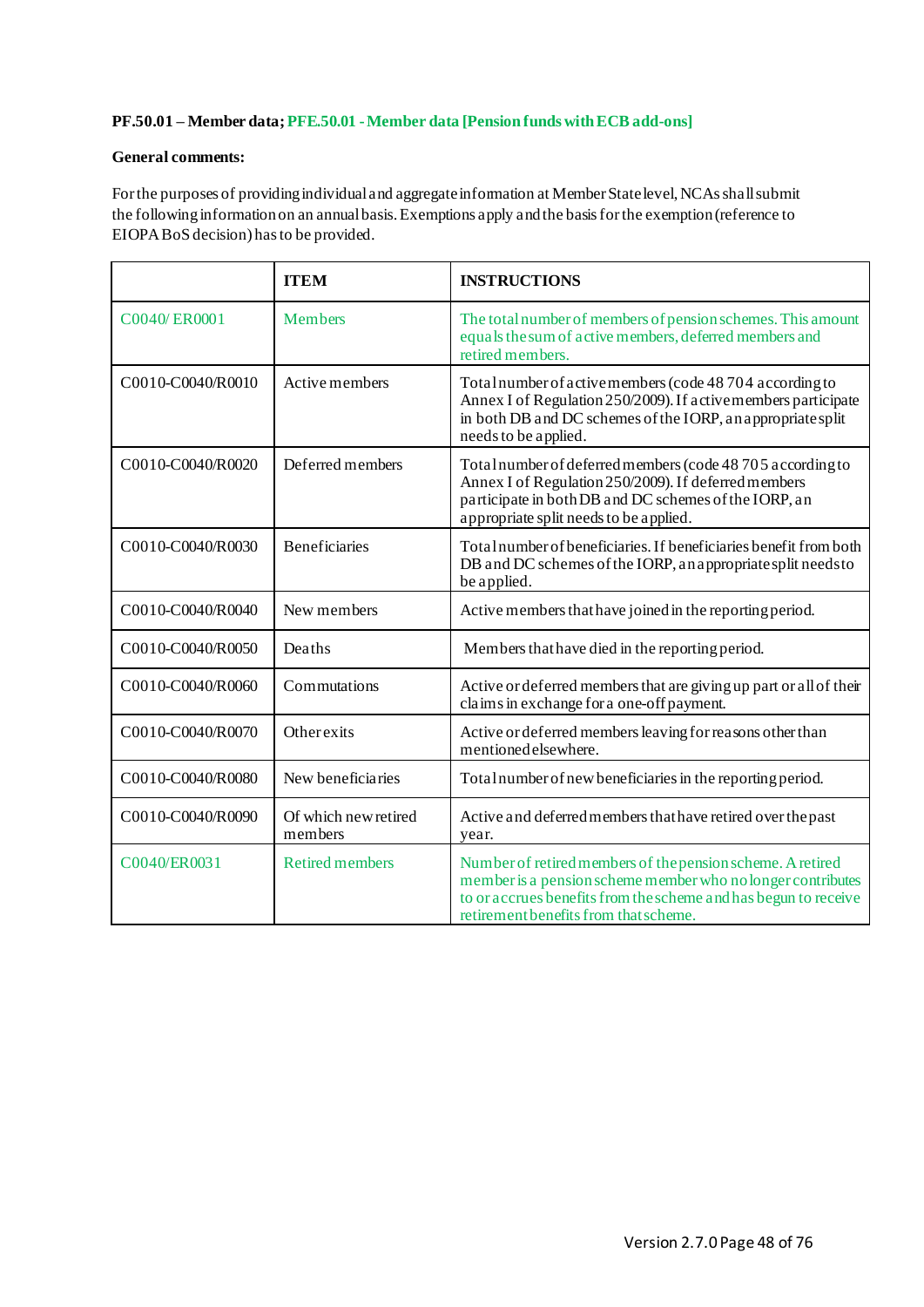# **PF.50.01 – Member data; PFE.50.01 -Member data [Pension funds with ECB add-ons]**

## **General comments:**

For the purposes of providing individual and aggregate information at Member State level, NCAs shall submit the following information on an annual basis. Exemptions apply and the basis for the exemption (reference to EIOPA BoS decision) has to be provided.

|                   | <b>ITEM</b>                     | <b>INSTRUCTIONS</b>                                                                                                                                                                                                                   |
|-------------------|---------------------------------|---------------------------------------------------------------------------------------------------------------------------------------------------------------------------------------------------------------------------------------|
| C0040/ER0001      | Members                         | The total number of members of pension schemes. This amount<br>equals the sum of active members, deferred members and<br>retired members.                                                                                             |
| C0010-C0040/R0010 | Active members                  | Total number of active members (code 48704 according to<br>Annex I of Regulation 250/2009). If active members participate<br>in both DB and DC schemes of the IORP, an appropriate split<br>needs to be applied.                      |
| C0010-C0040/R0020 | Deferred members                | Total number of deferred members (code 48 705 according to<br>Annex I of Regulation 250/2009). If deferred members<br>participate in both DB and DC schemes of the IORP, an<br>appropriate split needs to be applied.                 |
| C0010-C0040/R0030 | <b>Beneficiaries</b>            | Total number of beneficiaries. If beneficiaries benefit from both<br>DB and DC schemes of the IORP, an appropriate split needs to<br>be applied.                                                                                      |
| C0010-C0040/R0040 | New members                     | Active members that have joined in the reporting period.                                                                                                                                                                              |
| C0010-C0040/R0050 | Deaths                          | Members that have died in the reporting period.                                                                                                                                                                                       |
| C0010-C0040/R0060 | Commutations                    | Active or deferred members that are giving up part or all of their<br>claims in exchange for a one-off payment.                                                                                                                       |
| C0010-C0040/R0070 | Otherexits                      | Active or deferred members leaving for reasons other than<br>mentioned elsewhere.                                                                                                                                                     |
| C0010-C0040/R0080 | New beneficiaries               | Total number of new beneficiaries in the reporting period.                                                                                                                                                                            |
| C0010-C0040/R0090 | Of which new retired<br>members | Active and deferred members that have retired over the past<br>year.                                                                                                                                                                  |
| C0040/ER0031      | <b>Retired members</b>          | Number of retired members of the pension scheme. A retired<br>member is a pension scheme member who no longer contributes<br>to or accrues benefits from the scheme and has begun to receive<br>retirement benefits from that scheme. |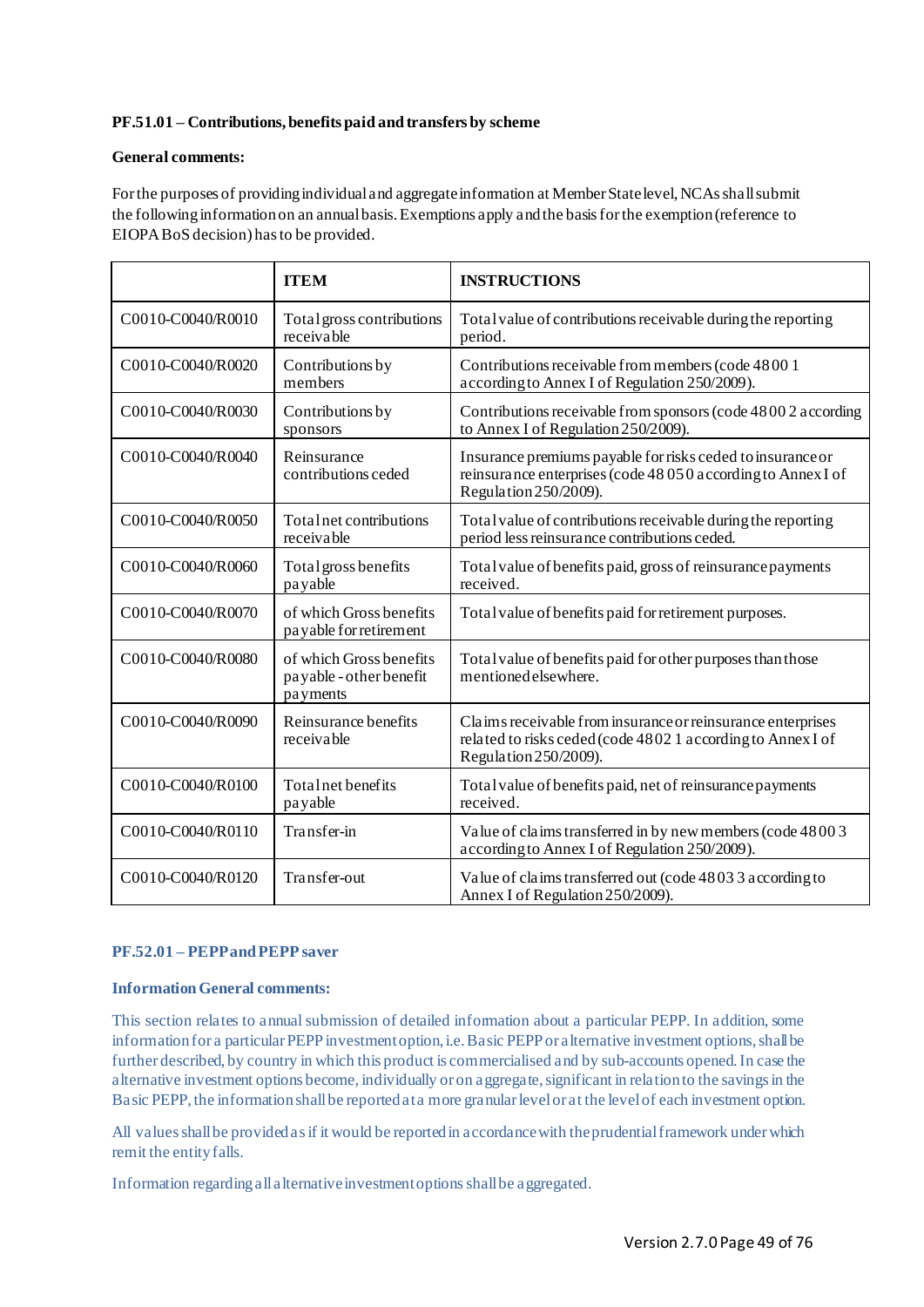# **PF.51.01 – Contributions, benefits paid and transfers by scheme**

## **General comments:**

For the purposes of providing individual and aggregate information at Member State level, NCAs shall submit the following information on an annual basis. Exemptions apply and the basis for the exemption (reference to EIOPA BoS decision) has to be provided.

|                   | <b>ITEM</b>                                                    | <b>INSTRUCTIONS</b>                                                                                                                                 |
|-------------------|----------------------------------------------------------------|-----------------------------------------------------------------------------------------------------------------------------------------------------|
| C0010-C0040/R0010 | Total gross contributions<br>receivable                        | Total value of contributions receivable during the reporting<br>period.                                                                             |
| C0010-C0040/R0020 | Contributions by<br>members                                    | Contributions receivable from members (code 4800 1)<br>according to Annex I of Regulation 250/2009).                                                |
| C0010-C0040/R0030 | Contributions by<br>sponsors                                   | Contributions receivable from sponsors (code 4800 2 according<br>to Annex I of Regulation 250/2009).                                                |
| C0010-C0040/R0040 | Reinsurance<br>contributions ceded                             | Insurance premiums payable for risks ceded to insurance or<br>reinsurance enterprises (code 48 050 according to Annex I of<br>Regulation 250/2009). |
| C0010-C0040/R0050 | Total net contributions<br>receivable                          | Total value of contributions receivable during the reporting<br>period less reinsurance contributions ceded.                                        |
| C0010-C0040/R0060 | Total gross benefits<br>payable                                | Total value of benefits paid, gross of reinsurance payments<br>received.                                                                            |
| C0010-C0040/R0070 | of which Gross benefits<br>payable for retirement              | Total value of benefits paid for retirement purposes.                                                                                               |
| C0010-C0040/R0080 | of which Gross benefits<br>payable - other benefit<br>payments | Total value of benefits paid for other purposes than those<br>mentioned elsewhere.                                                                  |
| C0010-C0040/R0090 | Reinsurance benefits<br>receivable                             | Claims receivable from insurance or reinsurance enterprises<br>related to risks ceded (code 4802 1 according to Annex I of<br>Regulation 250/2009). |
| C0010-C0040/R0100 | Total net benefits<br>payable                                  | Total value of benefits paid, net of reinsurance payments<br>received.                                                                              |
| C0010-C0040/R0110 | Transfer-in                                                    | Value of claims transferred in by new members (code 48003<br>according to Annex I of Regulation 250/2009).                                          |
| C0010-C0040/R0120 | Transfer-out                                                   | Value of claims transferred out (code 48033 according to<br>Annex I of Regulation 250/2009).                                                        |

### **PF.52.01 – PEPP and PEPP saver**

#### **Information General comments:**

This section relates to annual submission of detailed information about a particular PEPP. In addition, some information for a particular PEPP investment option, i.e. Basic PEPP or alternative investment options, shall be further described, by country in which this product is commercialised and by sub-accounts opened. In case the alternative investment options become, individually or on aggregate, significant in relation to the savings in the Basic PEPP, the information shall be reported at a more granular level or at the level of each investment option.

All values shall be provided as if it would be reported in accordance with the prudential framework under which remit the entity falls.

Information regarding all alternative investment options shall be aggregated.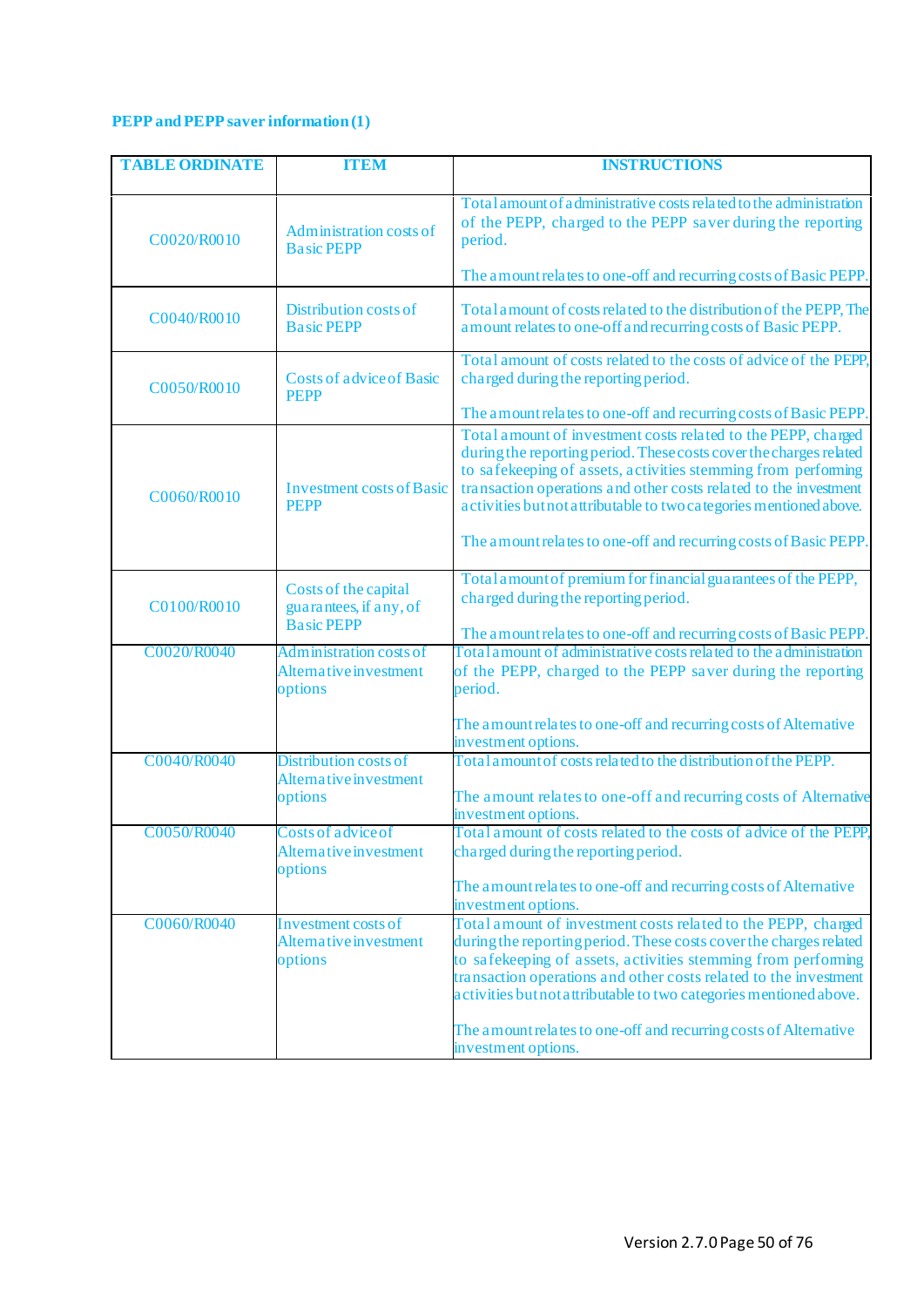# **PEPP and PEPP saver information (1)**

| <b>TABLE ORDINATE</b> | <b>TTEM</b>                                                         | <b>INSTRUCTIONS</b>                                                                                                                                                                                                                                                                                                                                                                                                |
|-----------------------|---------------------------------------------------------------------|--------------------------------------------------------------------------------------------------------------------------------------------------------------------------------------------------------------------------------------------------------------------------------------------------------------------------------------------------------------------------------------------------------------------|
| C0020/R0010           | Administration costs of<br><b>Basic PEPP</b>                        | Total amount of a dministrative costs related to the administration<br>of the PEPP, charged to the PEPP saver during the reporting<br>period.                                                                                                                                                                                                                                                                      |
|                       |                                                                     | The amount relates to one-off and recurring costs of Basic PEPP.                                                                                                                                                                                                                                                                                                                                                   |
| C0040/R0010           | Distribution costs of<br><b>Basic PEPP</b>                          | Total amount of costs related to the distribution of the PEPP, The<br>amount relates to one-off and recurring costs of Basic PEPP.                                                                                                                                                                                                                                                                                 |
| C0050/R0010           | <b>Costs of advice of Basic</b><br><b>PEPP</b>                      | Total amount of costs related to the costs of advice of the PEPP,<br>charged during the reporting period.                                                                                                                                                                                                                                                                                                          |
|                       |                                                                     | The amount relates to one-off and recurring costs of Basic PEPP.                                                                                                                                                                                                                                                                                                                                                   |
| C0060/R0010           | <b>Investment costs of Basic</b><br><b>PEPP</b>                     | Total amount of investment costs related to the PEPP, charged<br>during the reporting period. These costs cover the charges related<br>to safekeeping of assets, activities stemming from performing<br>transaction operations and other costs related to the investment<br>activities but not a ttributable to two categories mentioned above.                                                                    |
|                       |                                                                     | The amount relates to one-off and recurring costs of Basic PEPP.                                                                                                                                                                                                                                                                                                                                                   |
| C0100/R0010           | Costs of the capital<br>guarantees, if any, of<br><b>Basic PEPP</b> | Total amount of premium for financial guarantees of the PEPP,<br>charged during the reporting period.                                                                                                                                                                                                                                                                                                              |
| C0020/R0040           | <b>Administration costs of</b><br>Alternative investment<br>options | The amount relates to one-off and recurring costs of Basic PEPP.<br>Total amount of administrative costs related to the administration<br>of the PEPP, charged to the PEPP saver during the reporting<br>period.                                                                                                                                                                                                   |
|                       |                                                                     | The amount relates to one-off and recurring costs of Alternative<br>investment options.                                                                                                                                                                                                                                                                                                                            |
| C0040/R0040           | Distribution costs of<br>Alternative investment<br>options          | Total amount of costs related to the distribution of the PEPP.<br>The amount relates to one-off and recurring costs of Alternative<br>investment options.                                                                                                                                                                                                                                                          |
| C0050/R0040           | Costs of advice of<br>Alternative investment<br>options             | Total amount of costs related to the costs of advice of the PEPP.<br>charged during the reporting period.                                                                                                                                                                                                                                                                                                          |
|                       |                                                                     | The amount relates to one-off and recurring costs of Alternative<br>investment options.                                                                                                                                                                                                                                                                                                                            |
| C0060/R0040           | Investment costs of<br>Alternative investment<br>options            | Total amount of investment costs related to the PEPP, charged<br>during the reporting period. These costs cover the charges related<br>to safekeeping of assets, activities stemming from performing<br>transaction operations and other costs related to the investment<br>activities but not attributable to two categories mentioned above.<br>The amount relates to one-off and recurring costs of Alternative |
|                       |                                                                     | investment options.                                                                                                                                                                                                                                                                                                                                                                                                |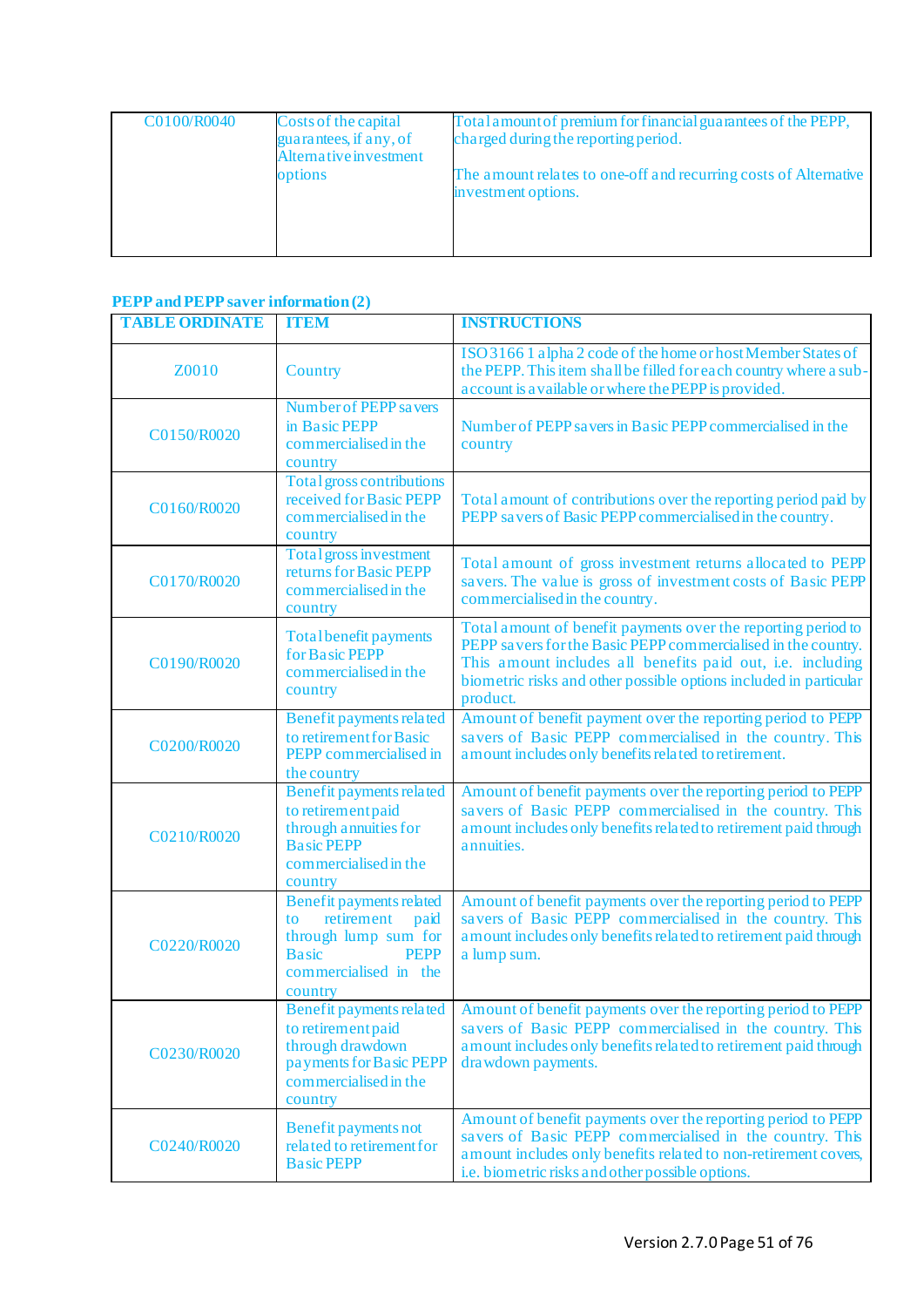| C0100/R0040 | Costs of the capital<br>guarantees, if any, of<br>Alternative investment | Total amount of premium for financial guarantees of the PEPP,<br>charged during the reporting period. |
|-------------|--------------------------------------------------------------------------|-------------------------------------------------------------------------------------------------------|
|             | options                                                                  | The amount relates to one-off and recurring costs of Alternative<br>investment options.               |
|             |                                                                          |                                                                                                       |

# **PEPP and PEPP saver information (2)**

| <b>TABLE ORDINATE</b> | <b>ITEM</b>                                                                                                                                            | <b>INSTRUCTIONS</b>                                                                                                                                                                                                                                                           |
|-----------------------|--------------------------------------------------------------------------------------------------------------------------------------------------------|-------------------------------------------------------------------------------------------------------------------------------------------------------------------------------------------------------------------------------------------------------------------------------|
| Z0010                 | Country                                                                                                                                                | ISO 31661 alpha 2 code of the home or host Member States of<br>the PEPP. This item shall be filled for each country where a sub-<br>account is a vailable or where the PEPP is provided.                                                                                      |
| C0150/R0020           | <b>Number of PEPP savers</b><br>in Basic PEPP<br>commercialised in the<br>country                                                                      | Number of PEPP sa vers in Basic PEPP commercialised in the<br>country                                                                                                                                                                                                         |
| C0160/R0020           | Total gross contributions<br>received for Basic PEPP<br>commercialised in the<br>country                                                               | Total amount of contributions over the reporting period paid by<br>PEPP savers of Basic PEPP commercialised in the country.                                                                                                                                                   |
| C0170/R0020           | Total gross investment<br>returns for Basic PEPP<br>commercialised in the<br>country                                                                   | Total amount of gross investment returns allocated to PEPP<br>savers. The value is gross of investment costs of Basic PEPP<br>commercialised in the country.                                                                                                                  |
| C0190/R0020           | Total benefit payments<br>for Basic PEPP<br>commercialised in the<br>country                                                                           | Total amount of benefit payments over the reporting period to<br>PEPP savers for the Basic PEPP commercialised in the country.<br>This amount includes all benefits paid out, i.e. including<br>biometric risks and other possible options included in particular<br>product. |
| C0200/R0020           | Benefit payments related<br>to retirement for Basic<br>PEPP commercialised in<br>the country                                                           | Amount of benefit payment over the reporting period to PEPP<br>savers of Basic PEPP commercialised in the country. This<br>amount includes only benefits related to retirement.                                                                                               |
| C0210/R0020           | Benefit payments related<br>to retirement paid<br>through annuities for<br><b>Basic PEPP</b><br>commercialised in the<br>country                       | Amount of benefit payments over the reporting period to PEPP<br>savers of Basic PEPP commercialised in the country. This<br>a mount includes only benefits related to retirement paid through<br>annuities.                                                                   |
| C0220/R0020           | <b>Benefit payments related</b><br>retirement<br>paid<br>to<br>through lump sum for<br><b>Basic</b><br><b>PEPP</b><br>commercialised in the<br>country | Amount of benefit payments over the reporting period to PEPP<br>savers of Basic PEPP commercialised in the country. This<br>a mount includes only benefits related to retirement paid through<br>a lump sum.                                                                  |
| C0230/R0020           | to retirement paid<br>through drawdown<br>payments for Basic PEPP<br>commercialised in the<br>country                                                  | Benefit payments related   Amount of benefit payments over the reporting period to PEPP<br>savers of Basic PEPP commercialised in the country. This<br>amount includes only benefits related to retirement paid through<br>drawdown payments.                                 |
| C0240/R0020           | <b>Benefit payments not</b><br>related to retirement for<br><b>Basic PEPP</b>                                                                          | Amount of benefit payments over the reporting period to PEPP<br>savers of Basic PEPP commercialised in the country. This<br>amount includes only benefits related to non-retirement covers,<br>i.e. biometric risks and other possible options.                               |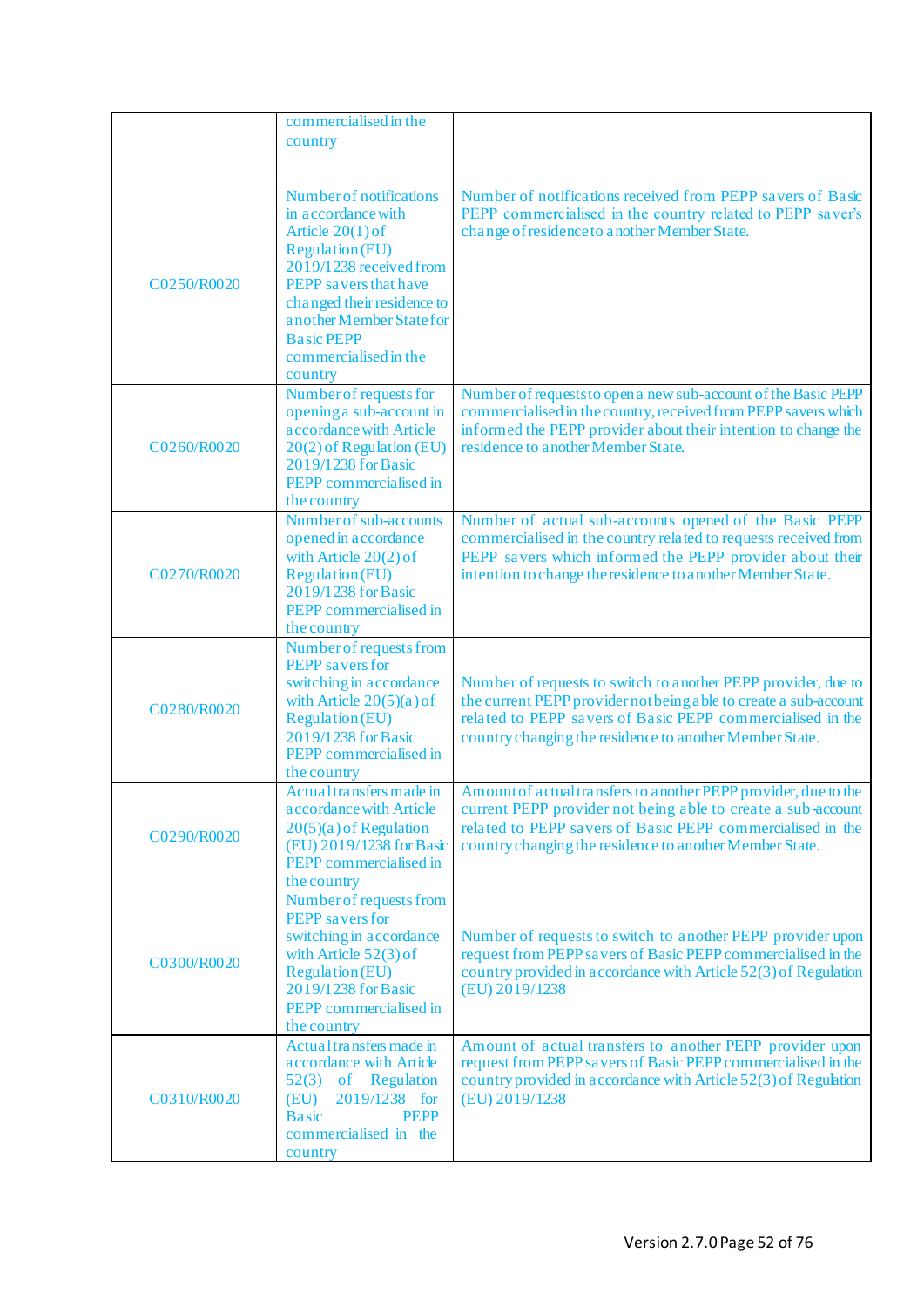|             | commercialised in the                                                                                                                                                                                                                                                |                                                                                                                                                                                                                                                             |
|-------------|----------------------------------------------------------------------------------------------------------------------------------------------------------------------------------------------------------------------------------------------------------------------|-------------------------------------------------------------------------------------------------------------------------------------------------------------------------------------------------------------------------------------------------------------|
|             | country                                                                                                                                                                                                                                                              |                                                                                                                                                                                                                                                             |
|             |                                                                                                                                                                                                                                                                      |                                                                                                                                                                                                                                                             |
| C0250/R0020 | Number of notifications<br>in accordance with<br>Article $20(1)$ of<br><b>Regulation</b> (EU)<br>2019/1238 received from<br>PEPP savers that have<br>changed their residence to<br>another Member State for<br><b>Basic PEPP</b><br>commercialised in the<br>country | Number of notifications received from PEPP savers of Basic<br>PEPP commercialised in the country related to PEPP saver's<br>change of residence to another Member State.                                                                                    |
| C0260/R0020 | Number of requests for<br>opening a sub-account in<br>accordance with Article<br>20(2) of Regulation (EU)<br>2019/1238 for Basic<br>PEPP commercialised in<br>the country                                                                                            | Number of requests to open a new sub-account of the Basic PEPP<br>commercialised in the country, received from PEPP savers which<br>informed the PEPP provider about their intention to change the<br>residence to a nother Member State.                   |
| C0270/R0020 | Number of sub-accounts<br>opened in accordance<br>with Article $20(2)$ of<br><b>Regulation</b> (EU)<br>2019/1238 for Basic<br>PEPP commercialised in<br>the country                                                                                                  | Number of actual sub-accounts opened of the Basic PEPP<br>commercialised in the country related to requests received from<br>PEPP savers which informed the PEPP provider about their<br>intention to change the residence to another Member State.         |
| C0280/R0020 | Number of requests from<br>PEPP savers for<br>switching in accordance<br>with Article $20(5)(a)$ of<br><b>Regulation</b> (EU)<br>2019/1238 for Basic<br>PEPP commercialised in<br>the country                                                                        | Number of requests to switch to another PEPP provider, due to<br>the current PEPP provider not being a ble to create a sub-account<br>related to PEPP savers of Basic PEPP commercialised in the<br>country changing the residence to another Member State. |
| C0290/R0020 | Actual transfers made in<br>a ccordance with Article<br>$20(5)(a)$ of Regulation<br>(EU) 2019/1238 for Basic<br>PEPP commercialised in<br>the country                                                                                                                | Amount of actual transfers to another PEPP provider, due to the<br>current PEPP provider not being able to create a sub-account<br>related to PEPP savers of Basic PEPP commercialised in the<br>country changing the residence to another Member State.    |
| C0300/R0020 | Number of requests from<br><b>PEPP</b> savers for<br>switching in accordance<br>with Article $52(3)$ of<br><b>Regulation (EU)</b><br>2019/1238 for Basic<br>PEPP commercialised in<br>the country                                                                    | Number of requests to switch to another PEPP provider upon<br>request from PEPP savers of Basic PEPP commercialised in the<br>country provided in a ccordance with Article 52(3) of Regulation<br>(EU) 2019/1238                                            |
| C0310/R0020 | Actual transfers made in<br>accordance with Article<br>52(3) of Regulation<br>(EU)<br>2019/1238 for<br><b>Basic</b><br><b>PEPP</b><br>commercialised in the<br>country                                                                                               | Amount of actual transfers to another PEPP provider upon<br>request from PEPP savers of Basic PEPP commercialised in the<br>country provided in accordance with Article 52(3) of Regulation<br>(EU) 2019/1238                                               |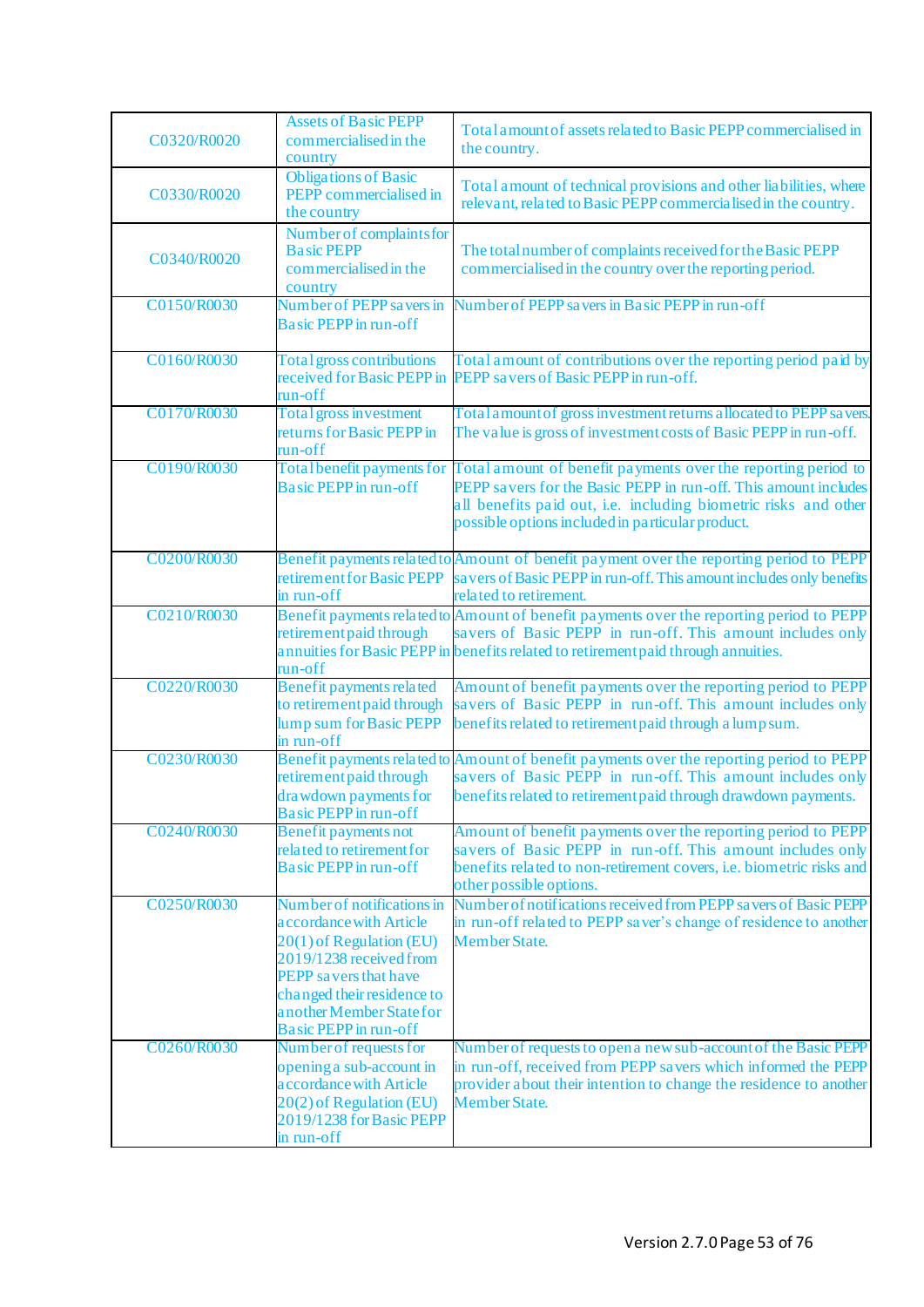| C0320/R0020 | <b>Assets of Basic PEPP</b><br>commercialised in the<br>country                                                                                                                                                                        | Total amount of assets related to Basic PEPP commercialised in<br>the country.                                                                                                                                                                          |
|-------------|----------------------------------------------------------------------------------------------------------------------------------------------------------------------------------------------------------------------------------------|---------------------------------------------------------------------------------------------------------------------------------------------------------------------------------------------------------------------------------------------------------|
| C0330/R0020 | <b>Obligations of Basic</b><br>PEPP commercialised in<br>the country                                                                                                                                                                   | Total amount of technical provisions and other liabilities, where<br>relevant, related to Basic PEPP commercialised in the country.                                                                                                                     |
| C0340/R0020 | Number of complaints for<br><b>Basic PEPP</b><br>commercialised in the<br>country                                                                                                                                                      | The total number of complaints received for the Basic PEPP<br>commercialised in the country over the reporting period.                                                                                                                                  |
| C0150/R0030 | Number of PEPP savers in<br>Basic PEPP in run-off                                                                                                                                                                                      | Number of PEPP savers in Basic PEPP in run-off                                                                                                                                                                                                          |
| C0160/R0030 | Total gross contributions<br>received for Basic PEPP in<br>run-off                                                                                                                                                                     | Total amount of contributions over the reporting period paid by<br>PEPP savers of Basic PEPP in run-off.                                                                                                                                                |
| C0170/R0030 | <b>Total gross investment</b><br>returns for Basic PEPP in<br>run-off                                                                                                                                                                  | Total a mount of gross investment returns a llocated to PEPP sa vers.<br>The value is gross of investment costs of Basic PEPP in run-off.                                                                                                               |
| C0190/R0030 | Total benefit payments for<br><b>Basic PEPP</b> in run-off                                                                                                                                                                             | Total amount of benefit payments over the reporting period to<br>PEPP savers for the Basic PEPP in run-off. This amount includes<br>all benefits paid out, i.e. including biometric risks and other<br>possible options included in particular product. |
| C0200/R0030 | retirement for Basic PEPP<br>in run-off                                                                                                                                                                                                | Benefit payments related to Amount of benefit payment over the reporting period to PEPP<br>savers of Basic PEPP in run-off. This amount includes only benefits<br>related to retirement.                                                                |
| C0210/R0030 | retirement paid through<br>run-off                                                                                                                                                                                                     | Benefit payments related to Amount of benefit payments over the reporting period to PEPP<br>savers of Basic PEPP in run-off. This amount includes only<br>annuities for Basic PEPP in benefits related to retirement paid through annuities.            |
| C0220/R0030 | Benefit payments related<br>to retirement paid through<br>lump sum for Basic PEPP<br>in run-off                                                                                                                                        | Amount of benefit payments over the reporting period to PEPP<br>savers of Basic PEPP in run-off. This amount includes only<br>benefits related to retirement paid through a lump sum.                                                                   |
| C0230/R0030 | retirement paid through<br>drawdown payments for<br><b>Basic PEPP</b> in run-off                                                                                                                                                       | Benefit payments related to Amount of benefit payments over the reporting period to PEPP<br>savers of Basic PEPP in run-off. This amount includes only<br>benefits related to retirement paid through drawdown payments.                                |
| C0240/R0030 | <b>Benefit payments not</b><br>related to retirement for<br><b>Basic PEPP</b> in run-off                                                                                                                                               | Amount of benefit payments over the reporting period to PEPP<br>savers of Basic PEPP in run-off. This amount includes only<br>benefits related to non-retirement covers, i.e. biometric risks and<br>other possible options.                            |
| C0250/R0030 | Number of notifications in<br>accordance with Article<br>20(1) of Regulation (EU)<br>2019/1238 received from<br><b>PEPP</b> savers that have<br>changed their residence to<br>another Member State for<br><b>Basic PEPP</b> in run-off | Number of notifications received from PEPP savers of Basic PEPP<br>in run-off related to PEPP saver's change of residence to another<br>Member State.                                                                                                   |
| C0260/R0030 | Number of requests for<br>opening a sub-account in<br>accordance with Article<br>20(2) of Regulation (EU)<br>2019/1238 for Basic PEPP<br>in run-off                                                                                    | Number of requests to open a new sub-account of the Basic PEPP<br>in run-off, received from PEPP savers which informed the PEPP<br>provider about their intention to change the residence to another<br><b>Member State.</b>                            |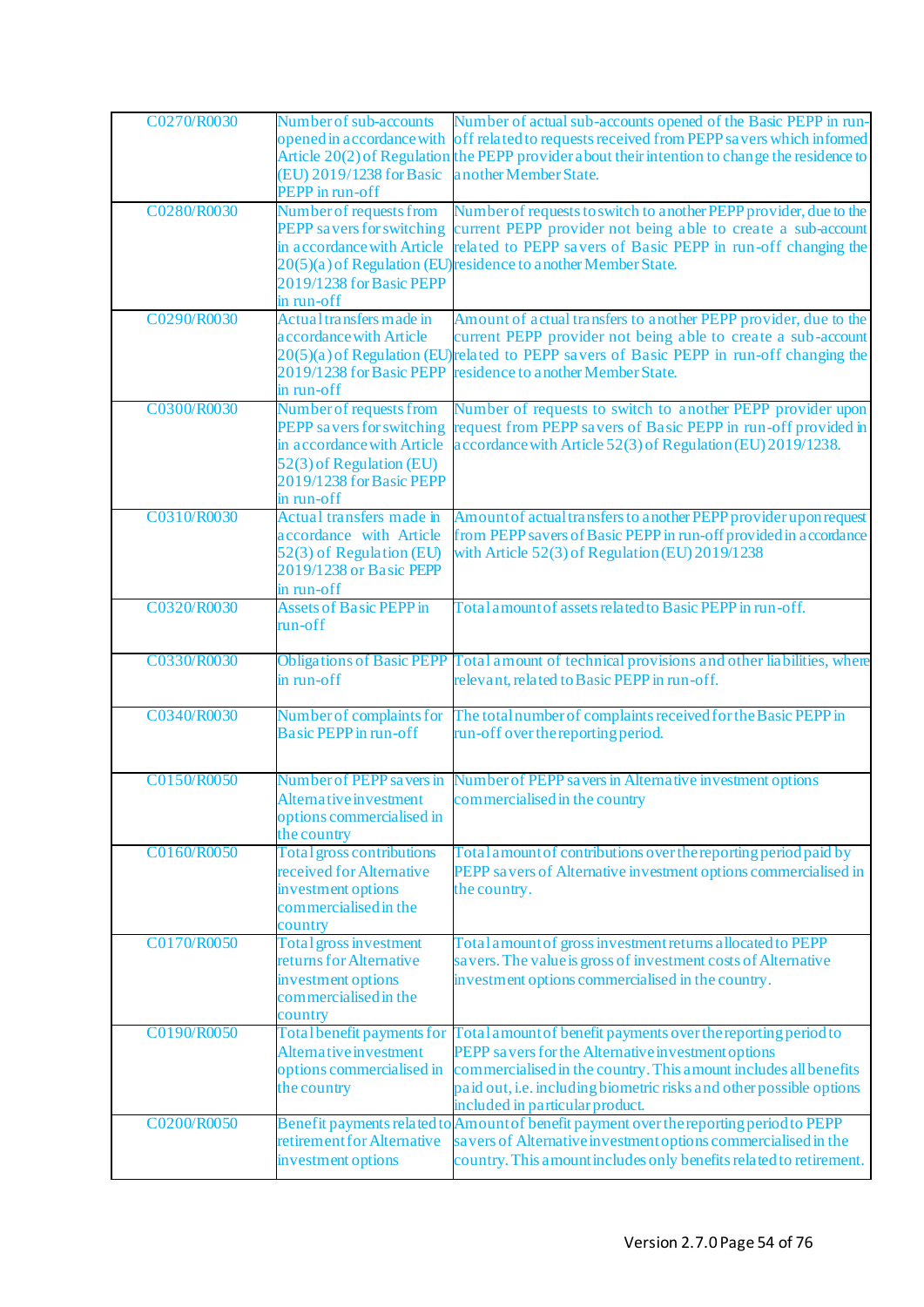| C0270/R0030 | Number of sub-accounts<br>(EU) 2019/1238 for Basic<br>PEPP in run-off                                                                                    | Number of actual sub-accounts opened of the Basic PEPP in run-<br>opened in accordance with off related to requests received from PEPP savers which informed<br>Article 20(2) of Regulation the PEPP provider about their intention to change the residence to<br>another Member State.            |
|-------------|----------------------------------------------------------------------------------------------------------------------------------------------------------|----------------------------------------------------------------------------------------------------------------------------------------------------------------------------------------------------------------------------------------------------------------------------------------------------|
| C0280/R0030 | Number of requests from<br>PEPP savers for switching<br>in accordance with Article<br>2019/1238 for Basic PEPP<br>in run-off                             | Number of requests to switch to a nother PEPP provider, due to the<br>current PEPP provider not being able to create a sub-account<br>related to PEPP savers of Basic PEPP in run-off changing the<br>20(5)(a) of Regulation (EU)residence to another Member State.                                |
| C0290/R0030 | Actual transfers made in<br>accordance with Article<br>2019/1238 for Basic PEPP<br>in run-off                                                            | Amount of actual transfers to another PEPP provider, due to the<br>current PEPP provider not being able to create a sub-account<br>20(5)(a) of Regulation (EU) related to PEPP savers of Basic PEPP in run-off changing the<br>residence to another Member State.                                  |
| C0300/R0030 | Number of requests from<br>PEPP savers for switching<br>in accordance with Article<br>52(3) of Regulation (EU)<br>2019/1238 for Basic PEPP<br>in run-off | Number of requests to switch to another PEPP provider upon<br>request from PEPP savers of Basic PEPP in run-off provided in<br>accordance with Article 52(3) of Regulation (EU) 2019/1238.                                                                                                         |
| C0310/R0030 | Actual transfers made in<br>accordance with Article<br>52(3) of Regulation (EU)<br>2019/1238 or Basic PEPP<br>in run-off                                 | Amount of actual transfers to another PEPP provider upon request<br>from PEPP savers of Basic PEPP in run-off provided in accordance<br>with Article $52(3)$ of Regulation (EU) 2019/1238                                                                                                          |
| C0320/R0030 | <b>Assets of Basic PEPP in</b><br>run-off                                                                                                                | Total amount of assets related to Basic PEPP in run-off.                                                                                                                                                                                                                                           |
| C0330/R0030 | in run-off                                                                                                                                               | Obligations of Basic PEPP Total amount of technical provisions and other liabilities, where<br>relevant, related to Basic PEPP in run-off.                                                                                                                                                         |
| C0340/R0030 | Number of complaints for<br><b>Basic PEPP</b> in run-off                                                                                                 | The total number of complaints received for the Basic PEPP in<br>run-off over the reporting period.                                                                                                                                                                                                |
| C0150/R0050 | Number of PEPP savers in<br>Alternative investment<br>options commercialised in<br>the country                                                           | Number of PEPP sa vers in Alternative investment options<br>commercialised in the country                                                                                                                                                                                                          |
| C0160/R0050 | <b>Total gross contributions</b><br>received for Alternative<br>investment options<br>commercialised in the<br>country                                   | Total amount of contributions over the reporting period paid by<br>PEPP savers of Alternative investment options commercialised in<br>the country.                                                                                                                                                 |
| C0170/R0050 | <b>Total gross investment</b><br>returns for Alternative<br>investment options<br>commercialised in the<br>country                                       | Total amount of gross investment returns a llocated to PEPP<br>savers. The value is gross of investment costs of Alternative<br>investment options commercialised in the country.                                                                                                                  |
| C0190/R0050 | Total benefit payments for<br>Alternative investment<br>options commercialised in<br>the country                                                         | Total amount of benefit payments over the reporting period to<br>PEPP savers for the Alternative investment options<br>commercialised in the country. This a mount includes all benefits<br>paid out, i.e. including biometric risks and other possible options<br>included in particular product. |
| C0200/R0050 | retirement for Alternative<br>investment options                                                                                                         | Benefit payments related to Amount of benefit payment over the reporting period to PEPP<br>sa vers of Alternative investment options commercialised in the<br>country. This a mount includes only benefits related to retirement.                                                                  |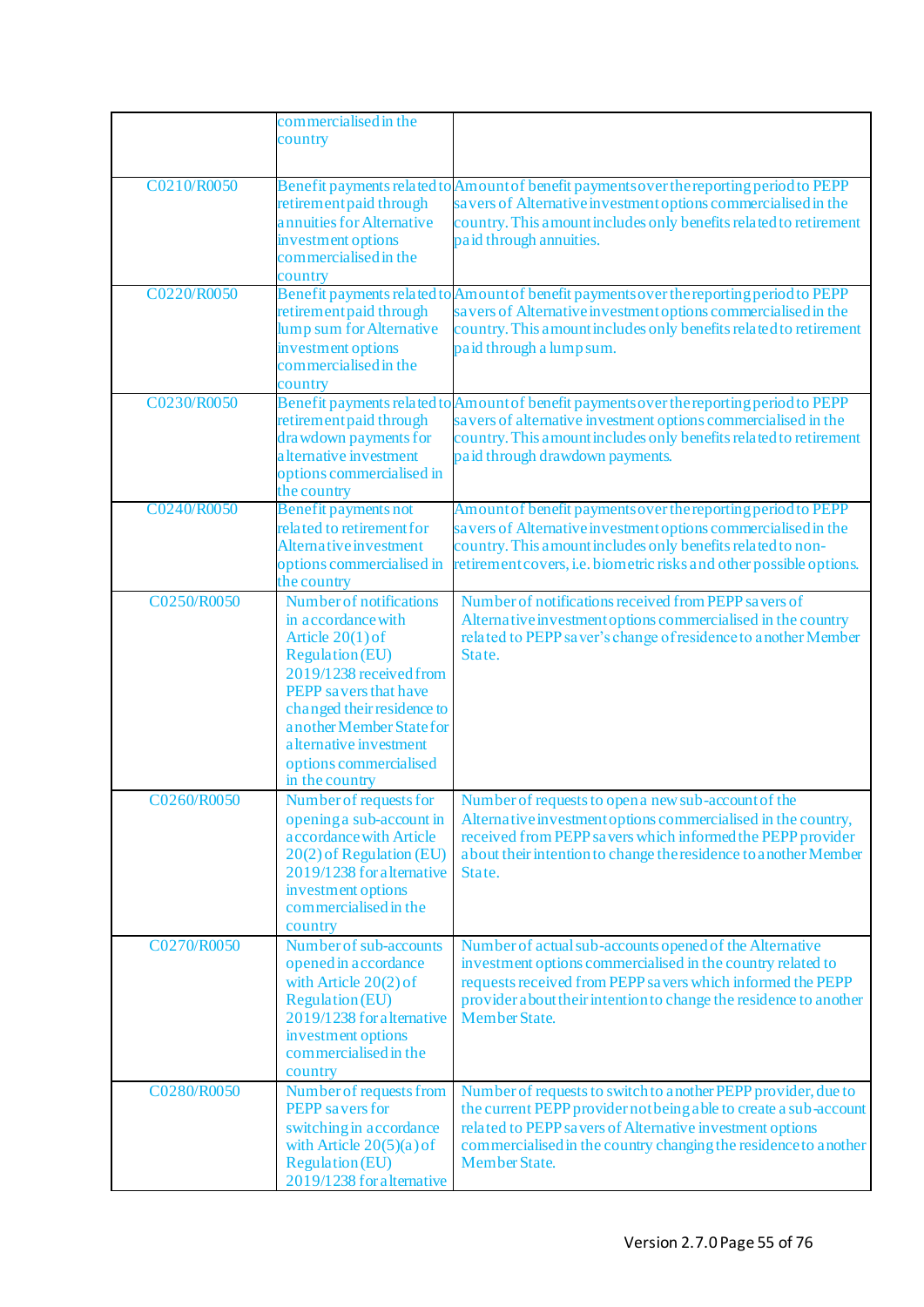|             | commercialised in the<br>country                                                                                                                                                                                                                                                           |                                                                                                                                                                                                                                                                                       |
|-------------|--------------------------------------------------------------------------------------------------------------------------------------------------------------------------------------------------------------------------------------------------------------------------------------------|---------------------------------------------------------------------------------------------------------------------------------------------------------------------------------------------------------------------------------------------------------------------------------------|
| C0210/R0050 | retirement paid through<br>annuities for Alternative<br>investment options<br>commercialised in the<br>country                                                                                                                                                                             | Benefit payments related to Amount of benefit payments over the reporting period to PEPP<br>sa vers of Alternative investment options commercialised in the<br>country. This a mount includes only benefits related to retirement<br>paid through annuities.                          |
| C0220/R0050 | retirement paid through<br>lump sum for Alternative<br>investment options<br>commercialised in the<br>country                                                                                                                                                                              | Benefit payments related to Amount of benefit payments over the reporting period to PEPP<br>sa vers of Alternative investment options commercialised in the<br>country. This amount includes only benefits related to retirement<br>paid through a lump sum.                          |
| C0230/R0050 | retirement paid through<br>drawdown payments for<br>a Iternative investment<br>options commercialised in<br>the country                                                                                                                                                                    | Benefit payments related to Amount of benefit payments over the reporting period to PEPP<br>savers of alternative investment options commercialised in the<br>country. This a mount includes only benefits related to retirement<br>paid through drawdown payments.                   |
| C0240/R0050 | <b>Benefit payments not</b><br>related to retirement for<br>Alternative investment<br>options commercialised in<br>the country                                                                                                                                                             | Amount of benefit payments over the reporting period to PEPP<br>savers of Alternative investment options commercialised in the<br>country. This amount includes only benefits related to non-<br>retirement covers, i.e. biometric risks and other possible options.                  |
| C0250/R0050 | <b>Number of notifications</b><br>in accordance with<br>Article $20(1)$ of<br><b>Regulation (EU)</b><br>2019/1238 received from<br>PEPP savers that have<br>changed their residence to<br>a nother Member State for<br>a lternative investment<br>options commercialised<br>in the country | Number of notifications received from PEPP savers of<br>Alternative investment options commercialised in the country<br>related to PEPP saver's change of residence to another Member<br>State.                                                                                       |
| C0260/R0050 | Number of requests for<br>opening a sub-account in<br>accordance with Article<br>20(2) of Regulation (EU)<br>2019/1238 for alternative<br>investment options<br>commercialised in the<br>country                                                                                           | Number of requests to open a new sub-account of the<br>Alternative investment options commercialised in the country,<br>received from PEPP savers which informed the PEPP provider<br>about their intention to change the residence to another Member<br>State.                       |
| C0270/R0050 | Number of sub-accounts<br>opened in accordance<br>with Article $20(2)$ of<br><b>Regulation (EU)</b><br>2019/1238 for a lternative<br>investment options<br>commercialised in the<br>country                                                                                                | Number of actual sub-accounts opened of the Alternative<br>investment options commercialised in the country related to<br>requests received from PEPP savers which informed the PEPP<br>provider a bout their intention to change the residence to another<br>Member State.           |
| C0280/R0050 | Number of requests from<br><b>PEPP</b> savers for<br>switching in accordance<br>with Article $20(5)(a)$ of<br><b>Regulation (EU)</b><br>2019/1238 for a lternative                                                                                                                         | Number of requests to switch to a nother PEPP provider, due to<br>the current PEPP provider not being a ble to create a sub-account<br>related to PEPP sa vers of Alternative investment options<br>commercialised in the country changing the residence to a nother<br>Member State. |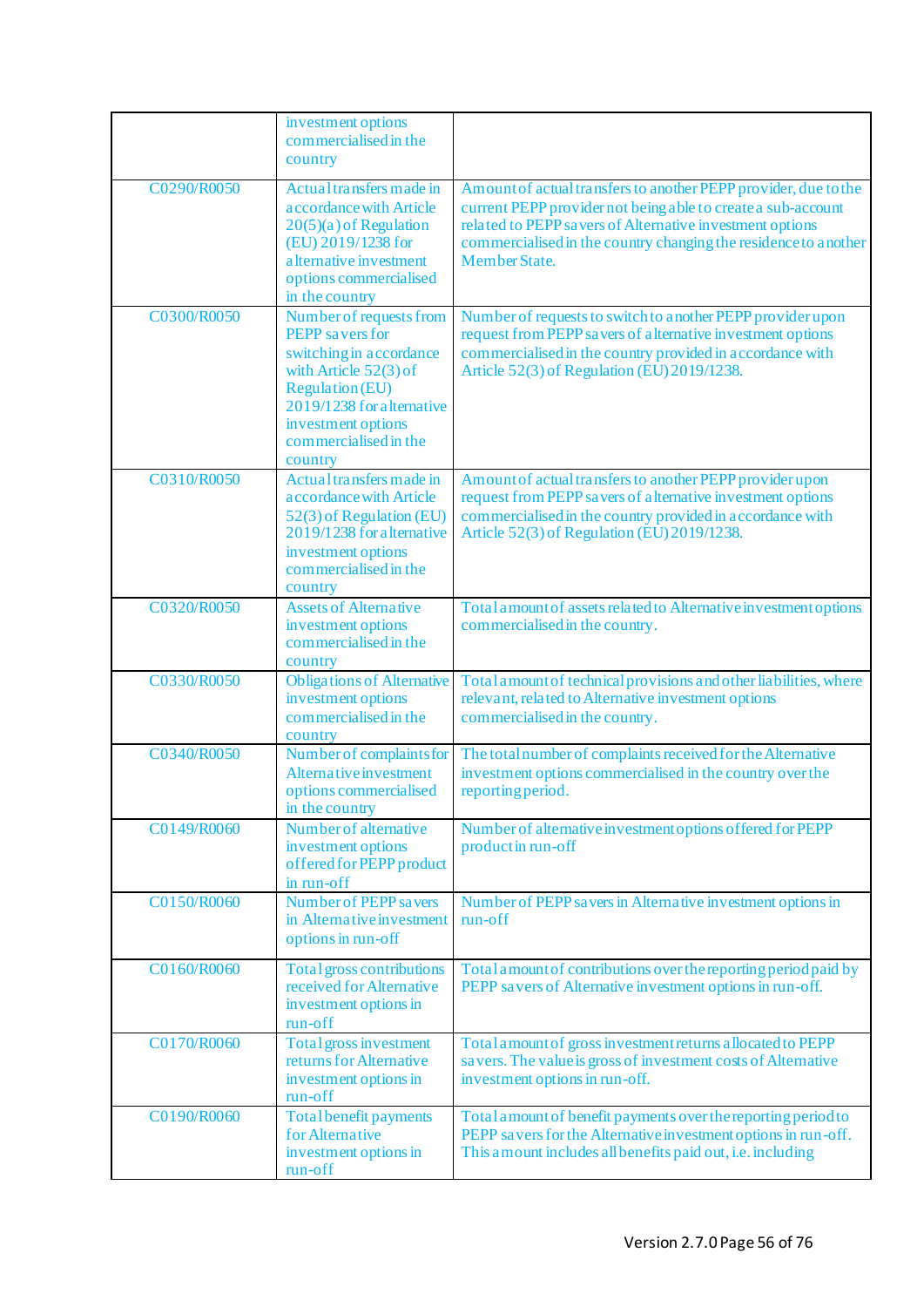|             | investment options<br>commercialised in the<br>country                                                                                                                                                                    |                                                                                                                                                                                                                                                                                   |
|-------------|---------------------------------------------------------------------------------------------------------------------------------------------------------------------------------------------------------------------------|-----------------------------------------------------------------------------------------------------------------------------------------------------------------------------------------------------------------------------------------------------------------------------------|
| C0290/R0050 | Actual transfers made in<br>a ccordance with Article<br>$20(5)(a)$ of Regulation<br>(EU) 2019/1238 for<br>a lternative investment<br>options commercialised<br>in the country                                             | Amount of actual transfers to another PEPP provider, due to the<br>current PEPP provider not being a ble to create a sub-account<br>related to PEPP savers of Alternative investment options<br>commercialised in the country changing the residence to a nother<br>Member State. |
| C0300/R0050 | Number of requests from<br><b>PEPP</b> savers for<br>switching in accordance<br>with Article $52(3)$ of<br><b>Regulation (EU)</b><br>2019/1238 for a lternative<br>investment options<br>commercialised in the<br>country | Number of requests to switch to a nother PEPP provider upon<br>request from PEPP savers of alternative investment options<br>commercialised in the country provided in accordance with<br>Article 52(3) of Regulation (EU) 2019/1238.                                             |
| C0310/R0050 | Actual transfers made in<br>a ccordance with Article<br>52(3) of Regulation (EU)<br>2019/1238 for a lternative<br>investment options<br>commercialised in the<br>country                                                  | Amount of actual transfers to another PEPP provider upon<br>request from PEPP sa vers of a lternative investment options<br>commercialised in the country provided in accordance with<br>Article 52(3) of Regulation (EU) 2019/1238.                                              |
| C0320/R0050 | <b>Assets of Alternative</b><br>investment options<br>commercialised in the<br>country                                                                                                                                    | Total amount of assets related to Alternative investment options<br>commercialised in the country.                                                                                                                                                                                |
| C0330/R0050 | <b>Obligations of Alternative</b><br>investment options<br>commercialised in the<br>country                                                                                                                               | Total amount of technical provisions and other liabilities, where<br>relevant, related to Alternative investment options<br>commercialised in the country.                                                                                                                        |
| C0340/R0050 | Number of complaints for<br><b>Alternative investment</b><br>options commercialised<br>in the country                                                                                                                     | The total number of complaints received for the Alternative<br>investment options commercialised in the country over the<br>reporting period.                                                                                                                                     |
| C0149/R0060 | Number of alternative<br>investment options<br>offered for PEPP product<br>in run-off                                                                                                                                     | Number of alternative investment options offered for PEPP<br>product in run-off                                                                                                                                                                                                   |
| C0150/R0060 | Number of PEPP savers<br>in Alternative investment<br>options in run-off                                                                                                                                                  | Number of PEPP savers in Alternative investment options in<br>run-off                                                                                                                                                                                                             |
| C0160/R0060 | Total gross contributions<br>received for Alternative<br>investment options in<br>run-off                                                                                                                                 | Total amount of contributions over the reporting period paid by<br>PEPP sa vers of Alternative investment options in run-off.                                                                                                                                                     |
| C0170/R0060 | Total gross investment<br>returns for Alternative<br>investment options in<br>run-off                                                                                                                                     | Total amount of gross investment returns allocated to PEPP<br>savers. The value is gross of investment costs of Alternative<br>investment options in run-off.                                                                                                                     |
| C0190/R0060 | <b>Total benefit payments</b><br>for Alternative<br>investment options in<br>run-off                                                                                                                                      | Total amount of benefit payments over the reporting period to<br>PEPP savers for the Alternative investment options in run-off.<br>This a mount includes all benefits paid out, i.e. including                                                                                    |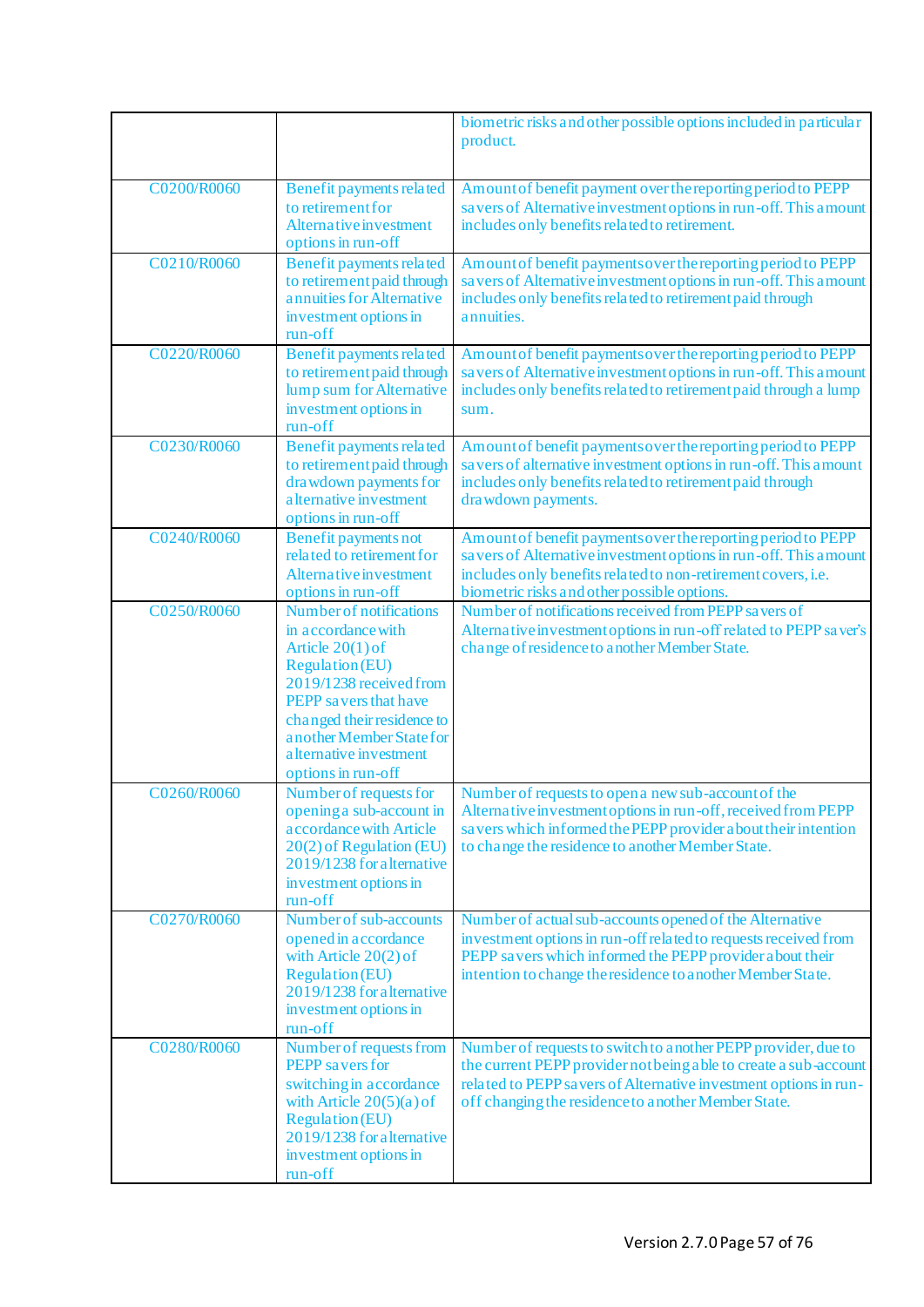|             |                                                                                                                                                                                                                                                              | biometric risks and other possible options included in particular<br>product.                                                                                                                                                                                   |
|-------------|--------------------------------------------------------------------------------------------------------------------------------------------------------------------------------------------------------------------------------------------------------------|-----------------------------------------------------------------------------------------------------------------------------------------------------------------------------------------------------------------------------------------------------------------|
| C0200/R0060 | Benefit payments related<br>to retirement for<br><b>Alternative investment</b><br>options in run-off                                                                                                                                                         | Amount of benefit payment over the reporting period to PEPP<br>savers of Alternative investment options in run-off. This amount<br>includes only benefits related to retirement.                                                                                |
| C0210/R0060 | Benefit payments related<br>to retirement paid through<br>annuities for Alternative<br>investment options in<br>run-off                                                                                                                                      | Amount of benefit payments over the reporting period to PEPP<br>savers of Alternative investment options in run-off. This amount<br>includes only benefits related to retirement paid through<br>annuities.                                                     |
| C0220/R0060 | Benefit payments related<br>to retirement paid through<br>lump sum for Alternative<br>investment options in<br>run-off                                                                                                                                       | Amount of benefit payments over the reporting period to PEPP<br>savers of Alternative investment options in run-off. This amount<br>includes only benefits related to retirement paid through a lump<br>sum.                                                    |
| C0230/R0060 | Benefit payments related<br>to retirement paid through<br>drawdown payments for<br>a lternative investment<br>options in run-off                                                                                                                             | Amount of benefit payments over the reporting period to PEPP<br>savers of alternative investment options in run-off. This amount<br>includes only benefits related to retirement paid through<br>drawdown payments.                                             |
| C0240/R0060 | <b>Benefit payments not</b><br>related to retirement for<br>Alternative investment<br>options in run-off                                                                                                                                                     | Amount of benefit payments over the reporting period to PEPP<br>savers of Alternative investment options in run-off. This amount<br>includes only benefits related to non-retirement covers, i.e.<br>biometric risks and other possible options.                |
| C0250/R0060 | Number of notifications<br>in accordance with<br>Article $20(1)$ of<br><b>Regulation (EU)</b><br>2019/1238 received from<br>PEPP savers that have<br>changed their residence to<br>another Member State for<br>a Iternative investment<br>options in run-off | Number of notifications received from PEPP savers of<br>Alternative investment options in run-off related to PEPP saver's<br>change of residence to another Member State.                                                                                       |
| C0260/R0060 | Number of requests for<br>opening a sub-account in<br>a ccordance with Article<br>20(2) of Regulation (EU)<br>2019/1238 for a lternative<br>investment options in<br>run-off                                                                                 | Number of requests to open a new sub-account of the<br>Alternative investment options in run-off, received from PEPP<br>savers which informed the PEPP provider about their intention<br>to change the residence to another Member State.                       |
| C0270/R0060 | Number of sub-accounts<br>opened in accordance<br>with Article $20(2)$ of<br><b>Regulation</b> (EU)<br>2019/1238 for alternative<br>investment options in<br>run-off                                                                                         | Number of actual sub-accounts opened of the Alternative<br>investment options in run-off related to requests received from<br>PEPP savers which informed the PEPP provider about their<br>intention to change the residence to another Member State.            |
| C0280/R0060 | Number of requests from<br><b>PEPP</b> savers for<br>switching in accordance<br>with Article $20(5)(a)$ of<br><b>Regulation (EU)</b><br>2019/1238 for alternative<br>investment options in<br>run-off                                                        | Number of requests to switch to a nother PEPP provider, due to<br>the current PEPP provider not being a ble to create a sub-account<br>related to PEPP savers of Alternative investment options in run-<br>off changing the residence to a nother Member State. |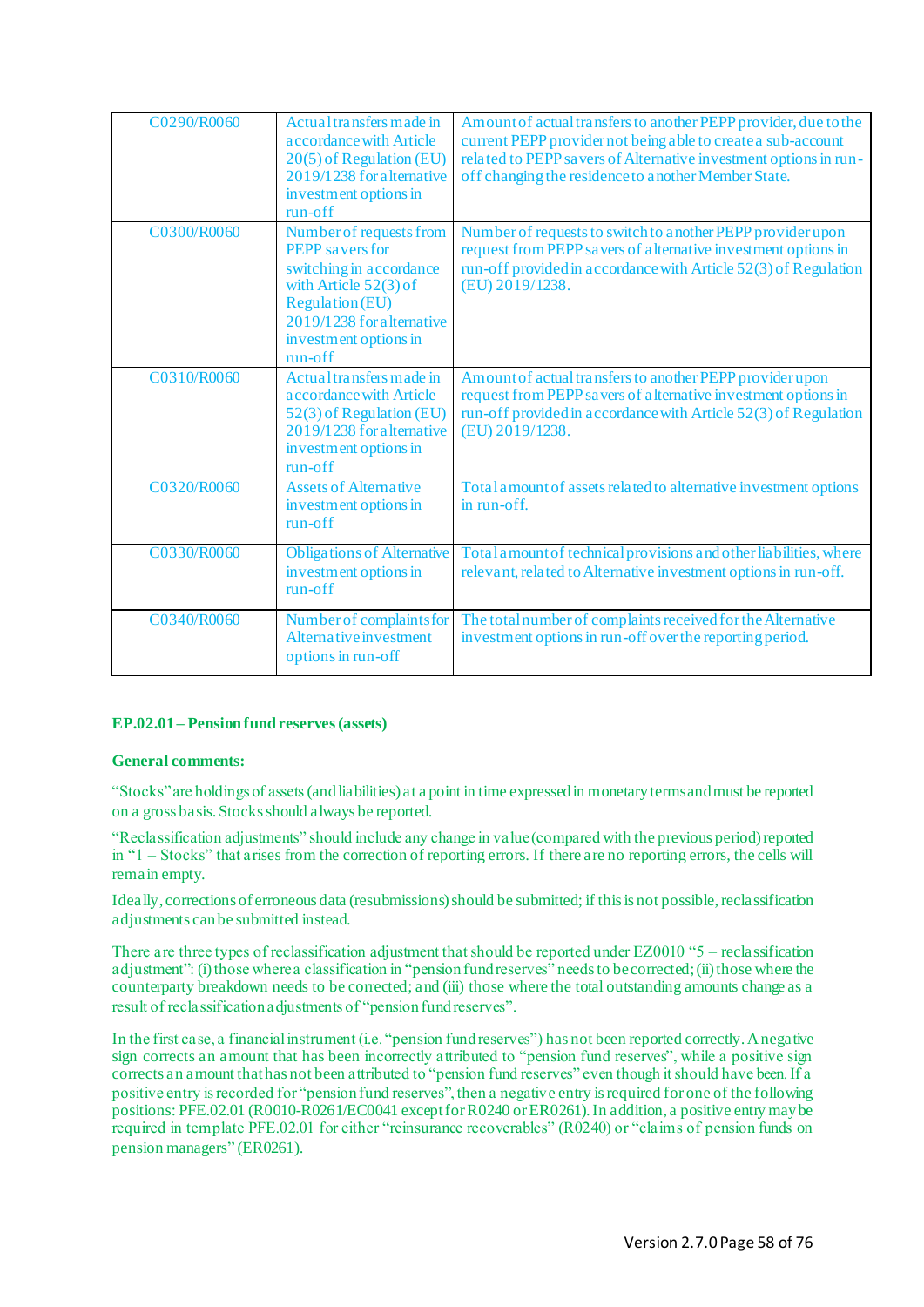| C0290/R0060 | Actual transfers made in<br>a ccordance with Article<br>20(5) of Regulation (EU)<br>2019/1238 for a lternative<br>investment options in<br>$run-off$                                                | Amount of actual transfers to another PEPP provider, due to the<br>current PEPP provider not being able to create a sub-account<br>related to PEPP savers of Alternative investment options in run-<br>off changing the residence to a nother Member State. |
|-------------|-----------------------------------------------------------------------------------------------------------------------------------------------------------------------------------------------------|-------------------------------------------------------------------------------------------------------------------------------------------------------------------------------------------------------------------------------------------------------------|
| C0300/R0060 | Number of requests from<br><b>PEPP</b> savers for<br>switching in accordance<br>with Article $52(3)$ of<br><b>Regulation (EU)</b><br>2019/1238 for a lternative<br>investment options in<br>run-off | Number of requests to switch to a nother PEPP provider upon<br>request from PEPP savers of alternative investment options in<br>run-off provided in accordance with Article 52(3) of Regulation<br>(EU) 2019/1238.                                          |
| C0310/R0060 | Actual transfers made in<br>a ccordance with Article<br>52(3) of Regulation (EU)<br>2019/1238 for a lternative<br>investment options in<br>run-off                                                  | Amount of actual transfers to another PEPP provider upon<br>request from PEPP savers of alternative investment options in<br>run-off provided in accordance with Article 52(3) of Regulation<br>(EU) 2019/1238.                                             |
| C0320/R0060 | <b>Assets of Alternative</b><br>investment options in<br>$run-off$                                                                                                                                  | Total amount of assets related to alternative investment options<br>in run-off.                                                                                                                                                                             |
| C0330/R0060 | <b>Obligations of Alternative</b><br>investment options in<br>$run-off$                                                                                                                             | Total amount of technical provisions and other liabilities, where<br>relevant, related to Alternative investment options in run-off.                                                                                                                        |
| C0340/R0060 | Number of complaints for<br><b>Alternative investment</b><br>options in run-off                                                                                                                     | The total number of complaints received for the Alternative<br>investment options in run-off over the reporting period.                                                                                                                                     |

#### **EP.02.01– Pension fund reserves(assets)**

#### **General comments:**

"Stocks" are holdings of assets (and liabilities) at a point in time expressed in monetary terms and must be reported on a gross basis. Stocks should always be reported.

"Reclassification adjustments" should include any change in value (compared with the previous period) reported in "1 – Stocks" that arises from the correction of reporting errors. If there are no reporting errors, the cells will remain empty.

Ideally, corrections of erroneous data (resubmissions) should be submitted; if this is not possible, reclassification adjustments can be submitted instead.

There are three types of reclassification adjustment that should be reported under EZ0010 "5 – reclassification adjustment": (i) those where a classification in "pension fund reserves" needs to be corrected; (ii) those where the counterparty breakdown needs to be corrected; and (iii) those where the total outstanding amounts change as a result of reclassification adjustments of "pension fund reserves".

In the first case, a financial instrument (i.e. "pension fund reserves") has not been reported correctly. A negative sign corrects an amount that has been incorrectly attributed to "pension fund reserves", while a positive sign corrects an amount that has not been attributed to "pension fund reserves" even though it should have been. If a positive entry is recorded for "pension fund reserves", then a negative entry is required for one of the following positions: PFE.02.01 (R0010-R0261/EC0041 except for R0240 or ER0261). In addition, a positive entry may be required in template PFE.02.01 for either "reinsurance recoverables" (R0240) or "claims of pension funds on pension managers" (ER0261).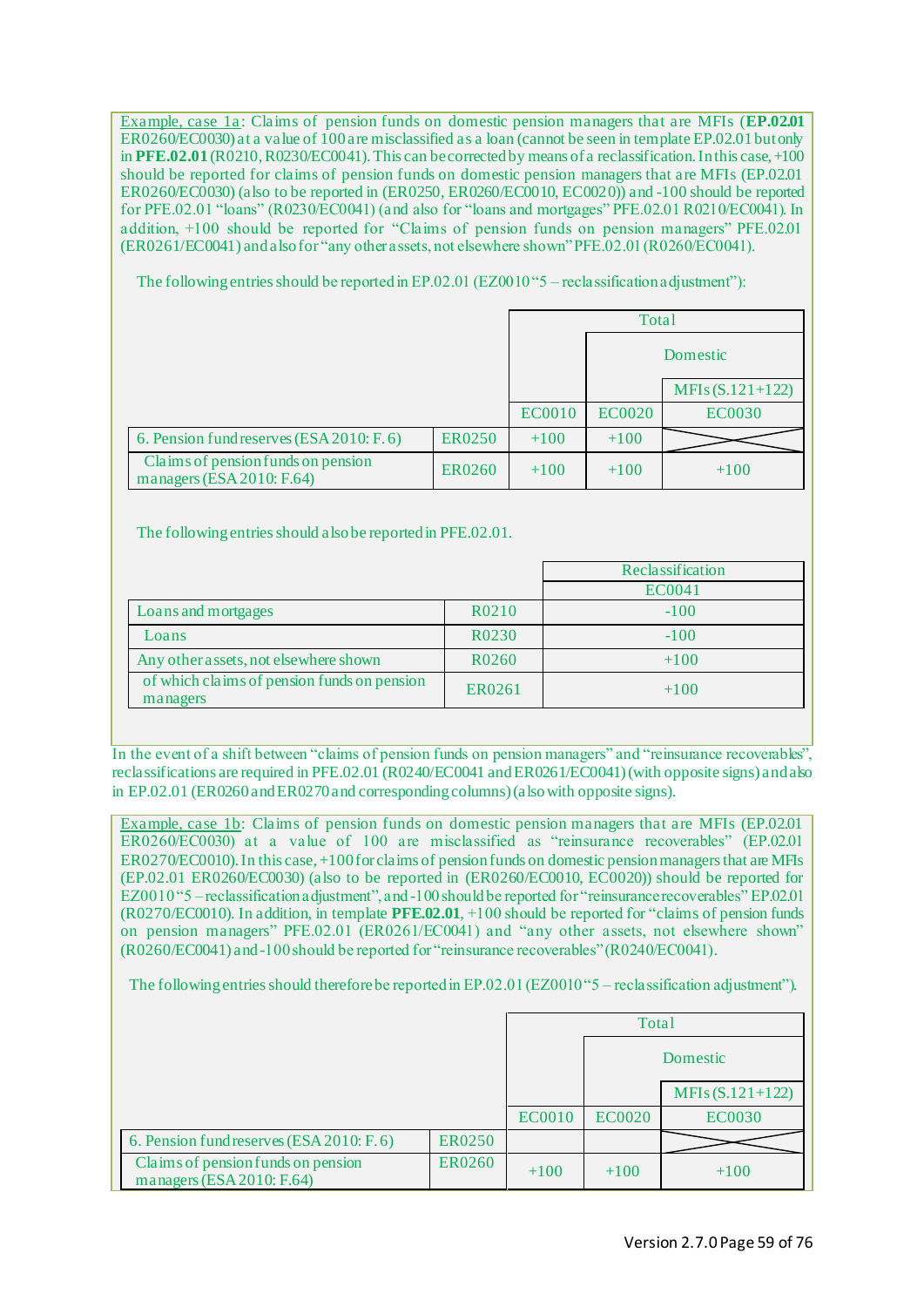Example, case 1a: Claims of pension funds on domestic pension managers that are MFIs (**EP.02.01**) ER0260/EC0030) at a value of 100 are misclassified as a loan (cannot be seen in template EP.02.01 but only in **PFE.02.01** (R0210, R0230/EC0041).This can be corrected by means of a reclassification. In this case, +100 should be reported for claims of pension funds on domestic pension managers that are MFIs (EP.02.01 ER0260/EC0030) (also to be reported in (ER0250, ER0260/EC0010, EC0020)) and -100 should be reported for PFE.02.01 "loans" (R0230/EC0041) (and also for "loans and mortgages" PFE.02.01 R0210/EC0041). In addition, +100 should be reported for "Claims of pension funds on pension managers" PFE.02.01 (ER0261/EC0041) and also for "any other assets, not elsewhere shown" PFE.02.01 (R0260/EC0041).

The following entries should be reported in EP.02.01 (EZ0010"5 – reclassification adjustment"):

|                                                                    |               |               | Total         |                   |
|--------------------------------------------------------------------|---------------|---------------|---------------|-------------------|
|                                                                    |               |               |               | Domestic          |
|                                                                    |               |               |               | $MFIs(S.121+122)$ |
|                                                                    |               | <b>EC0010</b> | <b>EC0020</b> | <b>EC0030</b>     |
| 6. Pension fund reserves (ESA 2010: F. 6)                          | <b>ER0250</b> | $+100$        | $+100$        |                   |
| Claims of pension funds on pension<br>managers (ESA 2010: $F.64$ ) | <b>ER0260</b> | $+100$        | $+100$        | $+100$            |

The following entries should alsobe reported in PFE.02.01.

|                                                         |                    | Reclassification |
|---------------------------------------------------------|--------------------|------------------|
|                                                         |                    | <b>EC0041</b>    |
| Loans and mortgages                                     | R <sub>0210</sub>  | $-100$           |
| Loans                                                   | R0230              | $-100$           |
| Any other assets, not elsewhere shown                   | R <sub>0</sub> 260 | $+100$           |
| of which claims of pension funds on pension<br>managers | ER0261             | $+100$           |
|                                                         |                    |                  |

In the event of a shift between "claims of pension funds on pension managers" and "reinsurance recoverables", reclassifications are required in PFE.02.01 (R0240/EC0041 and ER0261/EC0041) (with opposite signs) and also in EP.02.01 (ER0260 and ER0270 and corresponding columns) (also with opposite signs).

Example, case 1b: Claims of pension funds on domestic pension managers that are MFIs (EP.02.01 ER0260/EC0030) at a value of 100 are misclassified as "reinsurance recoverables" (EP.02.01 ER0270/EC0010). In this case, +100 for claims of pension funds on domestic pension managers that are MFIs (EP.02.01 ER0260/EC0030) (also to be reported in (ER0260/EC0010, EC0020)) should be reported for EZ0010 "5 –reclassification adjustment", and -100 should be reported for "reinsurance recoverables" EP.02.01 (R0270/EC0010). In addition, in template **PFE.02.01**, +100 should be reported for "claims of pension funds on pension managers" PFE.02.01 (ER0261/EC0041) and "any other assets, not elsewhere shown" (R0260/EC0041) and -100 should be reported for "reinsurance recoverables" (R0240/EC0041).

The following entries should thereforebe reported in EP.02.01 (EZ0010 "5 – reclassification adjustment").

|                                                                    |               |               | Total         |                   |
|--------------------------------------------------------------------|---------------|---------------|---------------|-------------------|
|                                                                    |               |               |               | Domestic          |
|                                                                    |               |               |               | $MFIs(S.121+122)$ |
|                                                                    |               | <b>EC0010</b> | <b>EC0020</b> | <b>EC0030</b>     |
| 6. Pension fund reserves (ESA 2010: F. 6)                          | <b>ER0250</b> |               |               |                   |
| Claims of pension funds on pension<br>managers (ESA 2010: $F.64$ ) | <b>ER0260</b> | $+100$        | $+100$        | $+100$            |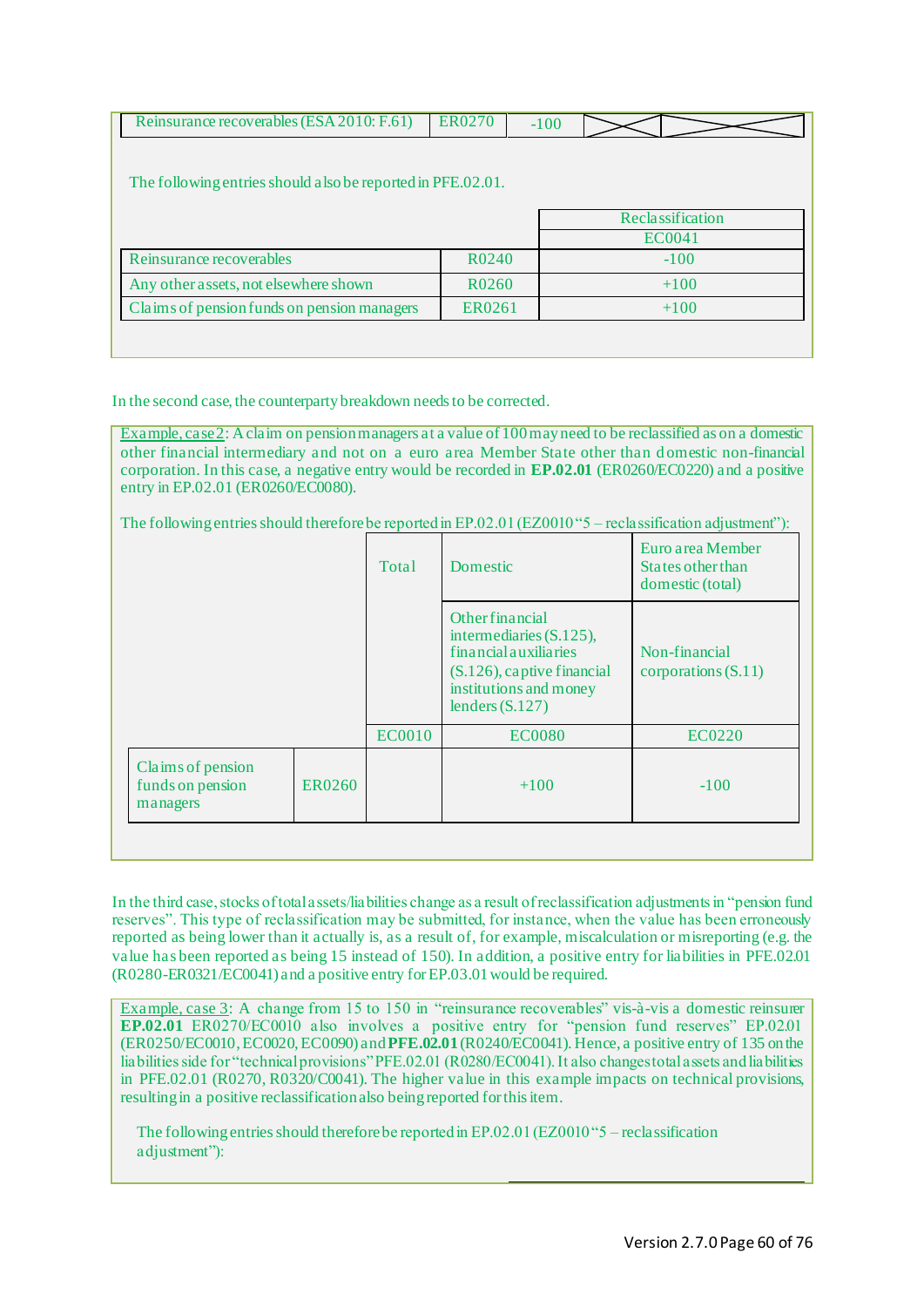| Reinsurance recoverables (ESA 2010: F.61)                    | <b>ER0270</b> | $-100$ |                  |               |  |
|--------------------------------------------------------------|---------------|--------|------------------|---------------|--|
|                                                              |               |        |                  |               |  |
| The following entries should also be reported in PFE.02.01.  |               |        |                  |               |  |
|                                                              |               |        |                  |               |  |
|                                                              |               |        | Reclassification |               |  |
|                                                              |               |        |                  | <b>EC0041</b> |  |
| Reinsurance recoverables<br>R0240                            |               |        |                  | $-100$        |  |
| Any other assets, not elsewhere shown                        | R0260         |        |                  | $+100$        |  |
| Claims of pension funds on pension managers<br><b>ER0261</b> |               |        | $+100$           |               |  |
|                                                              |               |        |                  |               |  |
|                                                              |               |        |                  |               |  |

In the second case, the counterparty breakdown needs to be corrected.

Example, case 2: Aclaim on pension managers at a value of 100 may need to be reclassified as on a domestic other financial intermediary and not on a euro area Member State other than d omestic non-financial corporation. In this case, a negative entry would be recorded in **EP.02.01** (ER0260/EC0220) and a positive entry in EP.02.01 (ER0260/EC0080).

The following entries should thereforebe reported in EP.02.01 (EZ0010 "5 – reclassification adjustment"):

|                                                   |        | <b>Total</b>  | Domestic                                                                                                                                                      | Euro area Member<br>States other than<br>domestic (total) |
|---------------------------------------------------|--------|---------------|---------------------------------------------------------------------------------------------------------------------------------------------------------------|-----------------------------------------------------------|
|                                                   |        |               | <b>Other financial</b><br>intermediaries $(S.125)$ ,<br>financial auxiliaries<br>$(S.126)$ , captive financial<br>institutions and money<br>lenders $(S.127)$ | Non-financial<br>corporations $(S.11)$                    |
|                                                   |        | <b>EC0010</b> | <b>EC0080</b>                                                                                                                                                 | EC0220                                                    |
| Claims of pension<br>funds on pension<br>managers | ER0260 |               | $+100$                                                                                                                                                        | $-100$                                                    |
|                                                   |        |               |                                                                                                                                                               |                                                           |

In the third case, stocks of total assets/liabilities change as a result of reclassification adjustments in "pension fund reserves". This type of reclassification may be submitted, for instance, when the value has been erroneously reported as being lower than it actually is, as a result of, for example, miscalculation or misreporting (e.g. the value has been reported as being 15 instead of 150). In addition, a positive entry for liabilities in PFE.02.01 (R0280-ER0321/EC0041) and a positive entry for EP.03.01 would be required.

Example, case 3: A change from 15 to 150 in "reinsurance recoverables" vis-à-vis a domestic reinsurer **EP.02.01** ER0270/EC0010 also involves a positive entry for "pension fund reserves" EP.02.01 (ER0250/EC0010, EC0020, EC0090) and **PFE.02.01**(R0240/EC0041). Hence, a positive entry of 135 on the liabilities side for "technical provisions" PFE.02.01 (R0280/EC0041). It also changes total assets and liabilities in PFE.02.01 (R0270, R0320/C0041). The higher value in this example impacts on technical provisions, resulting in a positive reclassification also beingreported for this item.

The following entries should thereforebe reported in EP.02.01 (EZ0010 "5 – reclassification adjustment"):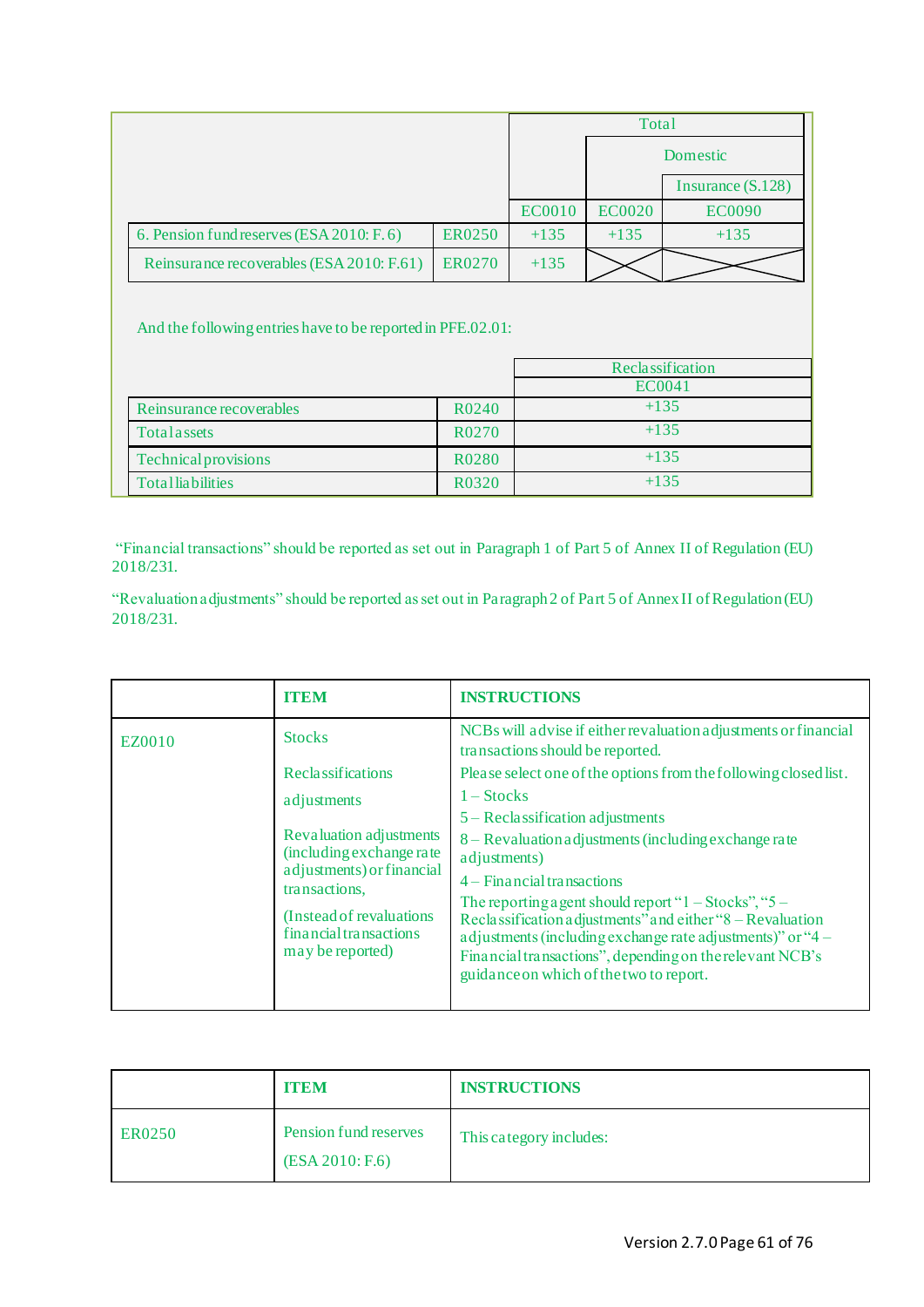|                                           |               |               | Total         |                     |
|-------------------------------------------|---------------|---------------|---------------|---------------------|
|                                           |               |               |               | Domestic            |
|                                           |               |               |               | Insurance $(S.128)$ |
|                                           |               | <b>EC0010</b> | <b>EC0020</b> | <b>EC0090</b>       |
| 6. Pension fund reserves (ESA 2010: F. 6) | <b>ER0250</b> | $+135$        | $+135$        | $+135$              |
| Reinsurance recoverables (ESA 2010: F.61) | <b>ER0270</b> | $+135$        |               |                     |

And the following entries have to be reported in PFE.02.01:

|                             |                                | Reclassification |
|-----------------------------|--------------------------------|------------------|
|                             |                                | EC0041           |
| Reinsurance recoverables    | R <sub>0</sub> 24 <sub>0</sub> | $+135$           |
| Total assets                | R0270                          | $+135$           |
| <b>Technical provisions</b> | R <sub>0280</sub>              | $+135$           |
| <b>Totalliabilities</b>     | R0320                          | $+135$           |

"Financial transactions" should be reported as set out in Paragraph 1 of Part 5 of Annex II of Regulation (EU) 2018/231.

"Revaluation adjustments" should be reported as set out in Paragraph 2 of Part 5 of Annex II of Regulation (EU) 2018/231.

|                                                                         | <b>ITEM</b>                                                                                                                                                                                                                                                                                           | <b>INSTRUCTIONS</b>                                                                                 |
|-------------------------------------------------------------------------|-------------------------------------------------------------------------------------------------------------------------------------------------------------------------------------------------------------------------------------------------------------------------------------------------------|-----------------------------------------------------------------------------------------------------|
| EZ0010                                                                  | <b>Stocks</b>                                                                                                                                                                                                                                                                                         | NCBs will advise if either revaluation adjustments or financial<br>transactions should be reported. |
|                                                                         | <b>Reclassifications</b>                                                                                                                                                                                                                                                                              | Please select one of the options from the following closed list.                                    |
|                                                                         | adjustments                                                                                                                                                                                                                                                                                           | $1 - \text{Stocks}$                                                                                 |
|                                                                         |                                                                                                                                                                                                                                                                                                       | $5 - Reclassification adjustments$                                                                  |
|                                                                         | Revaluation adjustments<br>(including exchange rate<br>adjustments) or financial<br>transactions,                                                                                                                                                                                                     | 8 – Revaluation adjustments (including exchange rate<br>adjustments)                                |
|                                                                         |                                                                                                                                                                                                                                                                                                       | $4 -$ Financial transactions                                                                        |
| (Instead of revaluations)<br>financial transactions<br>may be reported) | The reporting a gent should report " $1 - \text{Stocks}$ ", " $5 -$<br>Reclassification adjustments" and either "8 - Revaluation<br>adjustments (including exchange rate adjustments)" or "4 –<br>Financial transactions", depending on the relevant NCB's<br>guidance on which of the two to report. |                                                                                                     |
|                                                                         |                                                                                                                                                                                                                                                                                                       |                                                                                                     |

|        | <b>ITEM</b>                              | <b>INSTRUCTIONS</b>     |
|--------|------------------------------------------|-------------------------|
| ER0250 | Pension fund reserves<br>(ESA 2010; F.6) | This category includes: |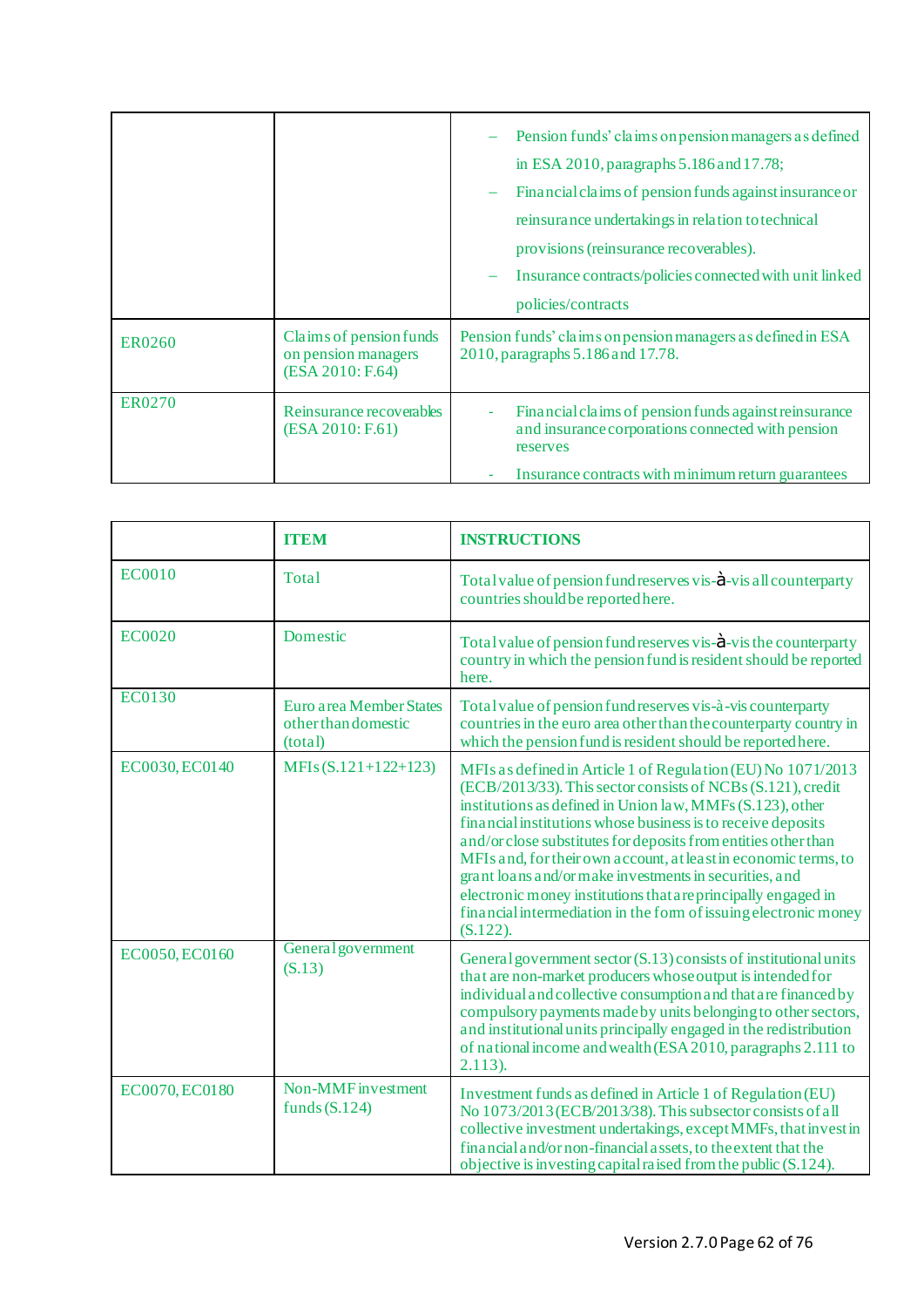|        |                                                                    | Pension funds' claims on pension managers as defined<br>in ESA 2010, paragraphs $5.186$ and $17.78$ ;<br>Financial claims of pension funds against insurance or<br>reinsurance undertakings in relation to technical<br>provisions (reinsurance recoverables).<br>Insurance contracts/policies connected with unit linked<br>policies/contracts |
|--------|--------------------------------------------------------------------|-------------------------------------------------------------------------------------------------------------------------------------------------------------------------------------------------------------------------------------------------------------------------------------------------------------------------------------------------|
| ER0260 | Claims of pension funds<br>on pension managers<br>(ESA 2010: F.64) | Pension funds' claims on pension managers as defined in ESA<br>2010, paragraphs 5.186 and 17.78.                                                                                                                                                                                                                                                |
| ER0270 | Reinsurance recoverables<br>(ESA 2010: F.61)                       | Financial claims of pension funds against reinsurance<br>٠<br>and insurance corporations connected with pension<br>reserves<br>Insurance contracts with minimum return guarantees                                                                                                                                                               |

|                | <b>ITEM</b>                                               | <b>INSTRUCTIONS</b>                                                                                                                                                                                                                                                                                                                                                                                                                                                                                                                                                                                         |
|----------------|-----------------------------------------------------------|-------------------------------------------------------------------------------------------------------------------------------------------------------------------------------------------------------------------------------------------------------------------------------------------------------------------------------------------------------------------------------------------------------------------------------------------------------------------------------------------------------------------------------------------------------------------------------------------------------------|
| <b>EC0010</b>  | Total                                                     | Total value of pension fund reserves vis- $\dot{a}$ -vis all counterparty<br>countries should be reported here.                                                                                                                                                                                                                                                                                                                                                                                                                                                                                             |
| <b>EC0020</b>  | Domestic                                                  | Total value of pension fund reserves vis- $\dot{a}$ -vis the counterparty<br>country in which the pension fund is resident should be reported<br>here.                                                                                                                                                                                                                                                                                                                                                                                                                                                      |
| <b>EC0130</b>  | Euro area Member States<br>other than domestic<br>(total) | Total value of pension fund reserves vis-à-vis counterparty<br>countries in the euro area other than the counterparty country in<br>which the pension fund is resident should be reported here.                                                                                                                                                                                                                                                                                                                                                                                                             |
| EC0030, EC0140 | MFIs $(S.121+122+123)$                                    | MFIs as defined in Article 1 of Regulation (EU) No 1071/2013<br>(ECB/2013/33). This sector consists of NCBs (S.121), credit<br>institutions as defined in Union law, MMFs (S.123), other<br>financial institutions whose business is to receive deposits<br>and/or close substitutes for deposits from entities other than<br>MFIs and, for their own account, at least in economic terms, to<br>grant loans and/or make investments in securities, and<br>electronic money institutions that are principally engaged in<br>financial intermediation in the form of issuing electronic money<br>$(S.122)$ . |
| EC0050, EC0160 | <b>General</b> government<br>(S.13)                       | General government sector (S.13) consists of institutional units<br>that are non-market producers whose output is intended for<br>individual and collective consumption and that are financed by<br>compulsory payments made by units belonging to other sectors,<br>and institutional units principally engaged in the redistribution<br>of national income and wealth (ESA 2010, paragraphs 2.111 to<br>$2.113$ ).                                                                                                                                                                                        |
| EC0070, EC0180 | Non-MMF investment<br>funds $(S.124)$                     | Investment funds as defined in Article 1 of Regulation (EU)<br>No 1073/2013 (ECB/2013/38). This subsector consists of all<br>collective investment undertakings, except MMFs, that invest in<br>financial and/or non-financial assets, to the extent that the<br>objective is investing capital raised from the public (S.124).                                                                                                                                                                                                                                                                             |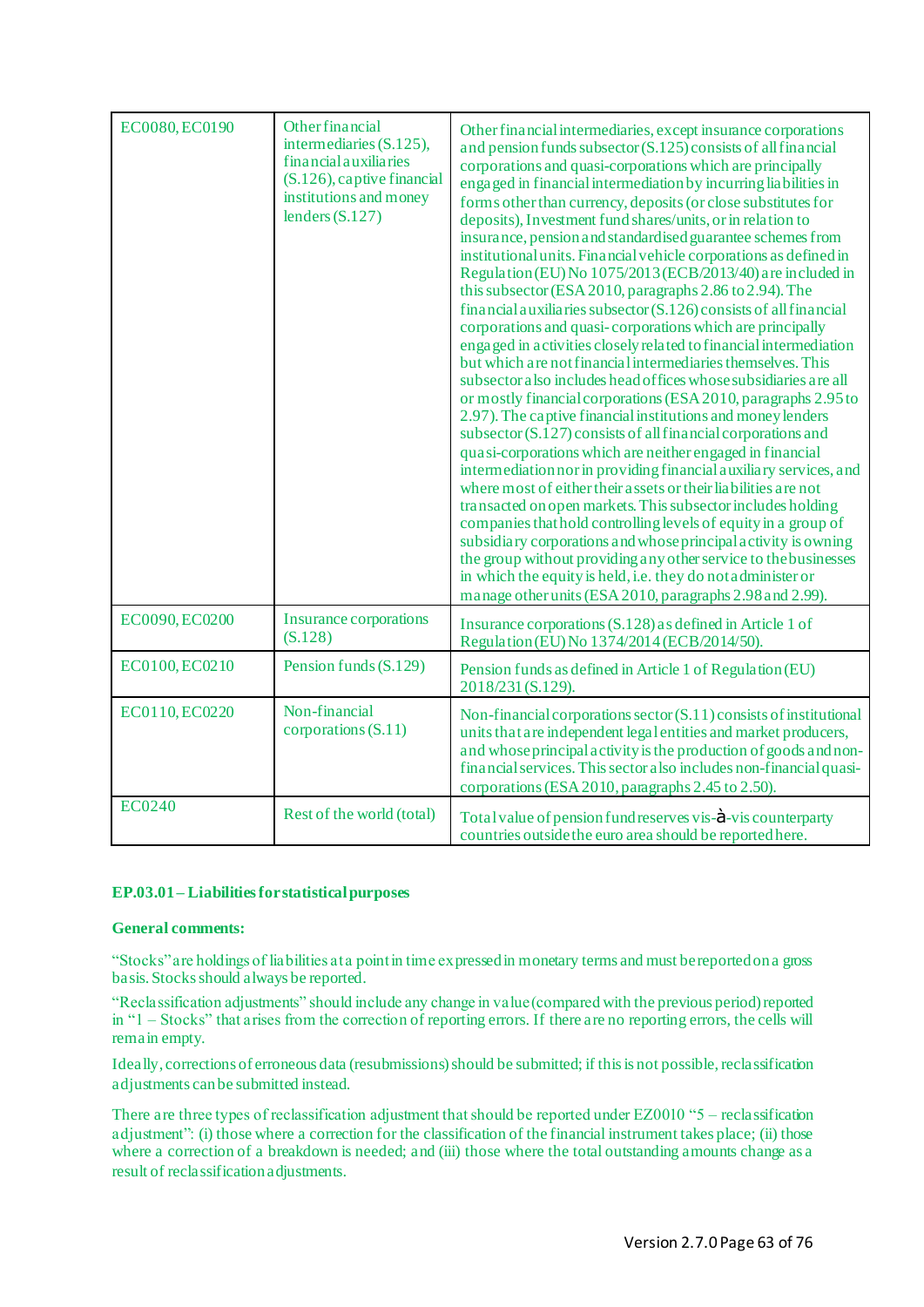| EC0080, EC0190 | <b>Other financial</b><br>intermediaries (S.125),<br>financial auxiliaries<br>$(S.126)$ , captive financial<br>institutions and money<br>lenders $(S.127)$ | Other financial intermediaries, except insurance corporations<br>and pension funds subsector (S.125) consists of all financial<br>corporations and quasi-corporations which are principally<br>engaged in financial intermediation by incurring liabilities in<br>forms other than currency, deposits (or close substitutes for<br>deposits), Investment fund shares/units, or in relation to<br>insurance, pension and standardised guarantee schemes from<br>institutional units. Financial vehicle corporations as defined in<br>Regulation (EU) No 1075/2013 (ECB/2013/40) are included in<br>this subsector (ESA 2010, paragraphs 2.86 to 2.94). The<br>financial auxiliaries subsector (S.126) consists of all financial<br>corporations and quasi-corporations which are principally<br>engaged in activities closely related to financial intermediation<br>but which are not financial intermediaries themselves. This<br>subsector also includes head offices whose subsidiaries are all<br>or mostly financial corporations (ESA 2010, paragraphs 2.95 to<br>2.97). The captive financial institutions and money lenders<br>subsector (S.127) consists of all financial corporations and<br>quasi-corporations which are neither engaged in financial<br>intermediation nor in providing financial auxiliary services, and<br>where most of either their assets or their liabilities are not<br>transacted on open markets. This subsector includes holding<br>companies that hold controlling levels of equity in a group of<br>subsidiary corporations and whose principal activity is owning<br>the group without providing any other service to the businesses<br>in which the equity is held, i.e. they do not administer or<br>manage other units (ESA 2010, paragraphs 2.98 and 2.99). |
|----------------|------------------------------------------------------------------------------------------------------------------------------------------------------------|----------------------------------------------------------------------------------------------------------------------------------------------------------------------------------------------------------------------------------------------------------------------------------------------------------------------------------------------------------------------------------------------------------------------------------------------------------------------------------------------------------------------------------------------------------------------------------------------------------------------------------------------------------------------------------------------------------------------------------------------------------------------------------------------------------------------------------------------------------------------------------------------------------------------------------------------------------------------------------------------------------------------------------------------------------------------------------------------------------------------------------------------------------------------------------------------------------------------------------------------------------------------------------------------------------------------------------------------------------------------------------------------------------------------------------------------------------------------------------------------------------------------------------------------------------------------------------------------------------------------------------------------------------------------------------------------------------------------------------------------------------------------------------------------------------|
| EC0090, EC0200 | Insurance corporations<br>(S.128)                                                                                                                          | Insurance corporations (S.128) as defined in Article 1 of<br>Regulation (EU) No 1374/2014 (ECB/2014/50).                                                                                                                                                                                                                                                                                                                                                                                                                                                                                                                                                                                                                                                                                                                                                                                                                                                                                                                                                                                                                                                                                                                                                                                                                                                                                                                                                                                                                                                                                                                                                                                                                                                                                                 |
| EC0100, EC0210 | Pension funds (S.129)                                                                                                                                      | Pension funds as defined in Article 1 of Regulation (EU)<br>2018/231 (S.129).                                                                                                                                                                                                                                                                                                                                                                                                                                                                                                                                                                                                                                                                                                                                                                                                                                                                                                                                                                                                                                                                                                                                                                                                                                                                                                                                                                                                                                                                                                                                                                                                                                                                                                                            |
| EC0110, EC0220 | Non-financial<br>corporations $(S.11)$                                                                                                                     | Non-financial corporations sector (S.11) consists of institutional<br>units that are independent legal entities and market producers,<br>and whose principal activity is the production of goods and non-<br>financial services. This sector also includes non-financial quasi-<br>corporations (ESA 2010, paragraphs 2.45 to 2.50).                                                                                                                                                                                                                                                                                                                                                                                                                                                                                                                                                                                                                                                                                                                                                                                                                                                                                                                                                                                                                                                                                                                                                                                                                                                                                                                                                                                                                                                                     |
| <b>EC0240</b>  | Rest of the world (total)                                                                                                                                  | Total value of pension fund reserves vis- $\dot{a}$ -vis counterparty<br>countries outside the euro area should be reported here.                                                                                                                                                                                                                                                                                                                                                                                                                                                                                                                                                                                                                                                                                                                                                                                                                                                                                                                                                                                                                                                                                                                                                                                                                                                                                                                                                                                                                                                                                                                                                                                                                                                                        |

# **EP.03.01 – Liabilities for statistical purposes**

#### **General comments:**

"Stocks" are holdings of liabilities at a point in time expressed in monetary terms and must be reported on a gross basis. Stocks should always be reported.

"Reclassification adjustments" should include any change in value (compared with the previous period) reported in "1 – Stocks" that arises from the correction of reporting errors. If there are no reporting errors, the cells will remain empty.

Ideally, corrections of erroneous data (resubmissions) should be submitted; if this is not possible, reclassification adjustments can be submitted instead.

There are three types of reclassification adjustment that should be reported under EZ0010 "5 – reclassification adjustment": (i) those where a correction for the classification of the financial instrument takes place; (ii) those where a correction of a breakdown is needed; and (iii) those where the total outstanding amounts change as a result of reclassification adjustments.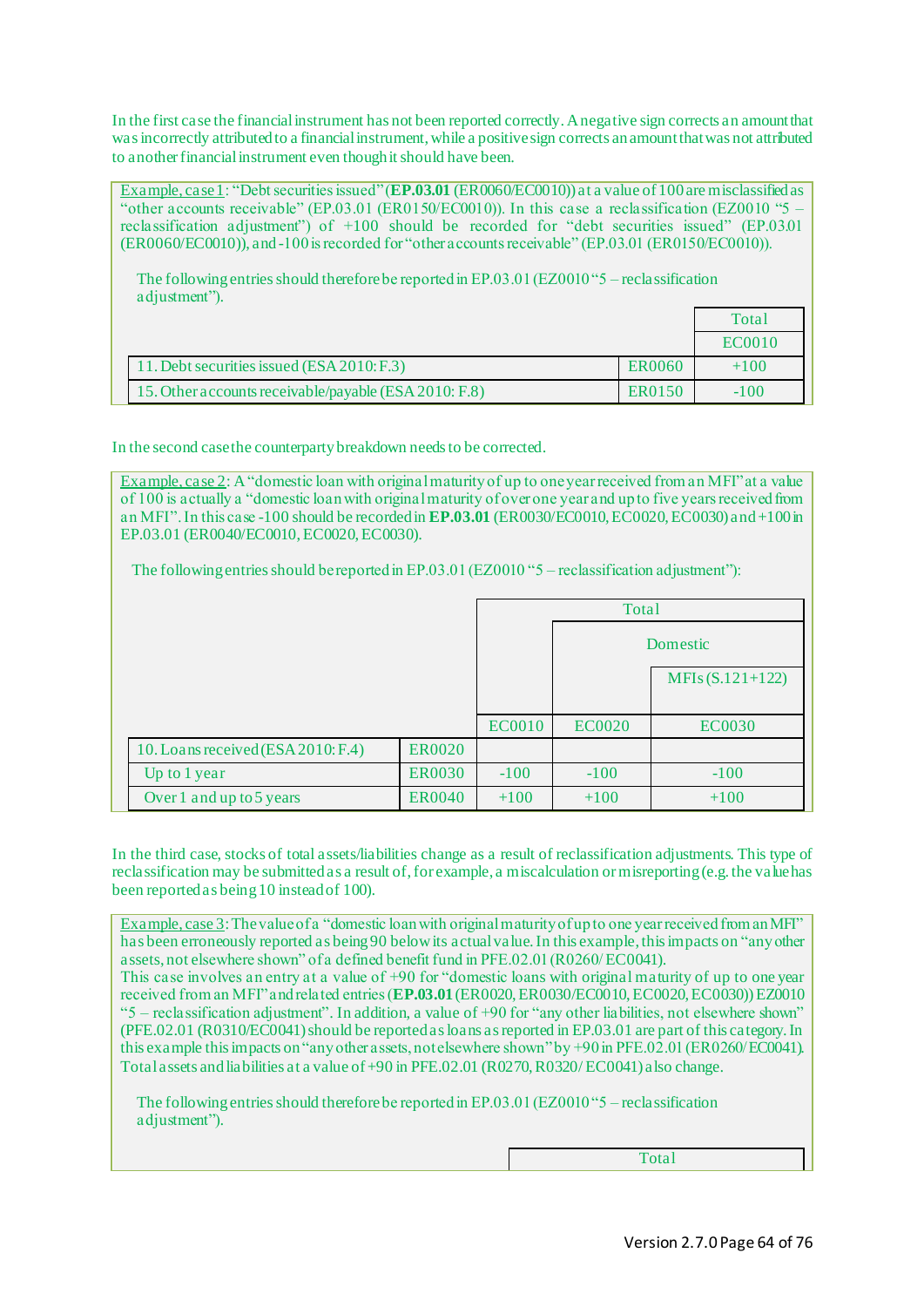In the first case the financial instrument has not been reported correctly. A negative sign corrects an amount that was incorrectly attributed to a financial instrument, while a positive sign corrects an amount that was not attributed to another financial instrument even though it should have been.

Example, case 1: "Debt securities issued" (**EP.03.01** (ER0060/EC0010)) at a value of 100 are misclassified as "other accounts receivable" (EP.03.01 (ER0150/EC0010)). In this case a reclassification (EZ0010 "5 – reclassification adjustment") of +100 should be recorded for "debt securities issued" (EP.03.01 (ER0060/EC0010)), and -100 is recorded for "other accounts receivable" (EP.03.01 (ER0150/EC0010)).

The following entries should thereforebe reported in EP.03.01 (EZ0010 "5 – reclassification adjustment").

|                                                       |               | Total  |
|-------------------------------------------------------|---------------|--------|
|                                                       |               | EC0010 |
| 11. Debt securities issued (ESA 2010: F.3)            | <b>ER0060</b> | $+100$ |
| 15. Other accounts receivable/payable (ESA 2010: F.8) | ER0150        | $-100$ |

In the second case the counterparty breakdown needs to be corrected.

Example, case 2: A "domestic loan with original maturity of up to one year received from an MFI" at a value of 100 is actually a "domestic loan with original maturity of over one year and up to five years received from an MFI". In this case -100 should be recorded in **EP.03.01** (ER0030/EC0010, EC0020, EC0030) and +100 in EP.03.01 (ER0040/EC0010, EC0020, EC0030).

The following entries should be reported in EP.03.01 (EZ0010 "5 – reclassification adjustment"):

|                                    |               |               | Total         |                   |
|------------------------------------|---------------|---------------|---------------|-------------------|
|                                    |               |               |               | Domestic          |
|                                    |               |               |               | $MFIs(S.121+122)$ |
|                                    |               | <b>EC0010</b> | <b>EC0020</b> | <b>EC0030</b>     |
| 10. Loans received (ESA 2010: F.4) | <b>ER0020</b> |               |               |                   |
| Up to 1 year                       | <b>ER0030</b> | $-100$        | $-100$        | $-100$            |
| Over 1 and up to 5 years           | <b>ER0040</b> | $+100$        | $+100$        | $+100$            |

In the third case, stocks of total assets/liabilities change as a result of reclassification adjustments. This type of reclassification may be submitted as a result of, for example, a miscalculation or misreporting (e.g. the value has been reported as being 10 instead of 100).

Example, case 3: The value of a "domestic loan with original maturity of up to one year received from an MFI" has been erroneously reported as being 90 below its actual value. In this example, this impacts on "any other assets, not elsewhere shown" of a defined benefit fund in PFE.02.01 (R0260/ EC0041).

This case involves an entry at a value of +90 for "domestic loans with original maturity of up to one year received from an MFI" and related entries (**EP.03.01**(ER0020, ER0030/EC0010, EC0020, EC0030))EZ0010 "5 – reclassification adjustment". In addition, a value of +90 for "any other liabilities, not elsewhere shown" (PFE.02.01 (R0310/EC0041) should be reported as loans as reported in EP.03.01 are part of this category. In this example this impacts on "any other assets, not elsewhere shown" by +90 in PFE.02.01 (ER0260/EC0041). Total assets and liabilities at a value of +90 in PFE.02.01 (R0270, R0320/ EC0041) also change.

The following entries should thereforebe reported in EP.03.01 (EZ0010 "5 – reclassification adjustment").

Total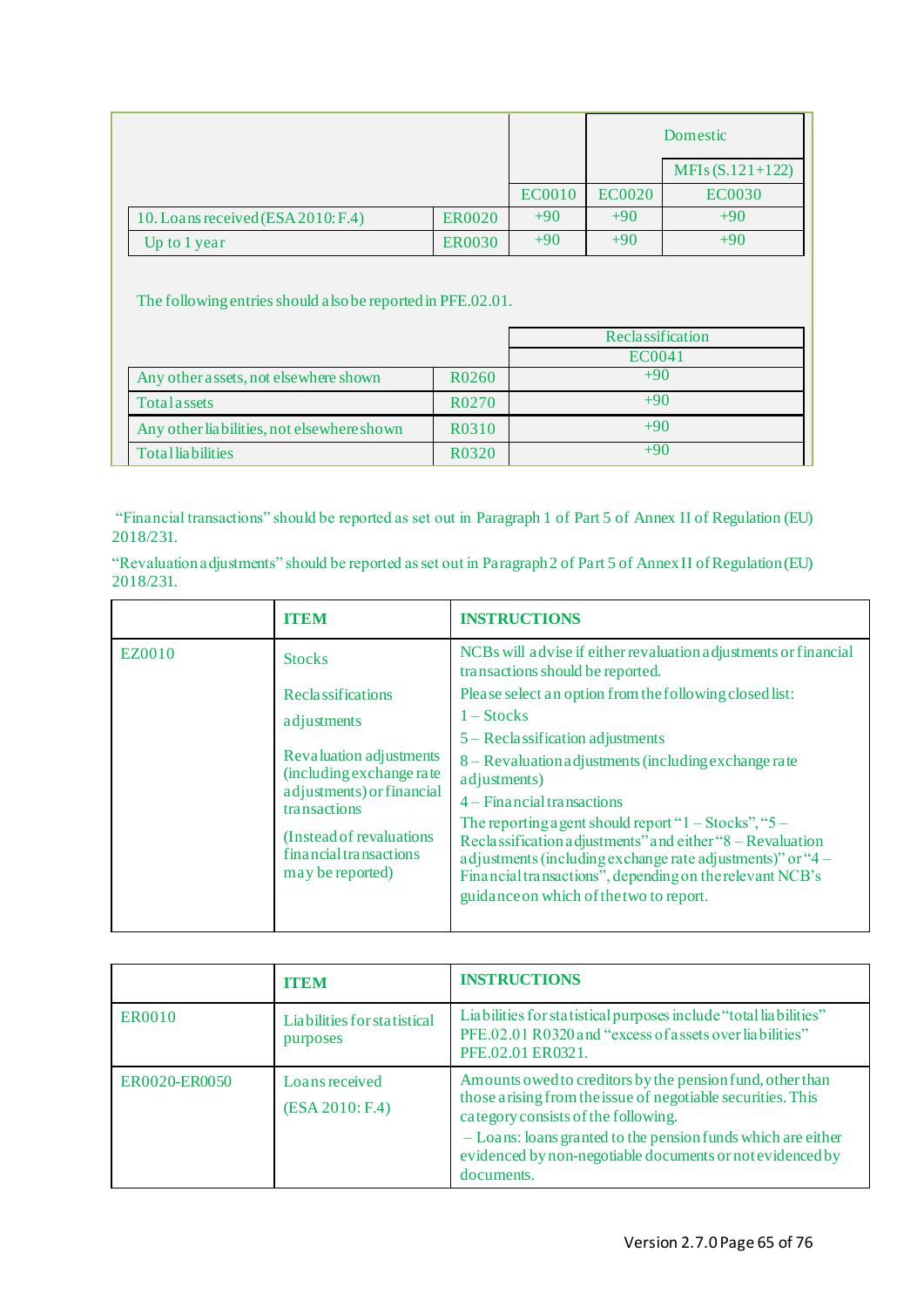|                                    |               |               |               | Domestic          |
|------------------------------------|---------------|---------------|---------------|-------------------|
|                                    |               |               |               | $MFIs(S.121+122)$ |
|                                    |               | <b>EC0010</b> | <b>EC0020</b> | <b>EC0030</b>     |
| 10. Loans received (ESA 2010: F.4) | <b>ER0020</b> | $+90$         | $+90$         | $+90$             |
| Up to 1 year                       | <b>ER0030</b> | $+90$         | $+90$         | $+90$             |

The following entries should alsobe reported in PFE.02.01.

|                                            |                    | Reclassification |
|--------------------------------------------|--------------------|------------------|
|                                            |                    | EC0041           |
| Any other assets, not elsewhere shown      | R <sub>0</sub> 260 | $+90$            |
| Total assets                               | R <sub>0</sub> 270 | $+90$            |
| Any other liabilities, not elsewhere shown | R0310              | $+90$            |
| <b>Totalliabilities</b>                    | R0320              | $+90$            |

"Financial transactions" should be reported as set out in Paragraph 1 of Part 5 of Annex II of Regulation (EU) 2018/231.

"Revaluation adjustments" should be reported as set out in Paragraph 2 of Part 5 of Annex II of Regulation (EU) 2018/231.

|                                                                         | <b>ITEM</b>                                                                                                                                                                                                                                                                                            | <b>INSTRUCTIONS</b>                                                                                 |
|-------------------------------------------------------------------------|--------------------------------------------------------------------------------------------------------------------------------------------------------------------------------------------------------------------------------------------------------------------------------------------------------|-----------------------------------------------------------------------------------------------------|
| EZ0010                                                                  | <b>Stocks</b>                                                                                                                                                                                                                                                                                          | NCBs will advise if either revaluation adjustments or financial<br>transactions should be reported. |
|                                                                         | <b>Reclassifications</b>                                                                                                                                                                                                                                                                               | Please select an option from the following closed list:                                             |
|                                                                         | adjustments                                                                                                                                                                                                                                                                                            | $1 - \text{Stocks}$                                                                                 |
|                                                                         | Revaluation adjustments<br>(including exchange rate)<br>adjustments) or financial<br>transactions                                                                                                                                                                                                      | $5 - Reclassification adjustments$                                                                  |
|                                                                         |                                                                                                                                                                                                                                                                                                        | 8 – Revaluation adjustments (including exchange rate<br>adjustments)                                |
|                                                                         |                                                                                                                                                                                                                                                                                                        | $4 -$ Financial transactions                                                                        |
| (Instead of revaluations)<br>financial transactions<br>may be reported) | The reporting a gent should report " $1 - \text{Stocks}$ ", " $5 -$<br>Reclassification adjustments" and either "8 – Revaluation<br>a djustments (including exchange rate adjustments)" or "4 –<br>Financial transactions", depending on the relevant NCB's<br>guidance on which of the two to report. |                                                                                                     |

|               | <b>ITEM</b>                             | <b>INSTRUCTIONS</b>                                                                                                                                                                                                                                                                                        |
|---------------|-----------------------------------------|------------------------------------------------------------------------------------------------------------------------------------------------------------------------------------------------------------------------------------------------------------------------------------------------------------|
| <b>ER0010</b> | Liabilities for statistical<br>purposes | Liabilities for statistical purposes include "total liabilities"<br>PFE.02.01 R0320 and "excess of assets over liabilities"<br>PFE.02.01 ER0321.                                                                                                                                                           |
| ER0020-ER0050 | Loans received<br>(ESA 2010: F.4)       | Amounts owed to creditors by the pension fund, other than<br>those arising from the issue of negotiable securities. This<br>category consists of the following.<br>- Loans: loans granted to the pension funds which are either<br>evidenced by non-negotiable documents or not evidenced by<br>documents. |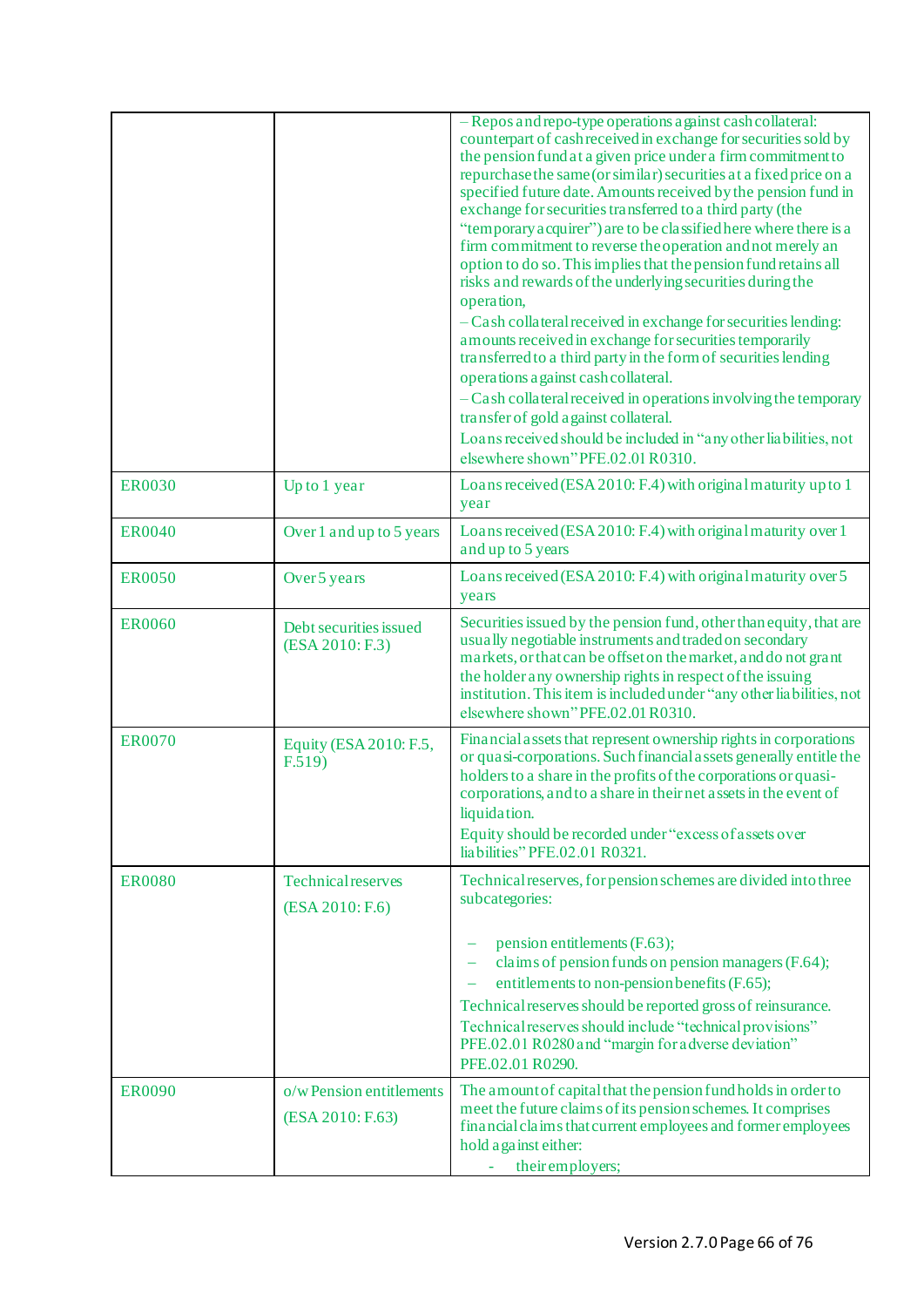|               |                                              | - Repos and repo-type operations a gainst cash collateral:<br>counterpart of cash received in exchange for securities sold by<br>the pension fund at a given price under a firm commitment to<br>repurchase the same (or similar) securities at a fixed price on a<br>specified future date. Amounts received by the pension fund in<br>exchange for securities transferred to a third party (the<br>"temporary acquirer") are to be classified here where there is a<br>firm commitment to reverse the operation and not merely an<br>option to do so. This implies that the pension fund retains all<br>risks and rewards of the underlying securities during the<br>operation,<br>- Cash collateral received in exchange for securities lending:<br>amounts received in exchange for securities temporarily<br>transferred to a third party in the form of securities lending<br>operations a gainst cash collateral.<br>$-Cash$ collateral received in operations involving the temporary<br>transfer of gold a gainst collateral.<br>Loans received should be included in "any other liabilities, not<br>elsewhere shown"PFE.02.01R0310. |
|---------------|----------------------------------------------|-----------------------------------------------------------------------------------------------------------------------------------------------------------------------------------------------------------------------------------------------------------------------------------------------------------------------------------------------------------------------------------------------------------------------------------------------------------------------------------------------------------------------------------------------------------------------------------------------------------------------------------------------------------------------------------------------------------------------------------------------------------------------------------------------------------------------------------------------------------------------------------------------------------------------------------------------------------------------------------------------------------------------------------------------------------------------------------------------------------------------------------------------|
| <b>ER0030</b> | Up to 1 year                                 | Loans received (ESA 2010: F.4) with original maturity up to 1<br>year                                                                                                                                                                                                                                                                                                                                                                                                                                                                                                                                                                                                                                                                                                                                                                                                                                                                                                                                                                                                                                                                         |
| <b>ER0040</b> | Over 1 and up to 5 years                     | Loans received (ESA 2010: F.4) with original maturity over 1<br>and up to 5 years                                                                                                                                                                                                                                                                                                                                                                                                                                                                                                                                                                                                                                                                                                                                                                                                                                                                                                                                                                                                                                                             |
| <b>ER0050</b> | Over 5 years                                 | Loans received (ESA 2010: F.4) with original maturity over 5<br>years                                                                                                                                                                                                                                                                                                                                                                                                                                                                                                                                                                                                                                                                                                                                                                                                                                                                                                                                                                                                                                                                         |
| <b>ER0060</b> | Debt securities issued<br>(ESA 2010: F.3)    | Securities issued by the pension fund, other than equity, that are<br>usually negotiable instruments and traded on secondary<br>markets, or that can be offset on the market, and do not grant<br>the holder any ownership rights in respect of the issuing<br>institution. This item is included under "any other liabilities, not<br>elsewhere shown"PFE.02.01 R0310.                                                                                                                                                                                                                                                                                                                                                                                                                                                                                                                                                                                                                                                                                                                                                                       |
| <b>ER0070</b> | Equity (ESA 2010: F.5,<br>F.519)             | Financial assets that represent ownership rights in corporations<br>or quasi-corporations. Such financial assets generally entitle the<br>holders to a share in the profits of the corporations or quasi-<br>corporations, and to a share in their net assets in the event of<br>liquidation.<br>Equity should be recorded under "excess of assets over<br>liabilities" PFE.02.01 R0321.                                                                                                                                                                                                                                                                                                                                                                                                                                                                                                                                                                                                                                                                                                                                                      |
| <b>ER0080</b> | <b>Technical reserves</b><br>(ESA 2010: F.6) | Technical reserves, for pension schemes are divided into three<br>subcategories:<br>pension entitlements (F.63);<br>claims of pension funds on pension managers (F.64);<br>entitlements to non-pension benefits (F.65);<br>Technical reserves should be reported gross of reinsurance.<br>Technical reserves should include "technical provisions"<br>PFE.02.01 R0280 and "margin for a dverse deviation"<br>PFE.02.01 R0290.                                                                                                                                                                                                                                                                                                                                                                                                                                                                                                                                                                                                                                                                                                                 |
| <b>ER0090</b> | o/w Pension entitlements<br>(ESA 2010: F.63) | The amount of capital that the pension fund holds in order to<br>meet the future claims of its pension schemes. It comprises<br>financial claims that current employees and former employees<br>hold against either:<br>their employers;<br>ä,                                                                                                                                                                                                                                                                                                                                                                                                                                                                                                                                                                                                                                                                                                                                                                                                                                                                                                |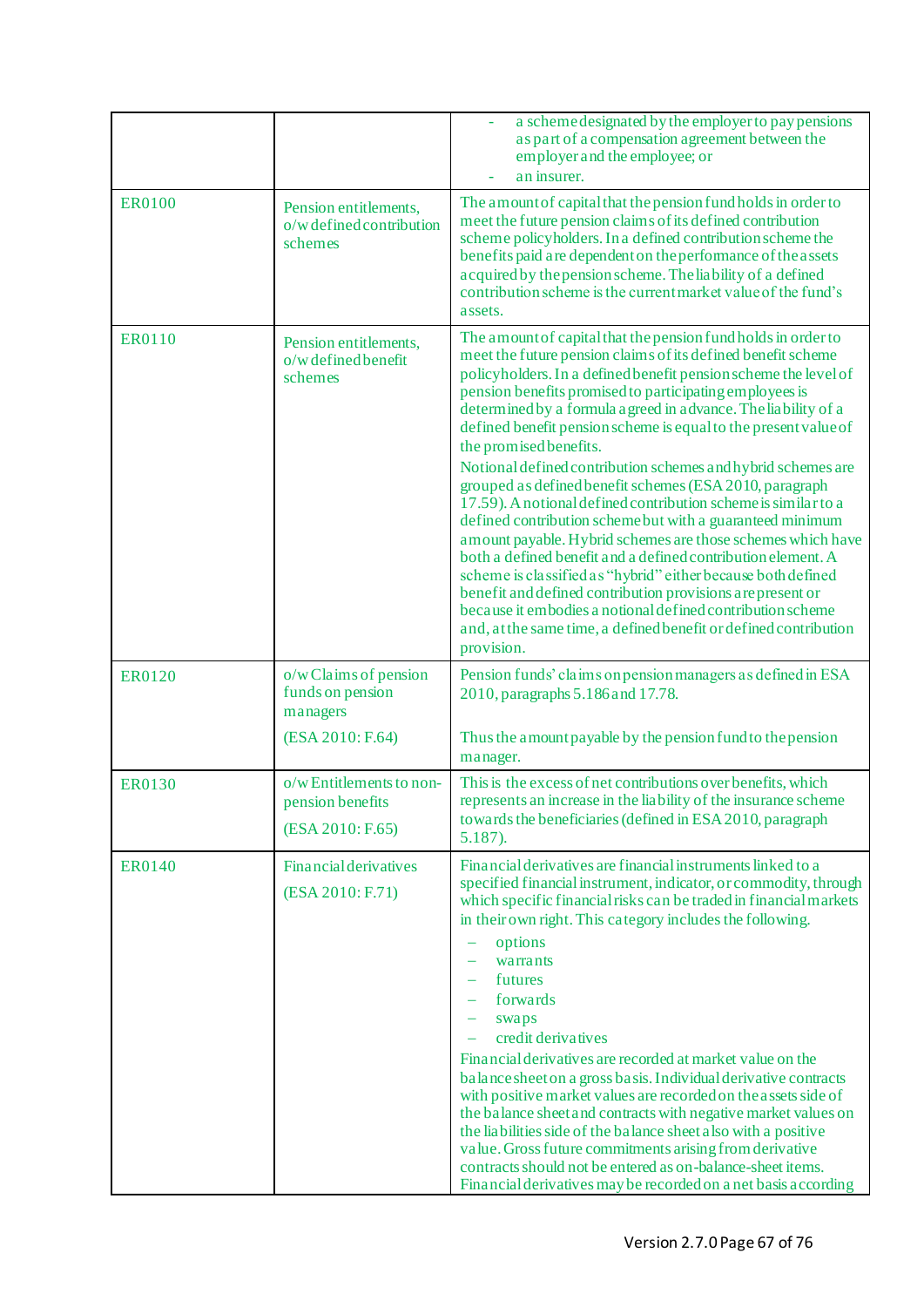|               |                                                                 | a scheme designated by the employer to pay pensions<br>as part of a compensation agreement between the<br>employer and the employee; or<br>an insurer.                                                                                                                                                                                                                                                                                                                                                                                                                                                                                                                                                                                                                                                                                                                                                                                                                                                                                                                                              |
|---------------|-----------------------------------------------------------------|-----------------------------------------------------------------------------------------------------------------------------------------------------------------------------------------------------------------------------------------------------------------------------------------------------------------------------------------------------------------------------------------------------------------------------------------------------------------------------------------------------------------------------------------------------------------------------------------------------------------------------------------------------------------------------------------------------------------------------------------------------------------------------------------------------------------------------------------------------------------------------------------------------------------------------------------------------------------------------------------------------------------------------------------------------------------------------------------------------|
| <b>ER0100</b> | Pension entitlements,<br>o/w defined contribution<br>schemes    | The amount of capital that the pension fund holds in order to<br>meet the future pension claims of its defined contribution<br>scheme policyholders. In a defined contribution scheme the<br>benefits paid are dependent on the performance of the assets<br>acquired by the pension scheme. The liability of a defined<br>contribution scheme is the current market value of the fund's<br>assets.                                                                                                                                                                                                                                                                                                                                                                                                                                                                                                                                                                                                                                                                                                 |
| <b>ER0110</b> | Pension entitlements,<br>o/w defined benefit<br>schemes         | The amount of capital that the pension fund holds in order to<br>meet the future pension claims of its defined benefit scheme<br>policyholders. In a defined benefit pension scheme the level of<br>pension benefits promised to participating employees is<br>determined by a formula a greed in a dvance. The liability of a<br>defined benefit pension scheme is equal to the present value of<br>the promised benefits.<br>Notional defined contribution schemes and hybrid schemes are<br>grouped as defined benefit schemes (ESA 2010, paragraph<br>17.59). A notional defined contribution scheme is similar to a<br>defined contribution scheme but with a guaranteed minimum<br>a mount payable. Hybrid schemes are those schemes which have<br>both a defined benefit and a defined contribution element. A<br>scheme is classified as "hybrid" either because both defined<br>benefit and defined contribution provisions are present or<br>because it embodies a notional defined contribution scheme<br>and, at the same time, a defined benefit or defined contribution<br>provision. |
| <b>ER0120</b> | o/wClaims of pension<br>funds on pension<br>managers            | Pension funds' claims on pension managers as defined in ESA<br>2010, paragraphs 5.186 and 17.78.                                                                                                                                                                                                                                                                                                                                                                                                                                                                                                                                                                                                                                                                                                                                                                                                                                                                                                                                                                                                    |
|               | (ESA 2010: F.64)                                                | Thus the amount payable by the pension fund to the pension<br>manager.                                                                                                                                                                                                                                                                                                                                                                                                                                                                                                                                                                                                                                                                                                                                                                                                                                                                                                                                                                                                                              |
| <b>ER0130</b> | o/wEntitlements to non-<br>pension benefits<br>(ESA 2010: F.65) | This is the excess of net contributions over benefits, which<br>represents an increase in the liability of the insurance scheme<br>towards the beneficiaries (defined in ESA 2010, paragraph<br>$5.187$ ).                                                                                                                                                                                                                                                                                                                                                                                                                                                                                                                                                                                                                                                                                                                                                                                                                                                                                          |
| <b>ER0140</b> | <b>Financial derivatives</b><br>(ESA 2010: F.71)                | Financial derivatives are financial instruments linked to a<br>specified financial instrument, indicator, or commodity, through<br>which specific financial risks can be traded in financial markets<br>in their own right. This category includes the following.<br>options<br>warrants<br>futures<br>forwards<br>swaps<br>credit derivatives<br>Financial derivatives are recorded at market value on the<br>balance sheet on a gross basis. Individual derivative contracts<br>with positive market values are recorded on the assets side of<br>the balance sheet and contracts with negative market values on<br>the liabilities side of the balance sheet also with a positive<br>value. Gross future commitments arising from derivative<br>contracts should not be entered as on-balance-sheet items.<br>Financial derivatives may be recorded on a net basis according                                                                                                                                                                                                                     |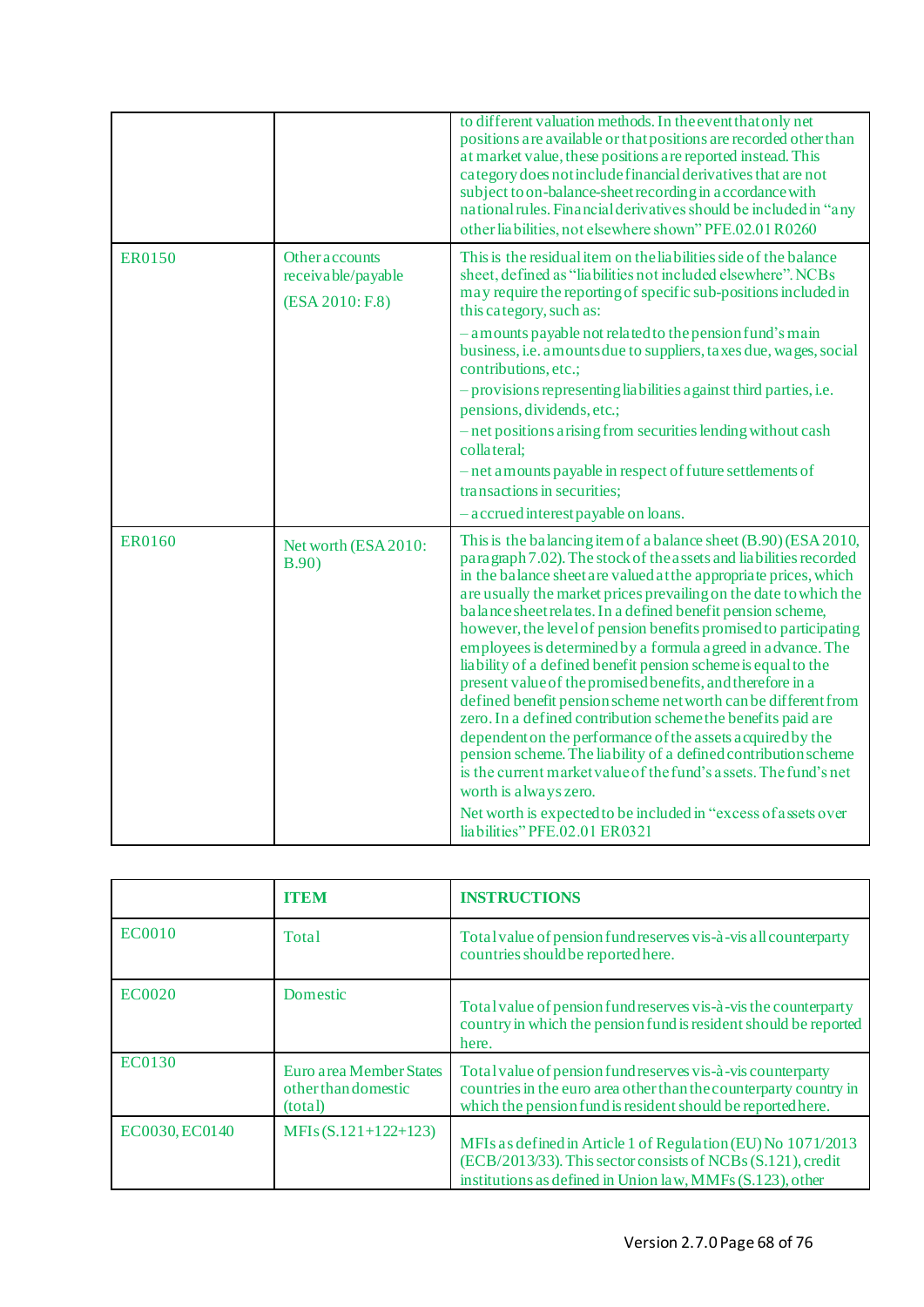|               |                                                                | to different valuation methods. In the event that only net<br>positions are available or that positions are recorded other than<br>at market value, these positions are reported instead. This<br>category does not include financial derivatives that are not<br>subject to on-balance-sheet recording in accordance with<br>national rules. Financial derivatives should be included in "any<br>other liabilities, not elsewhere shown" PFE.02.01 R0260                                                                                                                                                                                                                                                                                                                                                                                                                                                                                                                                                                                          |
|---------------|----------------------------------------------------------------|----------------------------------------------------------------------------------------------------------------------------------------------------------------------------------------------------------------------------------------------------------------------------------------------------------------------------------------------------------------------------------------------------------------------------------------------------------------------------------------------------------------------------------------------------------------------------------------------------------------------------------------------------------------------------------------------------------------------------------------------------------------------------------------------------------------------------------------------------------------------------------------------------------------------------------------------------------------------------------------------------------------------------------------------------|
| <b>ER0150</b> | <b>Other accounts</b><br>receivable/payable<br>(ESA 2010: F.8) | This is the residual item on the liabilities side of the balance<br>sheet, defined as "liabilities not included elsewhere". NCBs<br>may require the reporting of specific sub-positions included in<br>this category, such as:                                                                                                                                                                                                                                                                                                                                                                                                                                                                                                                                                                                                                                                                                                                                                                                                                     |
|               |                                                                | - a mounts payable not related to the pension fund's main<br>business, i.e. amounts due to suppliers, taxes due, wages, social<br>contributions, etc.;<br>- provisions representing liabilities against third parties, i.e.                                                                                                                                                                                                                                                                                                                                                                                                                                                                                                                                                                                                                                                                                                                                                                                                                        |
|               |                                                                | pensions, dividends, etc.;<br>- net positions arising from securities lending without cash<br>collateral;<br>- net amounts payable in respect of future settlements of                                                                                                                                                                                                                                                                                                                                                                                                                                                                                                                                                                                                                                                                                                                                                                                                                                                                             |
|               |                                                                | transactions in securities;<br>- accrued interest payable on loans.                                                                                                                                                                                                                                                                                                                                                                                                                                                                                                                                                                                                                                                                                                                                                                                                                                                                                                                                                                                |
| <b>ER0160</b> | Net worth (ESA 2010:<br>B.90)                                  | This is the balancing item of a balance sheet (B.90) (ESA 2010,<br>paragraph 7.02). The stock of the assets and liabilities recorded<br>in the balance sheet are valued at the appropriate prices, which<br>are usually the market prices prevailing on the date to which the<br>balance sheet relates. In a defined benefit pension scheme,<br>however, the level of pension benefits promised to participating<br>employees is determined by a formula a greed in a dyance. The<br>liability of a defined benefit pension scheme is equal to the<br>present value of the promised benefits, and therefore in a<br>defined benefit pension scheme net worth can be different from<br>zero. In a defined contribution scheme the benefits paid are<br>dependent on the performance of the assets a cquired by the<br>pension scheme. The liability of a defined contribution scheme<br>is the current market value of the fund's assets. The fund's net<br>worth is always zero.<br>Net worth is expected to be included in "excess of assets over |
|               |                                                                | liabilities" PFE.02.01 ER0321                                                                                                                                                                                                                                                                                                                                                                                                                                                                                                                                                                                                                                                                                                                                                                                                                                                                                                                                                                                                                      |

|                | <b>ITEM</b>                                                | <b>INSTRUCTIONS</b>                                                                                                                                                                             |
|----------------|------------------------------------------------------------|-------------------------------------------------------------------------------------------------------------------------------------------------------------------------------------------------|
| EC0010         | Total                                                      | Total value of pension fund reserves vis-à-vis all counterparty<br>countries should be reported here.                                                                                           |
| <b>EC0020</b>  | Domestic                                                   | Total value of pension fund reserves vis-à-vis the counterparty<br>country in which the pension fund is resident should be reported<br>here.                                                    |
| EC0130         | Euro a rea Member States<br>other than domestic<br>(total) | Total value of pension fund reserves vis-à-vis counterparty<br>countries in the euro area other than the counterparty country in<br>which the pension fund is resident should be reported here. |
| EC0030, EC0140 | MFIs $(S.121+122+123)$                                     | MFIs as defined in Article 1 of Regulation (EU) No 1071/2013<br>(ECB/2013/33). This sector consists of NCBs (S.121), credit<br>institutions as defined in Union law, MMFs (S.123), other        |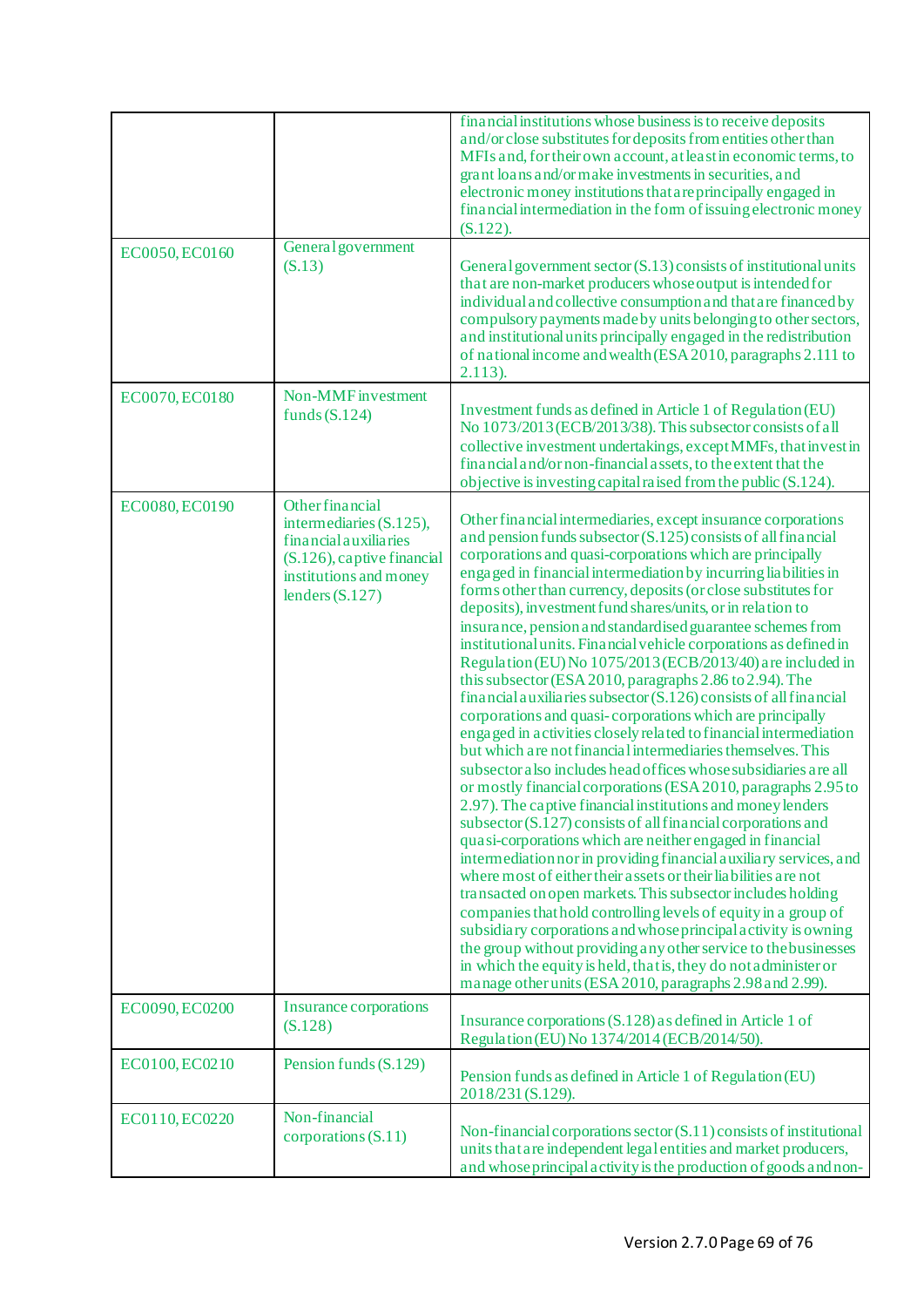|                |                                                                                                                                                            | financial institutions whose business is to receive deposits<br>and/or close substitutes for deposits from entities other than<br>MFIs and, for their own account, at least in economic terms, to<br>grant loans and/or make investments in securities, and<br>electronic money institutions that are principally engaged in<br>financial intermediation in the form of issuing electronic money<br>$(S.122)$ .                                                                                                                                                                                                                                                                                                                                                                                                                                                                                                                                                                                                                                                                                                                                                                                                                                                                                                                                                                                                                                                                                                                                                                                                                                                                                                                                                                                              |
|----------------|------------------------------------------------------------------------------------------------------------------------------------------------------------|--------------------------------------------------------------------------------------------------------------------------------------------------------------------------------------------------------------------------------------------------------------------------------------------------------------------------------------------------------------------------------------------------------------------------------------------------------------------------------------------------------------------------------------------------------------------------------------------------------------------------------------------------------------------------------------------------------------------------------------------------------------------------------------------------------------------------------------------------------------------------------------------------------------------------------------------------------------------------------------------------------------------------------------------------------------------------------------------------------------------------------------------------------------------------------------------------------------------------------------------------------------------------------------------------------------------------------------------------------------------------------------------------------------------------------------------------------------------------------------------------------------------------------------------------------------------------------------------------------------------------------------------------------------------------------------------------------------------------------------------------------------------------------------------------------------|
| EC0050, EC0160 | General government<br>(S.13)                                                                                                                               | General government sector (S.13) consists of institutional units<br>that are non-market producers whose output is intended for<br>individual and collective consumption and that are financed by<br>compulsory payments made by units belonging to other sectors,<br>and institutional units principally engaged in the redistribution<br>of national income and wealth (ESA 2010, paragraphs 2.111 to<br>$2.113$ ).                                                                                                                                                                                                                                                                                                                                                                                                                                                                                                                                                                                                                                                                                                                                                                                                                                                                                                                                                                                                                                                                                                                                                                                                                                                                                                                                                                                         |
| EC0070, EC0180 | Non-MMF investment<br>funds $(S.124)$                                                                                                                      | Investment funds as defined in Article 1 of Regulation (EU)<br>No 1073/2013 (ECB/2013/38). This subsector consists of all<br>collective investment undertakings, except MMFs, that invest in<br>financial and/or non-financial assets, to the extent that the<br>objective is investing capital raised from the public (S.124).                                                                                                                                                                                                                                                                                                                                                                                                                                                                                                                                                                                                                                                                                                                                                                                                                                                                                                                                                                                                                                                                                                                                                                                                                                                                                                                                                                                                                                                                              |
| EC0080, EC0190 | <b>Other financial</b><br>intermediaries (S.125),<br>financial auxiliaries<br>$(S.126)$ , captive financial<br>institutions and money<br>lenders $(S.127)$ | Other financial intermediaries, except insurance corporations<br>and pension funds subsector (S.125) consists of all financial<br>corporations and quasi-corporations which are principally<br>engaged in financial intermediation by incurring liabilities in<br>forms other than currency, deposits (or close substitutes for<br>deposits), investment fund shares/units, or in relation to<br>insurance, pension and standardised guarantee schemes from<br>institutional units. Financial vehicle corporations as defined in<br>Regulation (EU) No 1075/2013 (ECB/2013/40) are included in<br>this subsector (ESA 2010, paragraphs 2.86 to 2.94). The<br>financial auxiliaries subsector (S.126) consists of all financial<br>corporations and quasi-corporations which are principally<br>engaged in activities closely related to financial intermediation<br>but which are not financial intermediaries themselves. This<br>subsector also includes head offices whose subsidiaries are all<br>or mostly financial corporations (ESA 2010, paragraphs 2.95 to<br>2.97). The captive financial institutions and money lenders<br>subsector (S.127) consists of all financial corporations and<br>quasi-corporations which are neither engaged in financial<br>intermediation nor in providing financial auxiliary services, and<br>where most of either their assets or their liabilities are not<br>transacted on open markets. This subsector includes holding<br>companies that hold controlling levels of equity in a group of<br>subsidiary corporations and whose principal activity is owning<br>the group without providing any other service to the businesses<br>in which the equity is held, that is, they do not administer or<br>manage other units (ESA 2010, paragraphs 2.98 and 2.99). |
| EC0090, EC0200 | <b>Insurance corporations</b><br>(S.128)                                                                                                                   | Insurance corporations (S.128) as defined in Article 1 of<br>Regulation (EU) No 1374/2014 (ECB/2014/50).                                                                                                                                                                                                                                                                                                                                                                                                                                                                                                                                                                                                                                                                                                                                                                                                                                                                                                                                                                                                                                                                                                                                                                                                                                                                                                                                                                                                                                                                                                                                                                                                                                                                                                     |
| EC0100, EC0210 | Pension funds (S.129)                                                                                                                                      | Pension funds as defined in Article 1 of Regulation (EU)<br>2018/231 (S.129).                                                                                                                                                                                                                                                                                                                                                                                                                                                                                                                                                                                                                                                                                                                                                                                                                                                                                                                                                                                                                                                                                                                                                                                                                                                                                                                                                                                                                                                                                                                                                                                                                                                                                                                                |
| EC0110, EC0220 | Non-financial<br>corporations $(S.11)$                                                                                                                     | Non-financial corporations sector (S.11) consists of institutional<br>units that are independent legal entities and market producers,<br>and whose principal activity is the production of goods and non-                                                                                                                                                                                                                                                                                                                                                                                                                                                                                                                                                                                                                                                                                                                                                                                                                                                                                                                                                                                                                                                                                                                                                                                                                                                                                                                                                                                                                                                                                                                                                                                                    |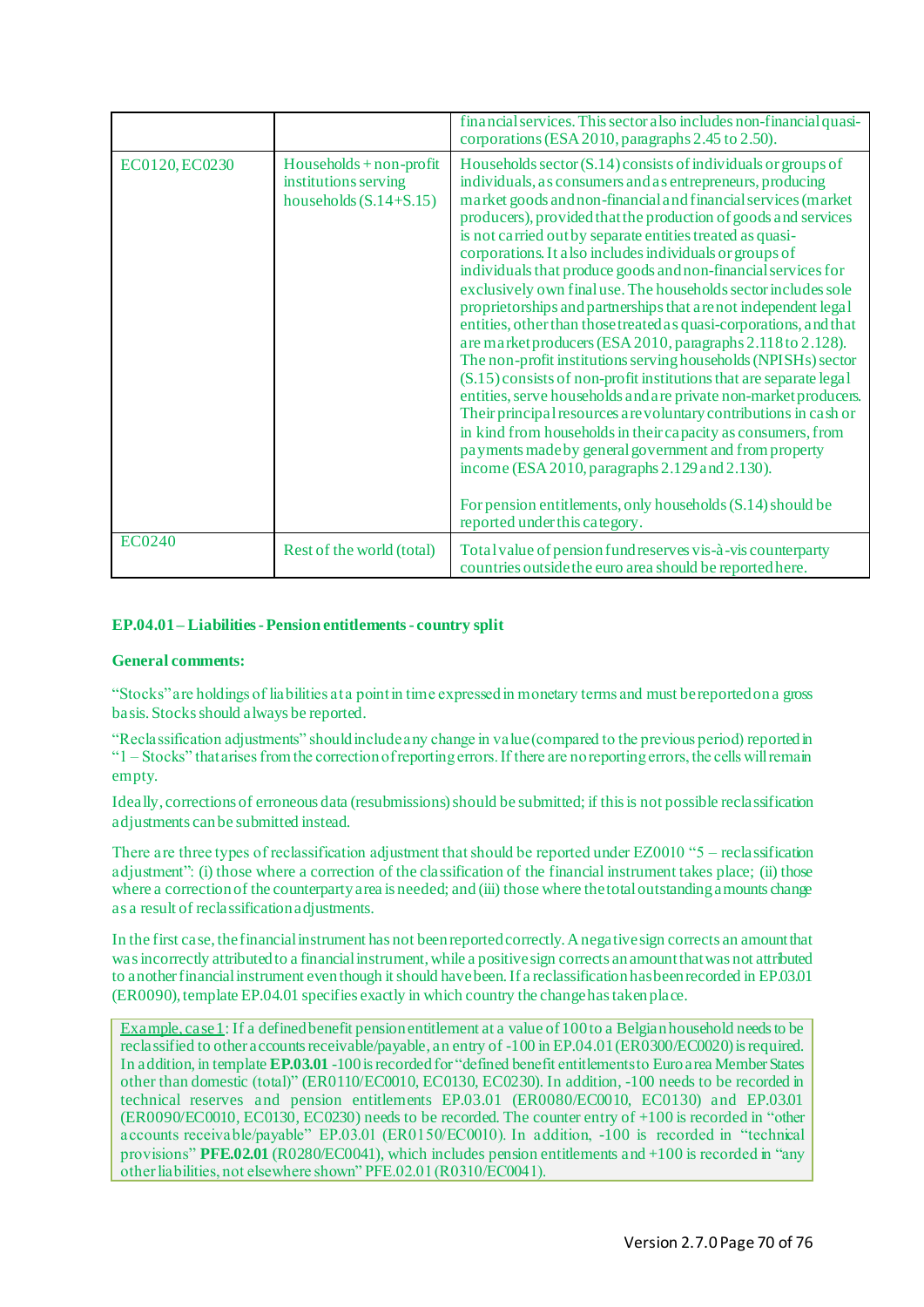|                |                                                                                 | financial services. This sector also includes non-financial quasi-<br>corporations (ESA 2010, paragraphs 2.45 to 2.50).                                                                                                                                                                                                                                                                                                                                                                                                                                                                                                                                                                                                                                                                                                                                                                                                                                                                                                                                                                                                                                                                                                                                                                             |
|----------------|---------------------------------------------------------------------------------|-----------------------------------------------------------------------------------------------------------------------------------------------------------------------------------------------------------------------------------------------------------------------------------------------------------------------------------------------------------------------------------------------------------------------------------------------------------------------------------------------------------------------------------------------------------------------------------------------------------------------------------------------------------------------------------------------------------------------------------------------------------------------------------------------------------------------------------------------------------------------------------------------------------------------------------------------------------------------------------------------------------------------------------------------------------------------------------------------------------------------------------------------------------------------------------------------------------------------------------------------------------------------------------------------------|
| EC0120, EC0230 | $Households + non-profit$<br>institutions serving<br>households $(S.14 + S.15)$ | Households sector $(S.14)$ consists of individuals or groups of<br>individuals, as consumers and as entrepreneurs, producing<br>market goods and non-financial and financial services (market<br>producers), provided that the production of goods and services<br>is not carried out by separate entities treated as quasi-<br>corporations. It also includes individuals or groups of<br>individuals that produce goods and non-financial services for<br>exclusively own final use. The households sector includes sole<br>proprietorships and partnerships that are not independent legal<br>entities, other than those treated as quasi-corporations, and that<br>are market producers (ESA 2010, paragraphs 2.118 to 2.128).<br>The non-profit institutions serving households (NPISHs) sector<br>$(S.15)$ consists of non-profit institutions that are separate legal<br>entities, serve households and are private non-market producers.<br>Their principal resources are voluntary contributions in cash or<br>in kind from households in their capacity as consumers, from<br>payments made by general government and from property<br>income (ESA 2010, paragraphs $2.129$ and $2.130$ ).<br>For pension entitlements, only households (S.14) should be<br>reported under this category. |
| EC0240         | Rest of the world (total)                                                       | Total value of pension fund reserves vis-à-vis counterparty<br>countries outside the euro area should be reported here.                                                                                                                                                                                                                                                                                                                                                                                                                                                                                                                                                                                                                                                                                                                                                                                                                                                                                                                                                                                                                                                                                                                                                                             |

### **EP.04.01 – Liabilities -Pension entitlements - country split**

#### **General comments:**

"Stocks" are holdings of liabilities at a point in time expressed in monetary terms and must be reported on a gross basis. Stocks should always be reported.

"Reclassification adjustments" should include any change in value (compared to the previous period) reported in "1 – Stocks" that arises from the correction of reporting errors. If there are no reporting errors, the cells will remain empty.

Ideally, corrections of erroneous data (resubmissions) should be submitted; if this is not possible reclassification adjustments can be submitted instead.

There are three types of reclassification adjustment that should be reported under EZ0010 "5 – reclassification adjustment": (i) those where a correction of the classification of the financial instrument takes place; (ii) those where a correction of the counterparty area is needed; and (iii) those where the total outstanding amounts change as a result of reclassification adjustments.

In the first case, the financial instrument has not been reported correctly. A negative sign corrects an amount that was incorrectly attributed to a financial instrument, while a positive sign corrects an amount that was not attributed to another financial instrument even though it should have been. If a reclassification has been recorded in EP.03.01 (ER0090), template EP.04.01 specifies exactly in which country the change has taken place.

Example, case 1: If a defined benefit pension entitlement at a value of 100 to a Belgian household needs to be reclassified to other accounts receivable/payable, an entry of -100 in EP.04.01 (ER0300/EC0020) is required. In addition, in template **EP.03.01** -100 is recorded for "defined benefit entitlements to Euro area Member States other than domestic (total)" (ER0110/EC0010, EC0130, EC0230). In addition, -100 needs to be recorded in technical reserves and pension entitlements EP.03.01 (ER0080/EC0010, EC0130) and EP.03.01 (ER0090/EC0010, EC0130, EC0230) needs to be recorded. The counter entry of +100 is recorded in "other accounts receivable/payable" EP.03.01 (ER0150/EC0010). In addition, -100 is recorded in "technical provisions" **PFE.02.01** (R0280/EC0041), which includes pension entitlements and +100 is recorded in "any other liabilities, not elsewhere shown" PFE.02.01 (R0310/EC0041).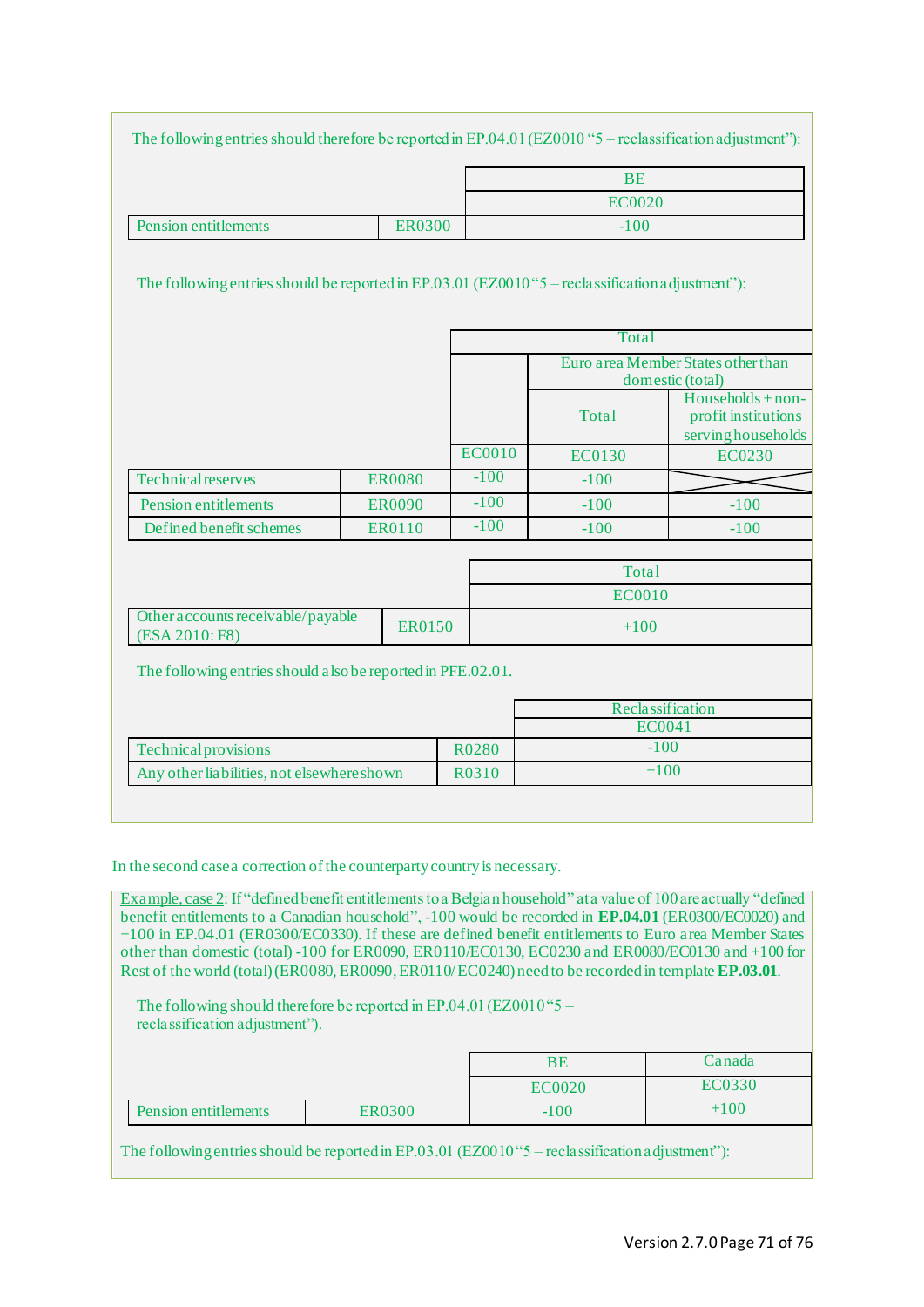|                                                                                                  |  |               |               | <b>BE</b>                                              |                                                                |  |  |
|--------------------------------------------------------------------------------------------------|--|---------------|---------------|--------------------------------------------------------|----------------------------------------------------------------|--|--|
| <b>EC0020</b>                                                                                    |  |               |               |                                                        |                                                                |  |  |
|                                                                                                  |  |               |               | $-100$                                                 |                                                                |  |  |
| <b>Pension entitlements</b>                                                                      |  | <b>ER0300</b> |               |                                                        |                                                                |  |  |
| The following entries should be reported in EP.03.01 (EZ0010"5 - reclassification a djustment"): |  |               |               |                                                        |                                                                |  |  |
|                                                                                                  |  |               |               | Total                                                  |                                                                |  |  |
|                                                                                                  |  |               |               | Euro area Member States other than<br>domestic (total) |                                                                |  |  |
|                                                                                                  |  |               |               | Total                                                  | Households + non-<br>profit institutions<br>serving households |  |  |
|                                                                                                  |  |               | <b>EC0010</b> | <b>EC0130</b>                                          | <b>EC0230</b>                                                  |  |  |
| <b>Technical reserves</b>                                                                        |  | <b>ER0080</b> | $-100$        | $-100$                                                 |                                                                |  |  |
| <b>Pension entitlements</b>                                                                      |  | <b>ER0090</b> | $-100$        | $-100$                                                 | $-100$                                                         |  |  |
| Defined benefit schemes                                                                          |  | ER0110        | $-100$        | $-100$                                                 | $-100$                                                         |  |  |
|                                                                                                  |  |               |               |                                                        |                                                                |  |  |
|                                                                                                  |  |               |               | <b>Total</b>                                           |                                                                |  |  |
|                                                                                                  |  |               |               | <b>EC0010</b>                                          |                                                                |  |  |
| Other accounts receivable/payable<br><b>ER0150</b><br>(ESA 2010: F8)                             |  |               |               | $+100$                                                 |                                                                |  |  |
| The following entries should also be reported in PFE.02.01.                                      |  |               |               |                                                        |                                                                |  |  |
|                                                                                                  |  |               |               |                                                        | Reclassification                                               |  |  |
|                                                                                                  |  |               |               |                                                        | EC0041                                                         |  |  |
| <b>Technical provisions</b>                                                                      |  |               | R0280         | $-100$                                                 |                                                                |  |  |
| Any other liabilities, not elsewhere shown                                                       |  |               | R0310         | $+100$                                                 |                                                                |  |  |

In the second case a correction of the counterparty country is necessary.

Example, case 2: If "defined benefit entitlements to a Belgian household" at a value of 100 are actually "defined benefit entitlements to a Canadian household", -100 would be recorded in **EP.04.01** (ER0300/EC0020) and +100 in EP.04.01 (ER0300/EC0330). If these are defined benefit entitlements to Euro area Member States other than domestic (total) -100 for ER0090, ER0110/EC0130, EC0230 and ER0080/EC0130 and +100 for Rest of the world (total) (ER0080, ER0090, ER0110/EC0240) need to be recorded in template **EP.03.01**.

The following should therefore be reported in EP.04.01 (EZ0010"5 – reclassification adjustment").

|                      |        | ΒE     | Canada   |
|----------------------|--------|--------|----------|
|                      |        | EC0020 | EC0330   |
| Pension entitlements | ER0300 | $-100$ | $+100\,$ |

The following entries should be reported in EP.03.01 (EZ0010 "5 – reclassification adjustment"):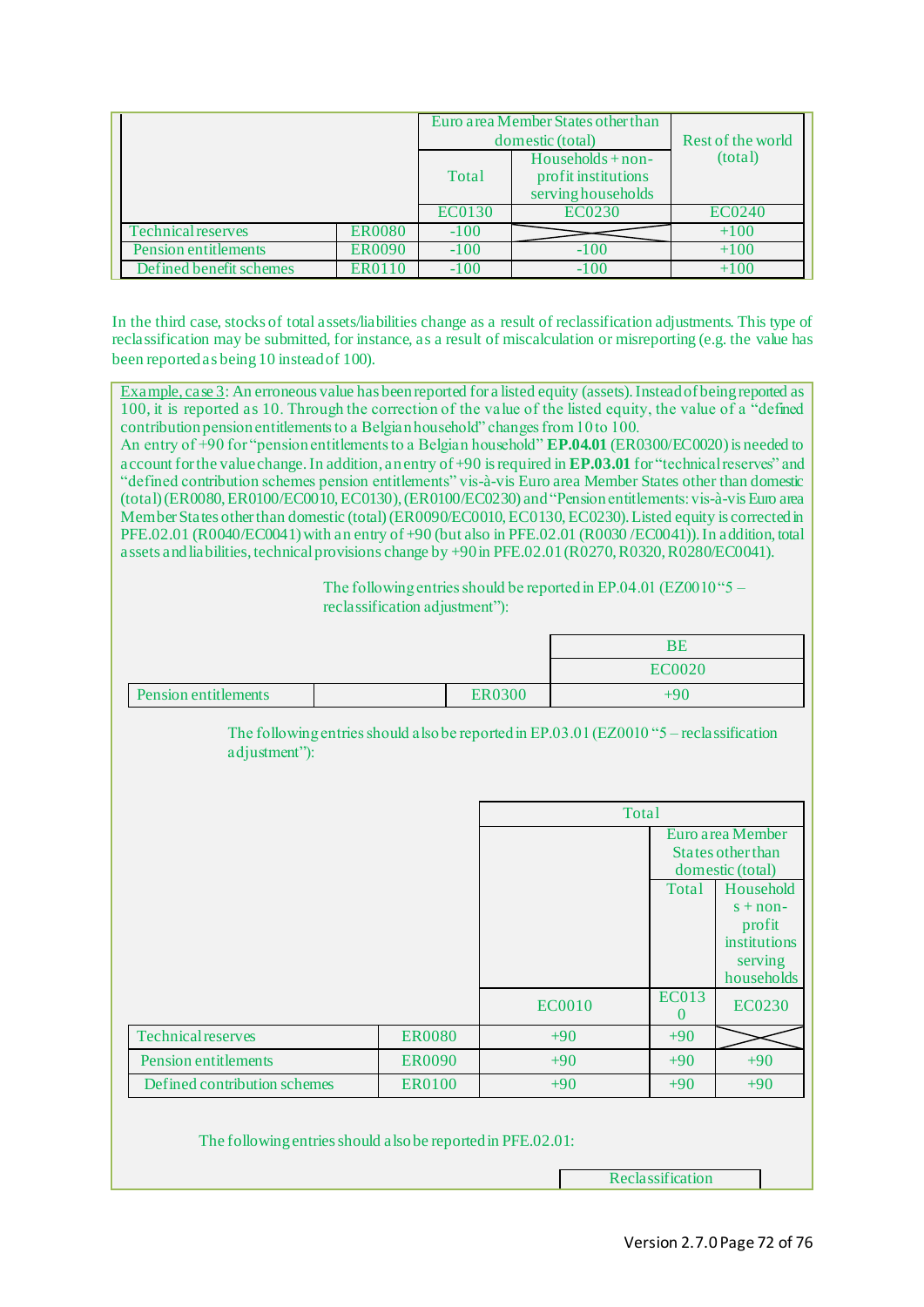|                           |               |        | Euro area Member States other than<br>domestic (total)          | Rest of the world |  |
|---------------------------|---------------|--------|-----------------------------------------------------------------|-------------------|--|
|                           |               | Total  | $Households + non-$<br>profit institutions<br>servinghouseholds | (total)           |  |
|                           |               | EC0130 | EC0230                                                          | EC0240            |  |
| <b>Technical reserves</b> | <b>ER0080</b> | $-100$ |                                                                 | $+100$            |  |
| Pension entitlements      | <b>ER0090</b> | $-100$ | $-100$                                                          | $+100$            |  |
| Defined benefit schemes   | ER0110        | $-100$ | $-100$                                                          | $+100$            |  |

In the third case, stocks of total assets/liabilities change as a result of reclassification adjustments. This type of reclassification may be submitted, for instance, as a result of miscalculation or misreporting (e.g. the value has been reported as being 10 instead of 100).

Example, case 3: An erroneous value has been reported for a listed equity (assets). Instead of being reported as 100, it is reported as 10. Through the correction of the value of the listed equity, the value of a "defined contribution pension entitlements to a Belgian household" changes from 10 to 100.

An entry of +90 for "pension entitlements to a Belgian household" **EP.04.01** (ER0300/EC0020) is needed to account for the value change. In addition, an entry of +90 isrequired in **EP.03.01** for "technical reserves" and "defined contribution schemes pension entitlements" vis-à-vis Euro area Member States other than domestic (total) (ER0080, ER0100/EC0010, EC0130), (ER0100/EC0230) and"Pension entitlements: vis-à-vis Euro area Member States other than domestic (total) (ER0090/EC0010, EC0130, EC0230). Listed equity is corrected in PFE.02.01 (R0040/EC0041) with an entry of +90 (but also in PFE.02.01 (R0030/EC0041)). In addition, total assets and liabilities, technical provisions change by +90 in PFE.02.01 (R0270, R0320, R0280/EC0041).

> The following entries should be reported in EP.04.01 (EZ0010" $5$ reclassification adjustment"):

|                      |        | DE<br>БE      |
|----------------------|--------|---------------|
|                      |        | <b>EC0020</b> |
| Pension entitlements | ER0300 | ⊦90           |

The following entries should also be reported in EP.03.01 (EZ0010 "5 – reclassification adjustment"):

|                              |               | Total         |                          |                                                                            |  |
|------------------------------|---------------|---------------|--------------------------|----------------------------------------------------------------------------|--|
|                              |               |               |                          | Euro area Member<br>States other than<br>domestic (total)                  |  |
|                              |               |               | Total                    | Household<br>$s + non-$<br>profit<br>institutions<br>serving<br>households |  |
|                              |               | <b>EC0010</b> | <b>EC013</b><br>$\theta$ | <b>EC0230</b>                                                              |  |
| <b>Technical reserves</b>    | <b>ER0080</b> | $+90$         | $+90$                    |                                                                            |  |
| Pension entitlements         | <b>ER0090</b> | $+90$         | $+90$                    | $+90$                                                                      |  |
| Defined contribution schemes | <b>ER0100</b> | $+90$         | $+90$                    | $+90$                                                                      |  |

The following entries should alsobe reported in PFE.02.01:

Reclassification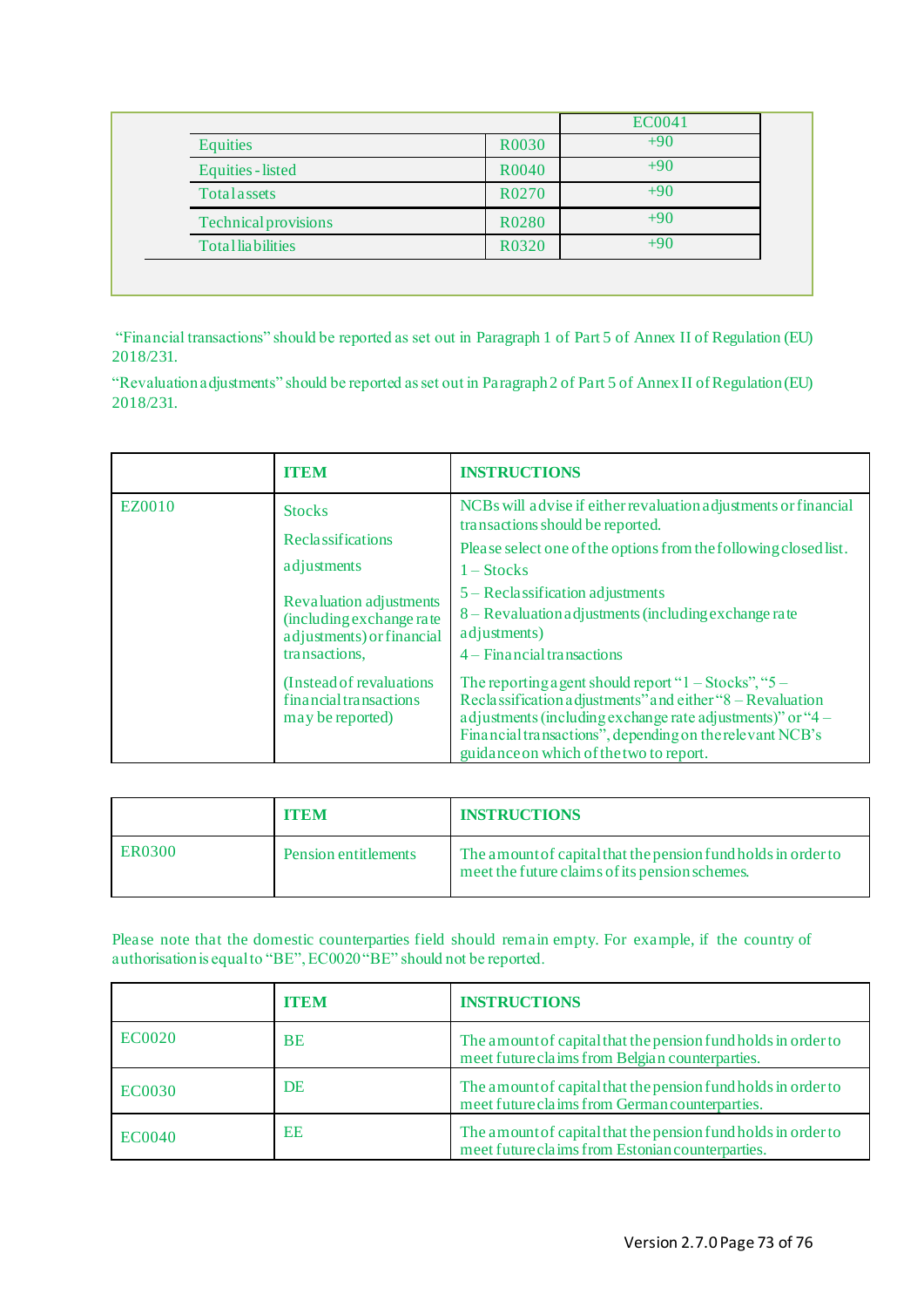|                             |       | <b>EC0041</b> |
|-----------------------------|-------|---------------|
| <b>Equities</b>             | R0030 | $+90$         |
| <b>Equities</b> - listed    | R0040 | $+90$         |
| Totalassets                 | R0270 | $+90$         |
| <b>Technical provisions</b> | R0280 | $+90$         |
| <b>Totalliabilities</b>     | R0320 | $+90$         |

"Financial transactions" should be reported as set out in Paragraph 1 of Part 5 of Annex II of Regulation (EU) 2018/231.

"Revaluation adjustments" should be reported as set out in Paragraph 2 of Part 5 of Annex II of Regulation (EU) 2018/231.

|        | <b>TTEM</b>                                                                                                                                                                                                                       | <b>INSTRUCTIONS</b>                                                                                                                                                                                                                                                                                                                                                                                                                                                                                                                                                                                                                                    |
|--------|-----------------------------------------------------------------------------------------------------------------------------------------------------------------------------------------------------------------------------------|--------------------------------------------------------------------------------------------------------------------------------------------------------------------------------------------------------------------------------------------------------------------------------------------------------------------------------------------------------------------------------------------------------------------------------------------------------------------------------------------------------------------------------------------------------------------------------------------------------------------------------------------------------|
| EZ0010 | <b>Stocks</b><br>Reclassifications<br>adjustments<br>Revaluation adjustments<br>(including exchange rate<br>adjustments) or financial<br>transactions,<br>(Instead of revaluations)<br>financial transactions<br>may be reported) | NCBs will advise if either revaluation adjustments or financial<br>transactions should be reported.<br>Please select one of the options from the following closed list.<br>$1 - \text{Stocks}$<br>$5 - Reclassification adjustments$<br>8 – Revaluation adjustments (including exchange rate<br>adjustments)<br>$4 -$ Financial transactions<br>The reporting a gent should report " $1 - \text{Stocks}$ ", " $5 -$<br>Reclassification adjustments" and either "8 – Revaluation<br>a djustments (including exchange rate adjustments)" or "4 –<br>Financial transactions", depending on the relevant NCB's<br>guidance on which of the two to report. |

|        | <b>ITEM</b>          | <b>INSTRUCTIONS</b>                                                                                             |
|--------|----------------------|-----------------------------------------------------------------------------------------------------------------|
| ER0300 | Pension entitlements | The amount of capital that the pension fund holds in order to<br>meet the future claims of its pension schemes. |

Please note that the domestic counterparties field should remain empty. For example, if the country of authorisation is equal to "BE", EC0020 "BE" should not be reported.

|               | <b>ITEM</b> | <b>INSTRUCTIONS</b>                                                                                               |
|---------------|-------------|-------------------------------------------------------------------------------------------------------------------|
| <b>EC0020</b> | <b>BE</b>   | The amount of capital that the pension fund holds in order to<br>meet future claims from Belgian counterparties.  |
| <b>EC0030</b> | DE          | The amount of capital that the pension fund holds in order to<br>meet future claims from German counterparties.   |
| <b>EC0040</b> | EE          | The amount of capital that the pension fund holds in order to<br>meet future claims from Estonian counterparties. |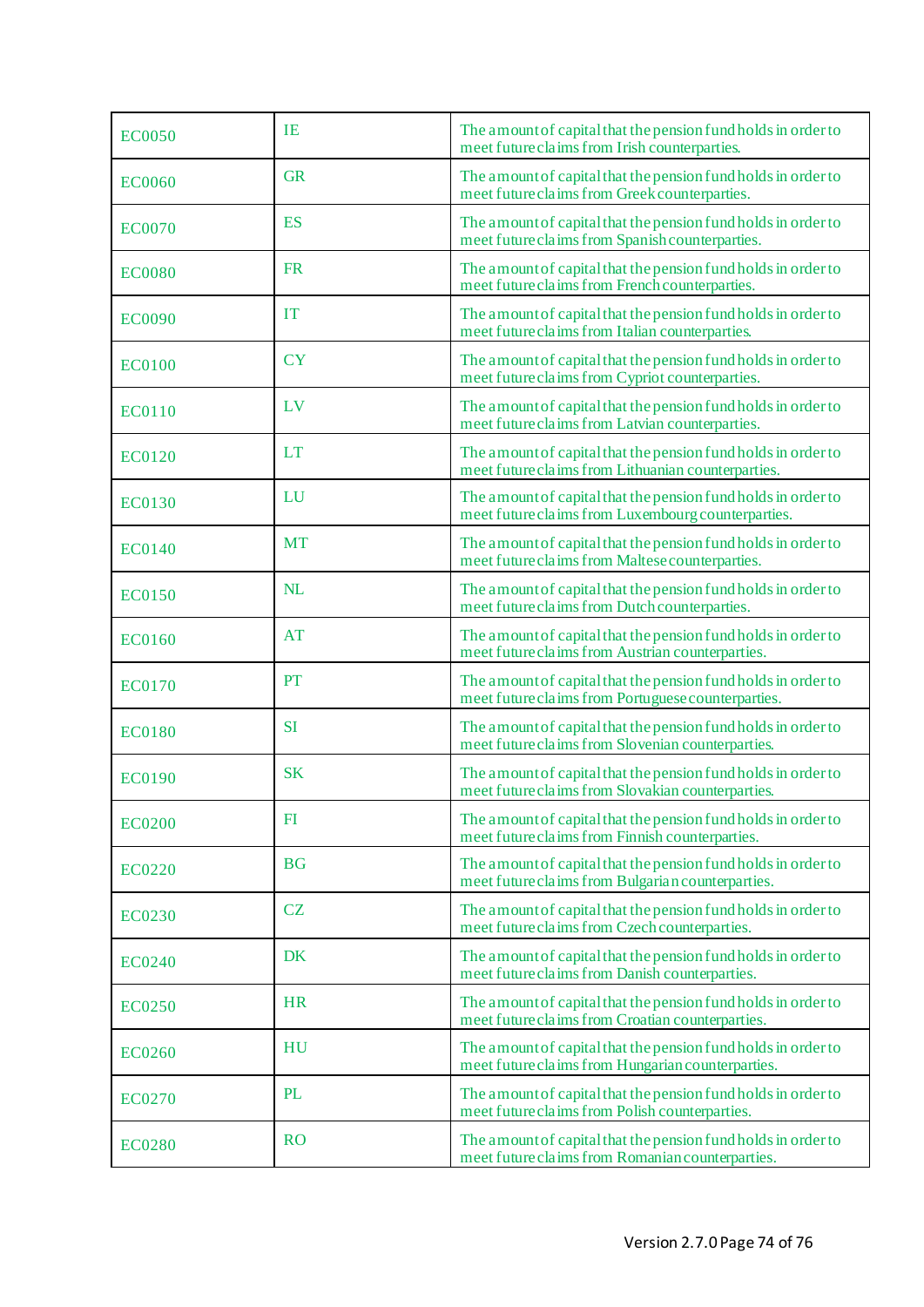| <b>EC0050</b> | <b>IE</b> | The amount of capital that the pension fund holds in order to<br>meet future claims from Irish counterparties.      |
|---------------|-----------|---------------------------------------------------------------------------------------------------------------------|
| <b>EC0060</b> | <b>GR</b> | The amount of capital that the pension fund holds in order to<br>meet future claims from Greek counterparties.      |
| <b>EC0070</b> | <b>ES</b> | The amount of capital that the pension fund holds in order to<br>meet future claims from Spanish counterparties.    |
| <b>EC0080</b> | <b>FR</b> | The amount of capital that the pension fund holds in order to<br>meet future claims from French counterparties.     |
| <b>EC0090</b> | <b>IT</b> | The amount of capital that the pension fund holds in order to<br>meet future claims from Italian counterparties.    |
| <b>EC0100</b> | <b>CY</b> | The amount of capital that the pension fund holds in order to<br>meet future claims from Cypriot counterparties.    |
| <b>EC0110</b> | LV        | The amount of capital that the pension fund holds in order to<br>meet future claims from Latvian counterparties.    |
| <b>EC0120</b> | <b>LT</b> | The amount of capital that the pension fund holds in order to<br>meet future claims from Lithuanian counterparties. |
| <b>EC0130</b> | LU        | The amount of capital that the pension fund holds in order to<br>meet future claims from Luxembourg counterparties. |
| <b>EC0140</b> | <b>MT</b> | The amount of capital that the pension fund holds in order to<br>meet future claims from Maltese counterparties.    |
| <b>EC0150</b> | NL        | The amount of capital that the pension fund holds in order to<br>meet future claims from Dutch counterparties.      |
| <b>EC0160</b> | <b>AT</b> | The amount of capital that the pension fund holds in order to<br>meet future claims from Austrian counterparties.   |
| <b>EC0170</b> | PT        | The amount of capital that the pension fund holds in order to<br>meet future claims from Portuguese counterparties. |
| <b>EC0180</b> | <b>SI</b> | The amount of capital that the pension fund holds in order to<br>meet future claims from Slovenian counterparties.  |
| <b>EC0190</b> | <b>SK</b> | The amount of capital that the pension fund holds in order to<br>meet future claims from Slovakian counterparties.  |
| <b>EC0200</b> | F1        | The amount of capital that the pension fund holds in order to<br>meet future claims from Finnish counterparties.    |
| <b>EC0220</b> | <b>BG</b> | The amount of capital that the pension fund holds in order to<br>meet future claims from Bulgarian counterparties.  |
| <b>EC0230</b> | <b>CZ</b> | The amount of capital that the pension fund holds in order to<br>meet future claims from Czech counterparties.      |
| <b>EC0240</b> | DK        | The amount of capital that the pension fund holds in order to<br>meet future claims from Danish counterparties.     |
| <b>EC0250</b> | <b>HR</b> | The amount of capital that the pension fund holds in order to<br>meet future claims from Croatian counterparties.   |
| <b>EC0260</b> | HU        | The amount of capital that the pension fund holds in order to<br>meet future claims from Hungarian counterparties.  |
| EC0270        | <b>PL</b> | The amount of capital that the pension fund holds in order to<br>meet future claims from Polish counterparties.     |
| <b>EC0280</b> | <b>RO</b> | The amount of capital that the pension fund holds in order to<br>meet future claims from Romanian counterparties.   |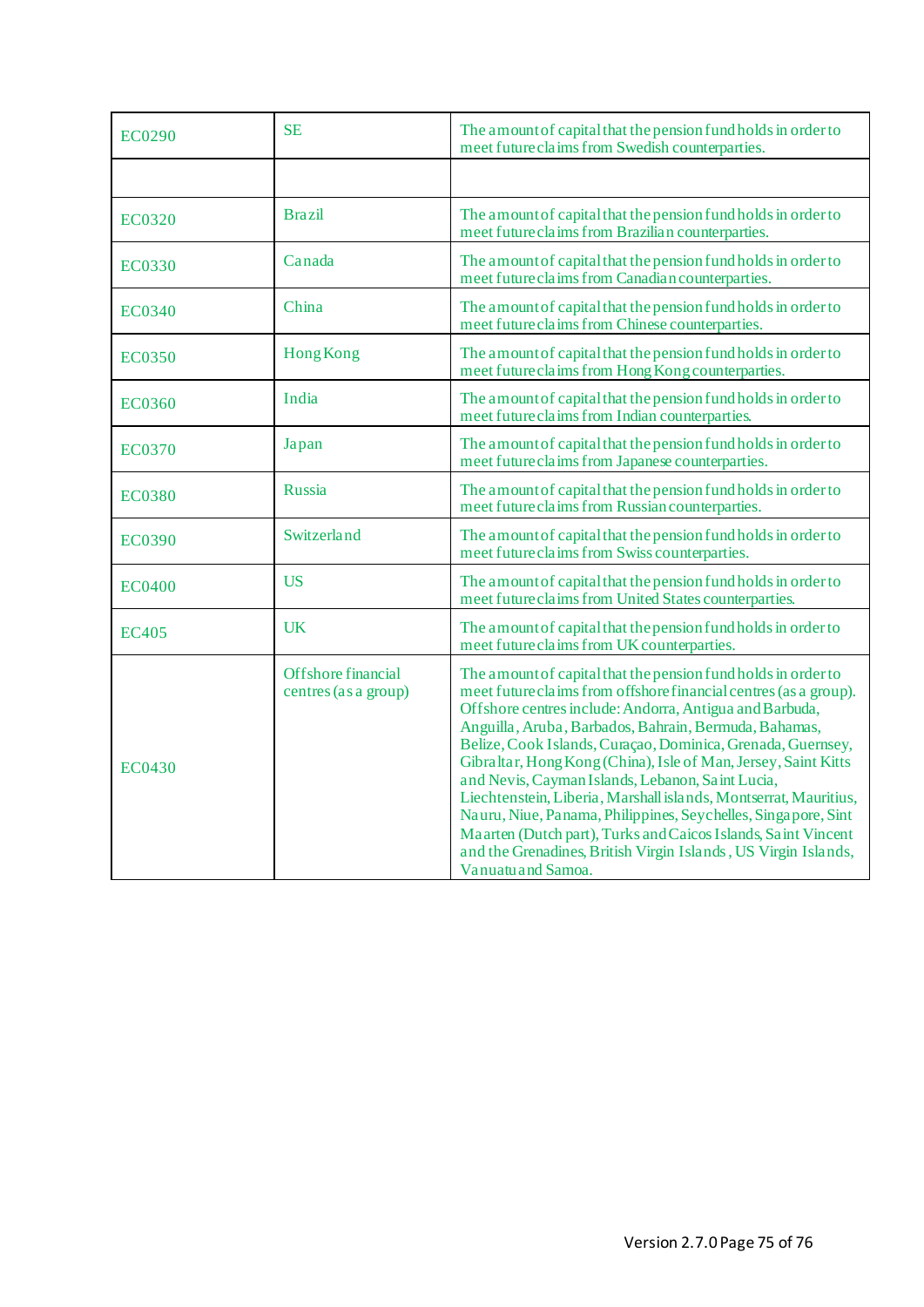| <b>EC0290</b> | <b>SE</b>                                  | The amount of capital that the pension fund holds in order to<br>meet future claims from Swedish counterparties.                                                                                                                                                                                                                                                                                                                                                                                                                                                                                                                                                                                                                         |
|---------------|--------------------------------------------|------------------------------------------------------------------------------------------------------------------------------------------------------------------------------------------------------------------------------------------------------------------------------------------------------------------------------------------------------------------------------------------------------------------------------------------------------------------------------------------------------------------------------------------------------------------------------------------------------------------------------------------------------------------------------------------------------------------------------------------|
|               |                                            |                                                                                                                                                                                                                                                                                                                                                                                                                                                                                                                                                                                                                                                                                                                                          |
| EC0320        | <b>Brazil</b>                              | The amount of capital that the pension fund holds in order to<br>meet future claims from Brazilian counterparties.                                                                                                                                                                                                                                                                                                                                                                                                                                                                                                                                                                                                                       |
| EC0330        | Canada                                     | The amount of capital that the pension fund holds in order to<br>meet future claims from Canadian counterparties.                                                                                                                                                                                                                                                                                                                                                                                                                                                                                                                                                                                                                        |
| EC0340        | China                                      | The amount of capital that the pension fund holds in order to<br>meet future claims from Chinese counterparties.                                                                                                                                                                                                                                                                                                                                                                                                                                                                                                                                                                                                                         |
| EC0350        | <b>Hong Kong</b>                           | The amount of capital that the pension fund holds in order to<br>meet future claims from Hong Kong counterparties.                                                                                                                                                                                                                                                                                                                                                                                                                                                                                                                                                                                                                       |
| <b>EC0360</b> | India                                      | The amount of capital that the pension fund holds in order to<br>meet future claims from Indian counterparties.                                                                                                                                                                                                                                                                                                                                                                                                                                                                                                                                                                                                                          |
| EC0370        | Japan                                      | The amount of capital that the pension fund holds in order to<br>meet future claims from Japanese counterparties.                                                                                                                                                                                                                                                                                                                                                                                                                                                                                                                                                                                                                        |
| EC0380        | Russia                                     | The amount of capital that the pension fund holds in order to<br>meet future claims from Russian counterparties.                                                                                                                                                                                                                                                                                                                                                                                                                                                                                                                                                                                                                         |
| <b>EC0390</b> | Switzerland                                | The amount of capital that the pension fund holds in order to<br>meet future claims from Swiss counterparties.                                                                                                                                                                                                                                                                                                                                                                                                                                                                                                                                                                                                                           |
| <b>EC0400</b> | <b>US</b>                                  | The amount of capital that the pension fund holds in order to<br>meet future claims from United States counterparties.                                                                                                                                                                                                                                                                                                                                                                                                                                                                                                                                                                                                                   |
| <b>EC405</b>  | <b>UK</b>                                  | The amount of capital that the pension fund holds in order to<br>meet future claims from UK counterparties.                                                                                                                                                                                                                                                                                                                                                                                                                                                                                                                                                                                                                              |
| EC0430        | Offshore financial<br>centres (as a group) | The amount of capital that the pension fund holds in order to<br>meet future claims from offshore financial centres (as a group).<br>Offshore centres include: Andorra, Antigua and Barbuda,<br>Anguilla, Aruba, Barbados, Bahrain, Bermuda, Bahamas,<br>Belize, Cook Islands, Curaçao, Dominica, Grenada, Guernsey,<br>Gibraltar, Hong Kong (China), Isle of Man, Jersey, Saint Kitts<br>and Nevis, Cayman Islands, Lebanon, Saint Lucia,<br>Liechtenstein, Liberia, Marshall islands, Montserrat, Mauritius,<br>Nauru, Niue, Panama, Philippines, Seychelles, Singapore, Sint<br>Maarten (Dutch part), Turks and Caicos Islands, Saint Vincent<br>and the Grenadines, British Virgin Islands, US Virgin Islands,<br>Vanuatu and Samoa. |